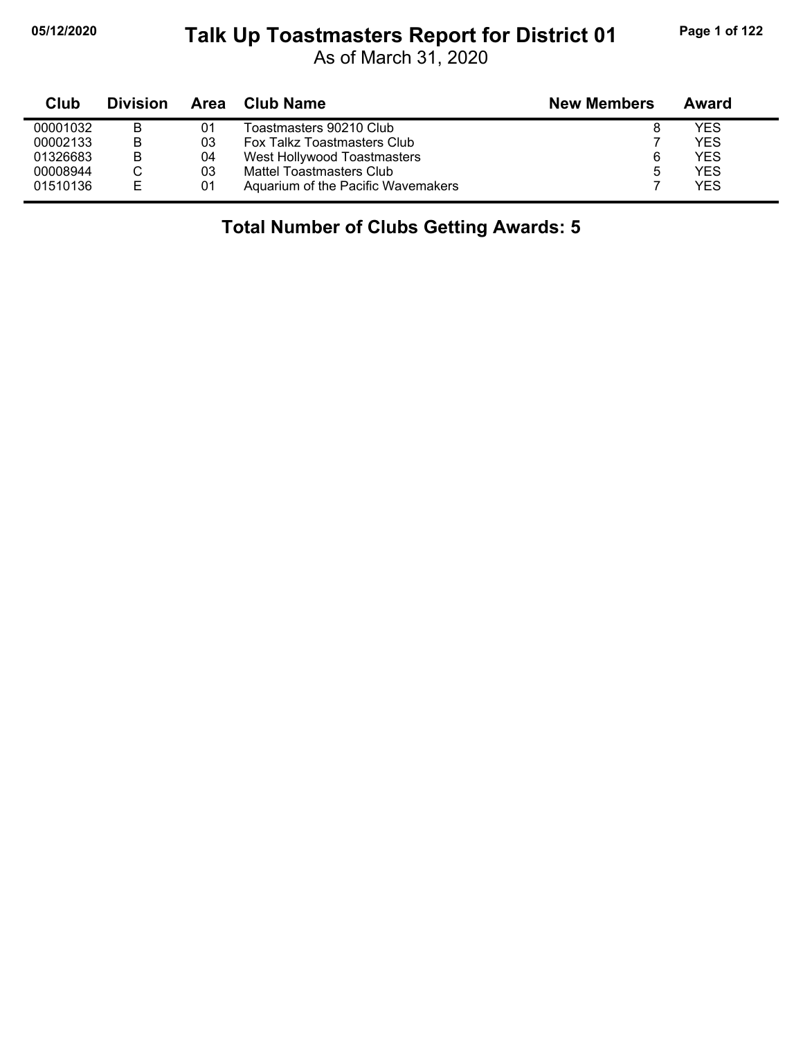## **05/12/2020 Page 1 of 122 Talk Up Toastmasters Report for District 01**

As of March 31, 2020

| Club     | <b>Division</b> | Area | Club Name                          | <b>New Members</b> | Award      |
|----------|-----------------|------|------------------------------------|--------------------|------------|
| 00001032 | B               | 01   | Toastmasters 90210 Club            |                    | <b>YES</b> |
| 00002133 | B               | 03   | Fox Talkz Toastmasters Club        |                    | YES        |
| 01326683 | B               | 04   | West Hollywood Toastmasters        |                    | <b>YES</b> |
| 00008944 |                 | 03   | Mattel Toastmasters Club           |                    | <b>YES</b> |
| 01510136 | E               | 01   | Aquarium of the Pacific Wavemakers |                    | <b>YES</b> |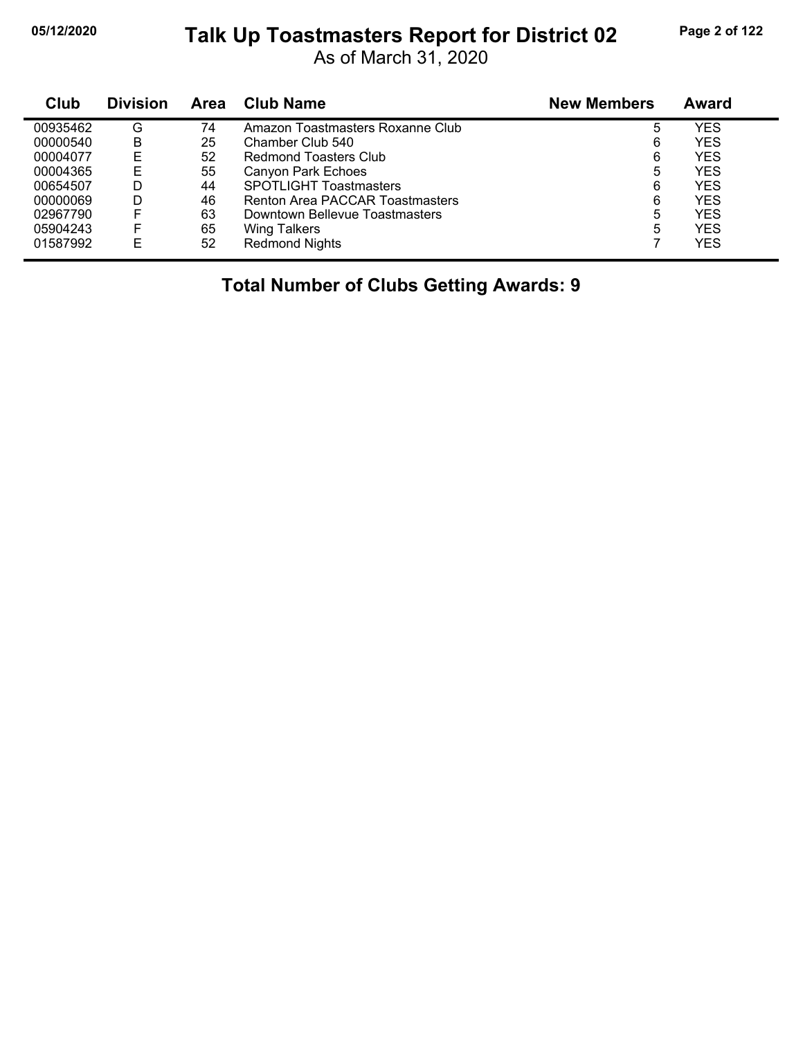## **05/12/2020 Page 2 of 122 Talk Up Toastmasters Report for District 02**

As of March 31, 2020

| Club     | <b>Division</b> | <b>Area</b> | <b>Club Name</b>                 | <b>New Members</b> | <b>Award</b> |
|----------|-----------------|-------------|----------------------------------|--------------------|--------------|
| 00935462 | G               | 74          | Amazon Toastmasters Roxanne Club | 5                  | YES          |
| 00000540 | B               | 25          | Chamber Club 540                 | 6                  | <b>YES</b>   |
| 00004077 | Е               | 52          | Redmond Toasters Club            | 6                  | <b>YES</b>   |
| 00004365 | Е               | 55          | Canyon Park Echoes               | 5                  | <b>YES</b>   |
| 00654507 | D               | 44          | <b>SPOTLIGHT Toastmasters</b>    | 6                  | <b>YES</b>   |
| 00000069 | D               | 46          | Renton Area PACCAR Toastmasters  | 6                  | <b>YES</b>   |
| 02967790 |                 | 63          | Downtown Bellevue Toastmasters   | 5                  | <b>YES</b>   |
| 05904243 |                 | 65          | <b>Wing Talkers</b>              | 5                  | <b>YES</b>   |
| 01587992 | Е               | 52          | <b>Redmond Nights</b>            |                    | <b>YES</b>   |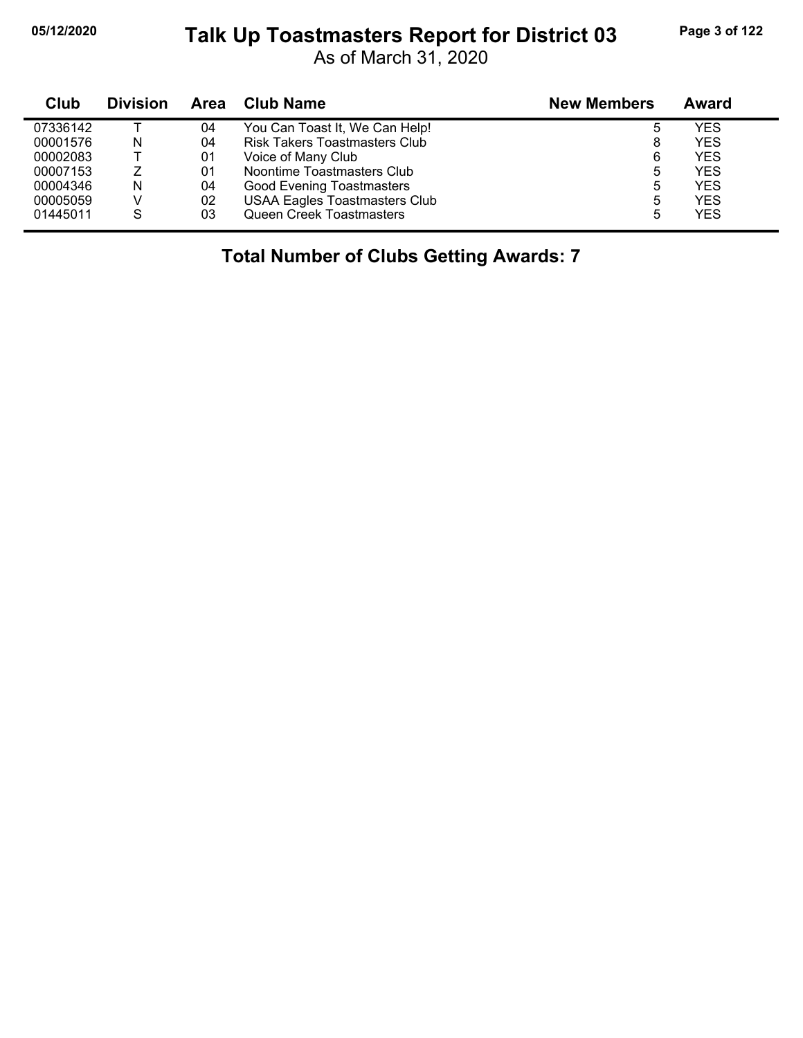## **05/12/2020 Page 3 of 122 Talk Up Toastmasters Report for District 03**

As of March 31, 2020

| Club     | <b>Division</b> | Area | <b>Club Name</b>                     | <b>New Members</b> | Award      |
|----------|-----------------|------|--------------------------------------|--------------------|------------|
| 07336142 |                 | 04   | You Can Toast It, We Can Help!       |                    | YES        |
| 00001576 | N               | 04   | <b>Risk Takers Toastmasters Club</b> | 8                  | <b>YES</b> |
| 00002083 |                 | 01   | Voice of Many Club                   | 6                  | YES        |
| 00007153 |                 | 01   | Noontime Toastmasters Club           | 5                  | YES        |
| 00004346 | N               | 04   | <b>Good Evening Toastmasters</b>     | 5                  | YES        |
| 00005059 |                 | 02   | <b>USAA Eagles Toastmasters Club</b> | 5                  | YES        |
| 01445011 | S               | 03   | <b>Queen Creek Toastmasters</b>      | 5                  | YES        |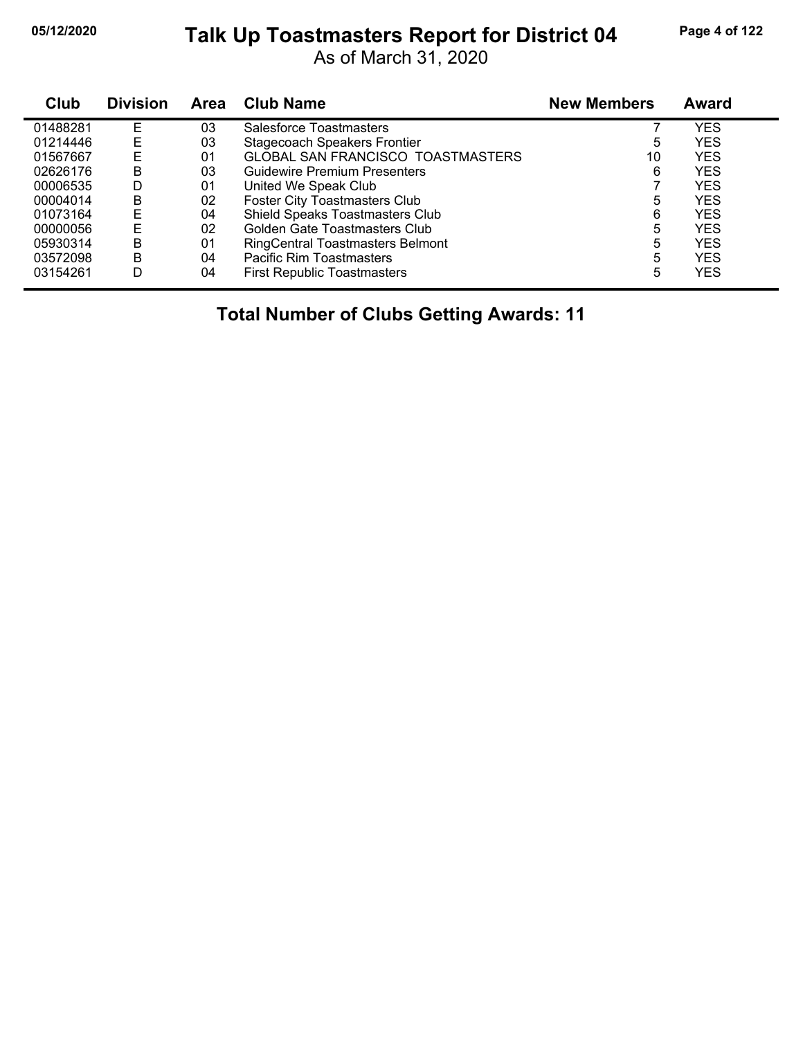## **05/12/2020 Page 4 of 122 Talk Up Toastmasters Report for District 04**

As of March 31, 2020

| Club     | <b>Division</b> | <b>Area</b> | <b>Club Name</b>                         | <b>New Members</b> | <b>Award</b> |
|----------|-----------------|-------------|------------------------------------------|--------------------|--------------|
| 01488281 | F               | 03          | Salesforce Toastmasters                  |                    | YES          |
| 01214446 | E               | 03          | <b>Stagecoach Speakers Frontier</b>      | 5                  | YES          |
| 01567667 | E               | 01          | <b>GLOBAL SAN FRANCISCO TOASTMASTERS</b> | 10                 | YES          |
| 02626176 | B               | 03          | Guidewire Premium Presenters             | 6                  | YES          |
| 00006535 | D               | 01          | United We Speak Club                     |                    | <b>YES</b>   |
| 00004014 | в               | 02          | <b>Foster City Toastmasters Club</b>     | 5                  | YES          |
| 01073164 | E               | 04          | Shield Speaks Toastmasters Club          | 6                  | YES          |
| 00000056 | E               | 02          | Golden Gate Toastmasters Club            | 5                  | YES          |
| 05930314 | в               | 01          | <b>RingCentral Toastmasters Belmont</b>  | 5                  | YES          |
| 03572098 | B               | 04          | Pacific Rim Toastmasters                 | 5                  | <b>YES</b>   |
| 03154261 | D               | 04          | <b>First Republic Toastmasters</b>       | 5                  | YES          |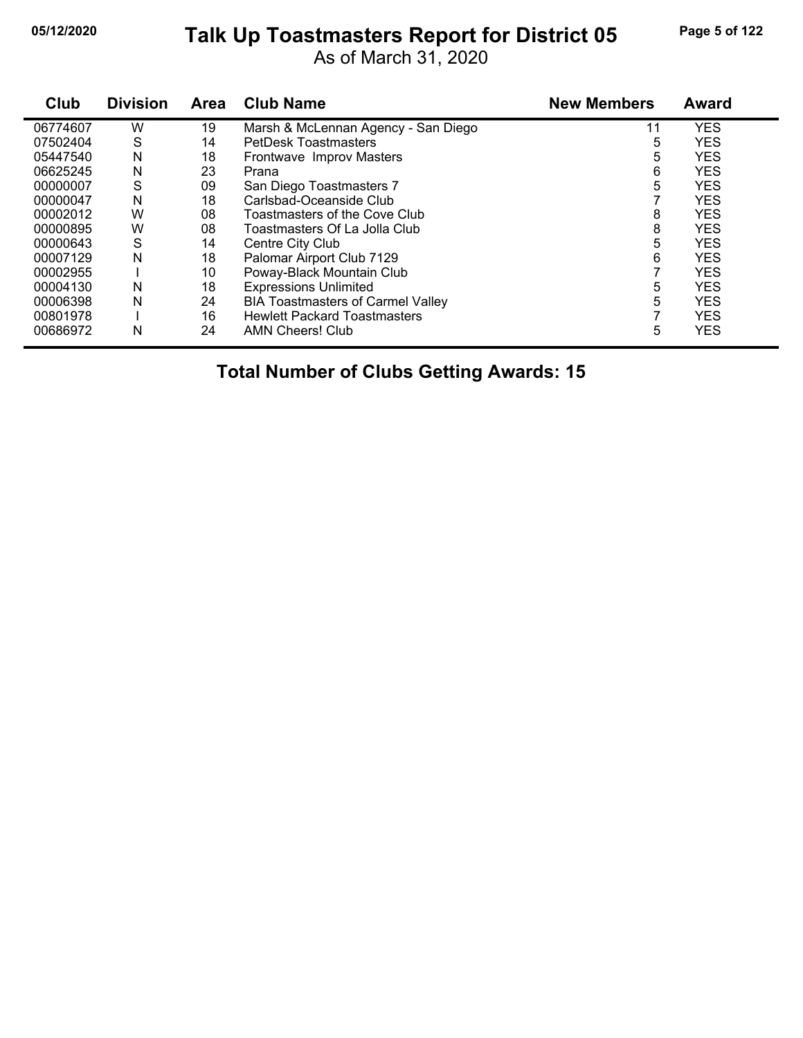## **05/12/2020 Page 5 of 122 Talk Up Toastmasters Report for District 05**

As of March 31, 2020

| Club     | <b>Division</b> | Area | <b>Club Name</b>                         | <b>New Members</b> | Award      |
|----------|-----------------|------|------------------------------------------|--------------------|------------|
| 06774607 | W               | 19   | Marsh & McLennan Agency - San Diego      | 11                 | <b>YES</b> |
| 07502404 | S               | 14   | <b>PetDesk Toastmasters</b>              | 5                  | <b>YES</b> |
| 05447540 | N               | 18   | Frontwave Improv Masters                 | 5                  | <b>YES</b> |
| 06625245 | N               | 23   | Prana                                    | 6                  | <b>YES</b> |
| 00000007 | S               | 09   | San Diego Toastmasters 7                 | 5                  | <b>YES</b> |
| 00000047 | N               | 18   | Carlsbad-Oceanside Club                  |                    | <b>YES</b> |
| 00002012 | W               | 08   | Toastmasters of the Cove Club            | 8                  | <b>YES</b> |
| 00000895 | W               | 08   | Toastmasters Of La Jolla Club            | 8                  | <b>YES</b> |
| 00000643 | S               | 14   | Centre City Club                         | 5                  | <b>YES</b> |
| 00007129 | N               | 18   | Palomar Airport Club 7129                | 6                  | <b>YES</b> |
| 00002955 |                 | 10   | Poway-Black Mountain Club                |                    | <b>YES</b> |
| 00004130 | N               | 18   | <b>Expressions Unlimited</b>             | 5                  | <b>YES</b> |
| 00006398 | N               | 24   | <b>BIA Toastmasters of Carmel Valley</b> | 5                  | <b>YES</b> |
| 00801978 |                 | 16   | <b>Hewlett Packard Toastmasters</b>      |                    | <b>YES</b> |
| 00686972 | N               | 24   | <b>AMN Cheers! Club</b>                  | 5                  | <b>YES</b> |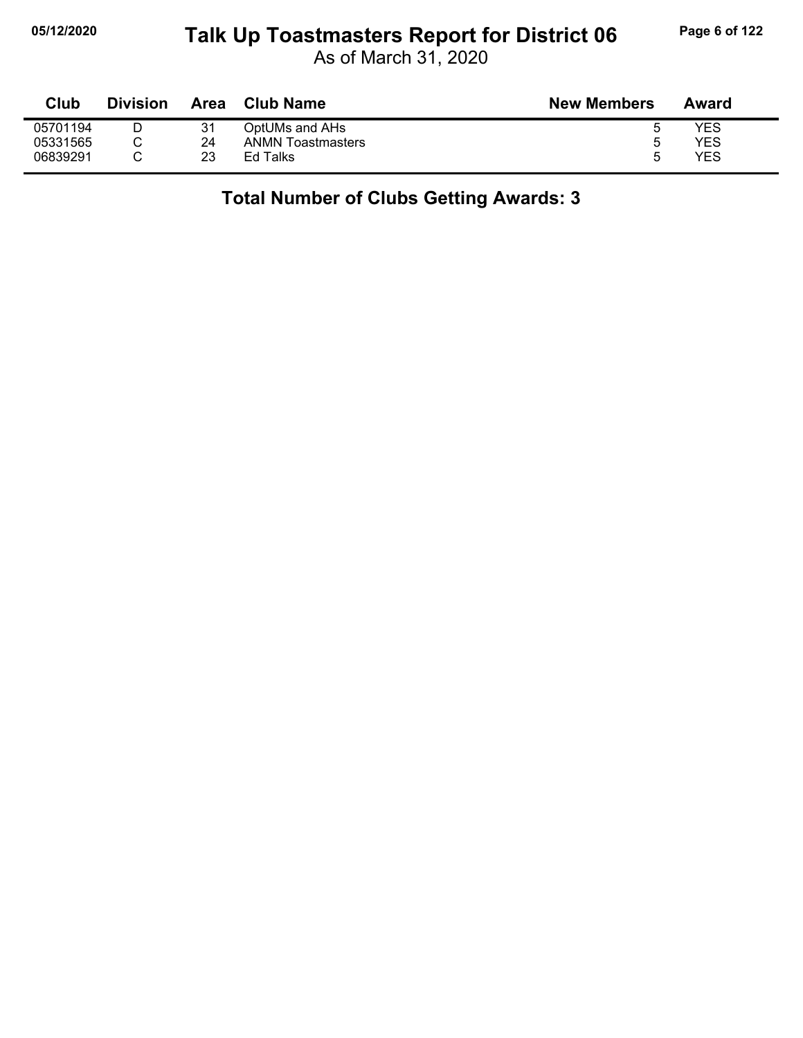## **05/12/2020 Page 6 of 122 Talk Up Toastmasters Report for District 06**

As of March 31, 2020

| Club     | <b>Division</b> | Area | <b>Club Name</b>         | <b>New Members</b> | Award |
|----------|-----------------|------|--------------------------|--------------------|-------|
| 05701194 |                 | 31   | OptUMs and AHs           |                    | YES   |
| 05331565 |                 | 24   | <b>ANMN Toastmasters</b> |                    | YES   |
| 06839291 |                 | 23   | Ed Talks                 | h                  | YES   |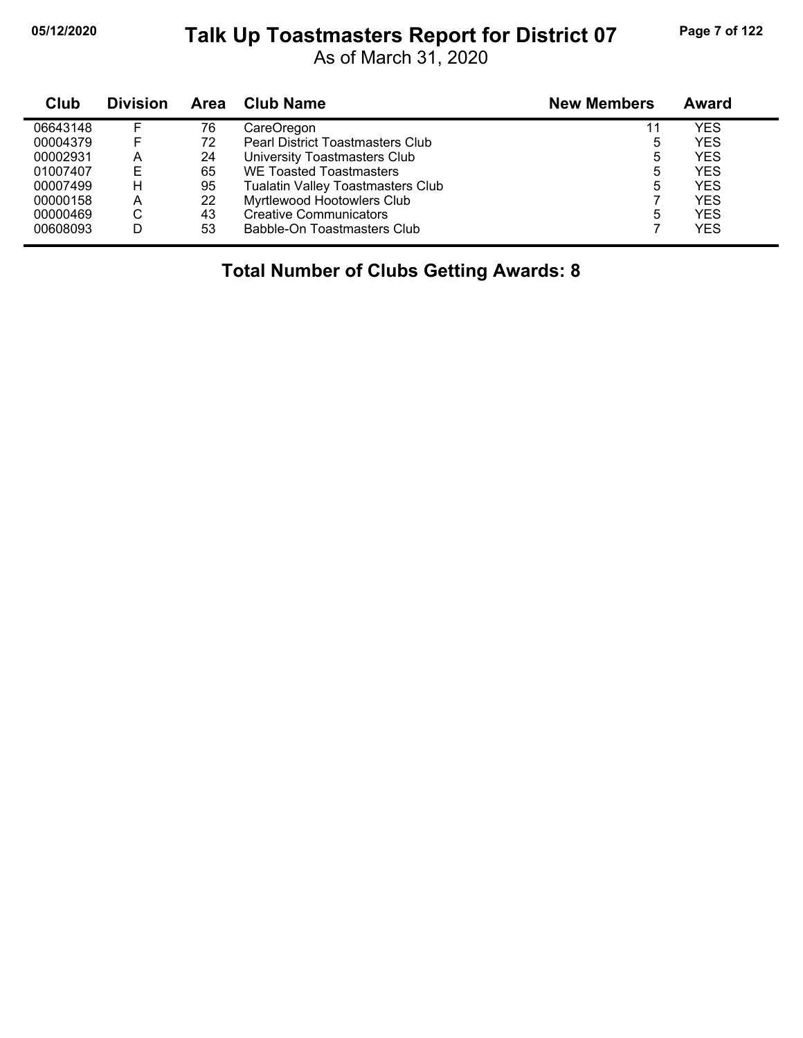#### **05/12/2020 Page 7 of 122 Talk Up Toastmasters Report for District 07**

As of March 31, 2020

| Club     | <b>Division</b> | <b>Area</b> | <b>Club Name</b>                        | <b>New Members</b> | Award      |
|----------|-----------------|-------------|-----------------------------------------|--------------------|------------|
| 06643148 |                 | 76          | CareOregon                              | 11                 | YES        |
| 00004379 |                 | 72          | <b>Pearl District Toastmasters Club</b> | 5                  | <b>YES</b> |
| 00002931 | А               | 24          | University Toastmasters Club            | 5                  | <b>YES</b> |
| 01007407 | Е               | 65          | WE Toasted Toastmasters                 | 5                  | YES        |
| 00007499 | н               | 95          | Tualatin Valley Toastmasters Club       | 5                  | <b>YES</b> |
| 00000158 | А               | 22          | Myrtlewood Hootowlers Club              |                    | <b>YES</b> |
| 00000469 | С               | 43          | <b>Creative Communicators</b>           | 5                  | YES        |
| 00608093 | D               | 53          | Babble-On Toastmasters Club             |                    | <b>YES</b> |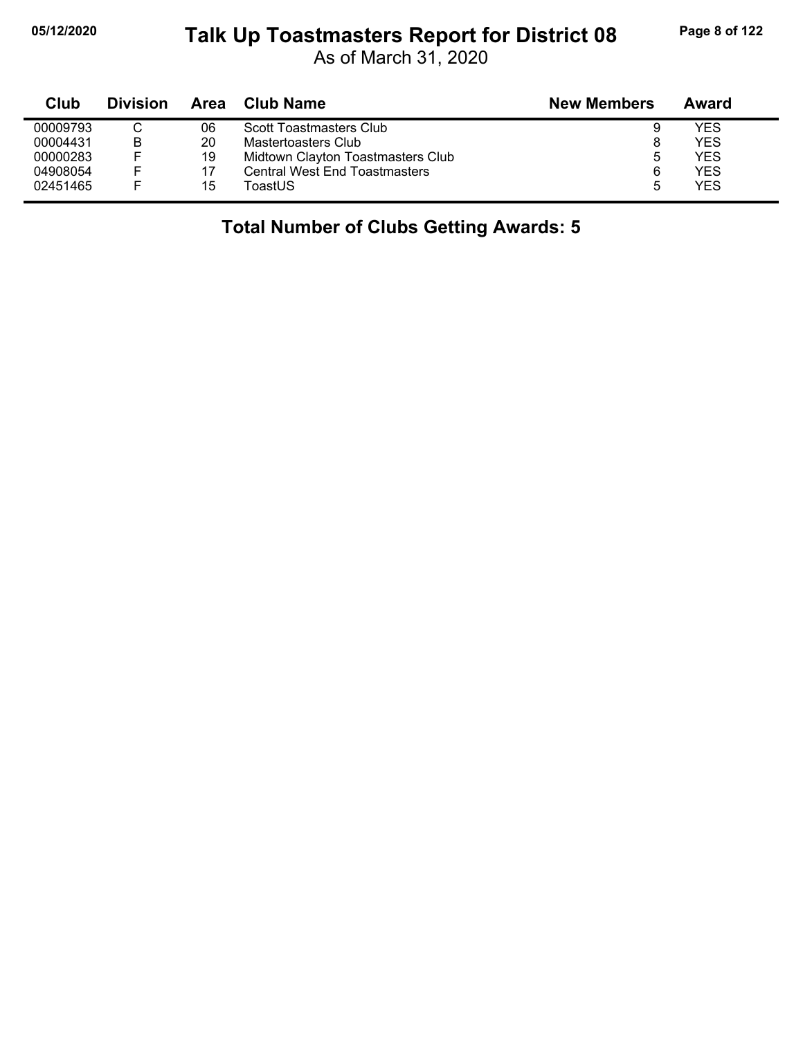## **05/12/2020 Page 8 of 122 Talk Up Toastmasters Report for District 08**

As of March 31, 2020

| Club     | <b>Division</b> | Area | <b>Club Name</b>                     | <b>New Members</b> | Award      |
|----------|-----------------|------|--------------------------------------|--------------------|------------|
| 00009793 | ◠               | 06   | Scott Toastmasters Club              | 9                  | YES        |
| 00004431 | B               | 20   | Mastertoasters Club                  | 8                  | <b>YES</b> |
| 00000283 |                 | 19   | Midtown Clayton Toastmasters Club    | b                  | YES        |
| 04908054 | F               |      | <b>Central West End Toastmasters</b> | 6                  | YES        |
| 02451465 |                 | 15   | ToastUS                              | b                  | <b>YES</b> |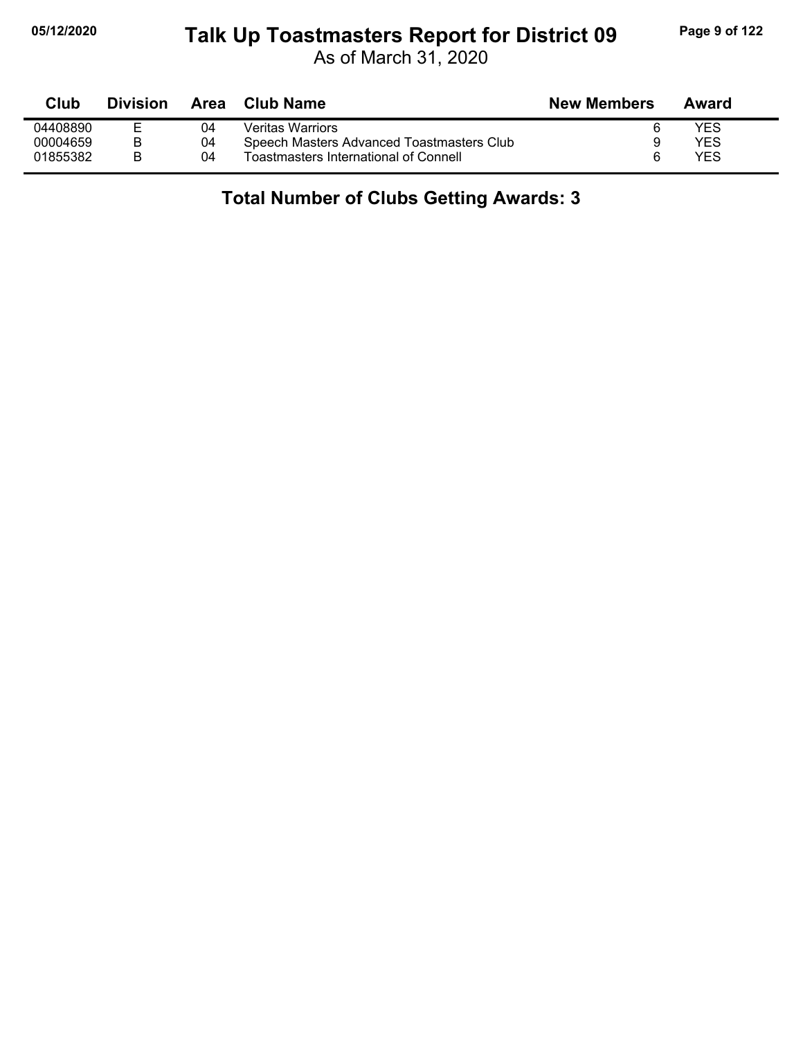# **05/12/2020 Page 9 of 122 Talk Up Toastmasters Report for District 09**

As of March 31, 2020

| Club     | <b>Division</b> | Area | Club Name                                 | <b>New Members</b> | Award |
|----------|-----------------|------|-------------------------------------------|--------------------|-------|
| 04408890 |                 | 04   | Veritas Warriors                          |                    | YES   |
| 00004659 |                 | 04   | Speech Masters Advanced Toastmasters Club |                    | YES   |
| 01855382 |                 | 04   | Toastmasters International of Connell     |                    | YES   |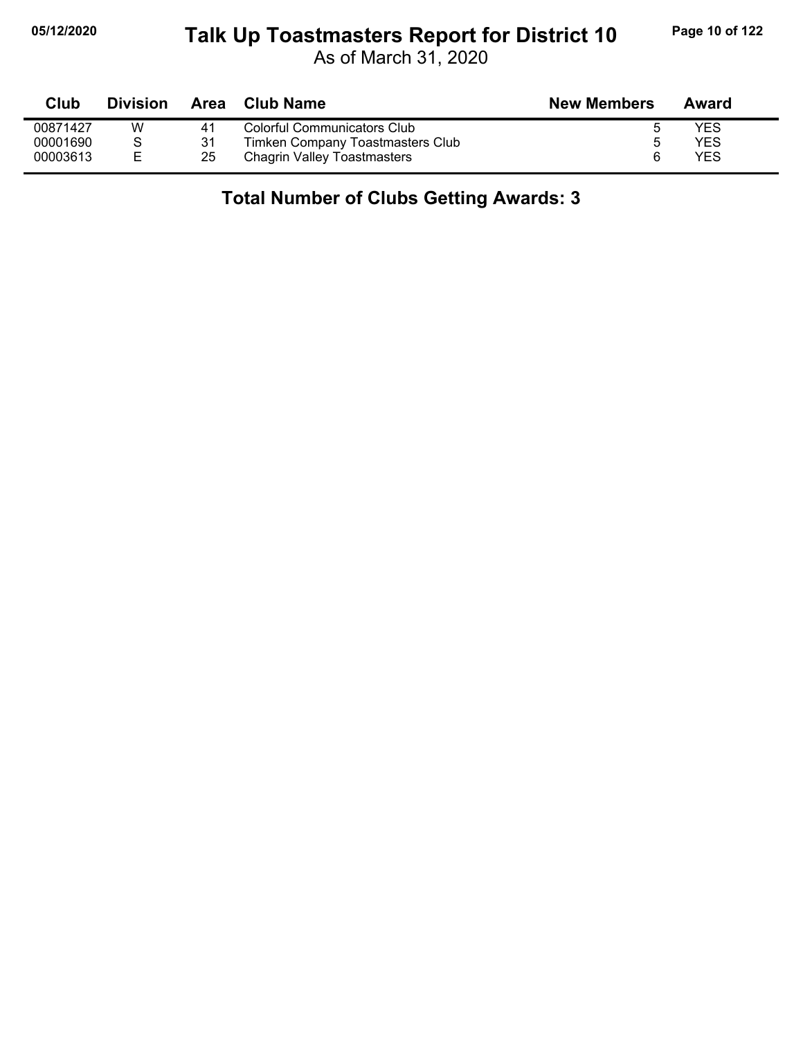#### **05/12/2020 Page 10 of 122 Talk Up Toastmasters Report for District 10**

As of March 31, 2020

| Club     | <b>Division</b> | Area | Club Name                          | <b>New Members</b> | Award      |
|----------|-----------------|------|------------------------------------|--------------------|------------|
| 00871427 | W               | 41   | Colorful Communicators Club        |                    | YES        |
| 00001690 |                 | 31   | Timken Company Toastmasters Club   |                    | <b>YES</b> |
| 00003613 | E               | 25   | <b>Chagrin Valley Toastmasters</b> | 6                  | YES        |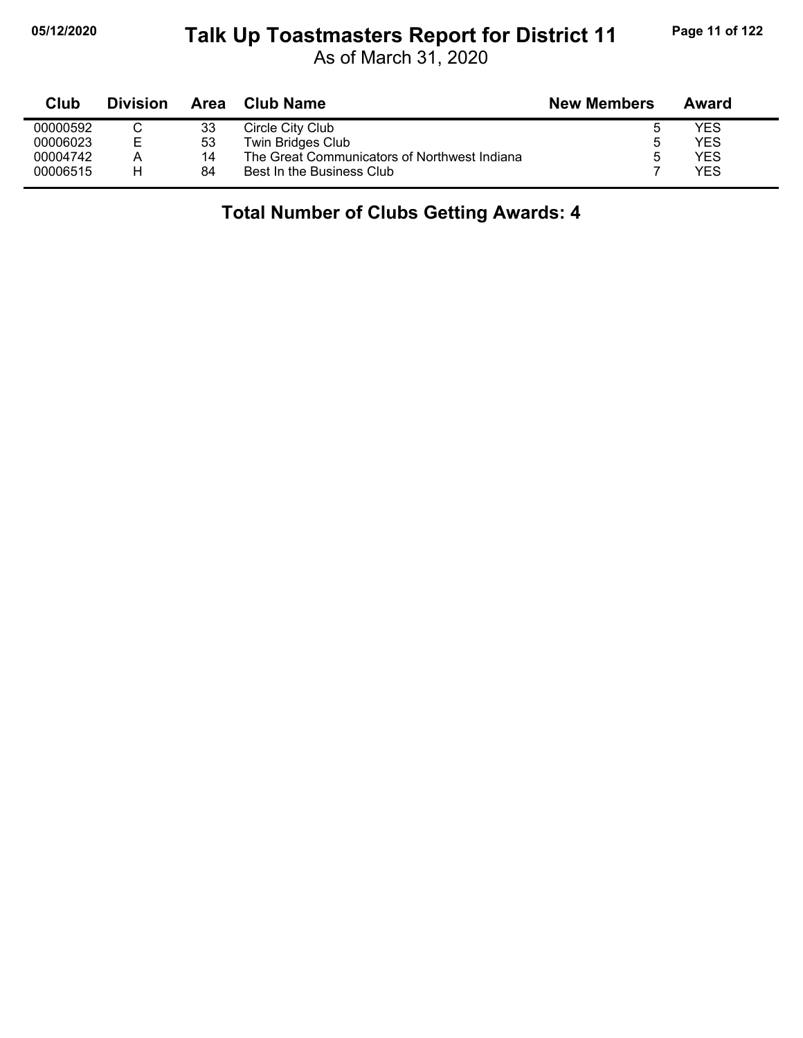#### **05/12/2020 Page 11 of 122 Talk Up Toastmasters Report for District 11**

As of March 31, 2020

| Club     | <b>Division</b> | Area | <b>Club Name</b>                             | <b>New Members</b> | Award      |  |
|----------|-----------------|------|----------------------------------------------|--------------------|------------|--|
| 00000592 |                 | 33   | Circle City Club                             |                    | YES        |  |
| 00006023 | F               | 53   | Twin Bridges Club                            | b                  | YES        |  |
| 00004742 | А               | 14   | The Great Communicators of Northwest Indiana |                    | <b>YES</b> |  |
| 00006515 |                 | 84   | Best In the Business Club                    |                    | YES        |  |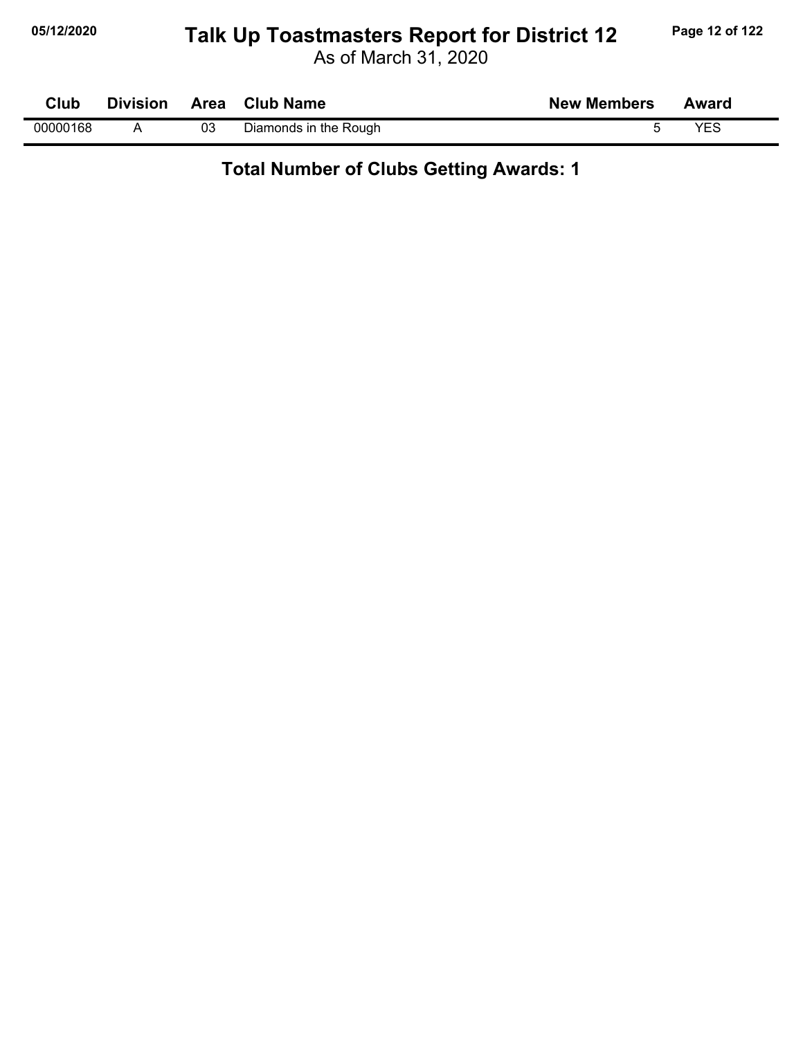## **05/12/2020 Page 12 of 122 Talk Up Toastmasters Report for District 12**

As of March 31, 2020

| <b>Club</b> |    | Division Area Club Name | <b>New Members</b> | Award |
|-------------|----|-------------------------|--------------------|-------|
| 00000168    | 03 | Diamonds in the Rough   |                    | YES   |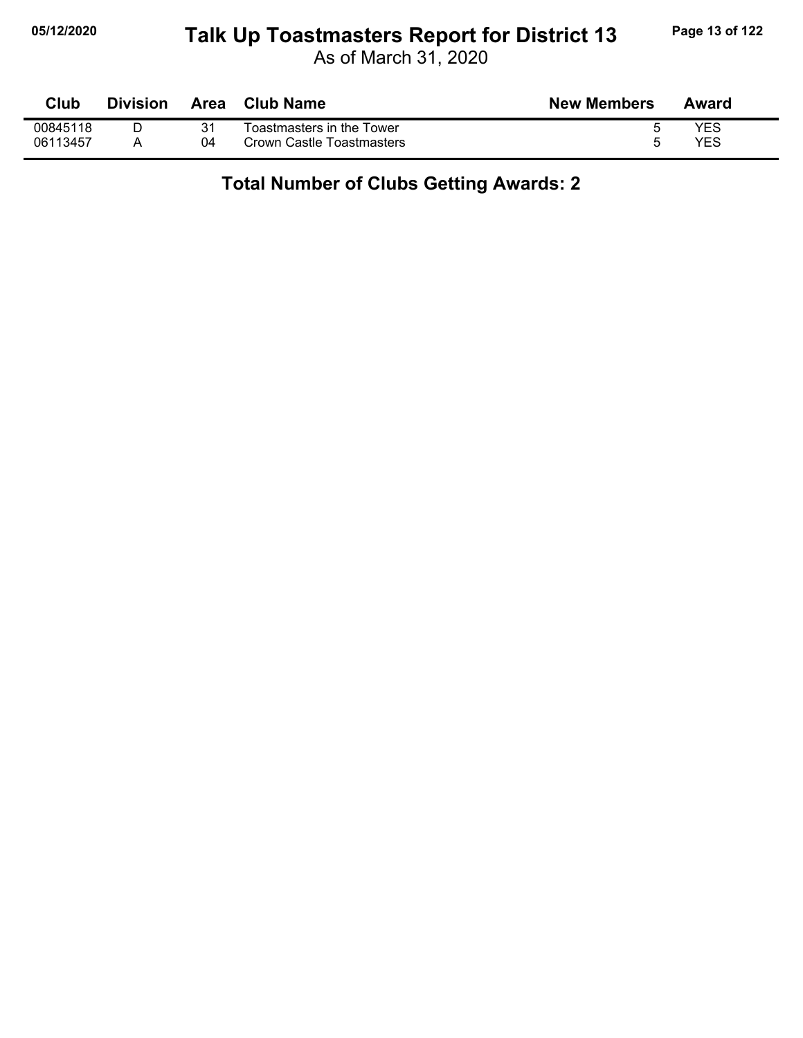## **05/12/2020 Page 13 of 122 Talk Up Toastmasters Report for District 13**

As of March 31, 2020

| Club     | <b>Division</b> | Area | Club Name                 | <b>New Members</b> | Award      |
|----------|-----------------|------|---------------------------|--------------------|------------|
| 00845118 |                 |      | Toastmasters in the Tower |                    | <b>YES</b> |
| 06113457 |                 | 04   | Crown Castle Toastmasters |                    | YES        |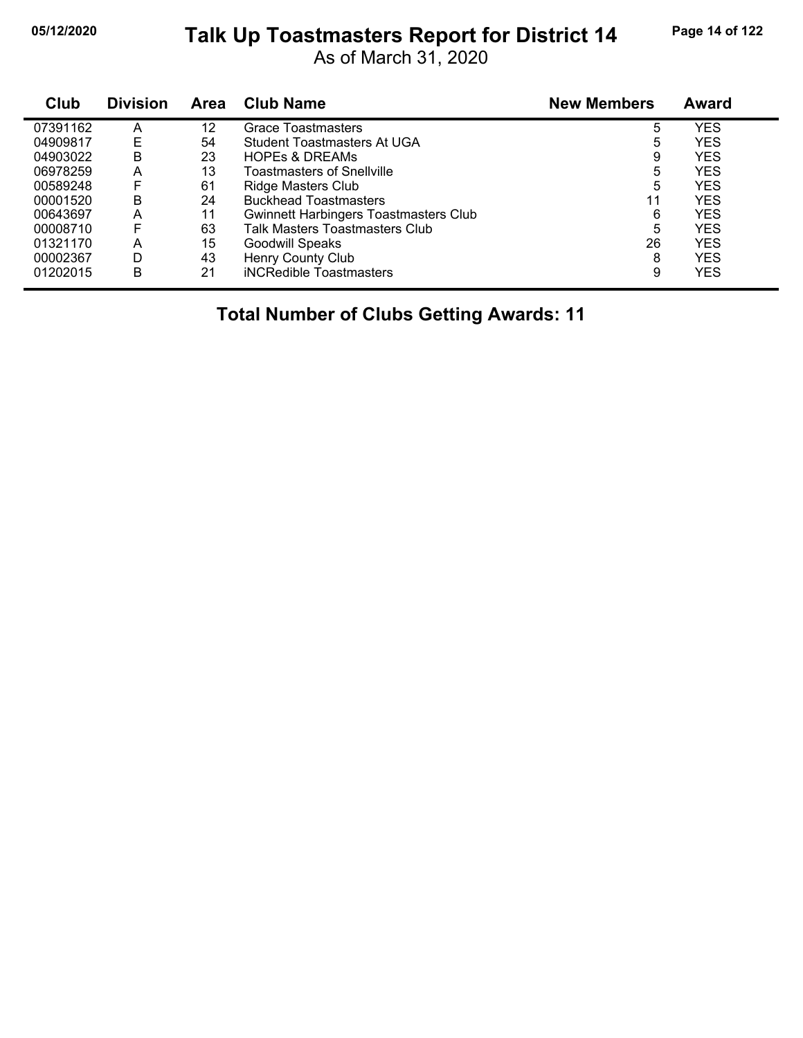## **05/12/2020 Page 14 of 122 Talk Up Toastmasters Report for District 14**

As of March 31, 2020

| Club     | <b>Division</b> | <b>Area</b> | <b>Club Name</b>                             | <b>New Members</b> | Award      |
|----------|-----------------|-------------|----------------------------------------------|--------------------|------------|
| 07391162 | Α               | 12          | Grace Toastmasters                           | 5                  | <b>YES</b> |
| 04909817 | Е               | 54          | Student Toastmasters At UGA                  | 5                  | <b>YES</b> |
| 04903022 | B               | 23          | <b>HOPES &amp; DREAMS</b>                    | 9                  | <b>YES</b> |
| 06978259 | А               | 13          | <b>Toastmasters of Snellville</b>            | 5                  | <b>YES</b> |
| 00589248 | F               | 61          | Ridge Masters Club                           | 5                  | <b>YES</b> |
| 00001520 | B               | 24          | <b>Buckhead Toastmasters</b>                 | 11                 | <b>YES</b> |
| 00643697 | Α               | 11          | <b>Gwinnett Harbingers Toastmasters Club</b> | 6                  | <b>YES</b> |
| 00008710 | F               | 63          | <b>Talk Masters Toastmasters Club</b>        | 5                  | <b>YES</b> |
| 01321170 | А               | 15          | <b>Goodwill Speaks</b>                       | 26                 | <b>YES</b> |
| 00002367 | D               | 43          | Henry County Club                            | 8                  | <b>YES</b> |
| 01202015 | в               | 21          | iNCRedible Toastmasters                      | 9                  | <b>YES</b> |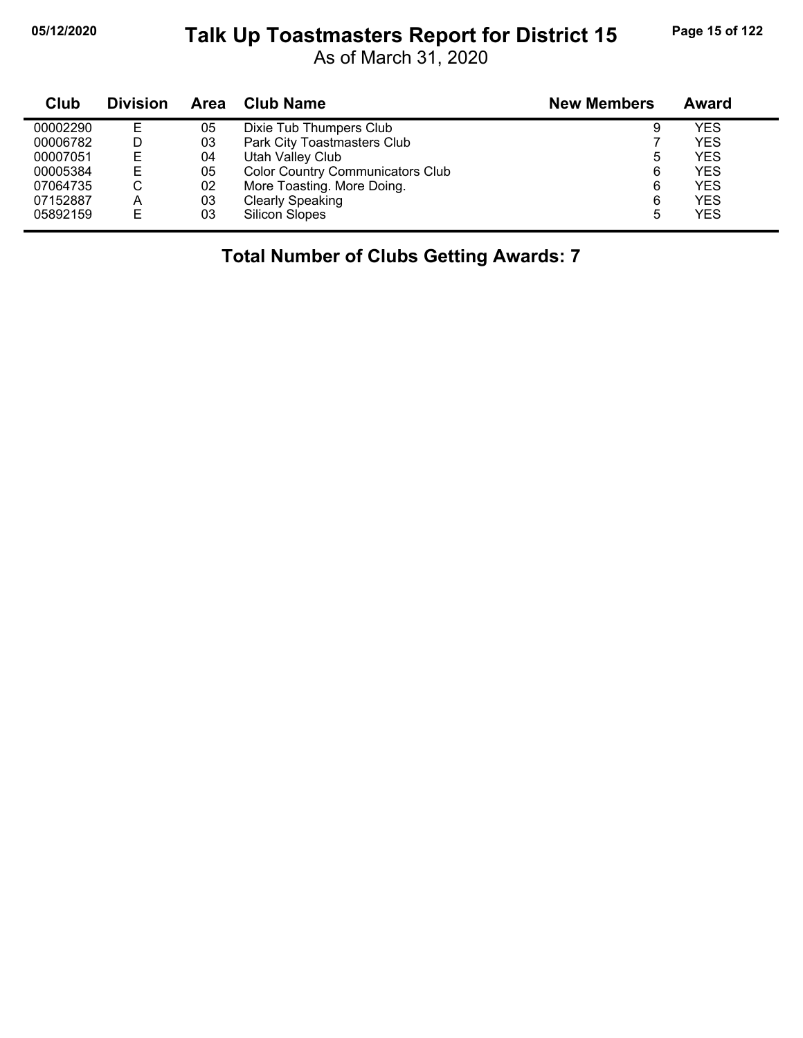## **05/12/2020 Page 15 of 122 Talk Up Toastmasters Report for District 15**

As of March 31, 2020

| Club     | <b>Division</b> | Area | <b>Club Name</b>                        | <b>New Members</b> | Award      |
|----------|-----------------|------|-----------------------------------------|--------------------|------------|
| 00002290 | Е               | 05   | Dixie Tub Thumpers Club                 |                    | YES        |
| 00006782 | D               | 03   | Park City Toastmasters Club             |                    | <b>YES</b> |
| 00007051 | Е               | 04   | Utah Valley Club                        | 5                  | <b>YES</b> |
| 00005384 | Е               | 05   | <b>Color Country Communicators Club</b> | 6                  | <b>YES</b> |
| 07064735 | С               | 02   | More Toasting. More Doing.              | 6                  | <b>YES</b> |
| 07152887 | A               | 03   | <b>Clearly Speaking</b>                 | 6                  | <b>YES</b> |
| 05892159 | Е               | 03   | Silicon Slopes                          | 5                  | <b>YES</b> |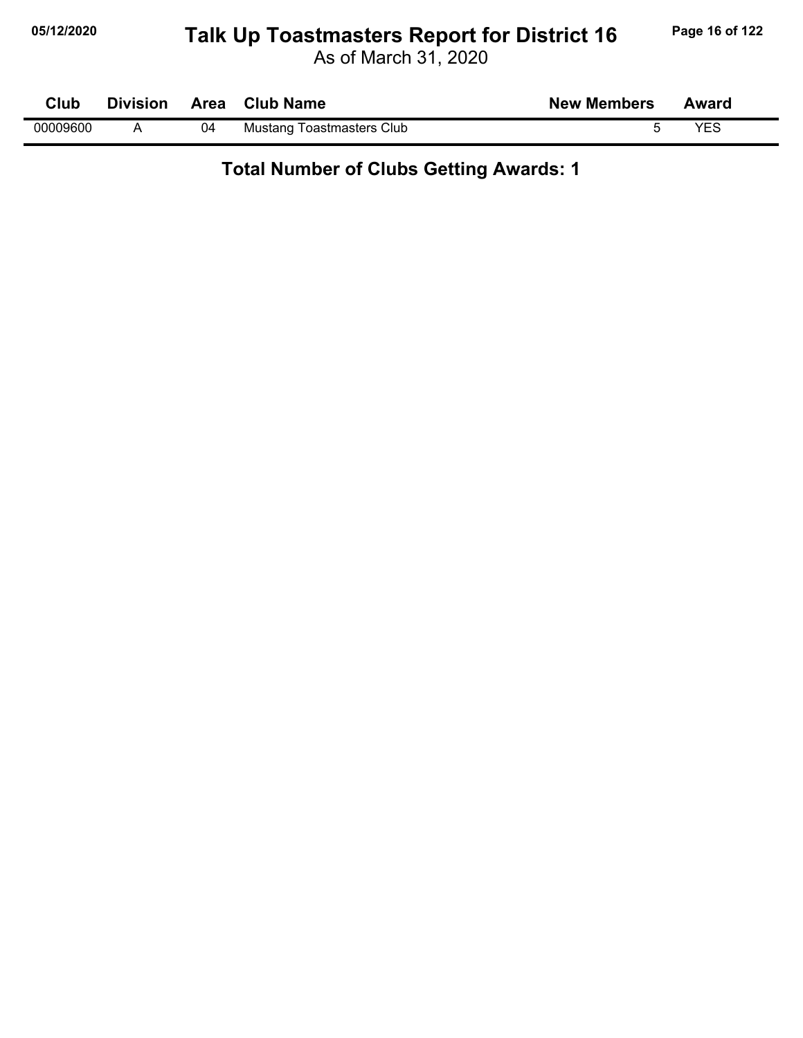## **05/12/2020 Page 16 of 122 Talk Up Toastmasters Report for District 16**

As of March 31, 2020

| Club     | <b>Division</b> | Area | <b>Club Name</b>                 | <b>New Members</b> | Award |
|----------|-----------------|------|----------------------------------|--------------------|-------|
| 00009600 |                 | 04   | <b>Mustang Toastmasters Club</b> |                    | VES   |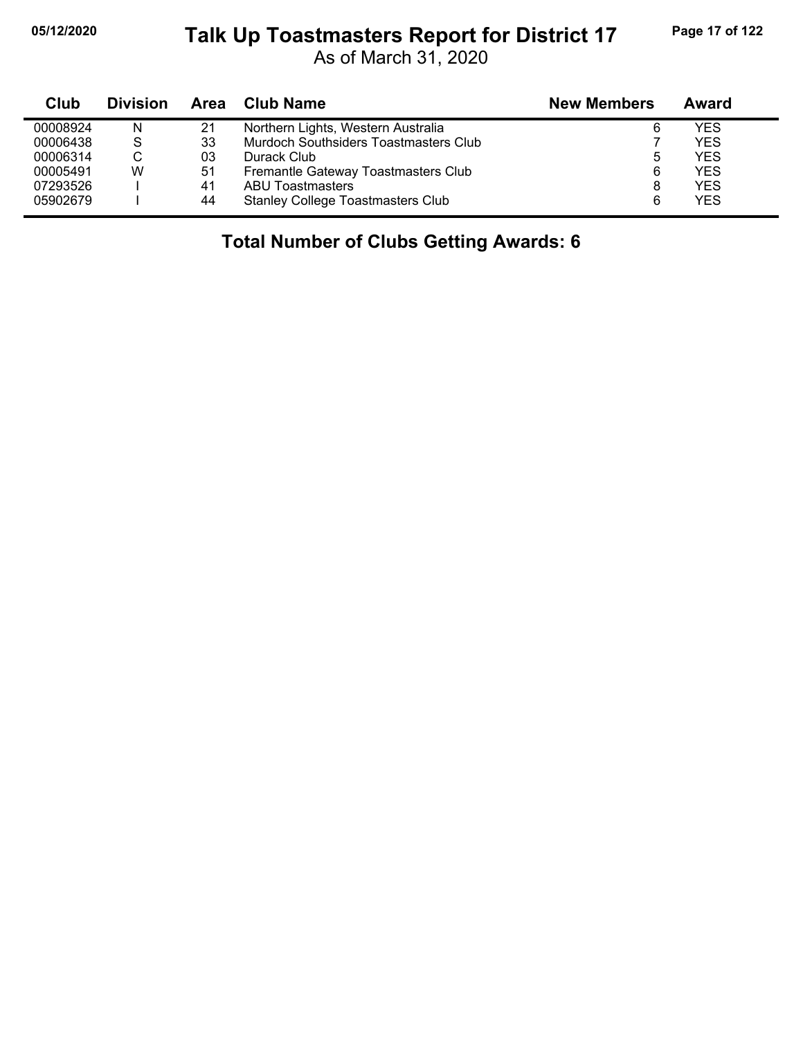j,

#### **05/12/2020 Page 17 of 122 Talk Up Toastmasters Report for District 17**

As of March 31, 2020

| Club     | <b>Division</b> |    | Area Club Name                           | <b>New Members</b> | Award      |
|----------|-----------------|----|------------------------------------------|--------------------|------------|
| 00008924 | N               | 21 | Northern Lights, Western Australia       | 6                  | YFS        |
| 00006438 | S               | 33 | Murdoch Southsiders Toastmasters Club    |                    | YES        |
| 00006314 | С               | 03 | Durack Club                              | 5                  | YFS.       |
| 00005491 | W               | 51 | Fremantle Gateway Toastmasters Club      | 6                  | <b>YES</b> |
| 07293526 |                 | 41 | <b>ABU Toastmasters</b>                  | 8                  | YFS.       |
| 05902679 |                 | 44 | <b>Stanley College Toastmasters Club</b> | 6                  | <b>YES</b> |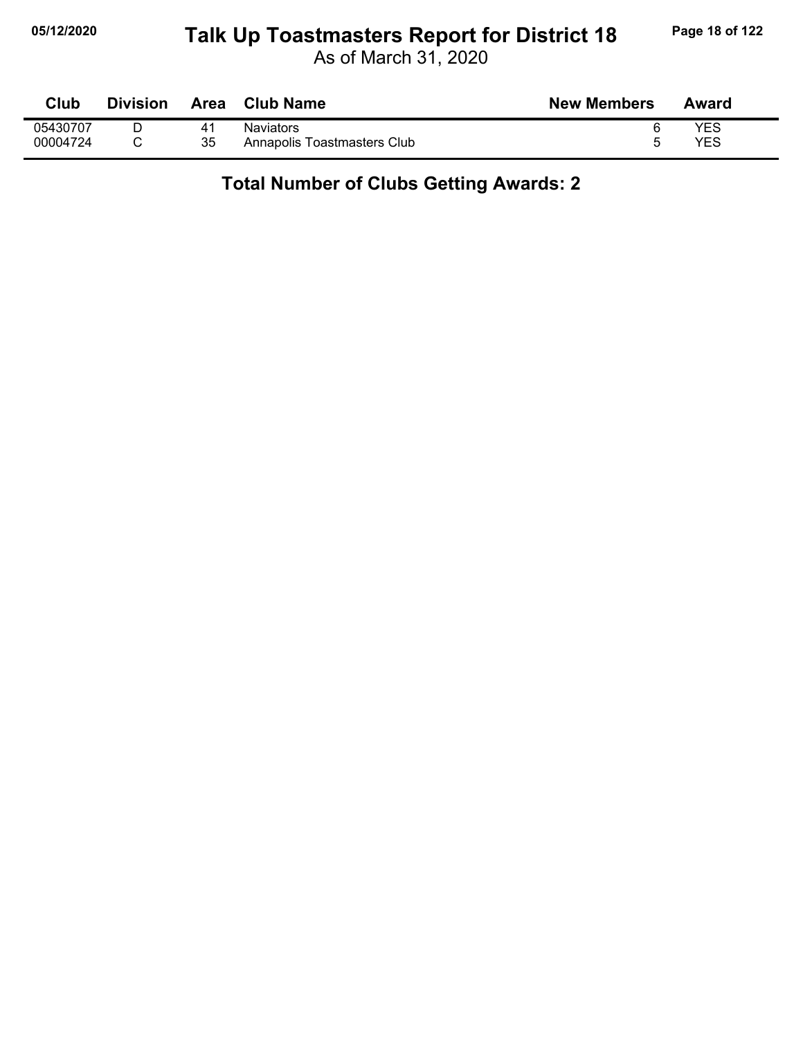## **05/12/2020 Page 18 of 122 Talk Up Toastmasters Report for District 18**

As of March 31, 2020

| Club     | <b>Division</b> | Area | <b>Club Name</b>            | <b>New Members</b> | Award      |
|----------|-----------------|------|-----------------------------|--------------------|------------|
| 05430707 |                 |      | <b>Naviators</b>            |                    | <b>YES</b> |
| 00004724 |                 | 35   | Annapolis Toastmasters Club |                    | <b>YES</b> |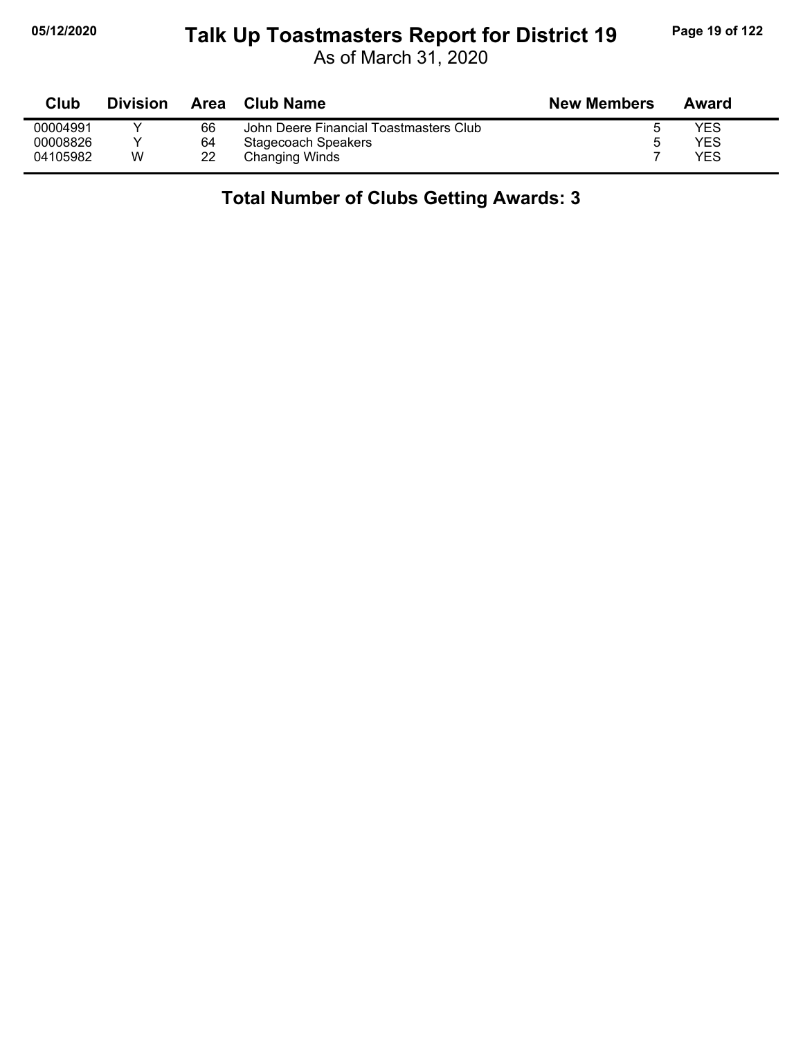# **05/12/2020 Page 19 of 122 Talk Up Toastmasters Report for District 19**

As of March 31, 2020

| Club     | <b>Division</b> | Area | <b>Club Name</b>                       | <b>New Members</b> | Award |
|----------|-----------------|------|----------------------------------------|--------------------|-------|
| 00004991 |                 | 66   | John Deere Financial Toastmasters Club |                    | YES   |
| 00008826 |                 | 64   | Stagecoach Speakers                    |                    | YES   |
| 04105982 | W               | 22   | Changing Winds                         |                    | YES   |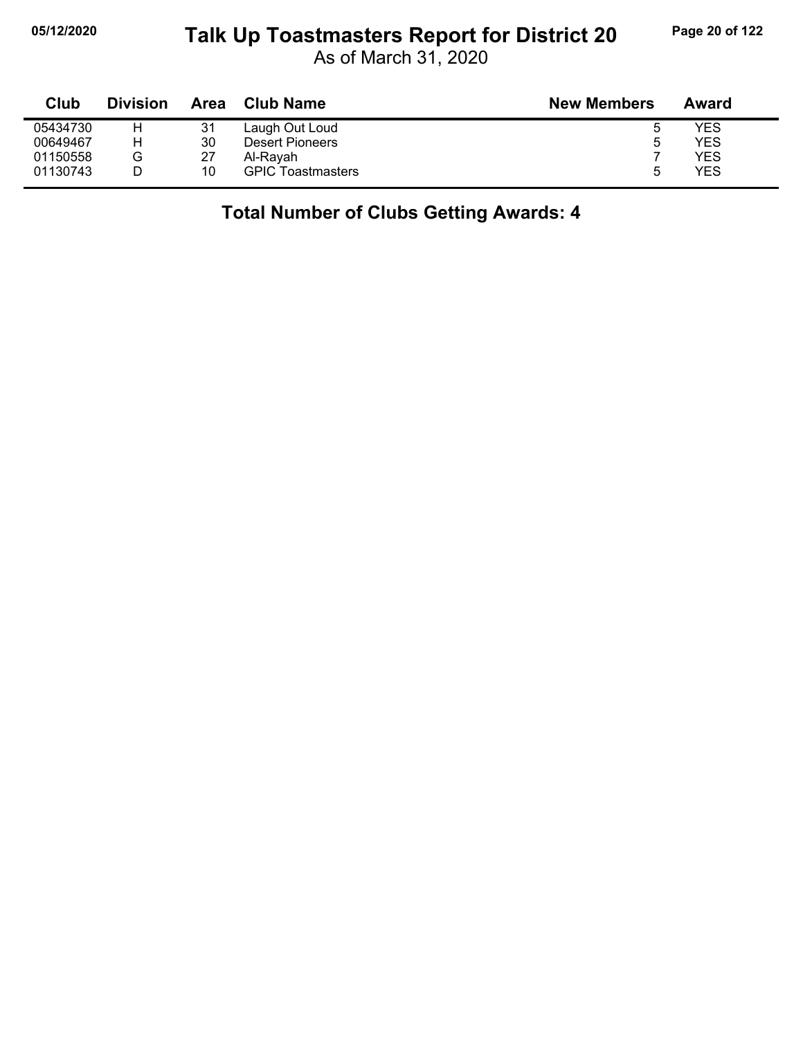#### **05/12/2020 Page 20 of 122 Talk Up Toastmasters Report for District 20**

As of March 31, 2020

| Club     | <b>Division</b> | Area | <b>Club Name</b>         | <b>New Members</b> | Award |
|----------|-----------------|------|--------------------------|--------------------|-------|
| 05434730 |                 | 31   | Laugh Out Loud           | O                  | YES   |
| 00649467 | н               | 30   | Desert Pioneers          | b                  | YES   |
| 01150558 | G               | 27   | Al-Ravah                 |                    | YES   |
| 01130743 |                 | 10   | <b>GPIC Toastmasters</b> | ხ                  | YES   |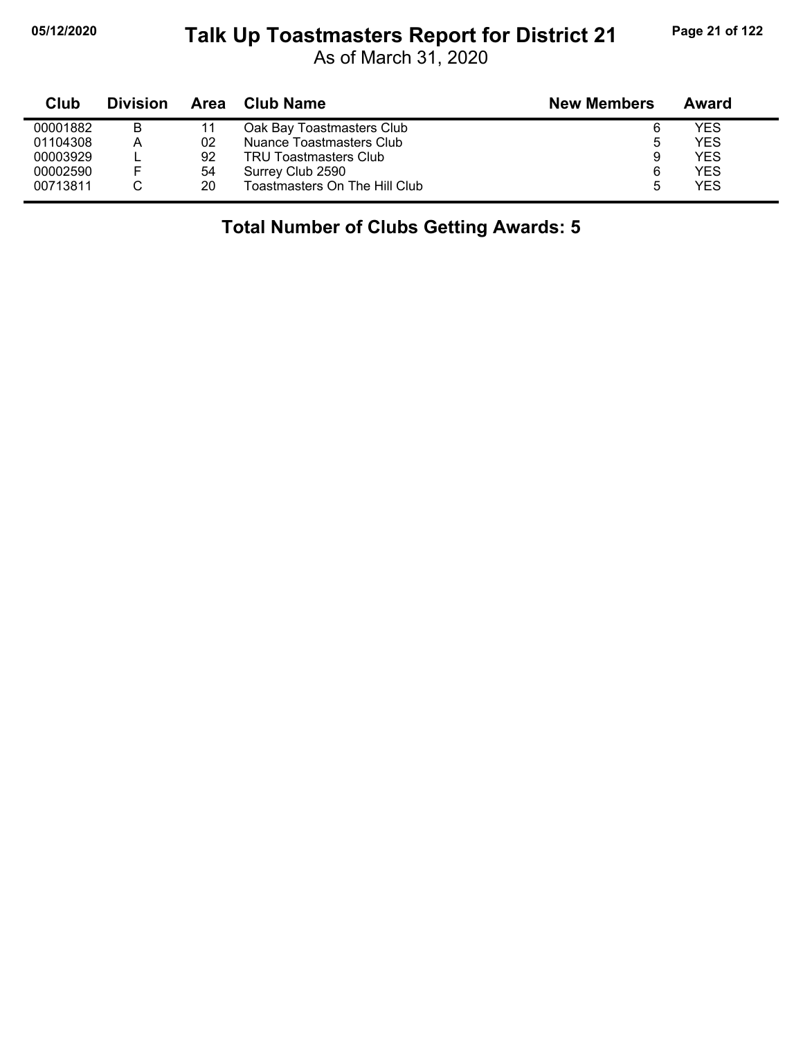## **05/12/2020 Page 21 of 122 Talk Up Toastmasters Report for District 21**

As of March 31, 2020

| Club     | <b>Division</b> | Area | Club Name                     | <b>New Members</b> | Award |
|----------|-----------------|------|-------------------------------|--------------------|-------|
| 00001882 | в               |      | Oak Bay Toastmasters Club     | 6                  | YES   |
| 01104308 | А               | 02   | Nuance Toastmasters Club      | ა                  | YES   |
| 00003929 |                 | 92   | <b>TRU Toastmasters Club</b>  | 9                  | YES   |
| 00002590 |                 | 54   | Surrey Club 2590              | 6                  | YES   |
| 00713811 |                 | 20   | Toastmasters On The Hill Club | 5                  | YES   |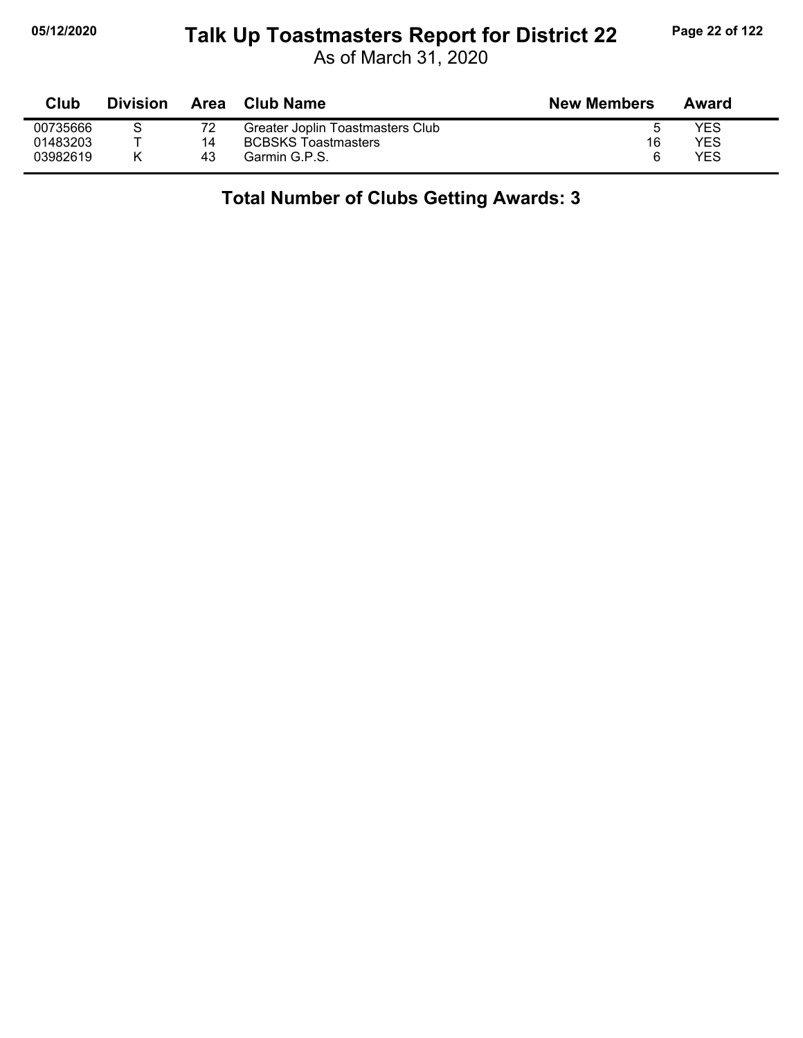## **05/12/2020 Page 22 of 122 Talk Up Toastmasters Report for District 22**

As of March 31, 2020

| Club     | <b>Division</b> |    | Area Club Name                   | <b>New Members</b> | Award |
|----------|-----------------|----|----------------------------------|--------------------|-------|
| 00735666 |                 |    | Greater Joplin Toastmasters Club |                    | YES   |
| 01483203 |                 | 14 | <b>BCBSKS Toastmasters</b>       | 16                 | YES   |
| 03982619 |                 | 43 | Garmin G.P.S.                    | 6                  | YES   |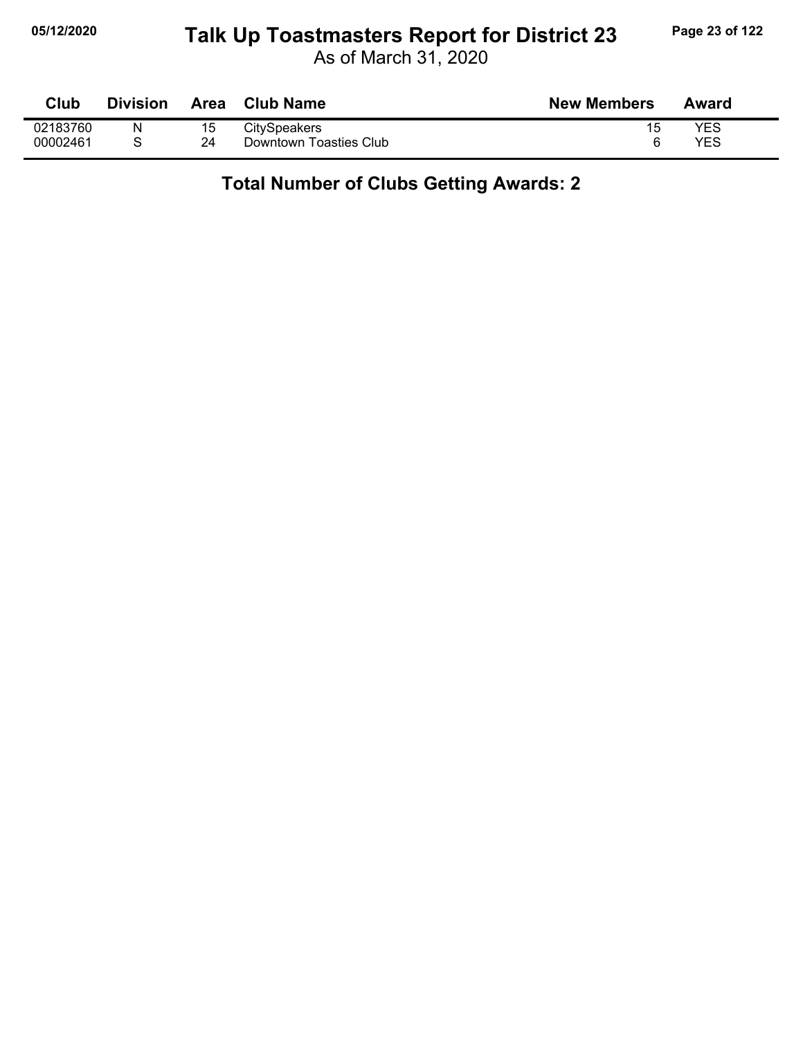## **05/12/2020 Page 23 of 122 Talk Up Toastmasters Report for District 23**

As of March 31, 2020

| Club     | <b>Division</b> | Area | <b>Club Name</b>       | <b>New Members</b> | Award |
|----------|-----------------|------|------------------------|--------------------|-------|
| 02183760 | Ν               | 15   | <b>CitySpeakers</b>    | 15                 | YES   |
| 00002461 |                 | 24   | Downtown Toasties Club |                    | YES   |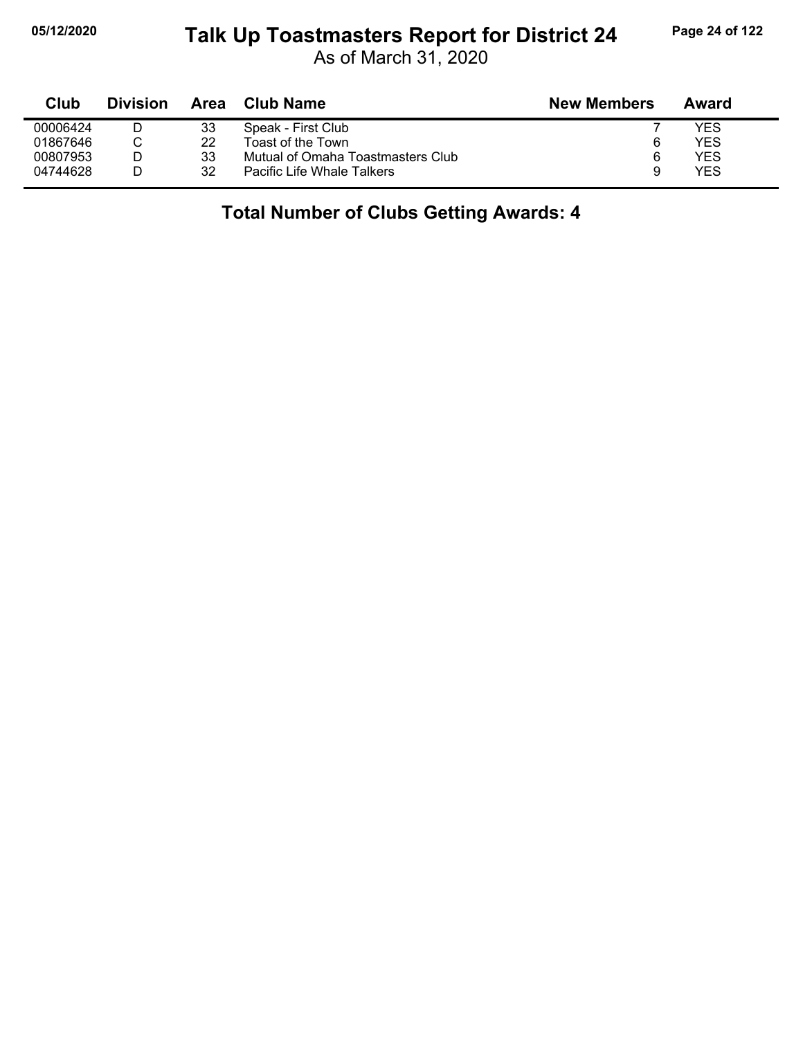#### **05/12/2020 Page 24 of 122 Talk Up Toastmasters Report for District 24**

As of March 31, 2020

| Club     | <b>Division</b> | Area | Club Name                         | <b>New Members</b> | Award |
|----------|-----------------|------|-----------------------------------|--------------------|-------|
| 00006424 |                 | 33   | Speak - First Club                |                    | YES   |
| 01867646 |                 | 22   | Toast of the Town                 | 6                  | YES   |
| 00807953 |                 | 33   | Mutual of Omaha Toastmasters Club |                    | YES   |
| 04744628 |                 | 32   | Pacific Life Whale Talkers        | 9                  | YES   |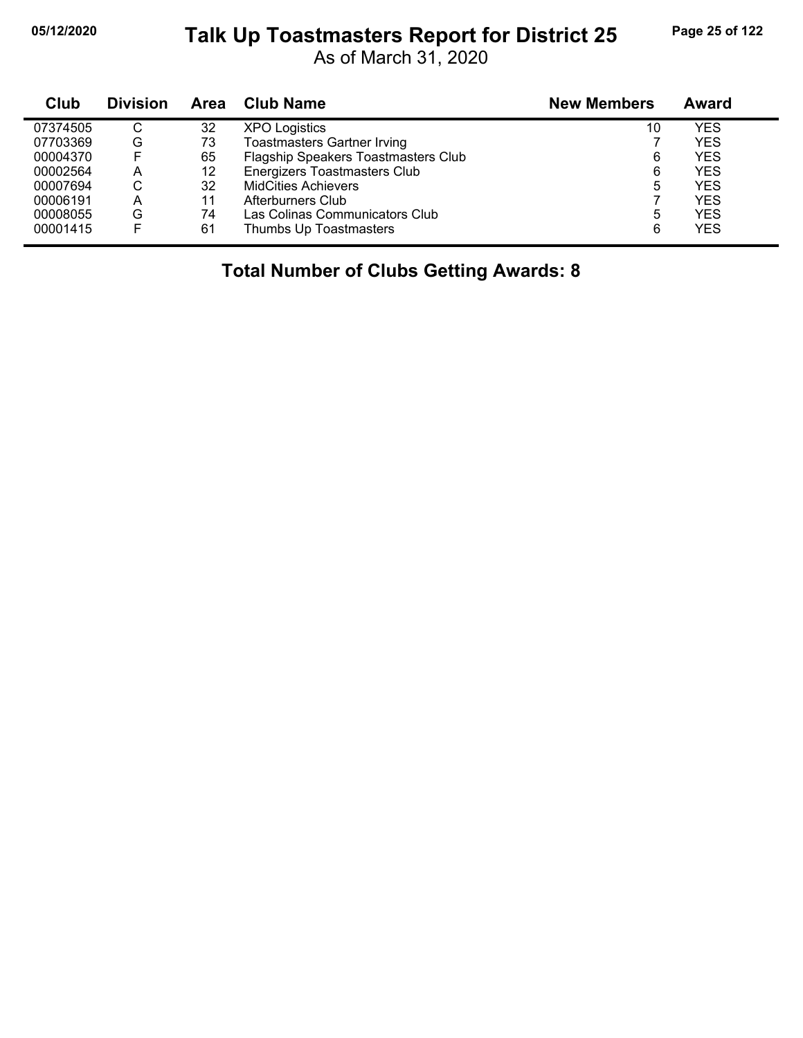#### **05/12/2020 Page 25 of 122 Talk Up Toastmasters Report for District 25**

As of March 31, 2020

| Club     | <b>Division</b> | Area | <b>Club Name</b>                    | <b>New Members</b> | Award      |  |
|----------|-----------------|------|-------------------------------------|--------------------|------------|--|
| 07374505 | С               | 32   | <b>XPO Logistics</b>                | 10                 | <b>YES</b> |  |
| 07703369 | G               | 73   | <b>Toastmasters Gartner Irving</b>  |                    | <b>YES</b> |  |
| 00004370 |                 | 65   | Flagship Speakers Toastmasters Club | 6                  | <b>YES</b> |  |
| 00002564 | A               | 12   | Energizers Toastmasters Club        | 6                  | <b>YES</b> |  |
| 00007694 | С               | 32   | <b>MidCities Achievers</b>          | 5                  | <b>YES</b> |  |
| 00006191 | А               | 11   | Afterburners Club                   |                    | <b>YES</b> |  |
| 00008055 | G               | 74   | Las Colinas Communicators Club      | 5                  | <b>YES</b> |  |
| 00001415 |                 | 61   | Thumbs Up Toastmasters              | 6                  | <b>YES</b> |  |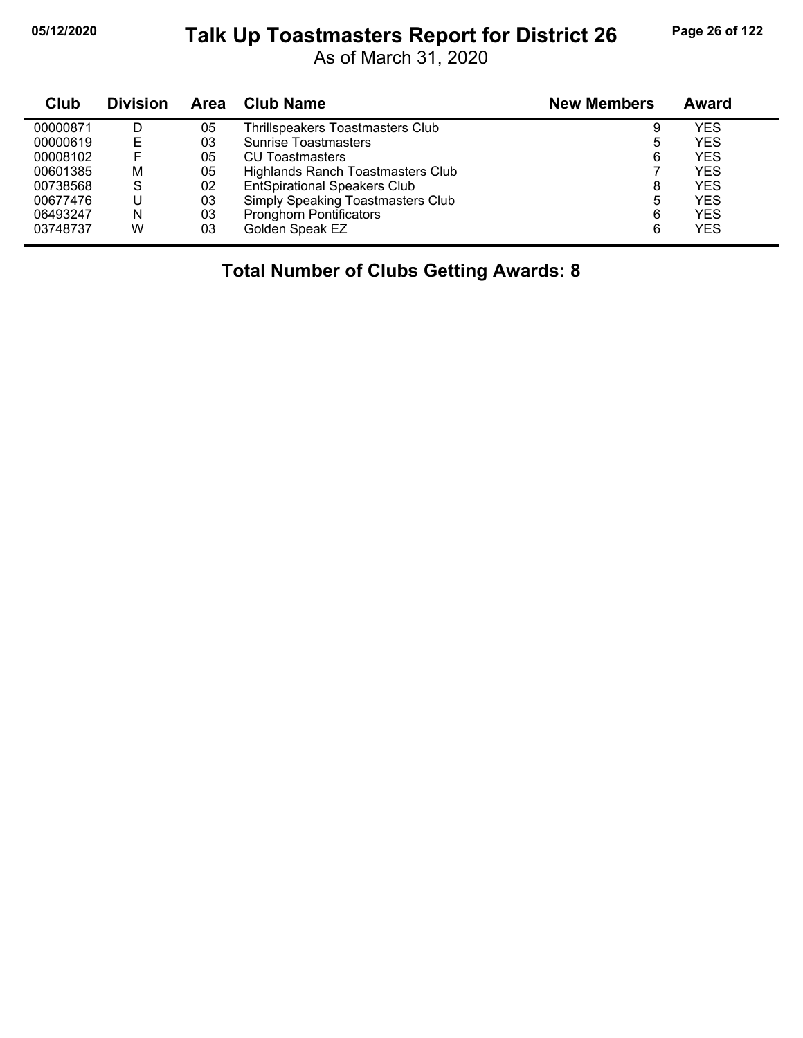#### **05/12/2020 Page 26 of 122 Talk Up Toastmasters Report for District 26**

As of March 31, 2020

| Club     | <b>Division</b> | Area | <b>Club Name</b>                         | <b>New Members</b> | Award      |
|----------|-----------------|------|------------------------------------------|--------------------|------------|
| 00000871 | D               | 05   | Thrillspeakers Toastmasters Club         | 9                  | YES        |
| 00000619 | E               | 03   | <b>Sunrise Toastmasters</b>              | 5                  | YES        |
| 00008102 |                 | 05   | <b>CU Toastmasters</b>                   | 6                  | YES        |
| 00601385 | M               | 05   | Highlands Ranch Toastmasters Club        |                    | <b>YES</b> |
| 00738568 | S               | 02   | <b>EntSpirational Speakers Club</b>      | 8                  | YES        |
| 00677476 |                 | 03   | <b>Simply Speaking Toastmasters Club</b> | 5                  | YES        |
| 06493247 | N               | 03   | <b>Pronghorn Pontificators</b>           | 6                  | YES        |
| 03748737 | W               | 03   | Golden Speak EZ                          | 6                  | YES        |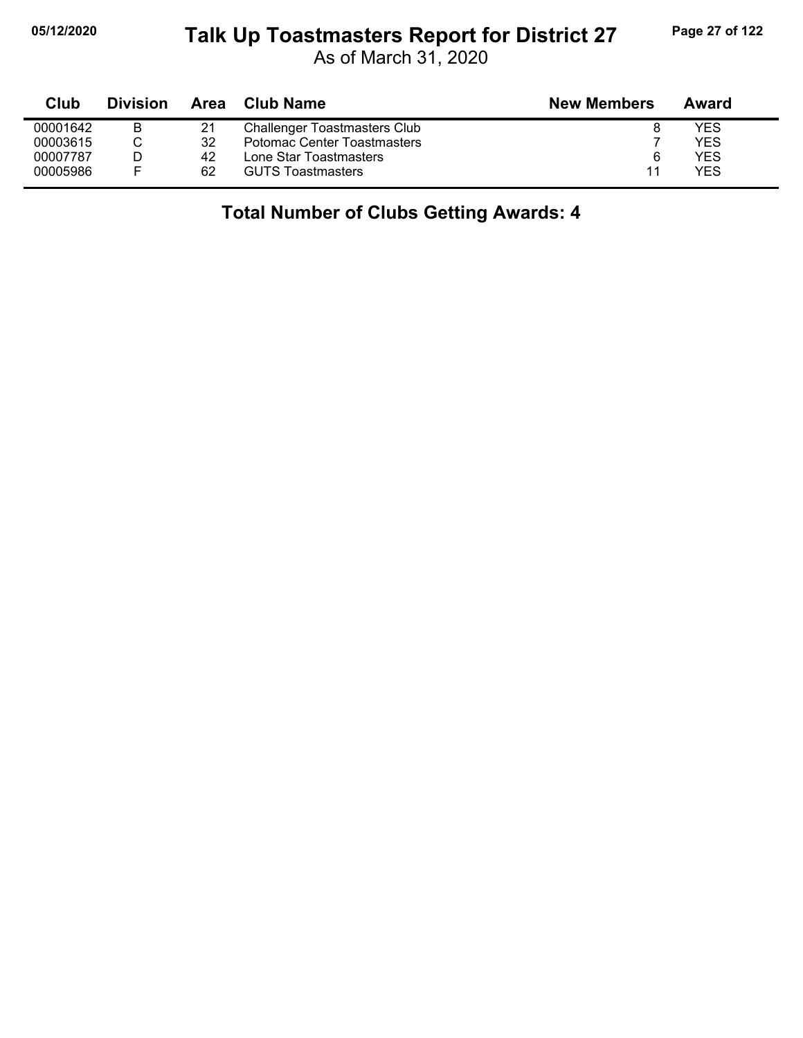#### **05/12/2020 Page 27 of 122 Talk Up Toastmasters Report for District 27**

As of March 31, 2020

| Club     | <b>Division</b> | Area | Club Name                           | <b>New Members</b> | Award |
|----------|-----------------|------|-------------------------------------|--------------------|-------|
| 00001642 | B               | 21   | <b>Challenger Toastmasters Club</b> |                    | YES   |
| 00003615 |                 | 32   | <b>Potomac Center Toastmasters</b>  |                    | YES   |
| 00007787 |                 | 42   | Lone Star Toastmasters              | 6                  | YES   |
| 00005986 | Е               | 62   | <b>GUTS Toastmasters</b>            | 11                 | YFS   |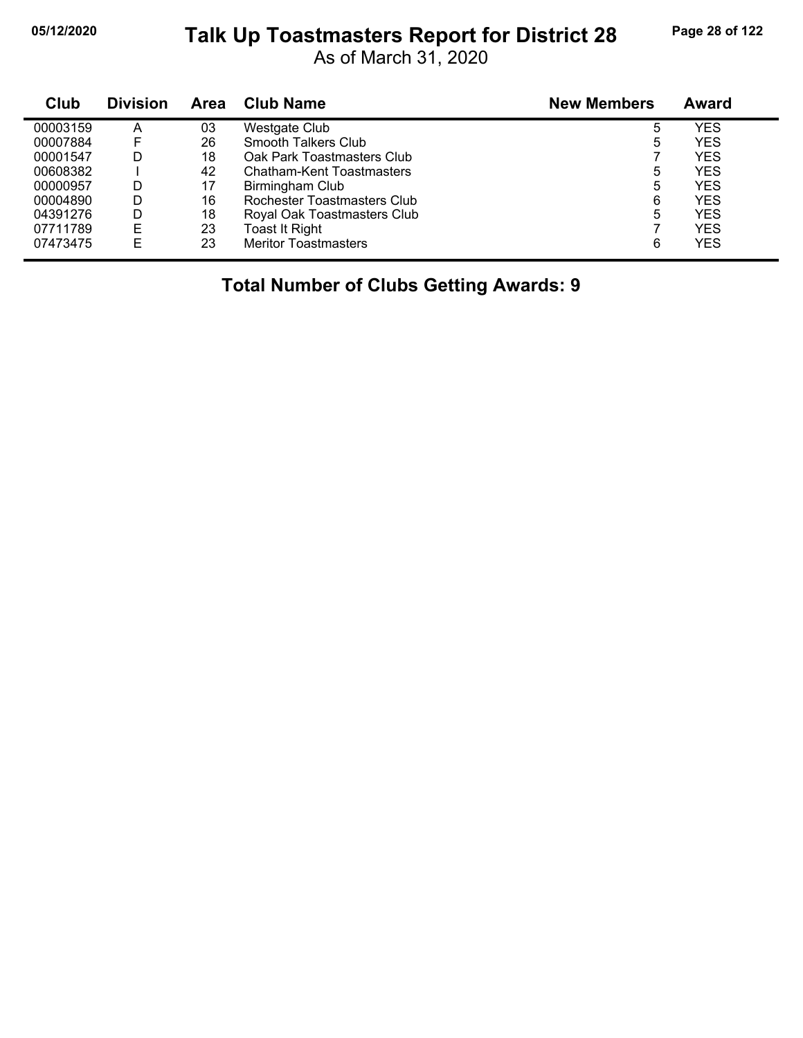## **05/12/2020 Page 28 of 122 Talk Up Toastmasters Report for District 28**

As of March 31, 2020

| Club     | <b>Division</b> | Area | <b>Club Name</b>            | <b>New Members</b> | Award      |  |
|----------|-----------------|------|-----------------------------|--------------------|------------|--|
| 00003159 | A               | 03   | <b>Westgate Club</b>        | 5                  | YES        |  |
| 00007884 | F               | 26   | Smooth Talkers Club         | 5                  | <b>YES</b> |  |
| 00001547 | D               | 18   | Oak Park Toastmasters Club  |                    | <b>YES</b> |  |
| 00608382 |                 | 42   | Chatham-Kent Toastmasters   | 5                  | <b>YES</b> |  |
| 00000957 | D               | 17   | Birmingham Club             | 5                  | <b>YES</b> |  |
| 00004890 | D               | 16   | Rochester Toastmasters Club | 6                  | <b>YES</b> |  |
| 04391276 | D               | 18   | Royal Oak Toastmasters Club | 5                  | <b>YES</b> |  |
| 07711789 | E               | 23   | Toast It Right              |                    | <b>YES</b> |  |
| 07473475 | E               | 23   | <b>Meritor Toastmasters</b> | 6                  | <b>YES</b> |  |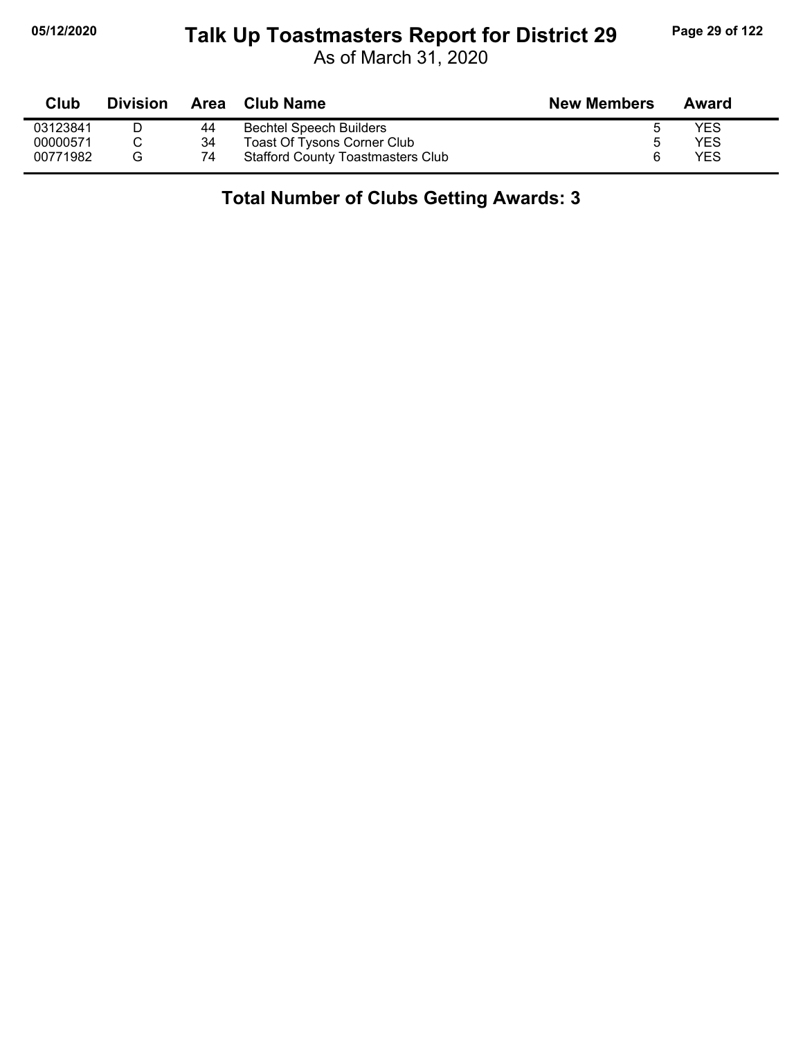# **05/12/2020 Page 29 of 122 Talk Up Toastmasters Report for District 29**

As of March 31, 2020

| Club     | <b>Division</b> |    | Area Club Name                           | <b>New Members</b> | Award |
|----------|-----------------|----|------------------------------------------|--------------------|-------|
| 03123841 |                 | 44 | <b>Bechtel Speech Builders</b>           |                    | YES   |
| 00000571 |                 | 34 | <b>Toast Of Tysons Corner Club</b>       |                    | YES   |
| 00771982 | G               | 74 | <b>Stafford County Toastmasters Club</b> |                    | YES   |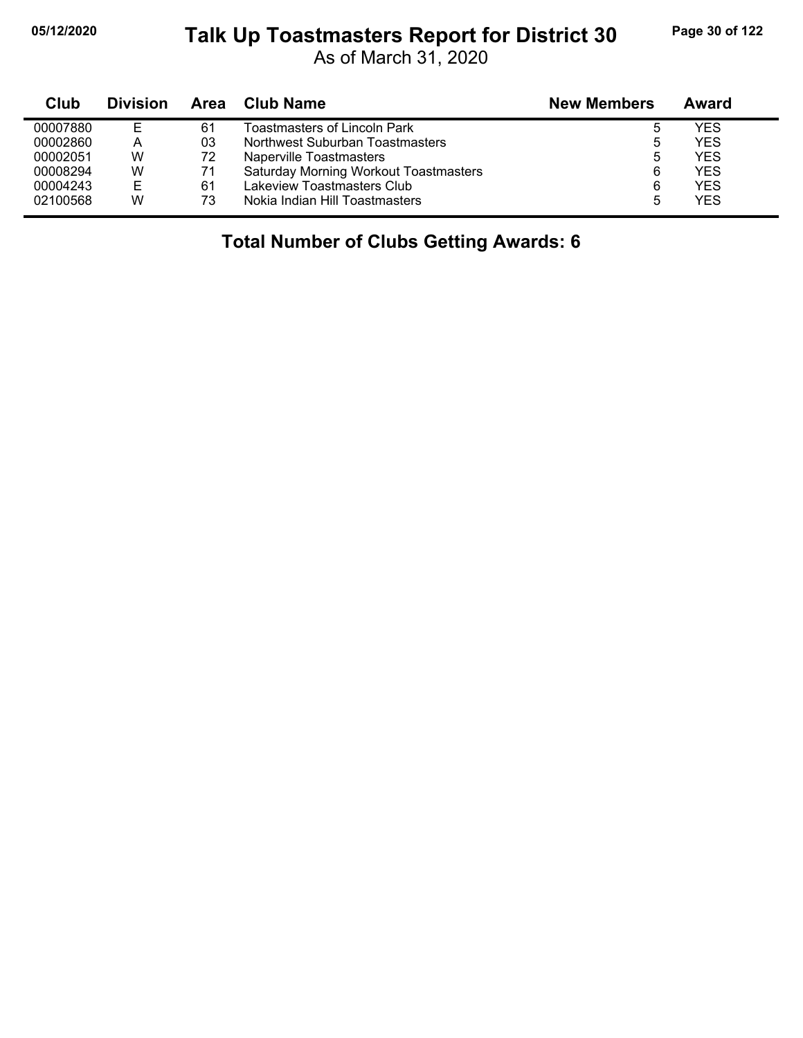j,

#### **05/12/2020 Page 30 of 122 Talk Up Toastmasters Report for District 30**

As of March 31, 2020

| Club     | <b>Division</b> |    | Area Club Name                               | <b>New Members</b> | Award      |
|----------|-----------------|----|----------------------------------------------|--------------------|------------|
| 00007880 | Е               | 61 | Toastmasters of Lincoln Park                 |                    | <b>YES</b> |
| 00002860 | А               | 03 | Northwest Suburban Toastmasters              | 5                  | <b>YES</b> |
| 00002051 | W               | 72 | Naperville Toastmasters                      | 5                  | <b>YES</b> |
| 00008294 | W               | 71 | <b>Saturday Morning Workout Toastmasters</b> | 6                  | <b>YES</b> |
| 00004243 | Е               | 61 | Lakeview Toastmasters Club                   | 6                  | <b>YES</b> |
| 02100568 | W               | 73 | Nokia Indian Hill Toastmasters               |                    | <b>YES</b> |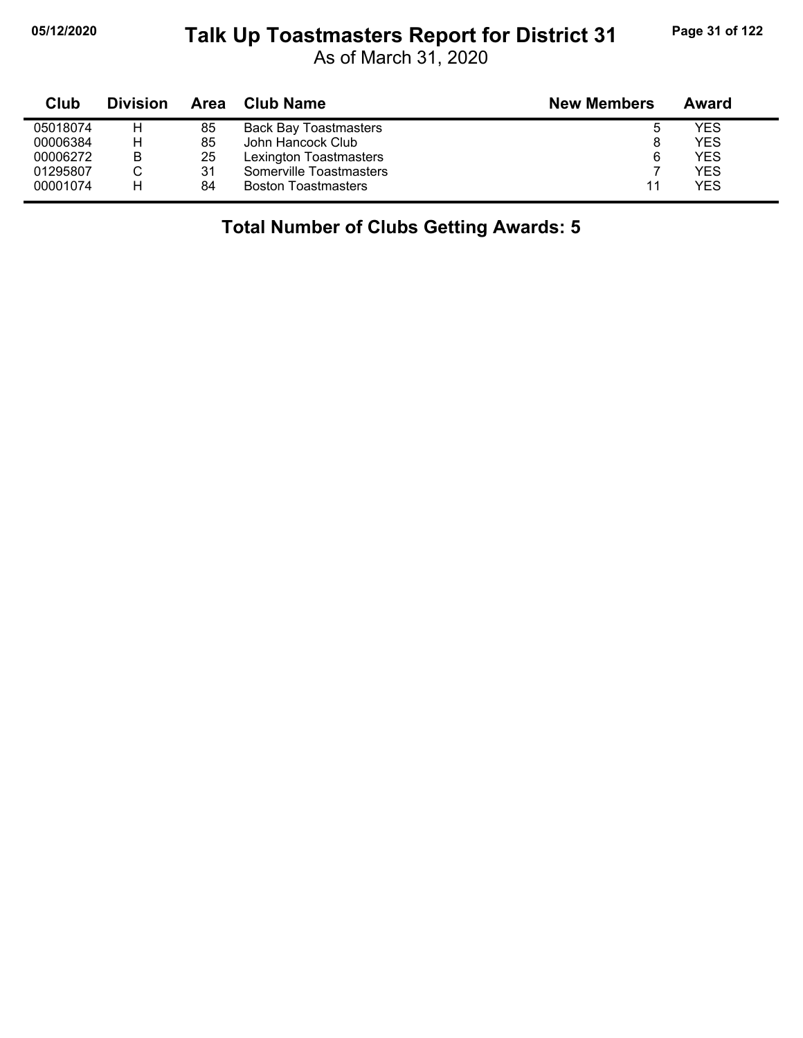$\blacksquare$ 

## **05/12/2020 Page 31 of 122 Talk Up Toastmasters Report for District 31**

As of March 31, 2020

| Club     | <b>Division</b> | Area | <b>Club Name</b>             | <b>New Members</b> | Award |
|----------|-----------------|------|------------------------------|--------------------|-------|
| 05018074 | н               | 85   | <b>Back Bay Toastmasters</b> | ь                  | YES   |
| 00006384 | Н               | 85   | John Hancock Club            | 8                  | YES   |
| 00006272 | B               | 25   | Lexington Toastmasters       | 6                  | YES   |
| 01295807 |                 | 31   | Somerville Toastmasters      |                    | YES   |
| 00001074 | Н               | 84   | <b>Boston Toastmasters</b>   | 11                 | YES   |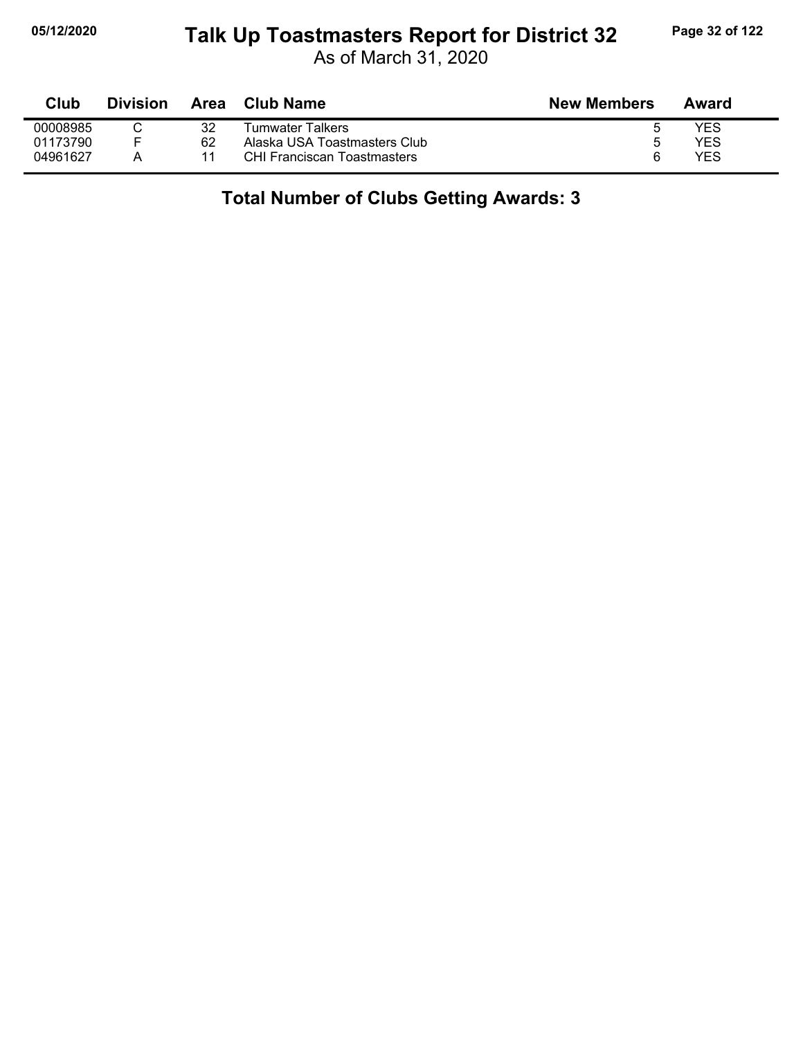# **05/12/2020 Page 32 of 122 Talk Up Toastmasters Report for District 32**

As of March 31, 2020

| Club     | <b>Division</b> | Area | <b>Club Name</b>                   | <b>New Members</b> | Award |
|----------|-----------------|------|------------------------------------|--------------------|-------|
| 00008985 |                 | 32   | Tumwater Talkers                   |                    | YES   |
| 01173790 | Е               | 62   | Alaska USA Toastmasters Club       | h                  | YES   |
| 04961627 |                 | 11   | <b>CHI Franciscan Toastmasters</b> | 6                  | YES   |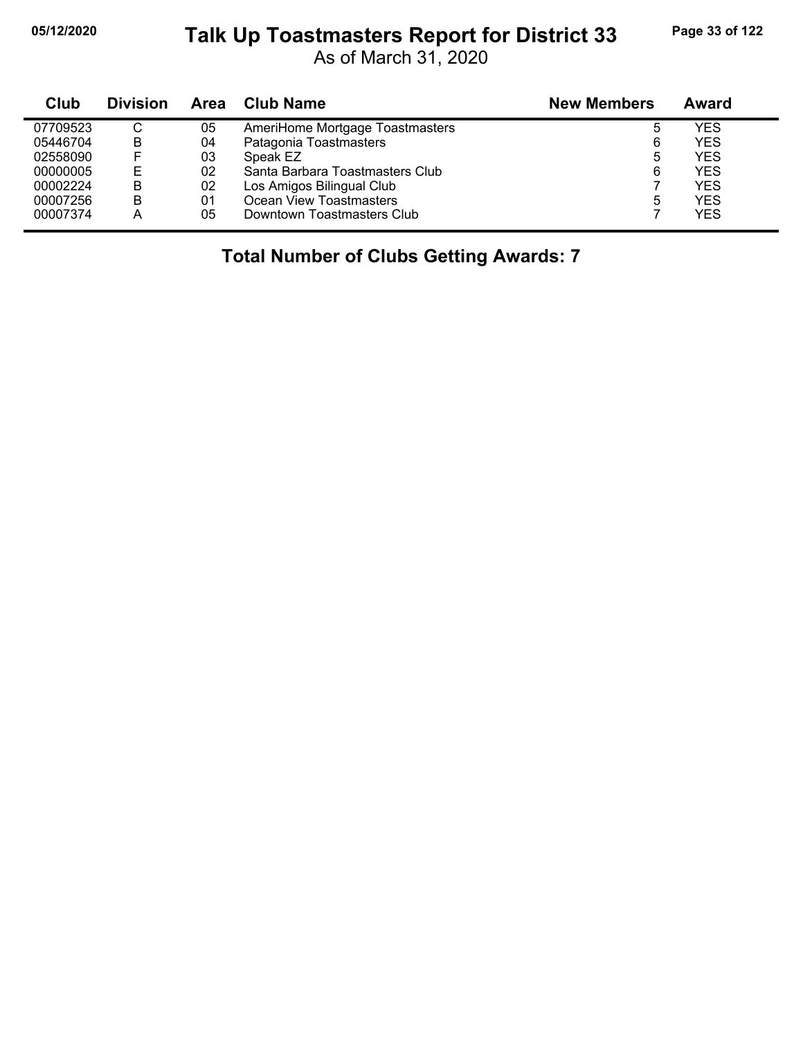## **05/12/2020 Page 33 of 122 Talk Up Toastmasters Report for District 33**

As of March 31, 2020

| Club     | <b>Division</b> | Area | Club Name                       | <b>New Members</b> | Award      |
|----------|-----------------|------|---------------------------------|--------------------|------------|
| 07709523 | C               | 05   | AmeriHome Mortgage Toastmasters | 5                  | YES        |
| 05446704 | B               | 04   | Patagonia Toastmasters          | 6                  | YES        |
| 02558090 | E               | 03   | Speak EZ                        | 5                  | YES        |
| 00000005 | Е               | 02   | Santa Barbara Toastmasters Club | 6                  | <b>YES</b> |
| 00002224 | B               | 02   | Los Amigos Bilingual Club       |                    | YES        |
| 00007256 | B               | 01   | Ocean View Toastmasters         | 5                  | YES        |
| 00007374 | А               | 05   | Downtown Toastmasters Club      |                    | YES        |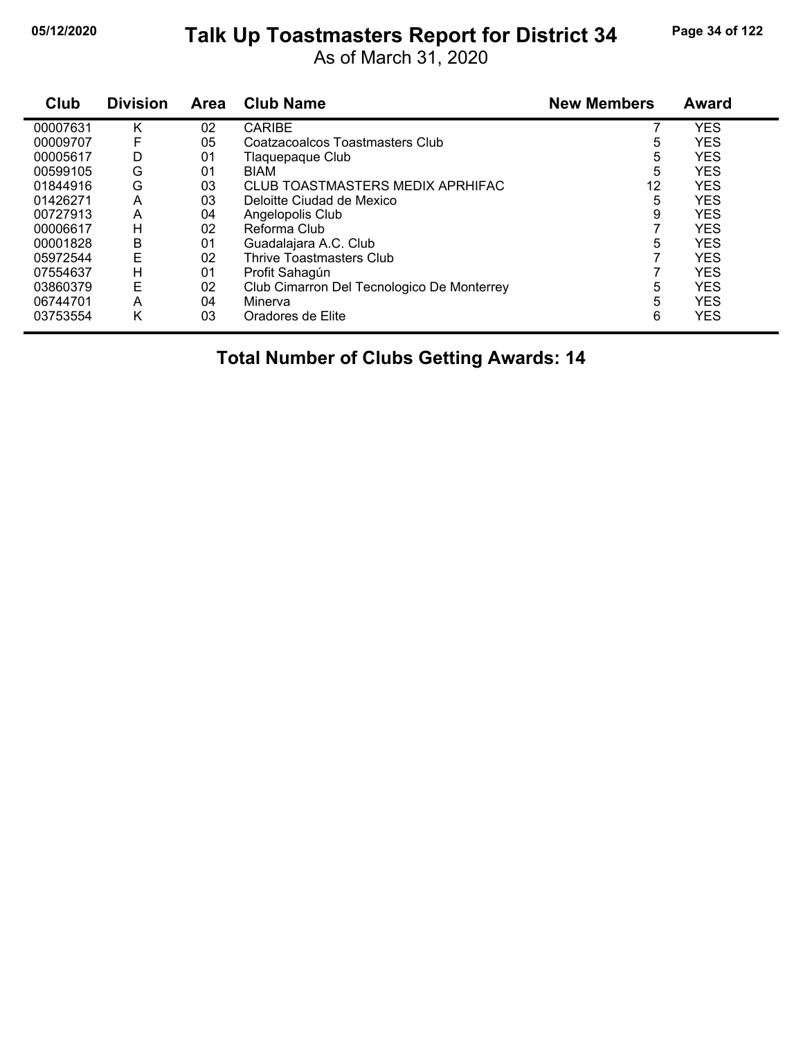# **05/12/2020 Page 34 of 122 Talk Up Toastmasters Report for District 34**

As of March 31, 2020

| Club     | <b>Division</b> | <b>Area</b> | <b>Club Name</b>                           | <b>New Members</b> | <b>Award</b> |
|----------|-----------------|-------------|--------------------------------------------|--------------------|--------------|
| 00007631 | κ               | 02          | <b>CARIBE</b>                              |                    | <b>YES</b>   |
| 00009707 | F               | 05          | Coatzacoalcos Toastmasters Club            | 5                  | <b>YES</b>   |
| 00005617 | D               | 01          | Tlaquepaque Club                           | 5                  | <b>YES</b>   |
| 00599105 | G               | 01          | <b>BIAM</b>                                | 5                  | <b>YES</b>   |
| 01844916 | G               | 03          | CLUB TOASTMASTERS MEDIX APRHIFAC           | 12                 | <b>YES</b>   |
| 01426271 | Α               | 03          | Deloitte Ciudad de Mexico                  | 5                  | <b>YES</b>   |
| 00727913 | A               | 04          | Angelopolis Club                           | 9                  | <b>YES</b>   |
| 00006617 | н               | 02          | Reforma Club                               |                    | <b>YES</b>   |
| 00001828 | B               | 01          | Guadalajara A.C. Club                      | 5                  | <b>YES</b>   |
| 05972544 | Ε               | 02          | Thrive Toastmasters Club                   |                    | <b>YES</b>   |
| 07554637 | н               | 01          | Profit Sahagún                             |                    | <b>YES</b>   |
| 03860379 | Ε               | 02          | Club Cimarron Del Tecnologico De Monterrey | 5                  | <b>YES</b>   |
| 06744701 | A               | 04          | Minerva                                    | 5                  | <b>YES</b>   |
| 03753554 | Κ               | 03          | Oradores de Elite                          | 6                  | <b>YES</b>   |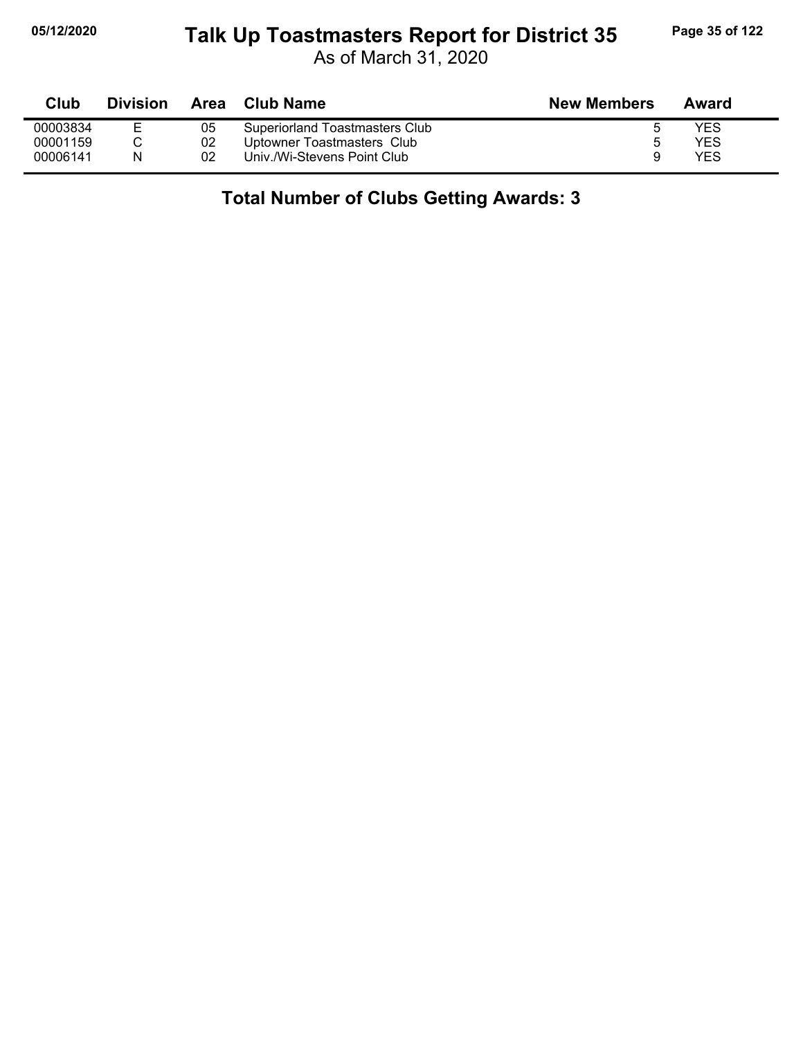# **05/12/2020 Page 35 of 122 Talk Up Toastmasters Report for District 35**

As of March 31, 2020

| Club     | <b>Division</b> | Area | Club Name                      | <b>New Members</b> | Award |
|----------|-----------------|------|--------------------------------|--------------------|-------|
| 00003834 |                 | 05   | Superiorland Toastmasters Club |                    | YES   |
| 00001159 |                 | 02   | Uptowner Toastmasters Club     | b                  | YES   |
| 00006141 | N               | 02   | Univ./Wi-Stevens Point Club    |                    | YES   |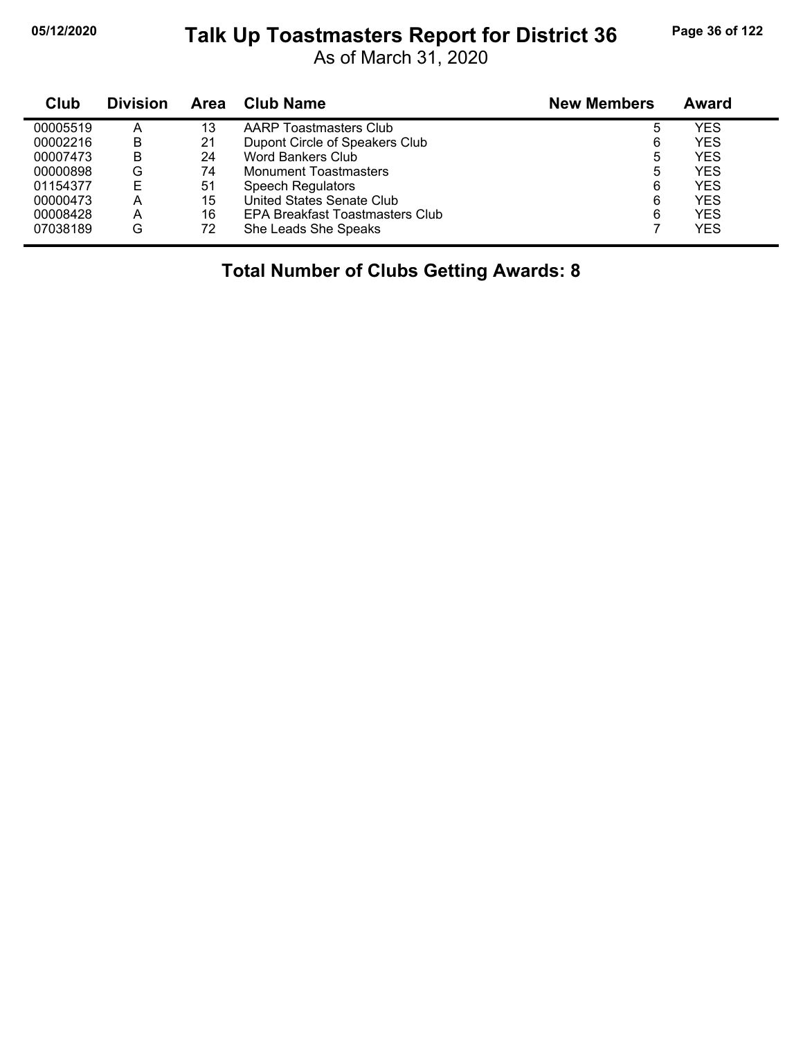#### **05/12/2020 Page 36 of 122 Talk Up Toastmasters Report for District 36**

As of March 31, 2020

| Club     | <b>Division</b> | Area | <b>Club Name</b>                | <b>New Members</b> | Award      |
|----------|-----------------|------|---------------------------------|--------------------|------------|
| 00005519 | A               | 13   | AARP Toastmasters Club          |                    | YES        |
| 00002216 | B               | 21   | Dupont Circle of Speakers Club  | 6                  | <b>YES</b> |
| 00007473 | B               | 24   | <b>Word Bankers Club</b>        | 5                  | <b>YES</b> |
| 00000898 | G               | 74   | <b>Monument Toastmasters</b>    | 5                  | YES        |
| 01154377 | E               | 51   | <b>Speech Regulators</b>        | 6                  | <b>YES</b> |
| 00000473 | A               | 15   | United States Senate Club       | 6                  | <b>YES</b> |
| 00008428 | A               | 16   | EPA Breakfast Toastmasters Club | 6                  | <b>YES</b> |
| 07038189 | G               | 72   | She Leads She Speaks            |                    | YES        |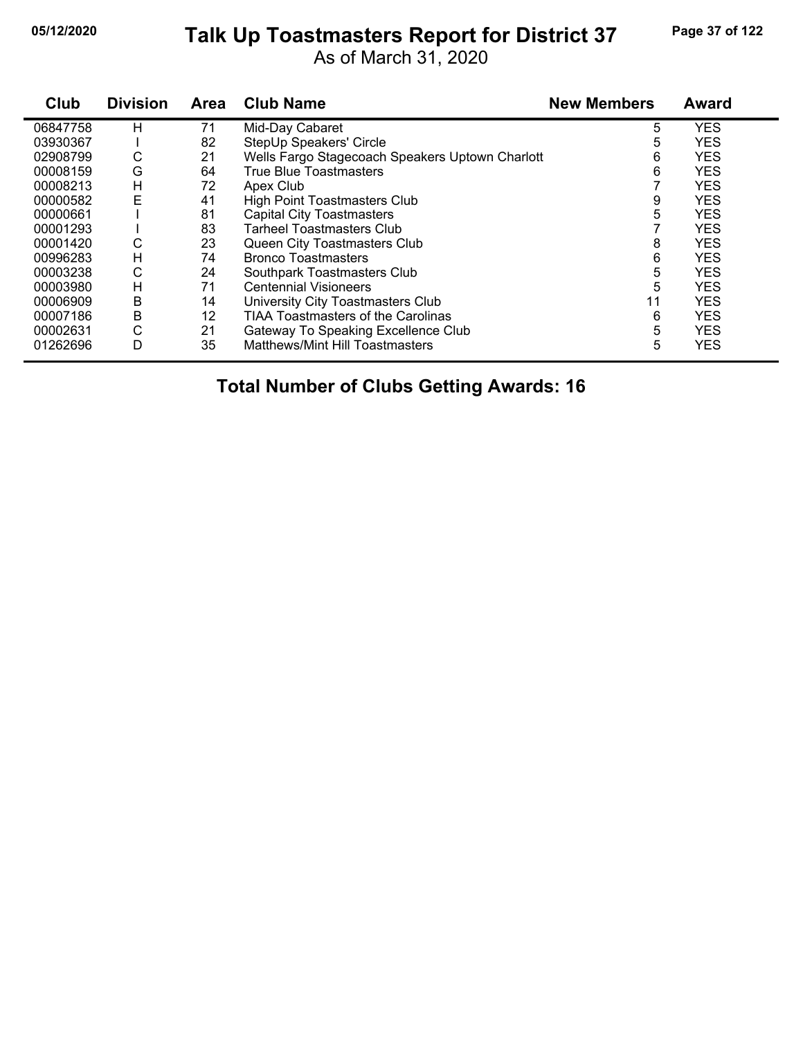# **05/12/2020 Page 37 of 122 Talk Up Toastmasters Report for District 37**

As of March 31, 2020

| Club     | <b>Division</b> | <b>Area</b> | <b>Club Name</b>                                | <b>New Members</b> | <b>Award</b> |
|----------|-----------------|-------------|-------------------------------------------------|--------------------|--------------|
| 06847758 | н               | 71          | Mid-Day Cabaret                                 | 5                  | <b>YES</b>   |
| 03930367 |                 | 82          | StepUp Speakers' Circle                         | 5                  | <b>YES</b>   |
| 02908799 | С               | 21          | Wells Fargo Stagecoach Speakers Uptown Charlott | 6                  | <b>YES</b>   |
| 00008159 | G               | 64          | True Blue Toastmasters                          | 6                  | <b>YES</b>   |
| 00008213 | н               | 72          | Apex Club                                       |                    | <b>YES</b>   |
| 00000582 | E               | 41          | <b>High Point Toastmasters Club</b>             | 9                  | <b>YES</b>   |
| 00000661 |                 | 81          | Capital City Toastmasters                       | 5                  | <b>YES</b>   |
| 00001293 |                 | 83          | <b>Tarheel Toastmasters Club</b>                |                    | <b>YES</b>   |
| 00001420 | С               | 23          | Queen City Toastmasters Club                    | 8                  | <b>YES</b>   |
| 00996283 | н               | 74          | <b>Bronco Toastmasters</b>                      | 6                  | <b>YES</b>   |
| 00003238 | С               | 24          | Southpark Toastmasters Club                     | 5                  | <b>YES</b>   |
| 00003980 | н               | 71          | <b>Centennial Visioneers</b>                    | 5                  | <b>YES</b>   |
| 00006909 | B               | 14          | University City Toastmasters Club               | 11                 | <b>YES</b>   |
| 00007186 | В               | 12          | <b>TIAA Toastmasters of the Carolinas</b>       | 6                  | <b>YES</b>   |
| 00002631 | C               | 21          | Gateway To Speaking Excellence Club             | 5                  | <b>YES</b>   |
| 01262696 | D               | 35          | Matthews/Mint Hill Toastmasters                 | 5                  | <b>YES</b>   |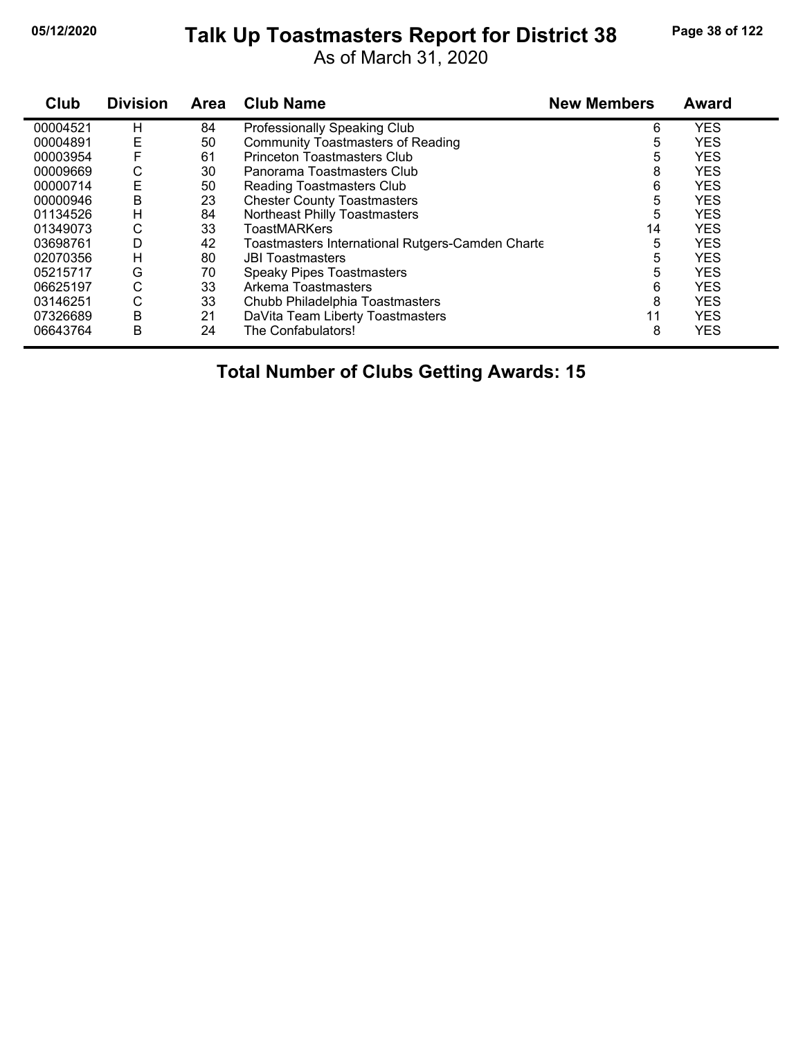# **05/12/2020 Page 38 of 122 Talk Up Toastmasters Report for District 38**

As of March 31, 2020

| Club     | <b>Division</b> | <b>Area</b> | <b>Club Name</b>                                 | <b>New Members</b> | <b>Award</b> |
|----------|-----------------|-------------|--------------------------------------------------|--------------------|--------------|
| 00004521 | н               | 84          | Professionally Speaking Club                     | 6                  | <b>YES</b>   |
| 00004891 | Ε               | 50          | <b>Community Toastmasters of Reading</b>         | 5                  | <b>YES</b>   |
| 00003954 | F               | 61          | <b>Princeton Toastmasters Club</b>               | 5                  | <b>YES</b>   |
| 00009669 | С               | 30          | Panorama Toastmasters Club                       | 8                  | <b>YES</b>   |
| 00000714 | E               | 50          | <b>Reading Toastmasters Club</b>                 | 6                  | <b>YES</b>   |
| 00000946 | В               | 23          | <b>Chester County Toastmasters</b>               | 5                  | <b>YES</b>   |
| 01134526 | H               | 84          | Northeast Philly Toastmasters                    | 5                  | <b>YES</b>   |
| 01349073 | С               | 33          | <b>ToastMARKers</b>                              | 14                 | <b>YES</b>   |
| 03698761 | D               | 42          | Toastmasters International Rutgers-Camden Charte | 5                  | <b>YES</b>   |
| 02070356 | н               | 80          | <b>JBI Toastmasters</b>                          | 5                  | <b>YES</b>   |
| 05215717 | G               | 70          | <b>Speaky Pipes Toastmasters</b>                 | 5                  | <b>YES</b>   |
| 06625197 | С               | 33          | Arkema Toastmasters                              | 6                  | <b>YES</b>   |
| 03146251 | С               | 33          | Chubb Philadelphia Toastmasters                  | 8                  | <b>YES</b>   |
| 07326689 | Β               | 21          | DaVita Team Liberty Toastmasters                 | 11                 | <b>YES</b>   |
| 06643764 | В               | 24          | The Confabulators!                               | 8                  | <b>YES</b>   |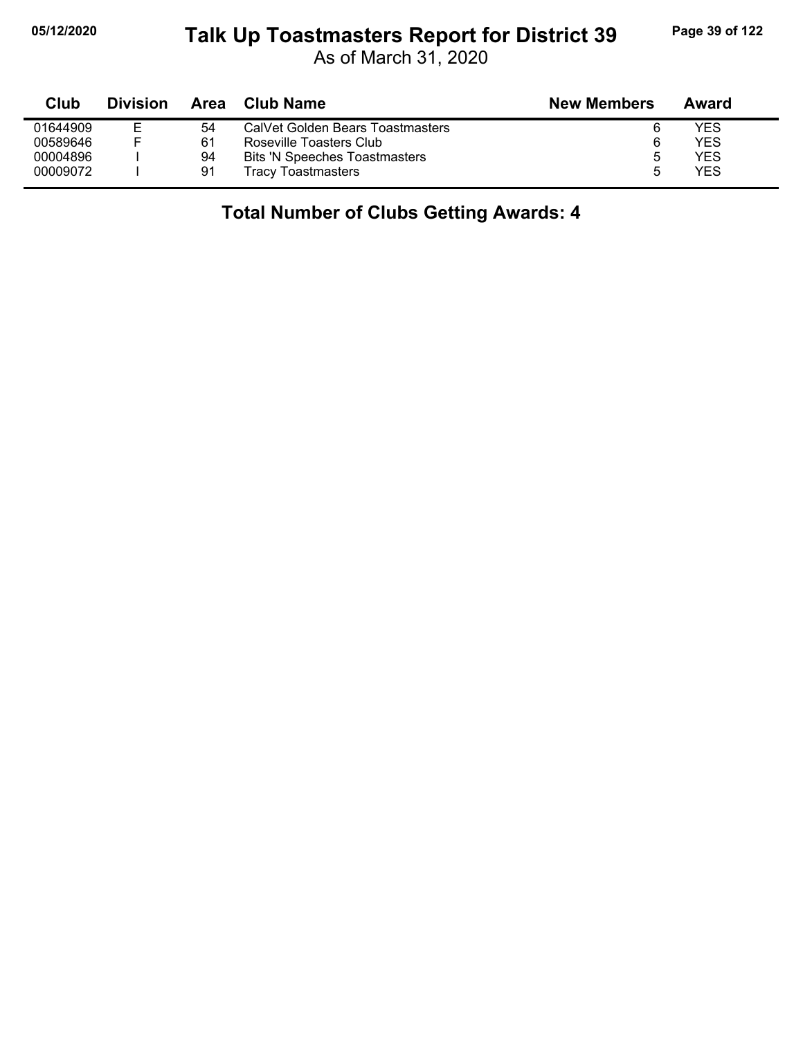#### **05/12/2020 Page 39 of 122 Talk Up Toastmasters Report for District 39**

As of March 31, 2020

| Club     | <b>Division</b> | Area | <b>Club Name</b>                     | <b>New Members</b> | Award |
|----------|-----------------|------|--------------------------------------|--------------------|-------|
| 01644909 | E.              | 54   | CalVet Golden Bears Toastmasters     | 6                  | YES   |
| 00589646 |                 | 61   | Roseville Toasters Club              | 6                  | YES   |
| 00004896 |                 | 94   | <b>Bits 'N Speeches Toastmasters</b> | O                  | YES   |
| 00009072 |                 | 91   | <b>Tracy Toastmasters</b>            | ∽                  | YES   |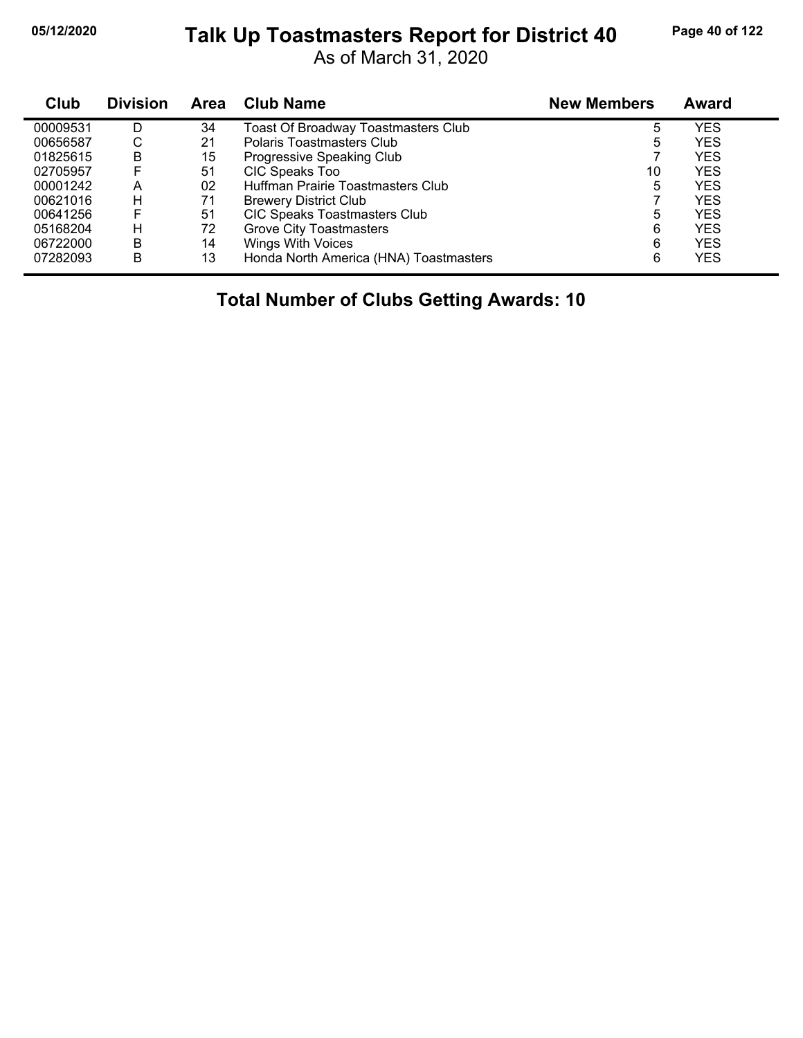# **05/12/2020 Page 40 of 122 Talk Up Toastmasters Report for District 40**

As of March 31, 2020

| Club     | <b>Division</b> | Area | <b>Club Name</b>                       | <b>New Members</b> | <b>Award</b> |  |
|----------|-----------------|------|----------------------------------------|--------------------|--------------|--|
| 00009531 | D               | 34   | Toast Of Broadway Toastmasters Club    | 5                  | YES          |  |
| 00656587 | С               | 21   | Polaris Toastmasters Club              | 5                  | <b>YES</b>   |  |
| 01825615 | в               | 15   | Progressive Speaking Club              |                    | YES          |  |
| 02705957 | F               | 51   | CIC Speaks Too                         | 10                 | <b>YES</b>   |  |
| 00001242 | А               | 02   | Huffman Prairie Toastmasters Club      | 5                  | YES.         |  |
| 00621016 | н               | 71   | <b>Brewery District Club</b>           |                    | YES          |  |
| 00641256 | F               | 51   | CIC Speaks Toastmasters Club           | 5                  | YES          |  |
| 05168204 | н               | 72   | <b>Grove City Toastmasters</b>         | 6                  | <b>YES</b>   |  |
| 06722000 | B               | 14   | <b>Wings With Voices</b>               | 6                  | YES          |  |
| 07282093 | B               | 13   | Honda North America (HNA) Toastmasters | 6                  | YES          |  |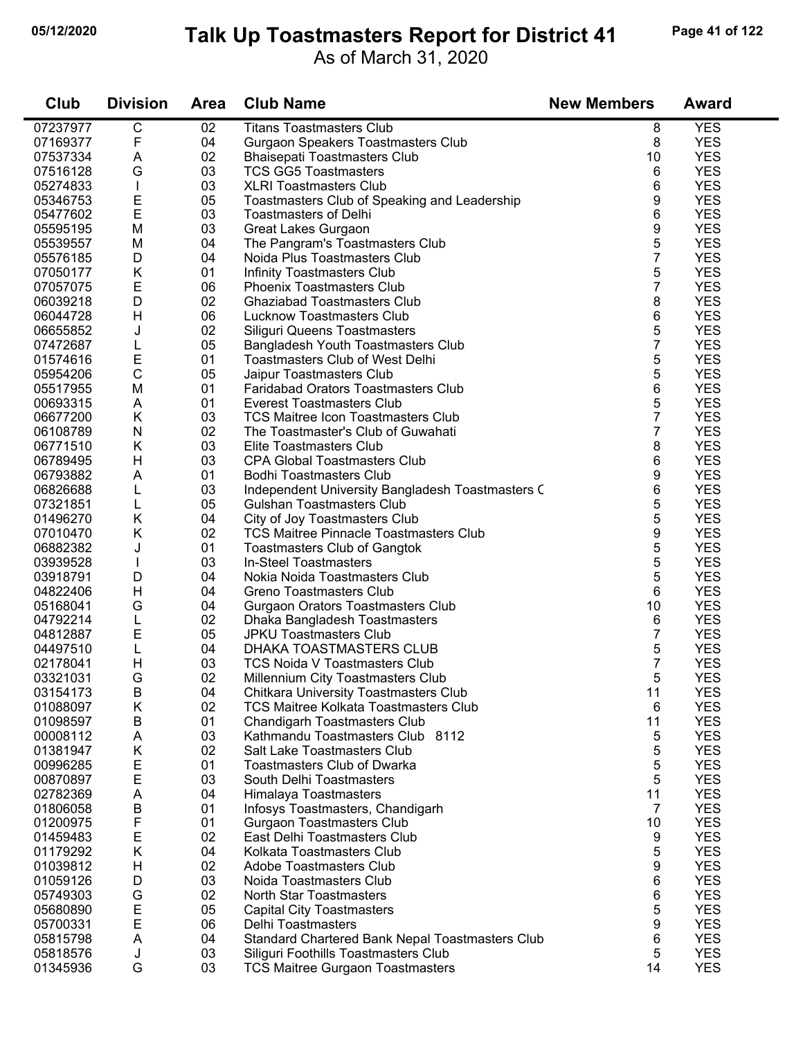#### **05/12/2020 Page 41 of 122 Talk Up Toastmasters Report for District 41**

As of March 31, 2020

| Club     | <b>Division</b>  | <b>Area</b> | <b>Club Name</b>                                                  | <b>New Members</b> | <b>Award</b> |
|----------|------------------|-------------|-------------------------------------------------------------------|--------------------|--------------|
| 07237977 | $\overline{C}$   | 02          | <b>Titans Toastmasters Club</b>                                   | 8                  | <b>YES</b>   |
| 07169377 | F                | 04          | Gurgaon Speakers Toastmasters Club                                | 8                  | <b>YES</b>   |
| 07537334 | A                | 02          | <b>Bhaisepati Toastmasters Club</b>                               | 10                 | <b>YES</b>   |
| 07516128 | G                | 03          | <b>TCS GG5 Toastmasters</b>                                       | 6                  | <b>YES</b>   |
| 05274833 | L                | 03          | <b>XLRI Toastmasters Club</b>                                     | 6                  | <b>YES</b>   |
| 05346753 | E                | 05          | Toastmasters Club of Speaking and Leadership                      | 9                  | <b>YES</b>   |
| 05477602 | $\mathsf E$      | 03          | <b>Toastmasters of Delhi</b>                                      | 6                  | <b>YES</b>   |
| 05595195 | M                | 03          | Great Lakes Gurgaon                                               | 9                  | <b>YES</b>   |
| 05539557 | M                | 04          | The Pangram's Toastmasters Club                                   | 5                  | <b>YES</b>   |
| 05576185 | D                | 04          | Noida Plus Toastmasters Club                                      | $\overline{7}$     | <b>YES</b>   |
| 07050177 | K                | 01          | Infinity Toastmasters Club                                        | 5                  | <b>YES</b>   |
| 07057075 | E                | 06          | Phoenix Toastmasters Club                                         | 7                  | <b>YES</b>   |
| 06039218 | D                | 02          | <b>Ghaziabad Toastmasters Club</b>                                | 8                  | <b>YES</b>   |
| 06044728 | Н                | 06          | Lucknow Toastmasters Club                                         | 6                  | <b>YES</b>   |
| 06655852 | J                | 02          | Siliguri Queens Toastmasters                                      | 5                  | <b>YES</b>   |
| 07472687 |                  | 05          |                                                                   | 7                  | <b>YES</b>   |
|          | L                |             | Bangladesh Youth Toastmasters Club                                |                    | <b>YES</b>   |
| 01574616 | E<br>$\mathsf C$ | 01          | <b>Toastmasters Club of West Delhi</b>                            | 5                  |              |
| 05954206 |                  | 05          | Jaipur Toastmasters Club                                          | 5                  | <b>YES</b>   |
| 05517955 | M                | 01          | <b>Faridabad Orators Toastmasters Club</b>                        | 6                  | <b>YES</b>   |
| 00693315 | A                | 01          | <b>Everest Toastmasters Club</b>                                  | 5                  | <b>YES</b>   |
| 06677200 | K                | 03          | <b>TCS Maitree Icon Toastmasters Club</b>                         | 7                  | <b>YES</b>   |
| 06108789 | ${\sf N}$        | 02          | The Toastmaster's Club of Guwahati                                | 7                  | <b>YES</b>   |
| 06771510 | K                | 03          | Elite Toastmasters Club                                           | 8                  | <b>YES</b>   |
| 06789495 | H                | 03          | <b>CPA Global Toastmasters Club</b>                               | 6                  | <b>YES</b>   |
| 06793882 | A                | 01          | <b>Bodhi Toastmasters Club</b>                                    | 9                  | <b>YES</b>   |
| 06826688 | L                | 03          | Independent University Bangladesh Toastmasters C                  | 6                  | <b>YES</b>   |
| 07321851 | L                | 05          | <b>Gulshan Toastmasters Club</b>                                  | 5                  | <b>YES</b>   |
| 01496270 | K                | 04          | City of Joy Toastmasters Club                                     | 5                  | <b>YES</b>   |
| 07010470 | K                | 02          | <b>TCS Maitree Pinnacle Toastmasters Club</b>                     | 9                  | <b>YES</b>   |
| 06882382 | J                | 01          | <b>Toastmasters Club of Gangtok</b>                               | 5                  | <b>YES</b>   |
| 03939528 |                  | 03          | In-Steel Toastmasters                                             | 5                  | <b>YES</b>   |
| 03918791 | D                | 04          | Nokia Noida Toastmasters Club                                     | 5                  | <b>YES</b>   |
| 04822406 | Н                | 04          | Greno Toastmasters Club                                           | 6                  | <b>YES</b>   |
| 05168041 | G                | 04          | Gurgaon Orators Toastmasters Club                                 | 10                 | <b>YES</b>   |
| 04792214 | L                | 02          | Dhaka Bangladesh Toastmasters                                     | 6                  | <b>YES</b>   |
| 04812887 | E                | 05          | <b>JPKU Toastmasters Club</b>                                     | 7                  | <b>YES</b>   |
| 04497510 | L                | 04          | DHAKA TOASTMASTERS CLUB                                           | 5                  | <b>YES</b>   |
| 02178041 | H                | 03          | TCS Noida V Toastmasters Club                                     | 7                  | <b>YES</b>   |
| 03321031 | G                | 02          | Millennium City Toastmasters Club                                 | 5                  | <b>YES</b>   |
| 03154173 | В                | 04          | Chitkara University Toastmasters Club                             | 11                 | <b>YES</b>   |
| 01088097 | Κ                | 02          | TCS Maitree Kolkata Toastmasters Club                             | 6                  | <b>YES</b>   |
| 01098597 | В                | 01          | <b>Chandigarh Toastmasters Club</b>                               | 11                 | <b>YES</b>   |
| 00008112 | A                | 03          | Kathmandu Toastmasters Club 8112                                  | 5                  | <b>YES</b>   |
|          |                  |             |                                                                   |                    | <b>YES</b>   |
| 01381947 | Κ                | 02          | Salt Lake Toastmasters Club<br><b>Toastmasters Club of Dwarka</b> | 5                  |              |
| 00996285 | Е                | 01          |                                                                   | 5                  | <b>YES</b>   |
| 00870897 | Е                | 03          | South Delhi Toastmasters                                          | 5                  | <b>YES</b>   |
| 02782369 | A                | 04          | Himalaya Toastmasters                                             | 11                 | <b>YES</b>   |
| 01806058 | $\mathsf B$      | 01          | Infosys Toastmasters, Chandigarh                                  | $\overline{7}$     | <b>YES</b>   |
| 01200975 | F                | 01          | <b>Gurgaon Toastmasters Club</b>                                  | 10                 | <b>YES</b>   |
| 01459483 | Ε                | 02          | East Delhi Toastmasters Club                                      | 9                  | <b>YES</b>   |
| 01179292 | K                | 04          | Kolkata Toastmasters Club                                         | 5                  | <b>YES</b>   |
| 01039812 | Н                | 02          | Adobe Toastmasters Club                                           | 9                  | <b>YES</b>   |
| 01059126 | D                | 03          | Noida Toastmasters Club                                           | 6                  | <b>YES</b>   |
| 05749303 | G                | 02          | <b>North Star Toastmasters</b>                                    | 6                  | <b>YES</b>   |
| 05680890 | E                | 05          | <b>Capital City Toastmasters</b>                                  | 5                  | <b>YES</b>   |
| 05700331 | E                | 06          | Delhi Toastmasters                                                | 9                  | <b>YES</b>   |
| 05815798 | A                | 04          | Standard Chartered Bank Nepal Toastmasters Club                   | 6                  | <b>YES</b>   |
| 05818576 | J                | 03          | Siliguri Foothills Toastmasters Club                              | 5                  | <b>YES</b>   |
| 01345936 | G                | 03          | <b>TCS Maitree Gurgaon Toastmasters</b>                           | 14                 | <b>YES</b>   |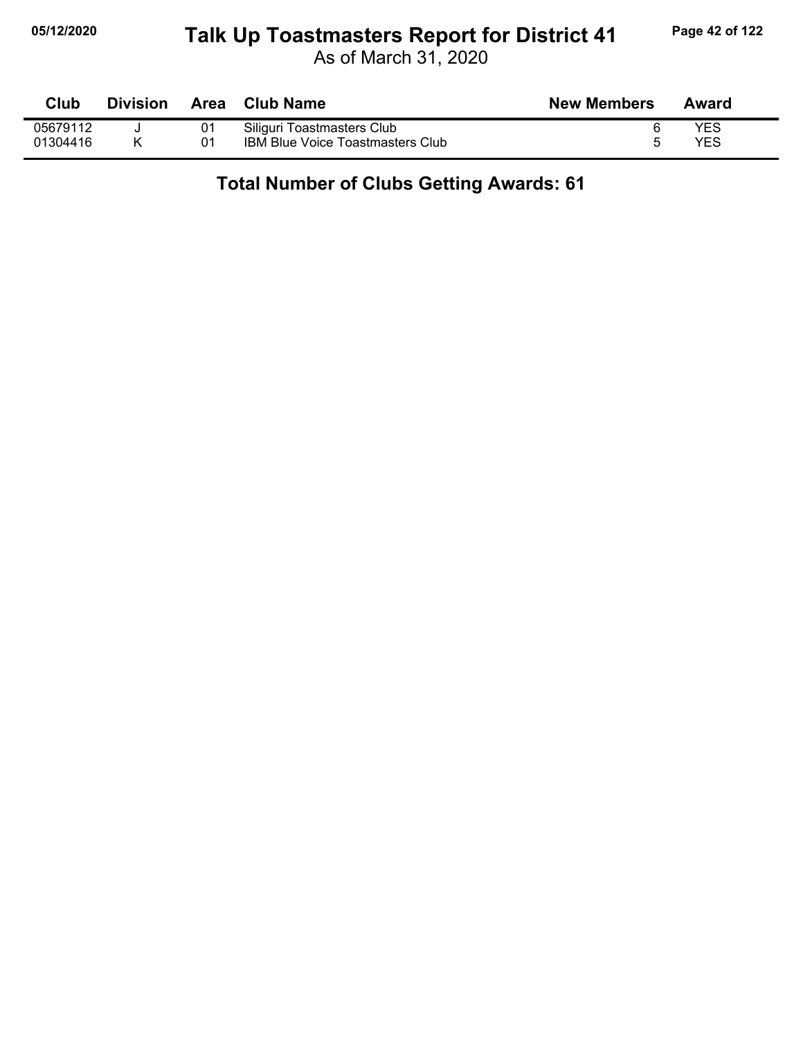# **05/12/2020 Page 42 of 122 Talk Up Toastmasters Report for District 41**

As of March 31, 2020

| <b>Club</b> | <b>Division</b> | Area | <b>Club Name</b>                        | <b>New Members</b> | Award |
|-------------|-----------------|------|-----------------------------------------|--------------------|-------|
| 05679112    |                 | 01   | Siliguri Toastmasters Club              |                    | YES   |
| 01304416    |                 | 01   | <b>IBM Blue Voice Toastmasters Club</b> |                    | YES   |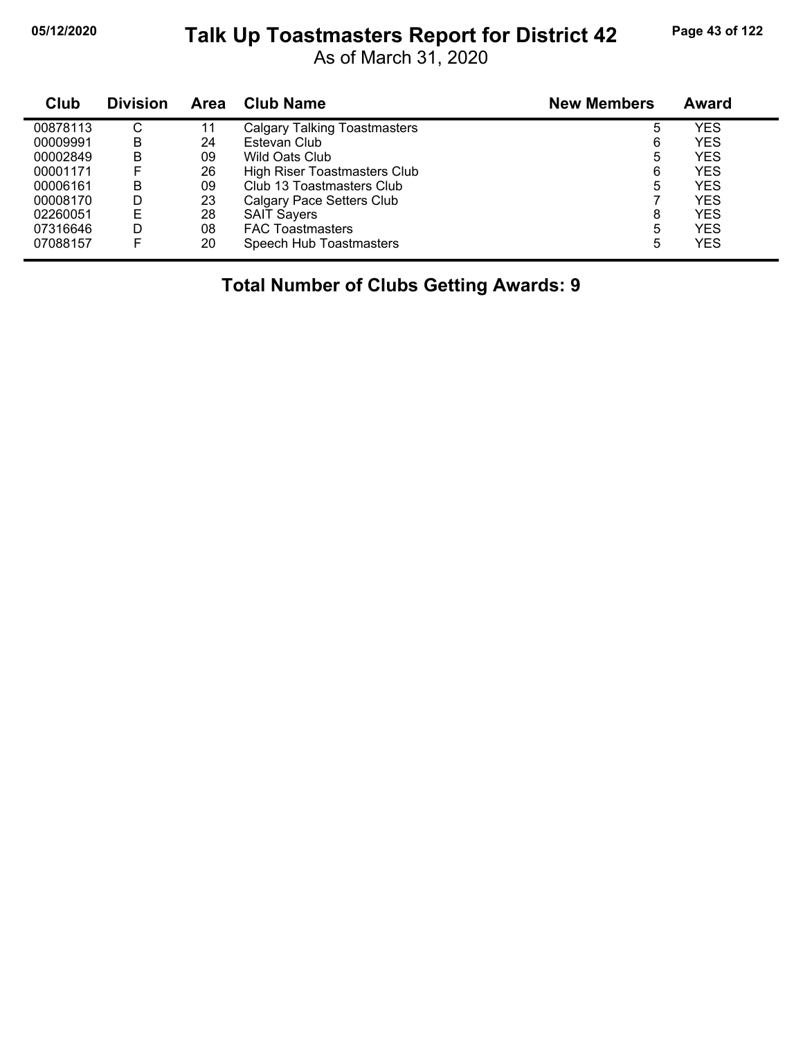# **05/12/2020 Page 43 of 122 Talk Up Toastmasters Report for District 42**

As of March 31, 2020

| Club     | <b>Division</b> | <b>Area</b> | <b>Club Name</b>                    | <b>New Members</b> | Award      |
|----------|-----------------|-------------|-------------------------------------|--------------------|------------|
| 00878113 | С               | 11          | <b>Calgary Talking Toastmasters</b> | 5                  | YES        |
| 00009991 | в               | 24          | Estevan Club                        | 6                  | <b>YES</b> |
| 00002849 | в               | 09          | Wild Oats Club                      | 5                  | YES        |
| 00001171 |                 | 26          | High Riser Toastmasters Club        | 6                  | <b>YES</b> |
| 00006161 | в               | 09          | Club 13 Toastmasters Club           | 5                  | <b>YES</b> |
| 00008170 | D               | 23          | Calgary Pace Setters Club           |                    | YES        |
| 02260051 | E               | 28          | <b>SAIT Sayers</b>                  | 8                  | <b>YES</b> |
| 07316646 | D               | 08          | <b>FAC Toastmasters</b>             | 5                  | YES        |
| 07088157 | F               | 20          | Speech Hub Toastmasters             | 5                  | YES        |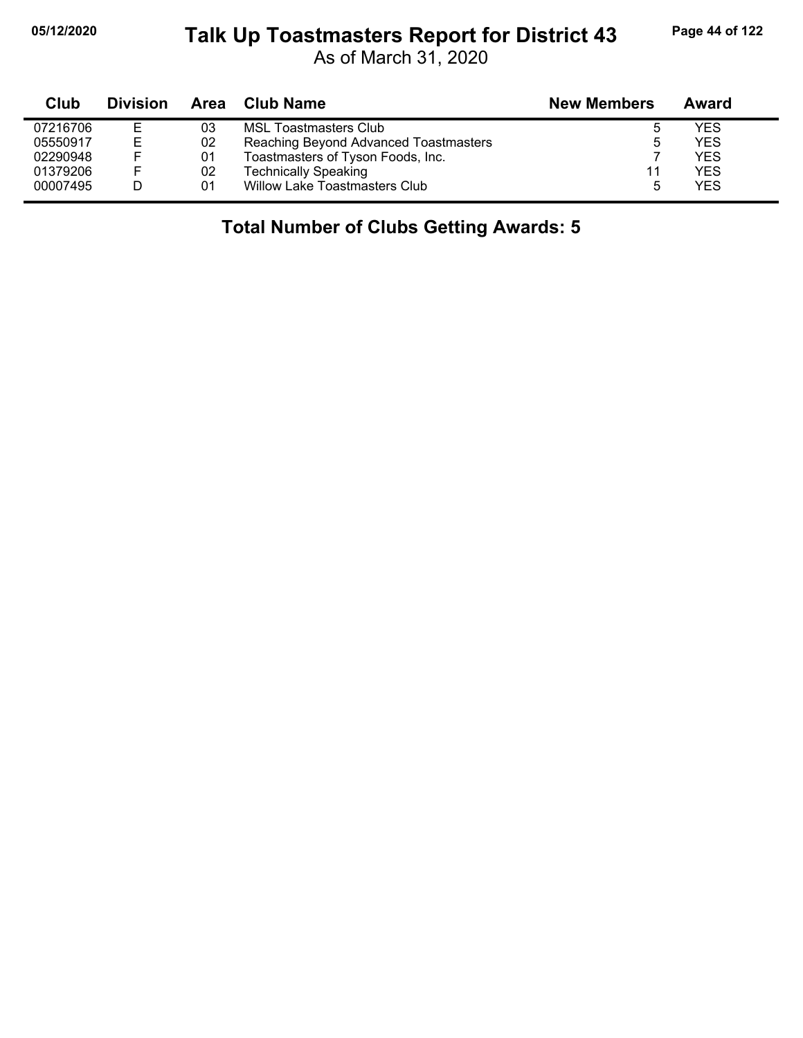# **05/12/2020 Page 44 of 122 Talk Up Toastmasters Report for District 43**

As of March 31, 2020

| Club     | <b>Division</b> | Area | Club Name                             | <b>New Members</b> | Award      |
|----------|-----------------|------|---------------------------------------|--------------------|------------|
| 07216706 | Е               | 03   | <b>MSL Toastmasters Club</b>          |                    | <b>YES</b> |
| 05550917 | Е               | 02   | Reaching Beyond Advanced Toastmasters | ა                  | <b>YES</b> |
| 02290948 |                 | 01   | Toastmasters of Tyson Foods, Inc.     |                    | <b>YES</b> |
| 01379206 |                 | 02   | <b>Technically Speaking</b>           | 11                 | <b>YES</b> |
| 00007495 |                 | 01   | Willow Lake Toastmasters Club         | 5                  | <b>YES</b> |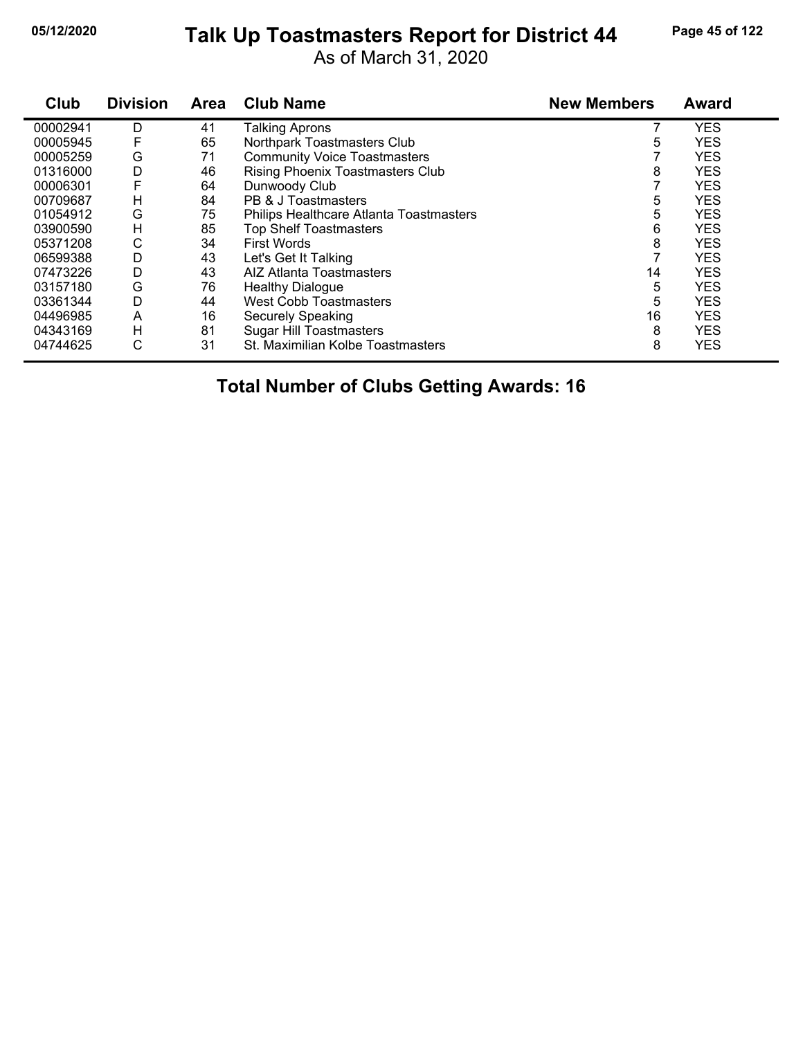# **05/12/2020 Page 45 of 122 Talk Up Toastmasters Report for District 44**

As of March 31, 2020

| Club     | <b>Division</b> | Area | <b>Club Name</b>                        | <b>New Members</b> | <b>Award</b> |
|----------|-----------------|------|-----------------------------------------|--------------------|--------------|
| 00002941 | D               | 41   | Talking Aprons                          |                    | <b>YES</b>   |
| 00005945 | F               | 65   | Northpark Toastmasters Club             | 5                  | <b>YES</b>   |
| 00005259 | G               | 71   | <b>Community Voice Toastmasters</b>     |                    | <b>YES</b>   |
| 01316000 | D               | 46   | Rising Phoenix Toastmasters Club        | 8                  | <b>YES</b>   |
| 00006301 | F               | 64   | Dunwoody Club                           |                    | <b>YES</b>   |
| 00709687 | н               | 84   | PB & J Toastmasters                     | 5                  | <b>YES</b>   |
| 01054912 | G               | 75   | Philips Healthcare Atlanta Toastmasters | 5                  | <b>YES</b>   |
| 03900590 | н               | 85   | <b>Top Shelf Toastmasters</b>           | 6                  | <b>YES</b>   |
| 05371208 | С               | 34   | <b>First Words</b>                      | 8                  | <b>YES</b>   |
| 06599388 | D               | 43   | Let's Get It Talking                    |                    | <b>YES</b>   |
| 07473226 | D               | 43   | AIZ Atlanta Toastmasters                | 14                 | <b>YES</b>   |
| 03157180 | G               | 76   | <b>Healthy Dialogue</b>                 | 5                  | <b>YES</b>   |
| 03361344 | D               | 44   | <b>West Cobb Toastmasters</b>           | 5                  | <b>YES</b>   |
| 04496985 | A               | 16   | Securely Speaking                       | 16                 | <b>YES</b>   |
| 04343169 | H               | 81   | <b>Sugar Hill Toastmasters</b>          | 8                  | <b>YES</b>   |
| 04744625 | С               | 31   | St. Maximilian Kolbe Toastmasters       | 8                  | <b>YES</b>   |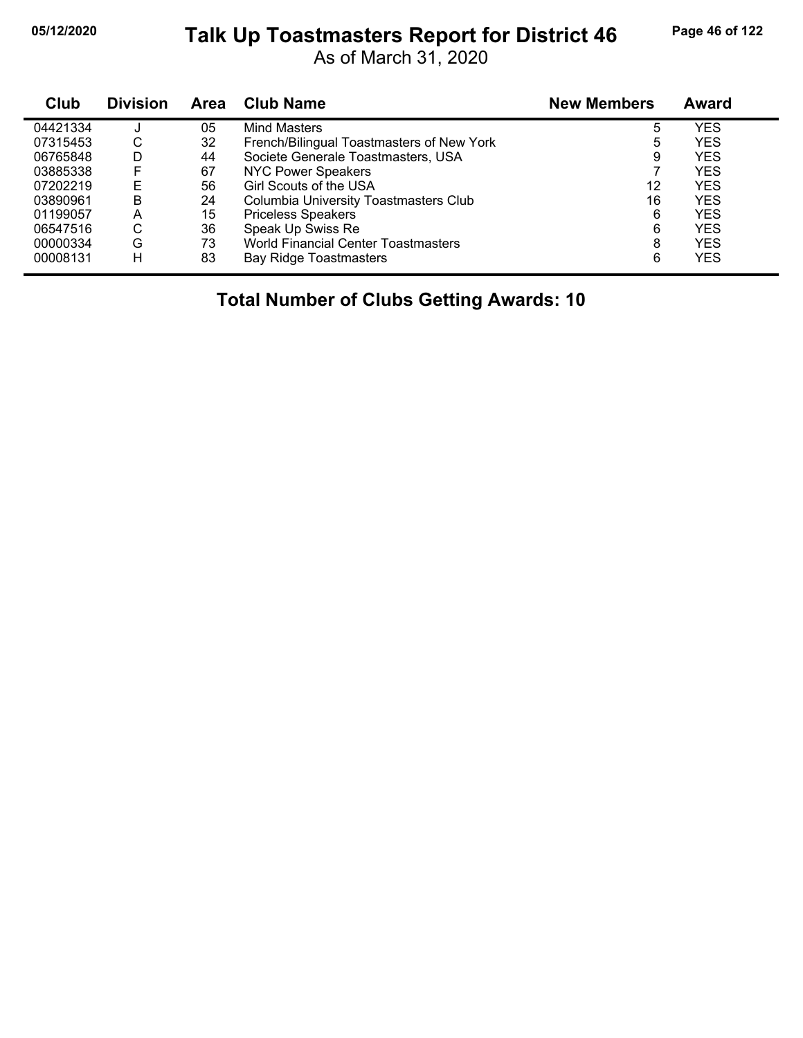# **05/12/2020 Page 46 of 122 Talk Up Toastmasters Report for District 46**

As of March 31, 2020

| Club     | <b>Division</b> | <b>Area</b> | <b>Club Name</b>                          | <b>New Members</b> | Award      |  |
|----------|-----------------|-------------|-------------------------------------------|--------------------|------------|--|
| 04421334 |                 | 05          | Mind Masters                              | 5                  | YES        |  |
| 07315453 | C               | 32          | French/Bilingual Toastmasters of New York | 5                  | YES        |  |
| 06765848 | D               | 44          | Societe Generale Toastmasters, USA        | 9                  | YES        |  |
| 03885338 | F               | 67          | <b>NYC Power Speakers</b>                 |                    | YES        |  |
| 07202219 | E               | 56          | <b>Girl Scouts of the USA</b>             | 12                 | YES        |  |
| 03890961 | B               | 24          | Columbia University Toastmasters Club     | 16                 | YES        |  |
| 01199057 | A               | 15          | <b>Priceless Speakers</b>                 | 6                  | YES        |  |
| 06547516 | С               | 36          | Speak Up Swiss Re                         | 6                  | <b>YES</b> |  |
| 00000334 | G               | 73          | World Financial Center Toastmasters       | 8                  | YES        |  |
| 00008131 | н               | 83          | <b>Bay Ridge Toastmasters</b>             | 6                  | YES        |  |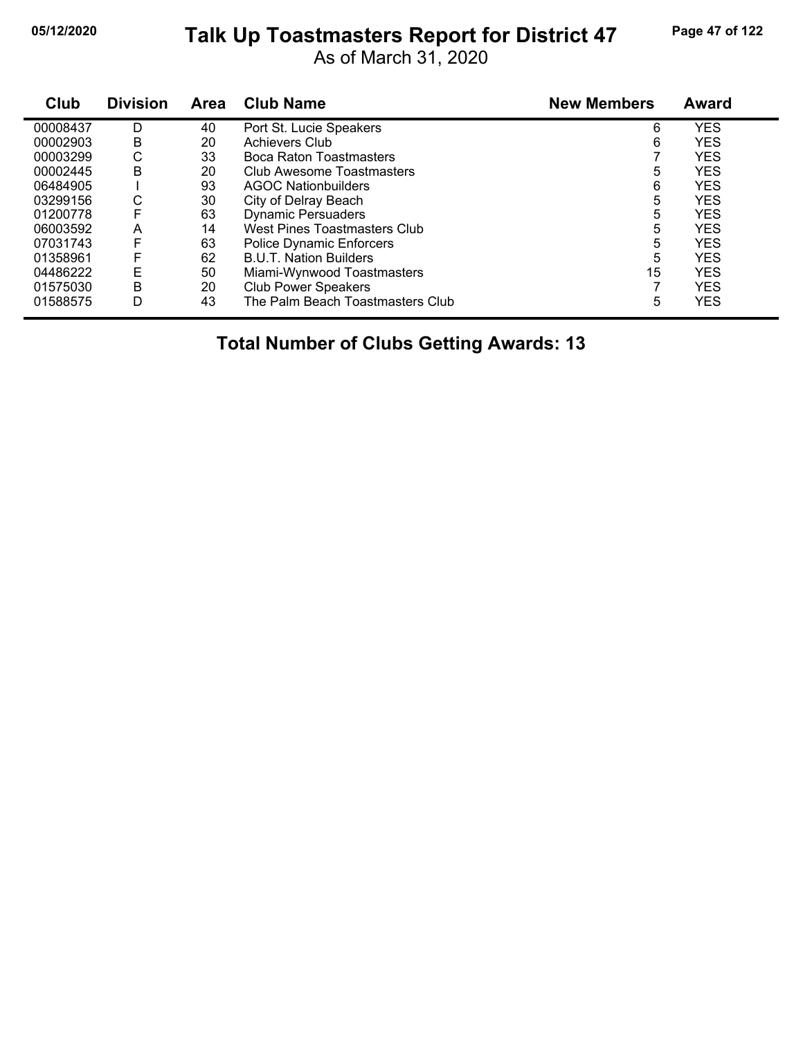# **05/12/2020 Page 47 of 122 Talk Up Toastmasters Report for District 47**

As of March 31, 2020

| Club     | <b>Division</b> | Area | <b>Club Name</b>                 | <b>New Members</b> | <b>Award</b> |
|----------|-----------------|------|----------------------------------|--------------------|--------------|
| 00008437 | D               | 40   | Port St. Lucie Speakers          | 6                  | <b>YES</b>   |
| 00002903 | B               | 20   | Achievers Club                   | 6                  | <b>YES</b>   |
| 00003299 | С               | 33   | Boca Raton Toastmasters          |                    | <b>YES</b>   |
| 00002445 | B               | 20   | Club Awesome Toastmasters        | 5                  | <b>YES</b>   |
| 06484905 |                 | 93   | AGOC Nationbuilders              | 6                  | <b>YES</b>   |
| 03299156 | С               | 30   | City of Delray Beach             | 5                  | <b>YES</b>   |
| 01200778 | F               | 63   | <b>Dynamic Persuaders</b>        | 5                  | <b>YES</b>   |
| 06003592 | Α               | 14   | West Pines Toastmasters Club     | 5                  | <b>YES</b>   |
| 07031743 | F               | 63   | <b>Police Dynamic Enforcers</b>  | 5                  | <b>YES</b>   |
| 01358961 | F               | 62   | <b>B.U.T. Nation Builders</b>    | 5                  | <b>YES</b>   |
| 04486222 | E               | 50   | Miami-Wynwood Toastmasters       | 15                 | <b>YES</b>   |
| 01575030 | В               | 20   | <b>Club Power Speakers</b>       |                    | <b>YES</b>   |
| 01588575 | D               | 43   | The Palm Beach Toastmasters Club | 5                  | <b>YES</b>   |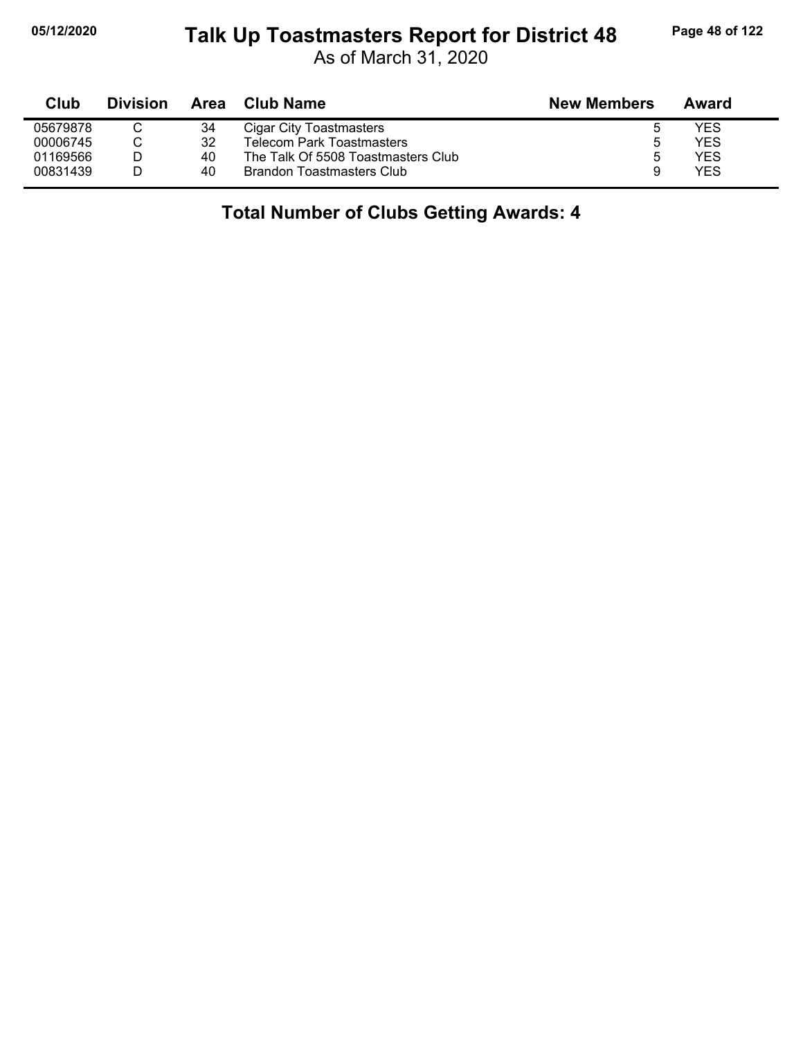#### **05/12/2020 Page 48 of 122 Talk Up Toastmasters Report for District 48**

As of March 31, 2020

| Club     | <b>Division</b> | Area | <b>Club Name</b>                   | <b>New Members</b> | Award      |
|----------|-----------------|------|------------------------------------|--------------------|------------|
| 05679878 |                 | 34   | Cigar City Toastmasters            |                    | YES        |
| 00006745 |                 | 32   | Telecom Park Toastmasters          | b                  | <b>YES</b> |
| 01169566 |                 | 40   | The Talk Of 5508 Toastmasters Club | 5                  | YES        |
| 00831439 |                 | 40   | <b>Brandon Toastmasters Club</b>   | 9                  | <b>YES</b> |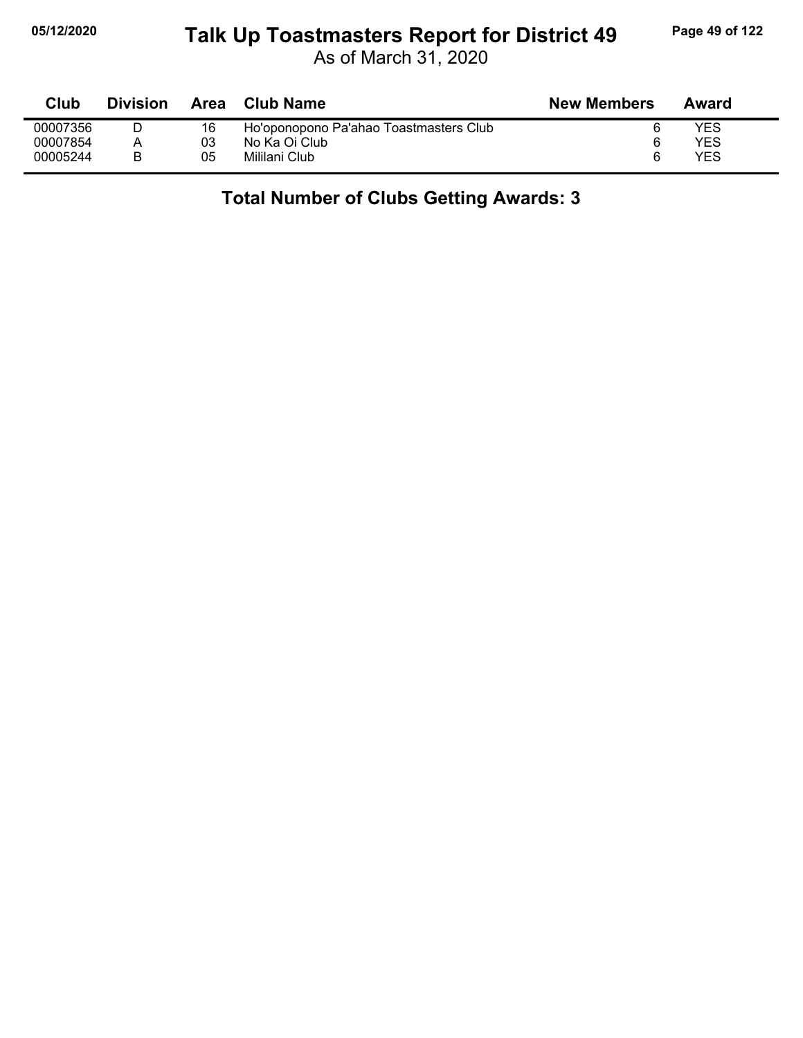# **05/12/2020 Page 49 of 122 Talk Up Toastmasters Report for District 49**

As of March 31, 2020

| Club     | <b>Division</b> | Area | <b>Club Name</b>                       | <b>New Members</b> | Award |
|----------|-----------------|------|----------------------------------------|--------------------|-------|
| 00007356 |                 | 16   | Ho'oponopono Pa'ahao Toastmasters Club |                    | YES   |
| 00007854 |                 | 03   | No Ka Oi Club                          | 6                  | YES   |
| 00005244 | R               | 05   | Mililani Club                          | 6                  | YES   |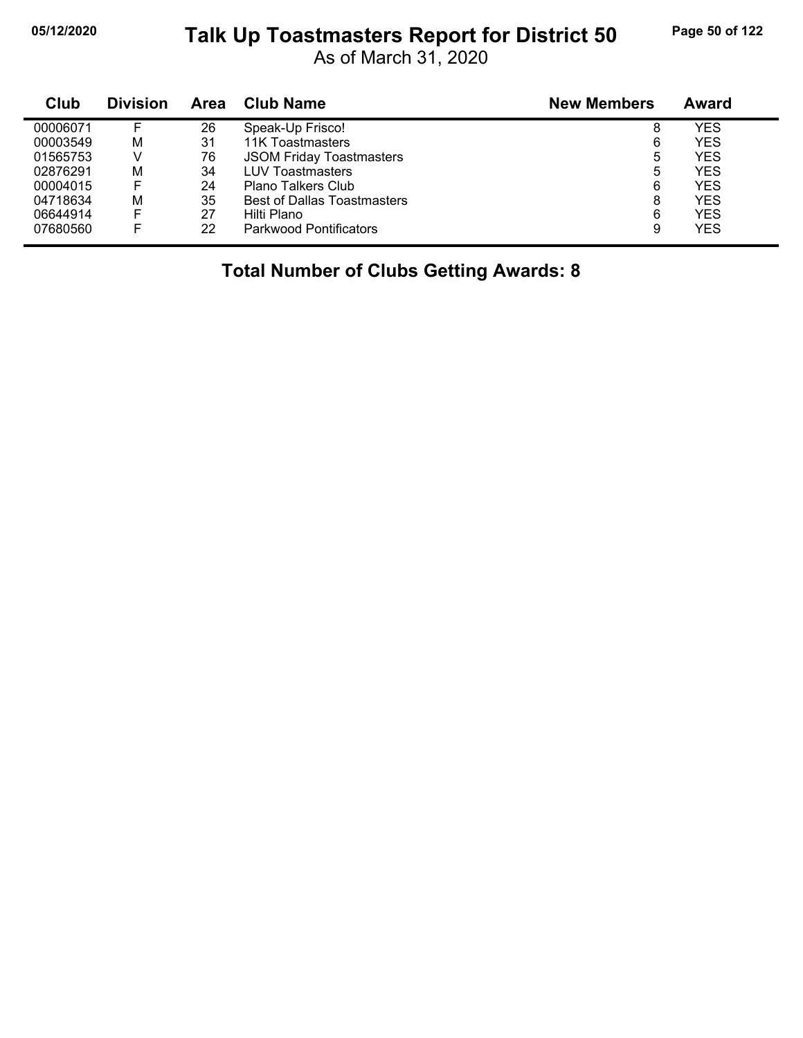#### **05/12/2020 Page 50 of 122 Talk Up Toastmasters Report for District 50**

As of March 31, 2020

| Club     | <b>Division</b> | Area | <b>Club Name</b>                   | <b>New Members</b> | Award      |
|----------|-----------------|------|------------------------------------|--------------------|------------|
| 00006071 |                 | 26   | Speak-Up Frisco!                   | 8                  | YES        |
| 00003549 | M               | 31   | 11K Toastmasters                   | 6                  | <b>YES</b> |
| 01565753 | V               | 76   | <b>JSOM Friday Toastmasters</b>    | 5                  | YES        |
| 02876291 | M               | 34   | <b>LUV Toastmasters</b>            | 5                  | YES        |
| 00004015 |                 | 24   | Plano Talkers Club                 | 6                  | YES        |
| 04718634 | M               | 35   | <b>Best of Dallas Toastmasters</b> | 8                  | <b>YES</b> |
| 06644914 | F               | 27   | Hilti Plano                        | 6                  | YES        |
| 07680560 |                 | 22   | <b>Parkwood Pontificators</b>      | 9                  | <b>YES</b> |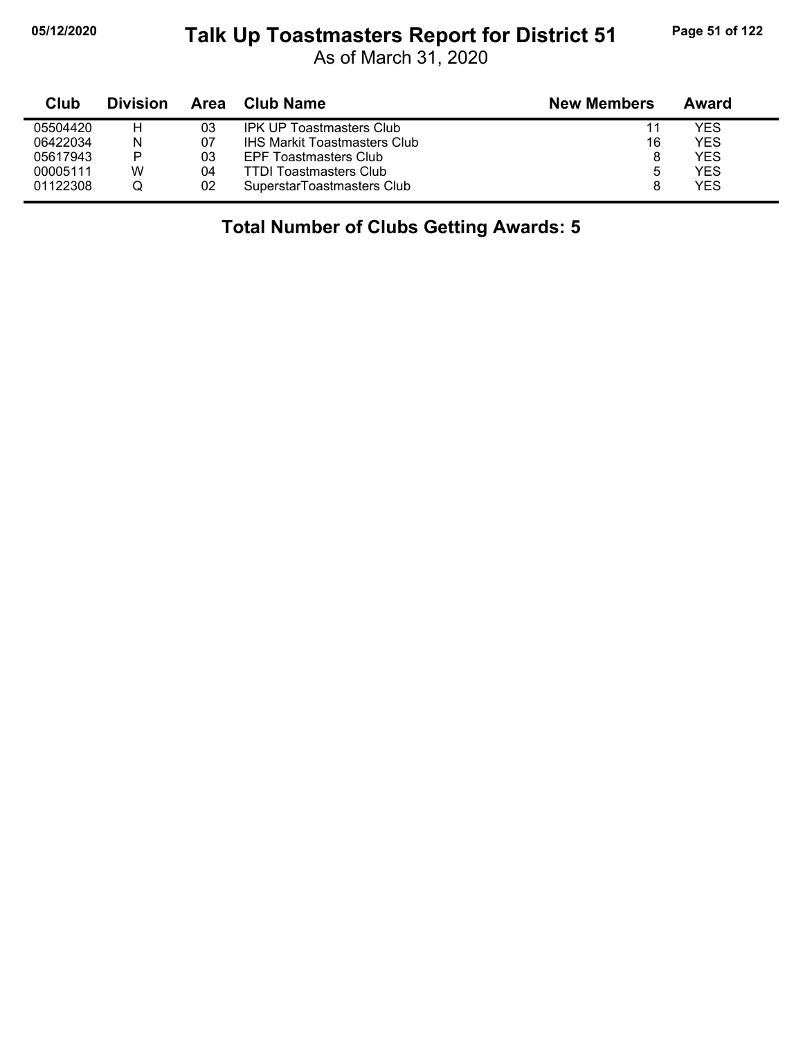# **05/12/2020 Page 51 of 122 Talk Up Toastmasters Report for District 51**

As of March 31, 2020

| Club     | <b>Division</b> | Area | Club Name                           | <b>New Members</b> | Award      |
|----------|-----------------|------|-------------------------------------|--------------------|------------|
| 05504420 | н               | 03   | <b>IPK UP Toastmasters Club</b>     | 11                 | YES        |
| 06422034 | N               | 07   | <b>IHS Markit Toastmasters Club</b> | 16                 | YES        |
| 05617943 | P               | 03   | EPF Toastmasters Club               |                    | YES        |
| 00005111 | W               | 04   | <b>TTDI Toastmasters Club</b>       | b                  | YES        |
| 01122308 |                 | 02   | SuperstarToastmasters Club          |                    | <b>YES</b> |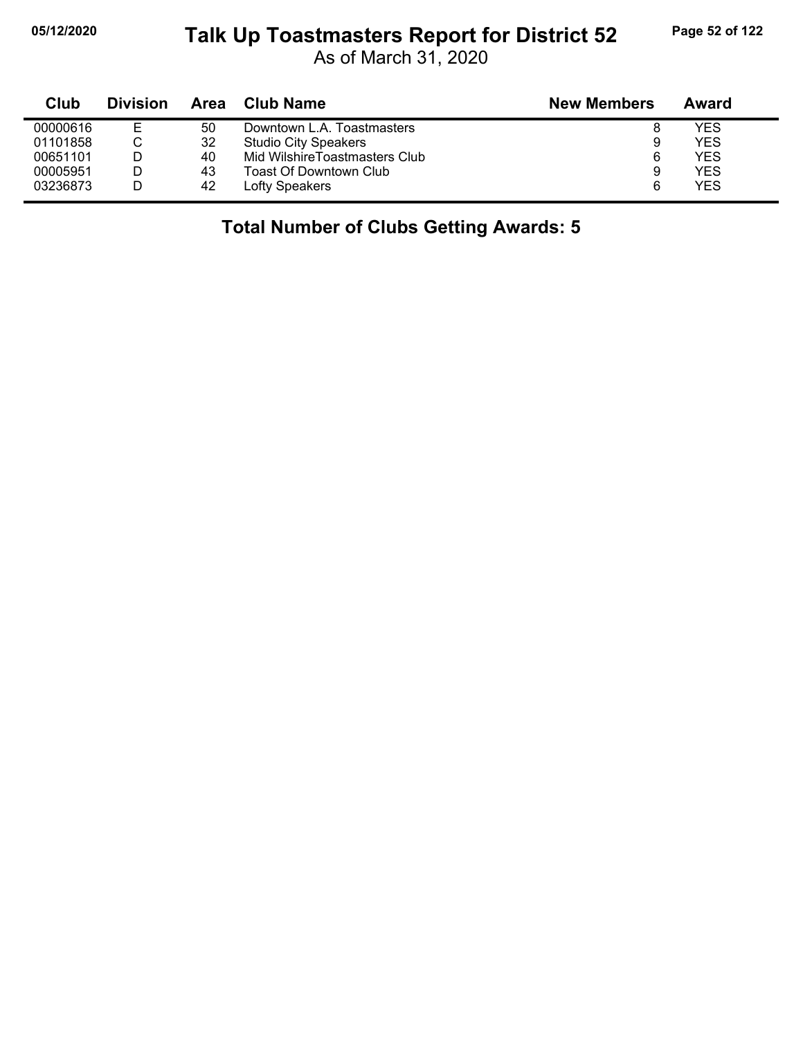# **05/12/2020 Page 52 of 122 Talk Up Toastmasters Report for District 52**

As of March 31, 2020

| Club     | <b>Division</b> | Area | Club Name                     | <b>New Members</b> | Award      |
|----------|-----------------|------|-------------------------------|--------------------|------------|
| 00000616 |                 | 50   | Downtown L.A. Toastmasters    |                    | <b>YES</b> |
| 01101858 | ັ               | 32   | <b>Studio City Speakers</b>   | 9                  | YES        |
| 00651101 |                 | 40   | Mid WilshireToastmasters Club | 6                  | YES        |
| 00005951 |                 | 43   | Toast Of Downtown Club        | 9                  | YES        |
| 03236873 |                 | 42   | Lofty Speakers                | 6                  | YES        |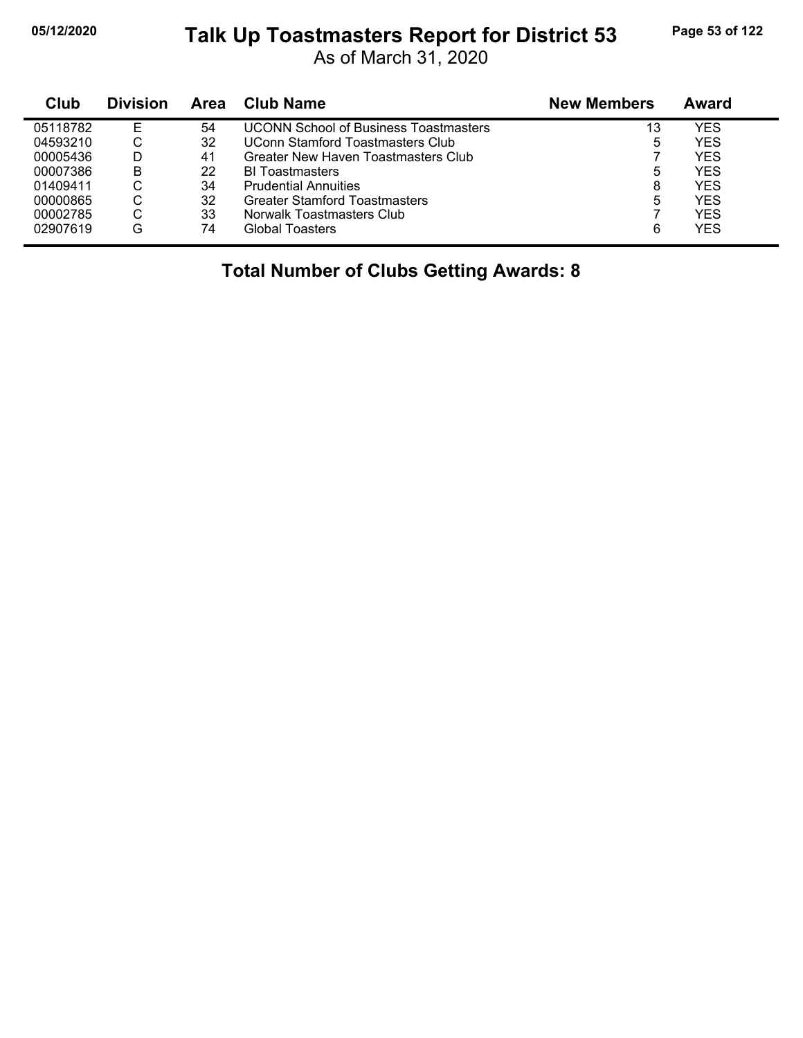#### **05/12/2020 Page 53 of 122 Talk Up Toastmasters Report for District 53**

As of March 31, 2020

| Club     | <b>Division</b> | Area | Club Name                                    | <b>New Members</b> | Award      |
|----------|-----------------|------|----------------------------------------------|--------------------|------------|
| 05118782 | F               | 54   | <b>UCONN School of Business Toastmasters</b> | 13                 | YES        |
| 04593210 |                 | 32   | UConn Stamford Toastmasters Club             | 5                  | <b>YES</b> |
| 00005436 |                 | 41   | Greater New Haven Toastmasters Club          |                    | <b>YES</b> |
| 00007386 | B               | 22   | <b>BI</b> Toastmasters                       | 5                  | <b>YES</b> |
| 01409411 | ◡               | 34   | <b>Prudential Annuities</b>                  | 8                  | <b>YES</b> |
| 00000865 |                 | 32   | Greater Stamford Toastmasters                | 5                  | YES        |
| 00002785 | ⌒<br>◡          | 33   | Norwalk Toastmasters Club                    |                    | <b>YES</b> |
| 02907619 | G               | 74   | <b>Global Toasters</b>                       | 6                  | <b>YES</b> |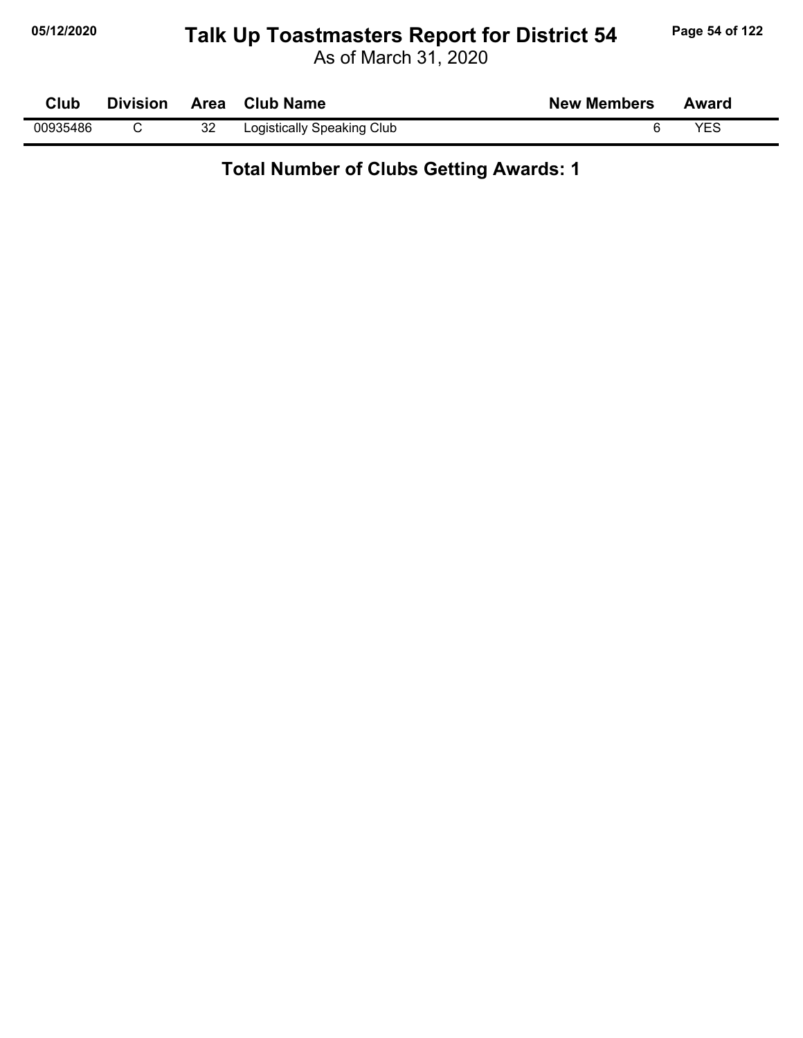# **05/12/2020 Page 54 of 122 Talk Up Toastmasters Report for District 54**

As of March 31, 2020

| Club     | <b>Division</b> |    | Area Club Name             | <b>New Members</b> | Award      |
|----------|-----------------|----|----------------------------|--------------------|------------|
| 00935486 |                 | 32 | Logistically Speaking Club |                    | <b>VEC</b> |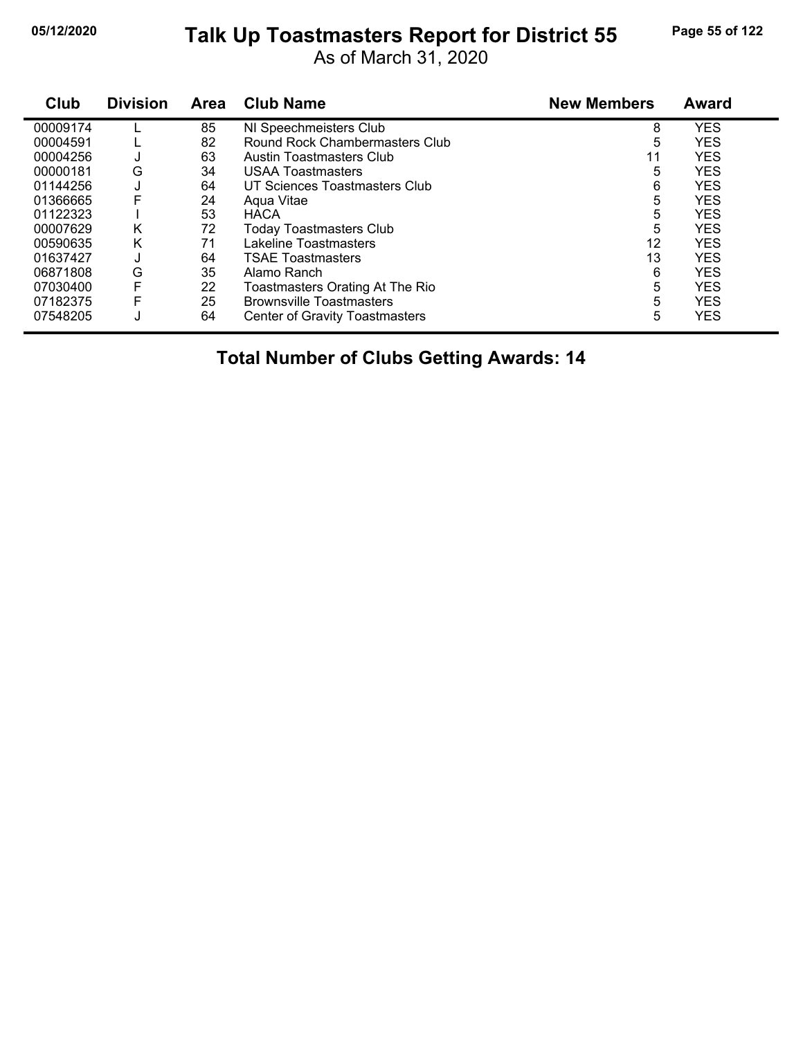# **05/12/2020 Page 55 of 122 Talk Up Toastmasters Report for District 55**

As of March 31, 2020

| Club     | <b>Division</b> | <b>Area</b> | <b>Club Name</b>                      | <b>New Members</b> | <b>Award</b> |
|----------|-----------------|-------------|---------------------------------------|--------------------|--------------|
| 00009174 |                 | 85          | NI Speechmeisters Club                | 8                  | <b>YES</b>   |
| 00004591 |                 | 82          | Round Rock Chambermasters Club        | 5                  | <b>YES</b>   |
| 00004256 | J               | 63          | Austin Toastmasters Club              | 11                 | <b>YES</b>   |
| 00000181 | G               | 34          | <b>USAA Toastmasters</b>              | 5                  | <b>YES</b>   |
| 01144256 | J               | 64          | UT Sciences Toastmasters Club         | 6                  | <b>YES</b>   |
| 01366665 | F               | 24          | Agua Vitae                            | 5                  | <b>YES</b>   |
| 01122323 |                 | 53          | <b>HACA</b>                           | 5                  | <b>YES</b>   |
| 00007629 | Κ               | 72          | <b>Today Toastmasters Club</b>        | 5                  | <b>YES</b>   |
| 00590635 | Κ               | 71          | Lakeline Toastmasters                 | 12                 | <b>YES</b>   |
| 01637427 | ٠J              | 64          | <b>TSAE Toastmasters</b>              | 13                 | <b>YES</b>   |
| 06871808 | G               | 35          | Alamo Ranch                           | 6                  | <b>YES</b>   |
| 07030400 | F               | 22          | Toastmasters Orating At The Rio       | 5                  | <b>YES</b>   |
| 07182375 | F               | 25          | <b>Brownsville Toastmasters</b>       | 5                  | <b>YES</b>   |
| 07548205 | J               | 64          | <b>Center of Gravity Toastmasters</b> | 5                  | <b>YES</b>   |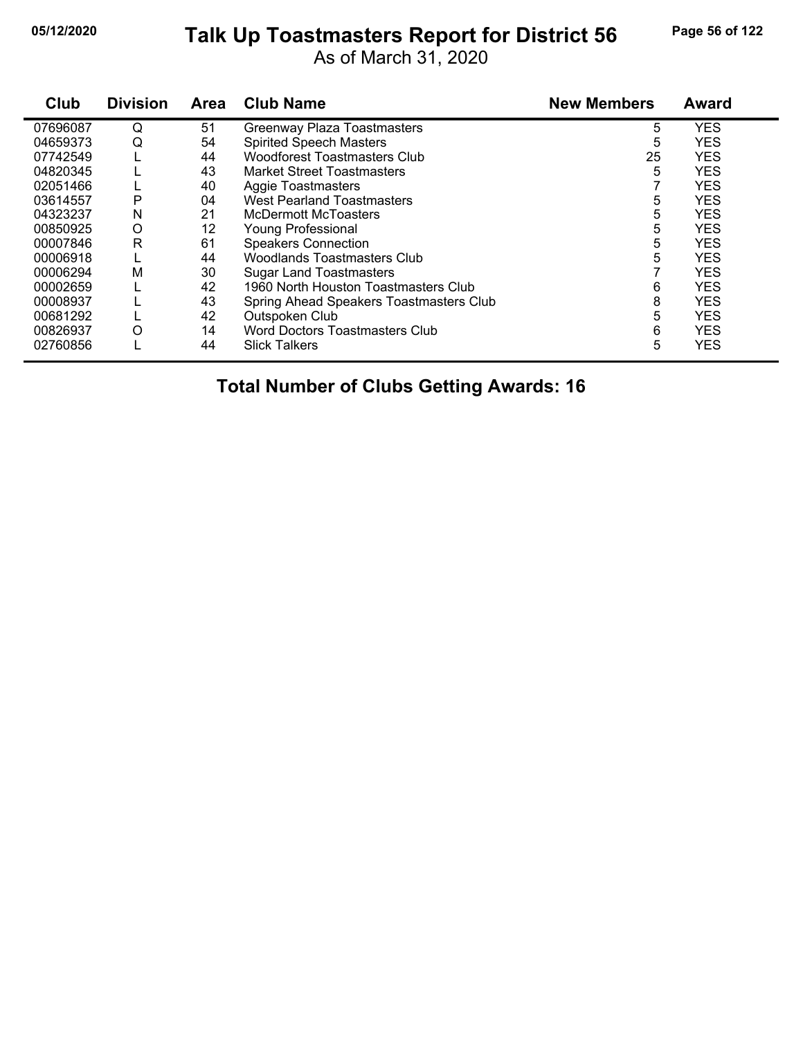# **05/12/2020 Page 56 of 122 Talk Up Toastmasters Report for District 56**

As of March 31, 2020

| Club     | <b>Division</b> | <b>Area</b> | <b>Club Name</b>                        | <b>New Members</b> | Award      |
|----------|-----------------|-------------|-----------------------------------------|--------------------|------------|
| 07696087 | Q               | 51          | <b>Greenway Plaza Toastmasters</b>      | 5                  | <b>YES</b> |
| 04659373 | Q               | 54          | <b>Spirited Speech Masters</b>          | 5                  | <b>YES</b> |
| 07742549 |                 | 44          | <b>Woodforest Toastmasters Club</b>     | 25                 | <b>YES</b> |
| 04820345 |                 | 43          | <b>Market Street Toastmasters</b>       | 5                  | <b>YES</b> |
| 02051466 |                 | 40          | Aggie Toastmasters                      |                    | <b>YES</b> |
| 03614557 | P               | 04          | <b>West Pearland Toastmasters</b>       | 5                  | <b>YES</b> |
| 04323237 | N               | 21          | McDermott McToasters                    | 5                  | <b>YES</b> |
| 00850925 | O               | 12          | <b>Young Professional</b>               | 5                  | <b>YES</b> |
| 00007846 | $\mathsf{R}$    | 61          | <b>Speakers Connection</b>              | 5                  | <b>YES</b> |
| 00006918 |                 | 44          | <b>Woodlands Toastmasters Club</b>      | 5                  | <b>YES</b> |
| 00006294 | Μ               | 30          | <b>Sugar Land Toastmasters</b>          |                    | <b>YES</b> |
| 00002659 |                 | 42          | 1960 North Houston Toastmasters Club    | 6                  | <b>YES</b> |
| 00008937 |                 | 43          | Spring Ahead Speakers Toastmasters Club | 8                  | <b>YES</b> |
| 00681292 |                 | 42          | Outspoken Club                          | 5                  | <b>YES</b> |
| 00826937 | O               | 14          | <b>Word Doctors Toastmasters Club</b>   | 6                  | <b>YES</b> |
| 02760856 |                 | 44          | <b>Slick Talkers</b>                    | 5                  | <b>YES</b> |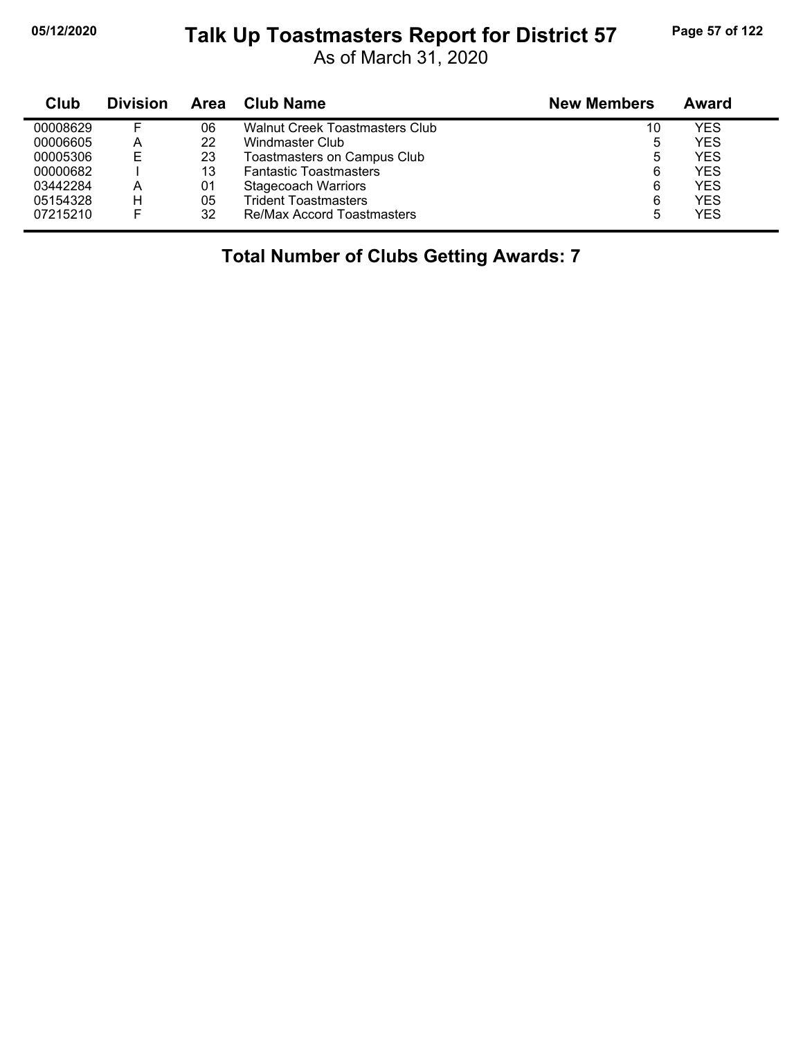# **05/12/2020 Page 57 of 122 Talk Up Toastmasters Report for District 57**

As of March 31, 2020

| Club     | <b>Division</b> | Area | <b>Club Name</b>                  | <b>New Members</b> | Award      |  |
|----------|-----------------|------|-----------------------------------|--------------------|------------|--|
| 00008629 |                 | 06   | Walnut Creek Toastmasters Club    | 10                 | YES        |  |
| 00006605 | А               | 22   | Windmaster Club                   | 5                  | YES        |  |
| 00005306 | E               | 23   | Toastmasters on Campus Club       | 5                  | YES        |  |
| 00000682 |                 | 13   | <b>Fantastic Toastmasters</b>     | 6                  | <b>YES</b> |  |
| 03442284 | А               | 01   | <b>Stagecoach Warriors</b>        | 6                  | <b>YES</b> |  |
| 05154328 | н               | 05   | <b>Trident Toastmasters</b>       | 6                  | <b>YES</b> |  |
| 07215210 |                 | 32   | <b>Re/Max Accord Toastmasters</b> | 5                  | YES        |  |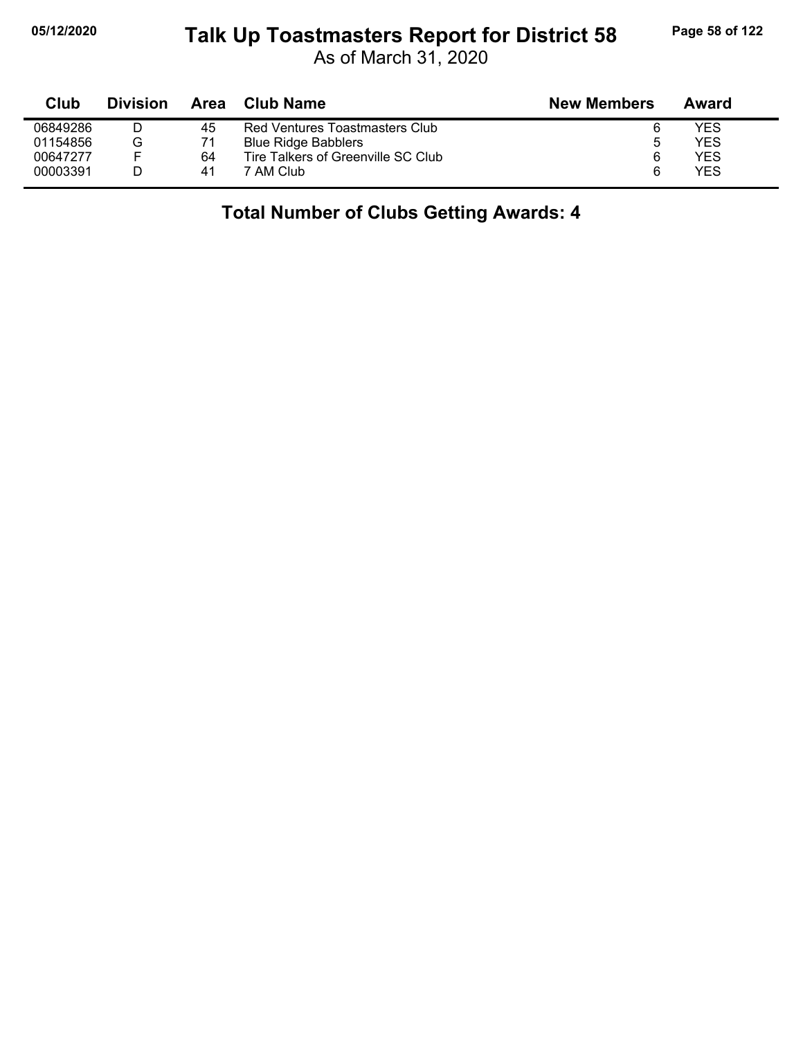#### **05/12/2020 Page 58 of 122 Talk Up Toastmasters Report for District 58**

As of March 31, 2020

| Club     | <b>Division</b> | Area | Club Name                          | <b>New Members</b> | Award |  |
|----------|-----------------|------|------------------------------------|--------------------|-------|--|
| 06849286 |                 | 45   | Red Ventures Toastmasters Club     |                    | YES   |  |
| 01154856 | G               |      | <b>Blue Ridge Babblers</b>         | ხ                  | YES   |  |
| 00647277 |                 | 64   | Tire Talkers of Greenville SC Club | 6                  | YES   |  |
| 00003391 |                 | 41   | 7 AM Club                          |                    | YES   |  |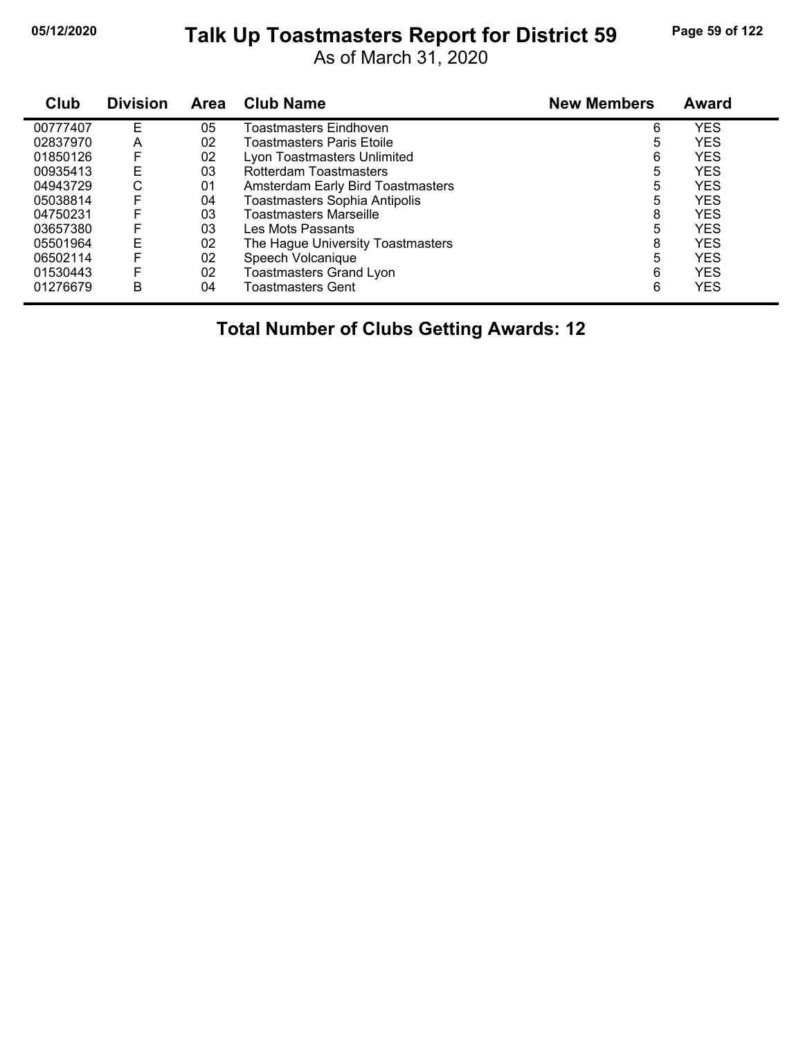# **05/12/2020 Page 59 of 122 Talk Up Toastmasters Report for District 59**

As of March 31, 2020

| Club     | <b>Division</b> | Area | <b>Club Name</b>                     | <b>New Members</b> | <b>Award</b> |
|----------|-----------------|------|--------------------------------------|--------------------|--------------|
| 00777407 | F               | 05   | Toastmasters Eindhoven               | 6                  | <b>YES</b>   |
| 02837970 | A               | 02   | Toastmasters Paris Etoile            | 5                  | <b>YES</b>   |
| 01850126 | F               | 02   | Lyon Toastmasters Unlimited          | 6                  | <b>YES</b>   |
| 00935413 | E               | 03   | Rotterdam Toastmasters               | 5                  | <b>YES</b>   |
| 04943729 | С               | 01   | Amsterdam Early Bird Toastmasters    | 5                  | <b>YES</b>   |
| 05038814 | F               | 04   | <b>Toastmasters Sophia Antipolis</b> | 5                  | <b>YES</b>   |
| 04750231 | F               | 03   | Toastmasters Marseille               | 8                  | <b>YES</b>   |
| 03657380 | F               | 03   | Les Mots Passants                    | 5                  | <b>YES</b>   |
| 05501964 | E               | 02   | The Hague University Toastmasters    | 8                  | <b>YES</b>   |
| 06502114 | F               | 02   | Speech Volcanique                    | 5                  | <b>YES</b>   |
| 01530443 | F               | 02   | Toastmasters Grand Lyon              | 6                  | <b>YES</b>   |
| 01276679 | B               | 04   | Toastmasters Gent                    | 6                  | <b>YES</b>   |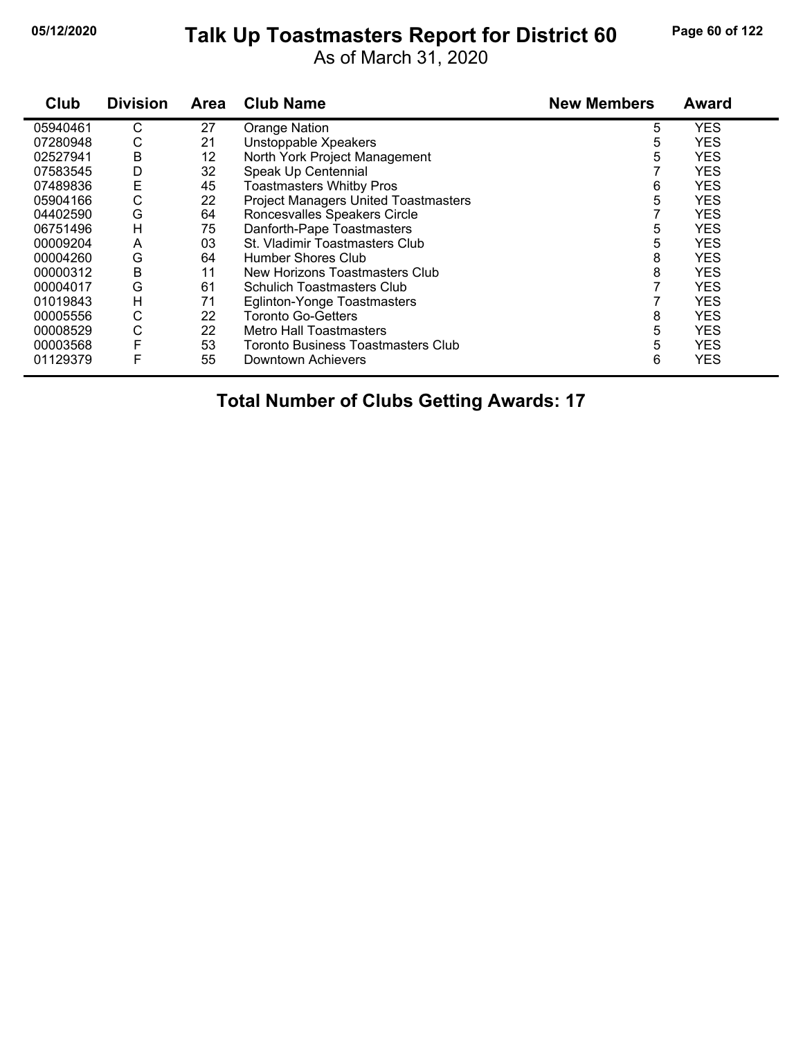#### **05/12/2020 Page 60 of 122 Talk Up Toastmasters Report for District 60**

As of March 31, 2020

| Club     | <b>Division</b> | <b>Area</b> | <b>Club Name</b>                            | <b>New Members</b> | <b>Award</b> |
|----------|-----------------|-------------|---------------------------------------------|--------------------|--------------|
| 05940461 | С               | 27          | Orange Nation                               | 5                  | <b>YES</b>   |
| 07280948 | С               | 21          | Unstoppable Xpeakers                        | 5                  | <b>YES</b>   |
| 02527941 | В               | 12          | North York Project Management               | 5                  | <b>YES</b>   |
| 07583545 | D               | 32          | Speak Up Centennial                         |                    | <b>YES</b>   |
| 07489836 | Ε               | 45          | <b>Toastmasters Whitby Pros</b>             | 6                  | <b>YES</b>   |
| 05904166 | С               | 22          | <b>Project Managers United Toastmasters</b> | 5                  | <b>YES</b>   |
| 04402590 | G               | 64          | Roncesvalles Speakers Circle                |                    | <b>YES</b>   |
| 06751496 | Н               | 75          | Danforth-Pape Toastmasters                  | 5                  | <b>YES</b>   |
| 00009204 | A               | 03          | St. Vladimir Toastmasters Club              | 5                  | <b>YES</b>   |
| 00004260 | G               | 64          | Humber Shores Club                          | 8                  | <b>YES</b>   |
| 00000312 | В               | 11          | New Horizons Toastmasters Club              | 8                  | <b>YES</b>   |
| 00004017 | G               | 61          | <b>Schulich Toastmasters Club</b>           |                    | <b>YES</b>   |
| 01019843 | Н               | 71          | Eglinton-Yonge Toastmasters                 |                    | <b>YES</b>   |
| 00005556 | С               | 22          | <b>Toronto Go-Getters</b>                   | 8                  | <b>YES</b>   |
| 00008529 | C               | 22          | <b>Metro Hall Toastmasters</b>              | 5                  | <b>YES</b>   |
| 00003568 |                 | 53          | Toronto Business Toastmasters Club          | 5                  | <b>YES</b>   |
| 01129379 | F               | 55          | Downtown Achievers                          | 6                  | <b>YES</b>   |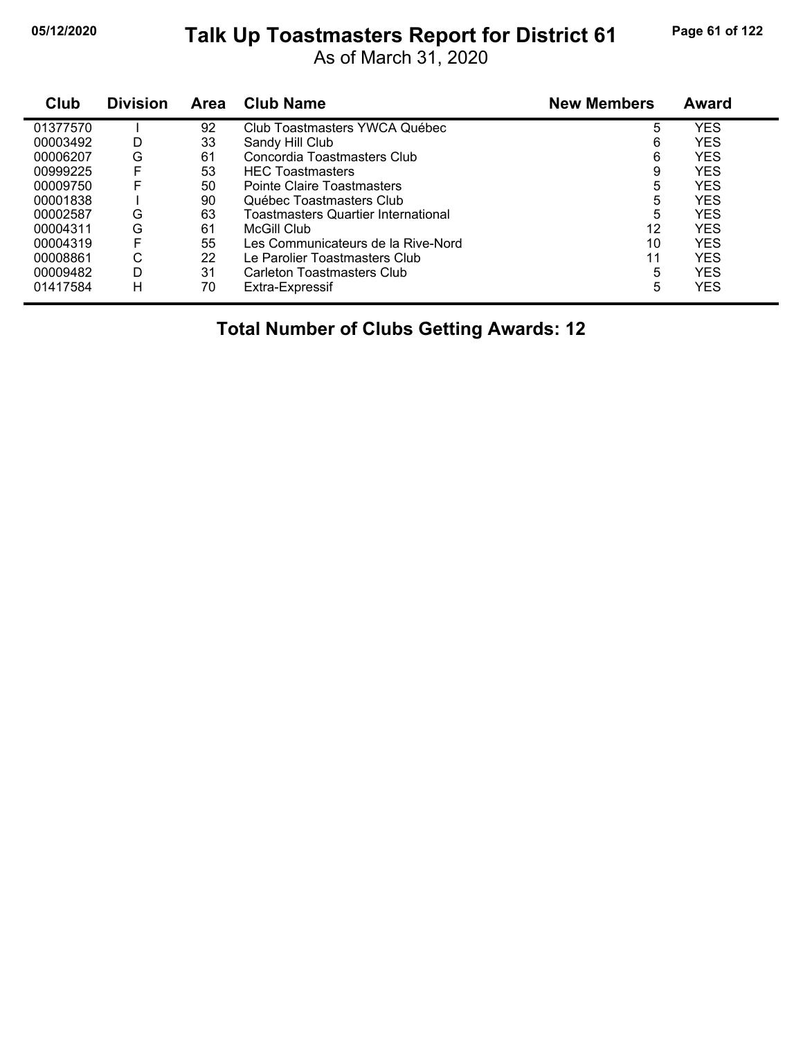# **05/12/2020 Page 61 of 122 Talk Up Toastmasters Report for District 61**

As of March 31, 2020

| Club     | <b>Division</b> | Area | <b>Club Name</b>                           | <b>New Members</b> | Award      |
|----------|-----------------|------|--------------------------------------------|--------------------|------------|
| 01377570 |                 | 92   | Club Toastmasters YWCA Québec              | 5                  | <b>YES</b> |
| 00003492 | D               | 33   | Sandy Hill Club                            | 6                  | <b>YES</b> |
| 00006207 | G               | 61   | Concordia Toastmasters Club                | 6                  | <b>YES</b> |
| 00999225 | F               | 53   | <b>HEC Toastmasters</b>                    | 9                  | <b>YES</b> |
| 00009750 | F               | 50   | Pointe Claire Toastmasters                 | 5                  | <b>YES</b> |
| 00001838 |                 | 90   | Québec Toastmasters Club                   | 5                  | <b>YES</b> |
| 00002587 | G               | 63   | <b>Toastmasters Quartier International</b> | 5                  | <b>YES</b> |
| 00004311 | G               | 61   | McGill Club                                | 12                 | <b>YES</b> |
| 00004319 | F               | 55   | Les Communicateurs de la Rive-Nord         | 10                 | <b>YES</b> |
| 00008861 | С               | 22   | Le Parolier Toastmasters Club              | 11                 | <b>YES</b> |
| 00009482 | D               | 31   | Carleton Toastmasters Club                 | 5                  | <b>YES</b> |
| 01417584 | н               | 70   | Extra-Expressif                            | 5                  | <b>YES</b> |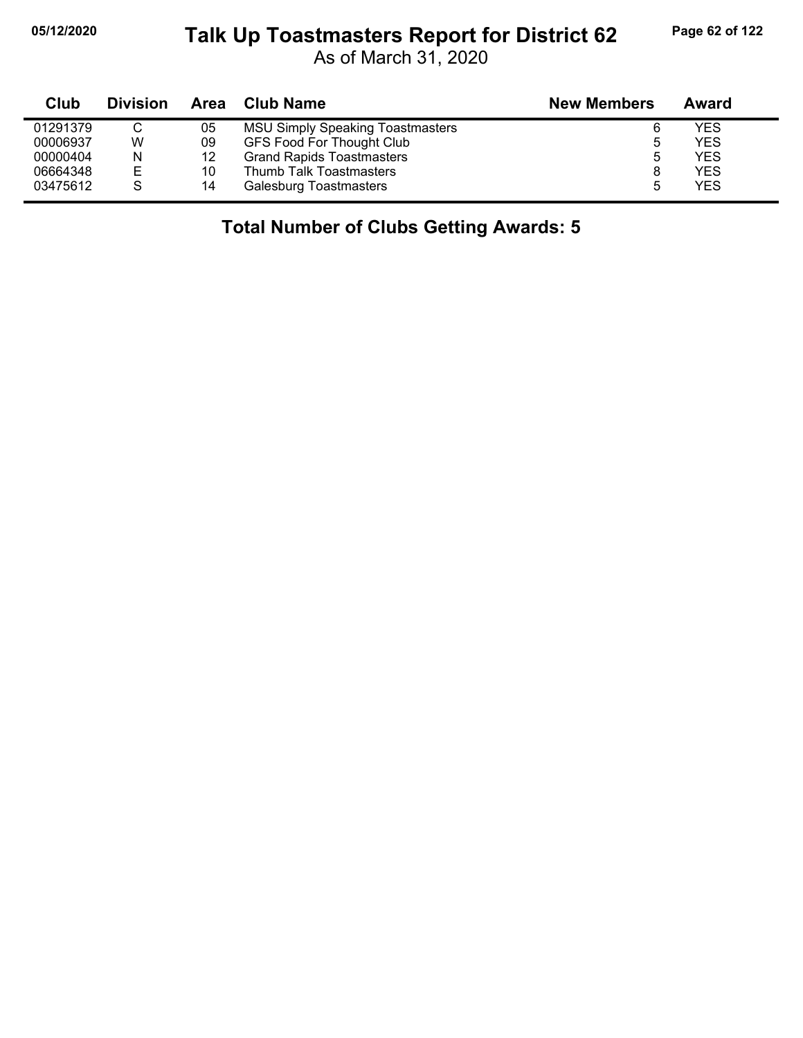# **05/12/2020 Page 62 of 122 Talk Up Toastmasters Report for District 62**

As of March 31, 2020

| Club     | <b>Division</b> | Area | Club Name                               | <b>New Members</b> | Award      |
|----------|-----------------|------|-----------------------------------------|--------------------|------------|
| 01291379 | $\sim$          | 05   | <b>MSU Simply Speaking Toastmasters</b> | 6                  | YES        |
| 00006937 | W               | 09   | <b>GFS Food For Thought Club</b>        | ა                  | YES        |
| 00000404 | N               | 12   | <b>Grand Rapids Toastmasters</b>        | 5                  | <b>YES</b> |
| 06664348 | Е               | 10   | Thumb Talk Toastmasters                 |                    | YES        |
| 03475612 | S               | 14   | Galesburg Toastmasters                  | 5                  | YES        |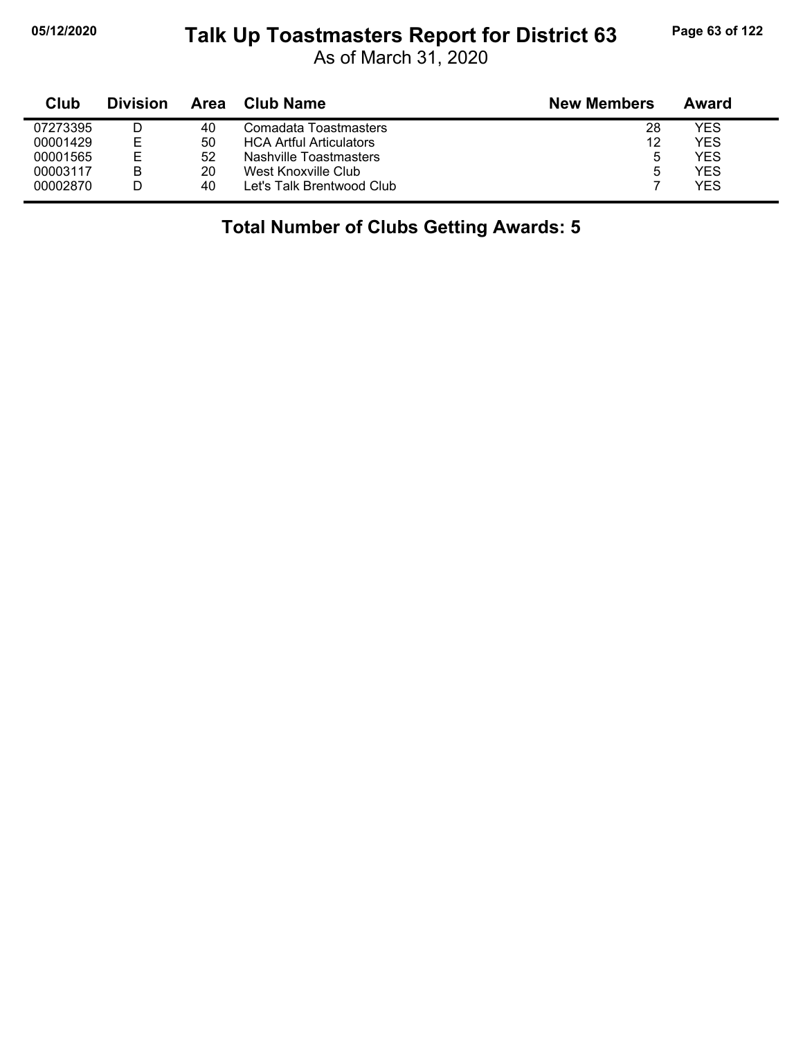# **05/12/2020 Page 63 of 122 Talk Up Toastmasters Report for District 63**

As of March 31, 2020

| Club     | <b>Division</b> | Area | Club Name                      | <b>New Members</b> | Award |
|----------|-----------------|------|--------------------------------|--------------------|-------|
| 07273395 |                 | 40   | Comadata Toastmasters          | 28                 | YES   |
| 00001429 | F               | 50   | <b>HCA Artful Articulators</b> | 12                 | YES   |
| 00001565 |                 | 52   | Nashville Toastmasters         | 5                  | YES   |
| 00003117 | в               | 20   | West Knoxville Club            | 5                  | YES   |
| 00002870 |                 | 40   | Let's Talk Brentwood Club      |                    | YES   |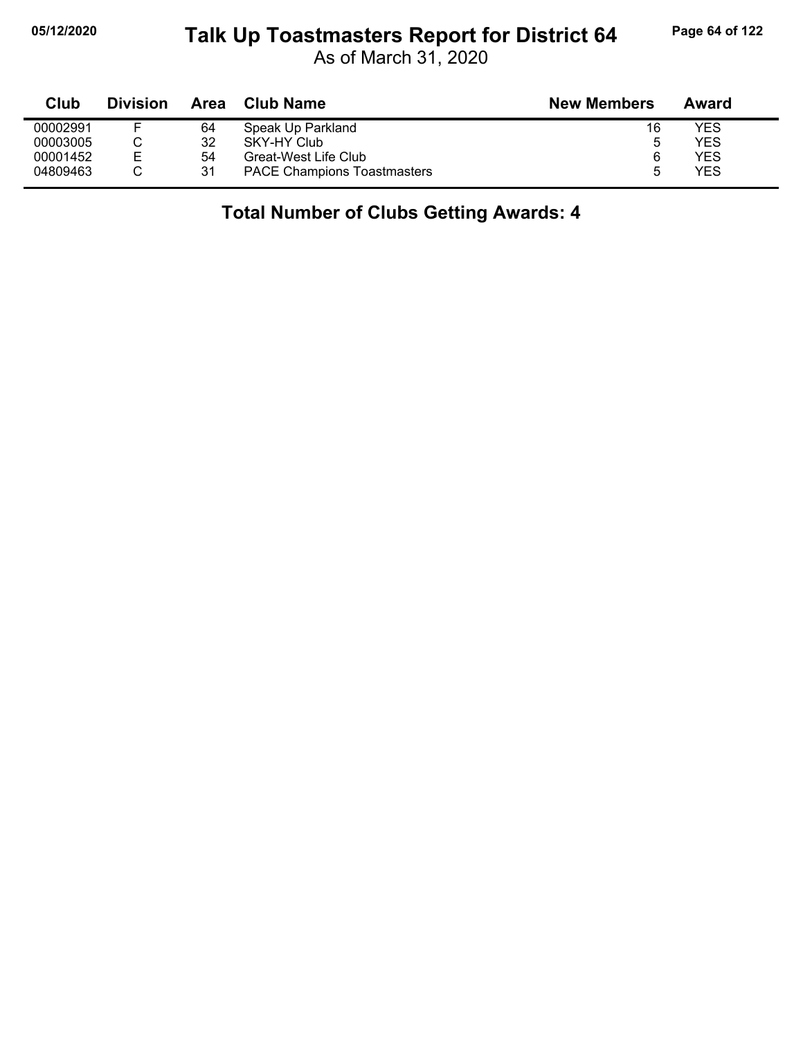#### **05/12/2020 Page 64 of 122 Talk Up Toastmasters Report for District 64**

As of March 31, 2020

| Club     | <b>Division</b> | Area | Club Name                          | <b>New Members</b> | Award |  |
|----------|-----------------|------|------------------------------------|--------------------|-------|--|
| 00002991 |                 | 64   | Speak Up Parkland                  | 16                 | YES   |  |
| 00003005 |                 | 32   | SKY-HY Club                        | 5                  | YES   |  |
| 00001452 | E               | 54   | Great-West Life Club               | 6                  | YES   |  |
| 04809463 |                 | 31   | <b>PACE Champions Toastmasters</b> |                    | YES   |  |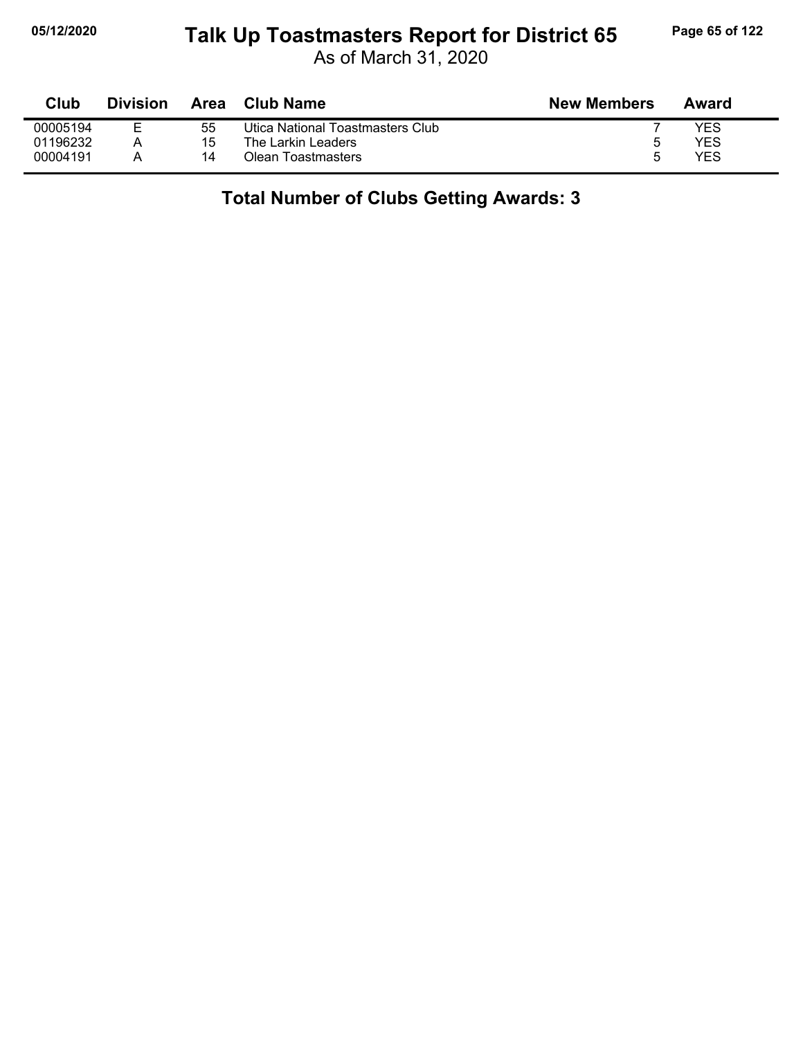# **05/12/2020 Page 65 of 122 Talk Up Toastmasters Report for District 65**

As of March 31, 2020

| Club     | <b>Division</b> | Area | <b>Club Name</b>                 | <b>New Members</b> | Award |
|----------|-----------------|------|----------------------------------|--------------------|-------|
| 00005194 | F               | 55   | Utica National Toastmasters Club |                    | YES   |
| 01196232 |                 | 15   | The Larkin Leaders               | :5                 | YES   |
| 00004191 |                 | 14   | Olean Toastmasters               | h                  | YES   |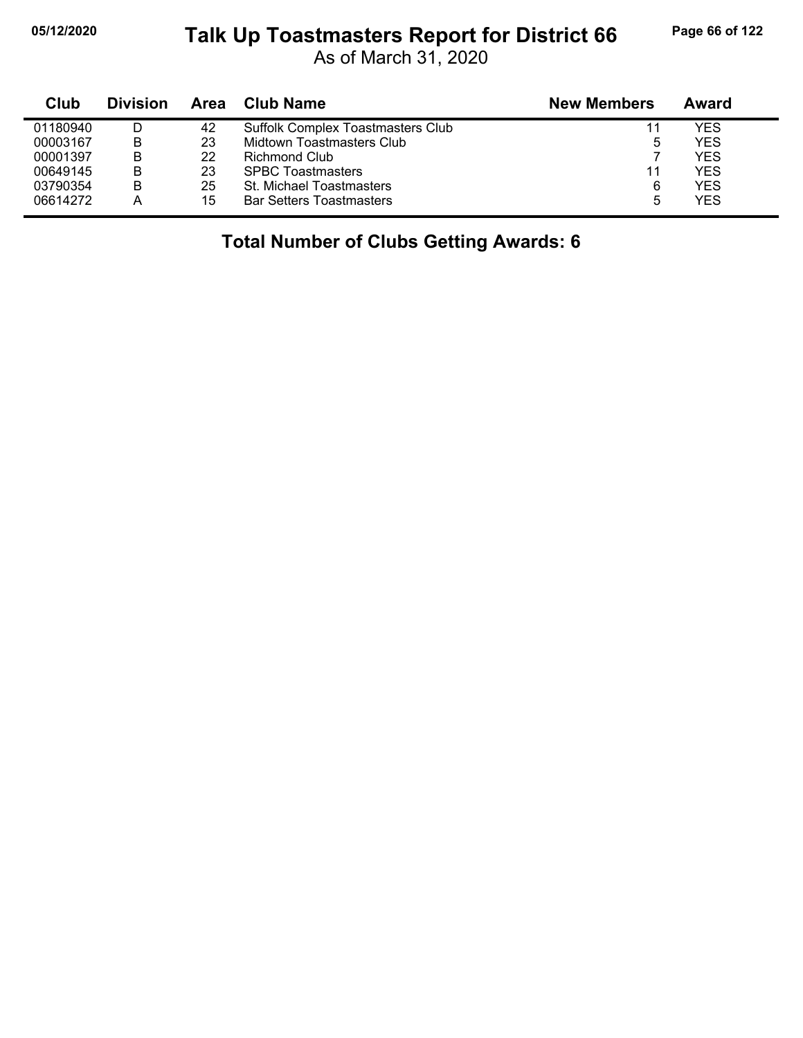#### **05/12/2020 Page 66 of 122 Talk Up Toastmasters Report for District 66**

As of March 31, 2020

| Club     | <b>Division</b> | Area | Club Name                         | <b>New Members</b> | Award |
|----------|-----------------|------|-----------------------------------|--------------------|-------|
| 01180940 |                 | 42   | Suffolk Complex Toastmasters Club | 11                 | YES   |
| 00003167 | B               | 23   | Midtown Toastmasters Club         | 5                  | YES   |
| 00001397 | В               | 22   | Richmond Club                     |                    | YES   |
| 00649145 | B               | 23   | <b>SPBC Toastmasters</b>          | 11                 | YES   |
| 03790354 | B               | 25   | St. Michael Toastmasters          | 6                  | YES   |
| 06614272 |                 | 15   | <b>Bar Setters Toastmasters</b>   | 5                  | YES   |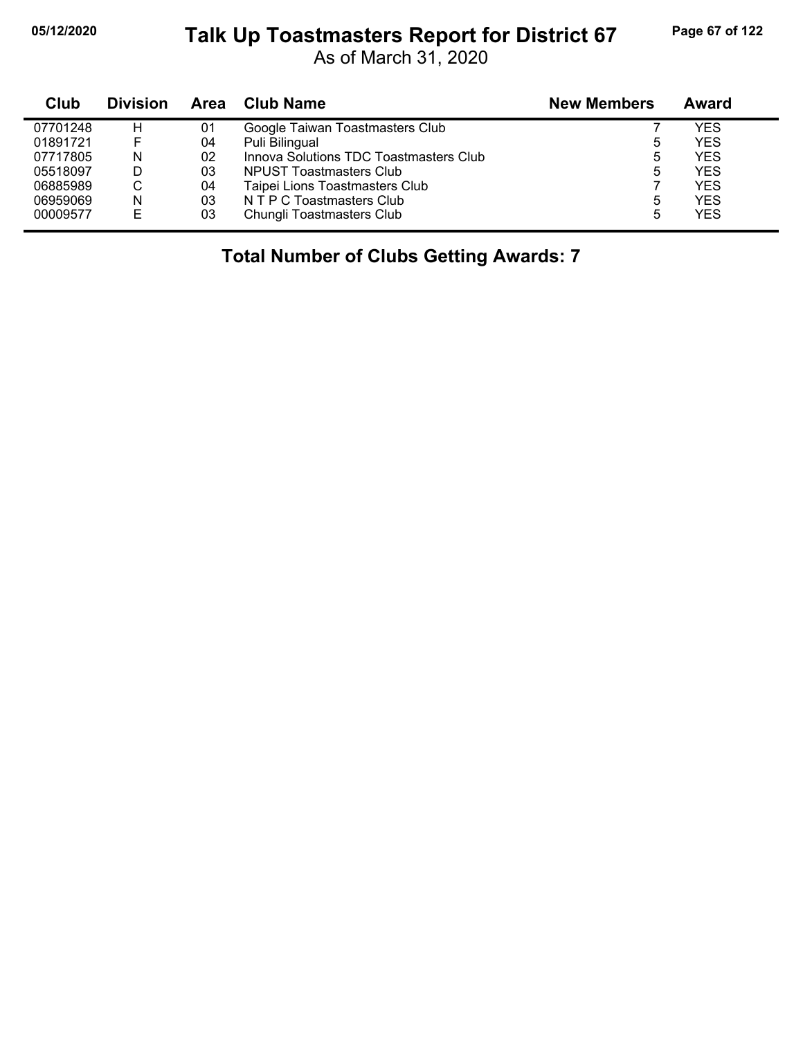# **05/12/2020 Page 67 of 122 Talk Up Toastmasters Report for District 67**

As of March 31, 2020

| Club     | <b>Division</b> | Area | Club Name                              | <b>New Members</b> | <b>Award</b> |
|----------|-----------------|------|----------------------------------------|--------------------|--------------|
| 07701248 | н               | 01   | Google Taiwan Toastmasters Club        |                    | YES          |
| 01891721 |                 | 04   | Puli Bilingual                         | 5                  | YES          |
| 07717805 | N               | 02   | Innova Solutions TDC Toastmasters Club | 5                  | <b>YES</b>   |
| 05518097 | D               | 03   | NPUST Toastmasters Club                | 5                  | <b>YES</b>   |
| 06885989 | C               | 04   | Taipei Lions Toastmasters Club         |                    | <b>YES</b>   |
| 06959069 | N               | 03   | N T P C Toastmasters Club              | 5                  | <b>YES</b>   |
| 00009577 | E               | 03   | Chungli Toastmasters Club              | 5                  | <b>YES</b>   |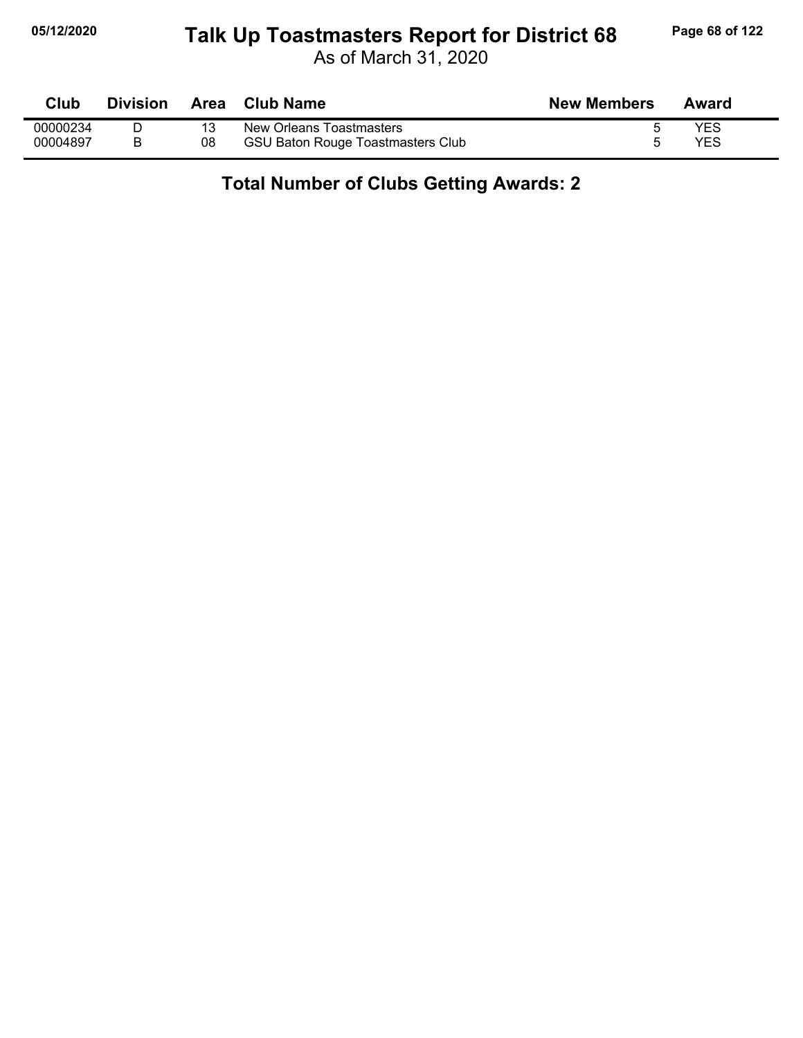#### **05/12/2020 Page 68 of 122 Talk Up Toastmasters Report for District 68**

As of March 31, 2020

| Club     | Division | Area | <b>Club Name</b>                         | <b>New Members</b> | Award |
|----------|----------|------|------------------------------------------|--------------------|-------|
| 00000234 |          |      | New Orleans Toastmasters                 |                    | YES   |
| 00004897 |          | 08   | <b>GSU Baton Rouge Toastmasters Club</b> |                    | YES   |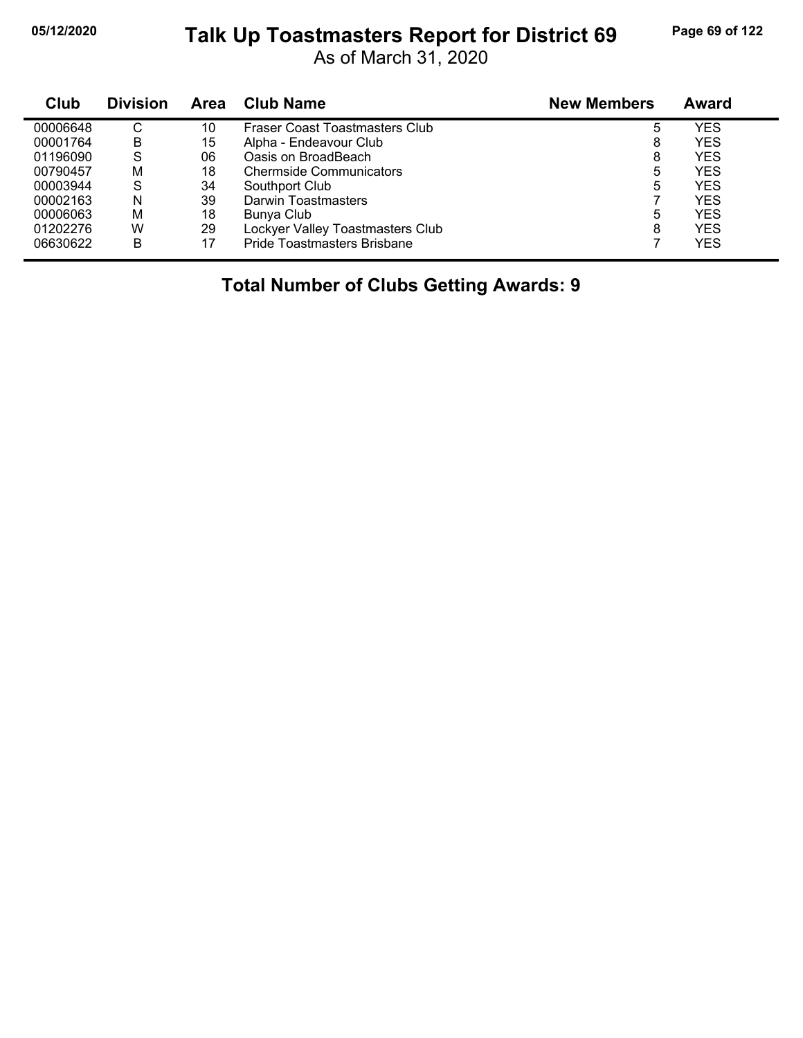# **05/12/2020 Page 69 of 122 Talk Up Toastmasters Report for District 69**

As of March 31, 2020

| Club     | <b>Division</b> | Area | <b>Club Name</b>                      | <b>New Members</b> | Award      |
|----------|-----------------|------|---------------------------------------|--------------------|------------|
| 00006648 | C               | 10   | <b>Fraser Coast Toastmasters Club</b> | 5                  | YES        |
| 00001764 | В               | 15   | Alpha - Endeavour Club                | 8                  | YES        |
| 01196090 | S               | 06   | Oasis on BroadBeach                   | 8                  | <b>YES</b> |
| 00790457 | M               | 18   | <b>Chermside Communicators</b>        | 5                  | YES        |
| 00003944 | S               | 34   | Southport Club                        | 5                  | YES        |
| 00002163 | N               | 39   | Darwin Toastmasters                   |                    | YES        |
| 00006063 | M               | 18   | Bunya Club                            | 5                  | YES        |
| 01202276 | W               | 29   | Lockyer Valley Toastmasters Club      | 8                  | <b>YES</b> |
| 06630622 | в               | 17   | Pride Toastmasters Brisbane           |                    | YES        |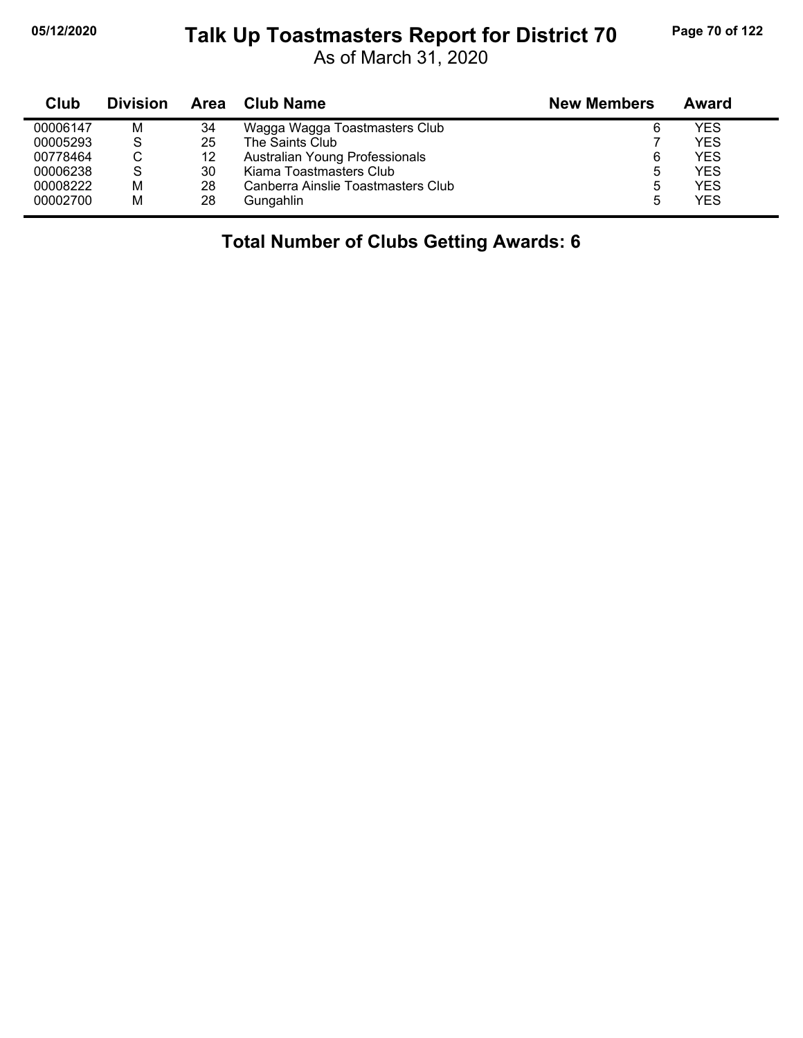# **05/12/2020 Page 70 of 122 Talk Up Toastmasters Report for District 70**

As of March 31, 2020

| Club     | <b>Division</b> | Area | Club Name                          | <b>New Members</b> | Award      |
|----------|-----------------|------|------------------------------------|--------------------|------------|
| 00006147 | M               | 34   | Wagga Wagga Toastmasters Club      | 6                  | <b>YES</b> |
| 00005293 | S               | 25   | The Saints Club                    |                    | <b>YES</b> |
| 00778464 | С               | 12   | Australian Young Professionals     | 6                  | <b>YES</b> |
| 00006238 | S               | 30   | Kiama Toastmasters Club            | 5                  | <b>YES</b> |
| 00008222 | м               | 28   | Canberra Ainslie Toastmasters Club | ხ                  | <b>YES</b> |
| 00002700 | M               | 28   | Gungahlin                          | ა                  | <b>YES</b> |

## **Total Number of Clubs Getting Awards: 6**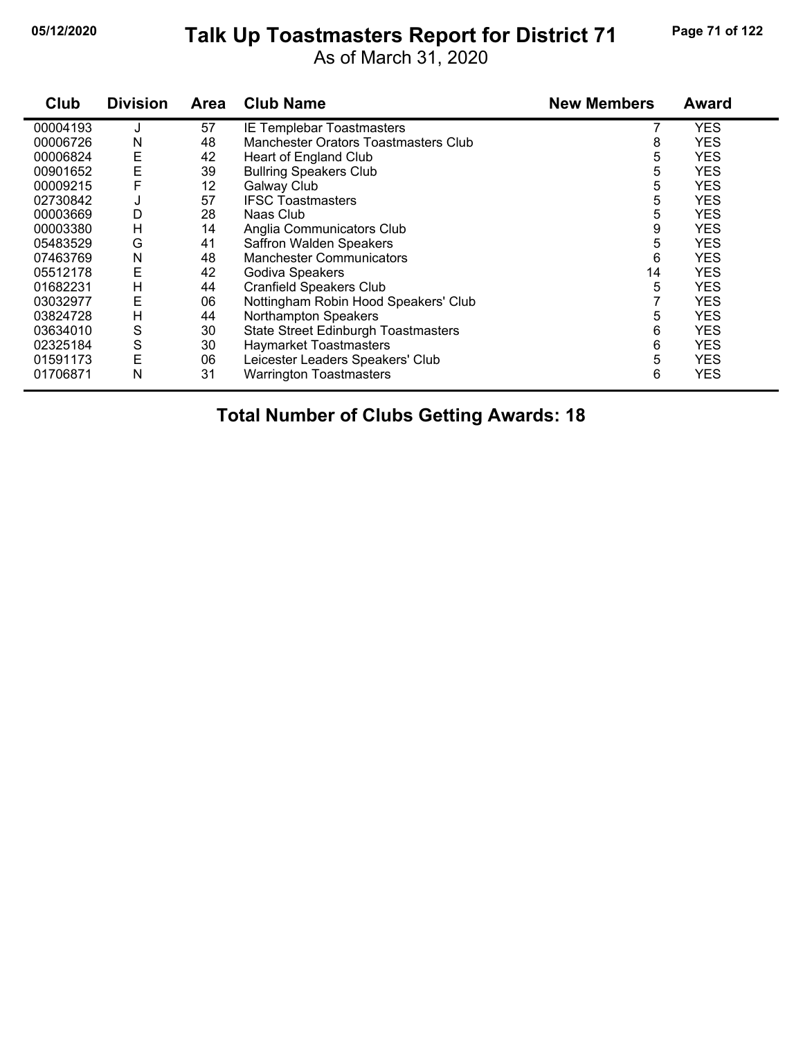# **05/12/2020 Page 71 of 122 Talk Up Toastmasters Report for District 71**

As of March 31, 2020

| Club     | <b>Division</b> | Area | <b>Club Name</b>                           | <b>New Members</b> | <b>Award</b> |
|----------|-----------------|------|--------------------------------------------|--------------------|--------------|
| 00004193 | J               | 57   | IE Templebar Toastmasters                  |                    | <b>YES</b>   |
| 00006726 | N               | 48   | Manchester Orators Toastmasters Club       | 8                  | <b>YES</b>   |
| 00006824 | E               | 42   | Heart of England Club                      | 5                  | <b>YES</b>   |
| 00901652 | E               | 39   | <b>Bullring Speakers Club</b>              | 5                  | <b>YES</b>   |
| 00009215 |                 | 12   | Galway Club                                | 5                  | <b>YES</b>   |
| 02730842 | J               | 57   | <b>IFSC Toastmasters</b>                   | 5                  | YES          |
| 00003669 | D               | 28   | Naas Club                                  | 5                  | <b>YES</b>   |
| 00003380 | н               | 14   | Anglia Communicators Club                  | 9                  | <b>YES</b>   |
| 05483529 | G               | 41   | Saffron Walden Speakers                    | 5                  | <b>YES</b>   |
| 07463769 | N               | 48   | <b>Manchester Communicators</b>            | 6                  | <b>YES</b>   |
| 05512178 | Ε               | 42   | Godiva Speakers                            | 14                 | YES          |
| 01682231 | Н               | 44   | <b>Cranfield Speakers Club</b>             | 5                  | <b>YES</b>   |
| 03032977 | Ε               | 06   | Nottingham Robin Hood Speakers' Club       |                    | <b>YES</b>   |
| 03824728 | н               | 44   | Northampton Speakers                       | 5                  | <b>YES</b>   |
| 03634010 | S               | 30   | <b>State Street Edinburgh Toastmasters</b> | 6                  | <b>YES</b>   |
| 02325184 | S               | 30   | <b>Haymarket Toastmasters</b>              | 6                  | <b>YES</b>   |
| 01591173 | Е               | 06   | Leicester Leaders Speakers' Club           | 5                  | <b>YES</b>   |
| 01706871 | N               | 31   | <b>Warrington Toastmasters</b>             | 6                  | <b>YES</b>   |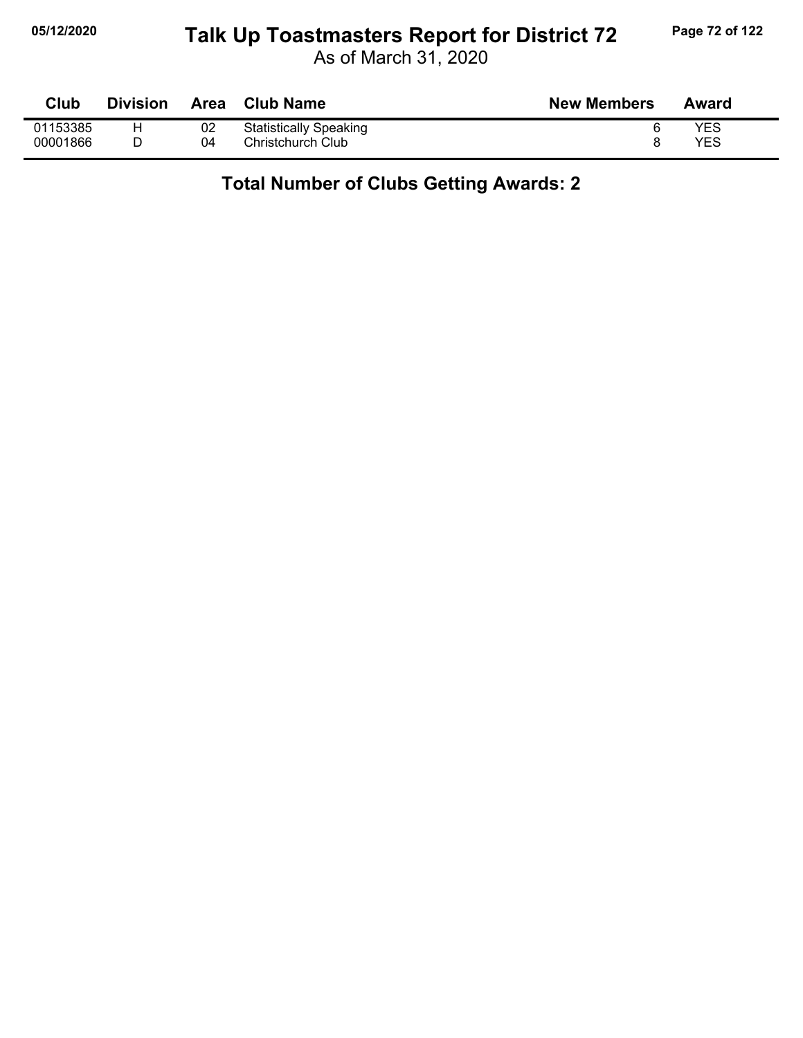# **05/12/2020 Page 72 of 122 Talk Up Toastmasters Report for District 72**

As of March 31, 2020

| Club     | <b>Division</b> | Area | <b>Club Name</b>              | <b>New Members</b> | Award |
|----------|-----------------|------|-------------------------------|--------------------|-------|
| 01153385 | н               | 02   | <b>Statistically Speaking</b> |                    | YES   |
| 00001866 |                 | 04   | Christchurch Club             |                    | YES   |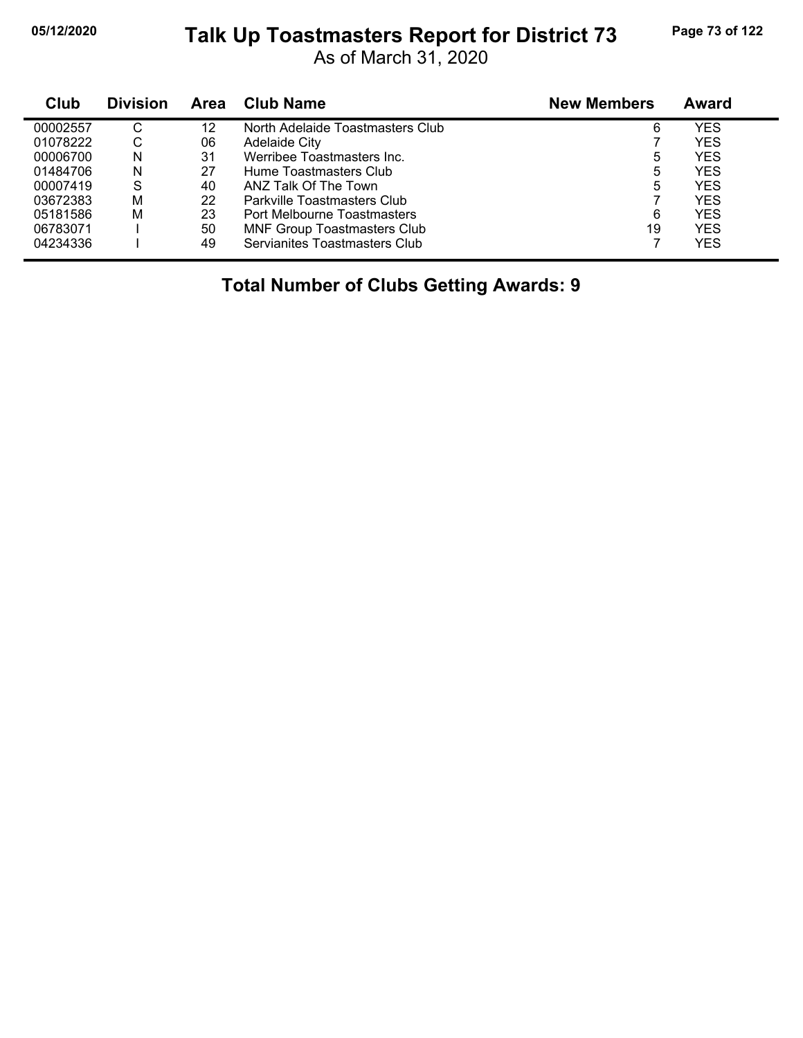# **05/12/2020 Page 73 of 122 Talk Up Toastmasters Report for District 73**

As of March 31, 2020

| Club     | <b>Division</b> | <b>Area</b> | Club Name                          | <b>New Members</b> | Award      |  |
|----------|-----------------|-------------|------------------------------------|--------------------|------------|--|
| 00002557 | С               | 12          | North Adelaide Toastmasters Club   | 6                  | YES        |  |
| 01078222 | С               | 06          | Adelaide City                      |                    | <b>YES</b> |  |
| 00006700 | N               | 31          | Werribee Toastmasters Inc.         | 5                  | <b>YES</b> |  |
| 01484706 | N               | 27          | Hume Toastmasters Club             | 5                  | YES        |  |
| 00007419 | S               | 40          | ANZ Talk Of The Town               | 5                  | <b>YES</b> |  |
| 03672383 | M               | 22          | Parkville Toastmasters Club        |                    | YES        |  |
| 05181586 | M               | 23          | Port Melbourne Toastmasters        | 6                  | <b>YES</b> |  |
| 06783071 |                 | 50          | <b>MNF Group Toastmasters Club</b> | 19                 | <b>YES</b> |  |
| 04234336 |                 | 49          | Servianites Toastmasters Club      |                    | YES        |  |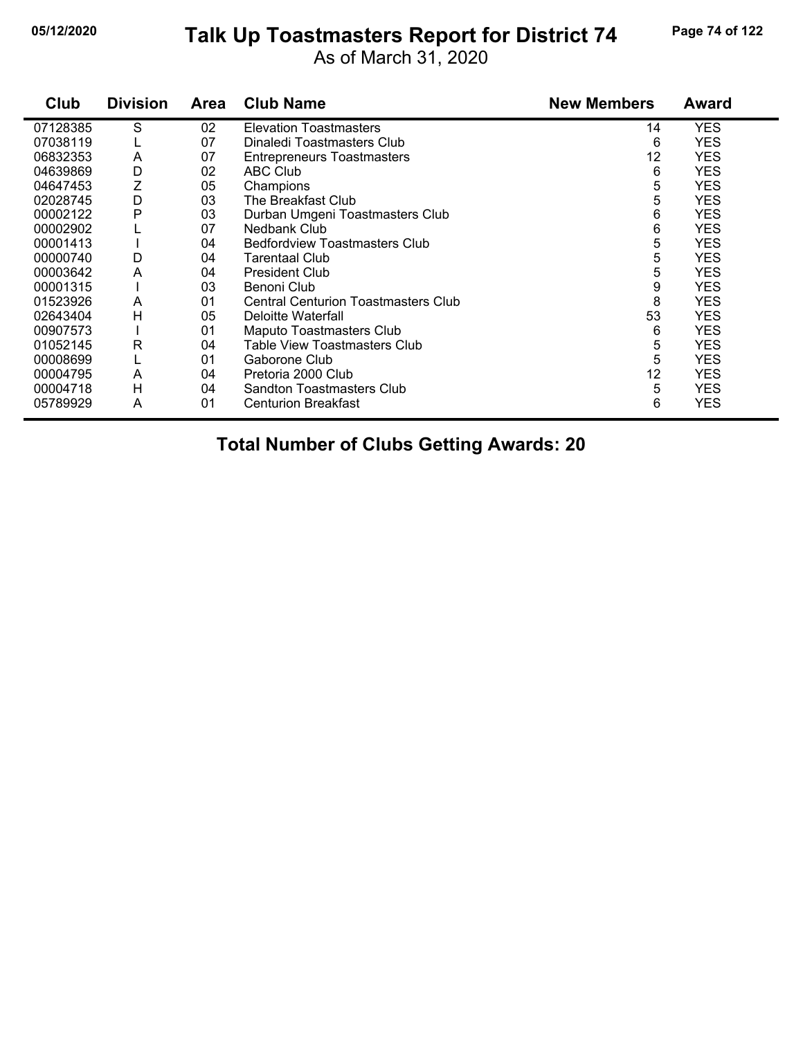# **05/12/2020 Page 74 of 122 Talk Up Toastmasters Report for District 74**

As of March 31, 2020

| Club     | <b>Division</b> | <b>Area</b> | <b>Club Name</b>                           | <b>New Members</b> | Award      |
|----------|-----------------|-------------|--------------------------------------------|--------------------|------------|
| 07128385 | S               | 02          | <b>Elevation Toastmasters</b>              | 14                 | <b>YES</b> |
| 07038119 |                 | 07          | Dinaledi Toastmasters Club                 | 6                  | <b>YES</b> |
| 06832353 | A               | 07          | <b>Entrepreneurs Toastmasters</b>          | 12                 | <b>YES</b> |
| 04639869 | D               | 02          | <b>ABC Club</b>                            | 6                  | <b>YES</b> |
| 04647453 | Ζ               | 05          | Champions                                  | 5                  | <b>YES</b> |
| 02028745 | D               | 03          | The Breakfast Club                         | 5                  | <b>YES</b> |
| 00002122 | Р               | 03          | Durban Umgeni Toastmasters Club            | 6                  | <b>YES</b> |
| 00002902 |                 | 07          | Nedbank Club                               | 6                  | <b>YES</b> |
| 00001413 |                 | 04          | <b>Bedfordview Toastmasters Club</b>       | 5                  | <b>YES</b> |
| 00000740 | D               | 04          | Tarentaal Club                             | 5                  | <b>YES</b> |
| 00003642 | A               | 04          | <b>President Club</b>                      | 5                  | <b>YES</b> |
| 00001315 |                 | 03          | Benoni Club                                | 9                  | <b>YES</b> |
| 01523926 | A               | 01          | <b>Central Centurion Toastmasters Club</b> | 8                  | <b>YES</b> |
| 02643404 | Н               | 05          | Deloitte Waterfall                         | 53                 | <b>YES</b> |
| 00907573 |                 | 01          | Maputo Toastmasters Club                   | 6                  | <b>YES</b> |
| 01052145 | R               | 04          | Table View Toastmasters Club               | 5                  | YES        |
| 00008699 |                 | 01          | Gaborone Club                              | 5                  | YES        |
| 00004795 | A               | 04          | Pretoria 2000 Club                         | 12                 | <b>YES</b> |
| 00004718 | H               | 04          | <b>Sandton Toastmasters Club</b>           | 5                  | YES        |
| 05789929 | A               | 01          | <b>Centurion Breakfast</b>                 | 6                  | <b>YES</b> |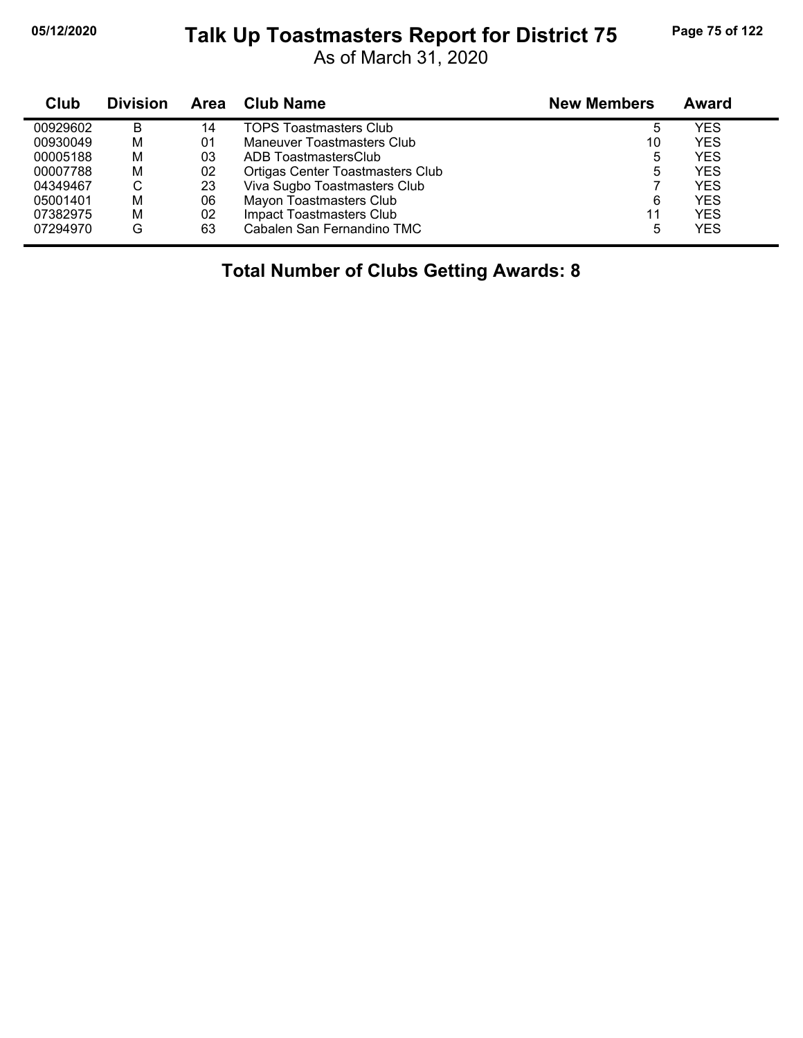#### **05/12/2020 Page 75 of 122 Talk Up Toastmasters Report for District 75**

As of March 31, 2020

| Club     | <b>Division</b> | Area | Club Name                               | <b>New Members</b> | Award      |
|----------|-----------------|------|-----------------------------------------|--------------------|------------|
| 00929602 | B               | 14   | <b>TOPS Toastmasters Club</b>           | 5                  | YES        |
| 00930049 | M               | 01   | Maneuver Toastmasters Club              | 10                 | <b>YES</b> |
| 00005188 | М               | 03   | ADB ToastmastersClub                    | 5                  | <b>YES</b> |
| 00007788 | M               | 02   | <b>Ortigas Center Toastmasters Club</b> | 5                  | <b>YES</b> |
| 04349467 | С               | 23   | Viva Sugbo Toastmasters Club            |                    | <b>YES</b> |
| 05001401 | M               | 06   | Mayon Toastmasters Club                 | 6                  | <b>YES</b> |
| 07382975 | M               | 02   | <b>Impact Toastmasters Club</b>         | 11                 | <b>YES</b> |
| 07294970 | G               | 63   | Cabalen San Fernandino TMC              | 5                  | <b>YES</b> |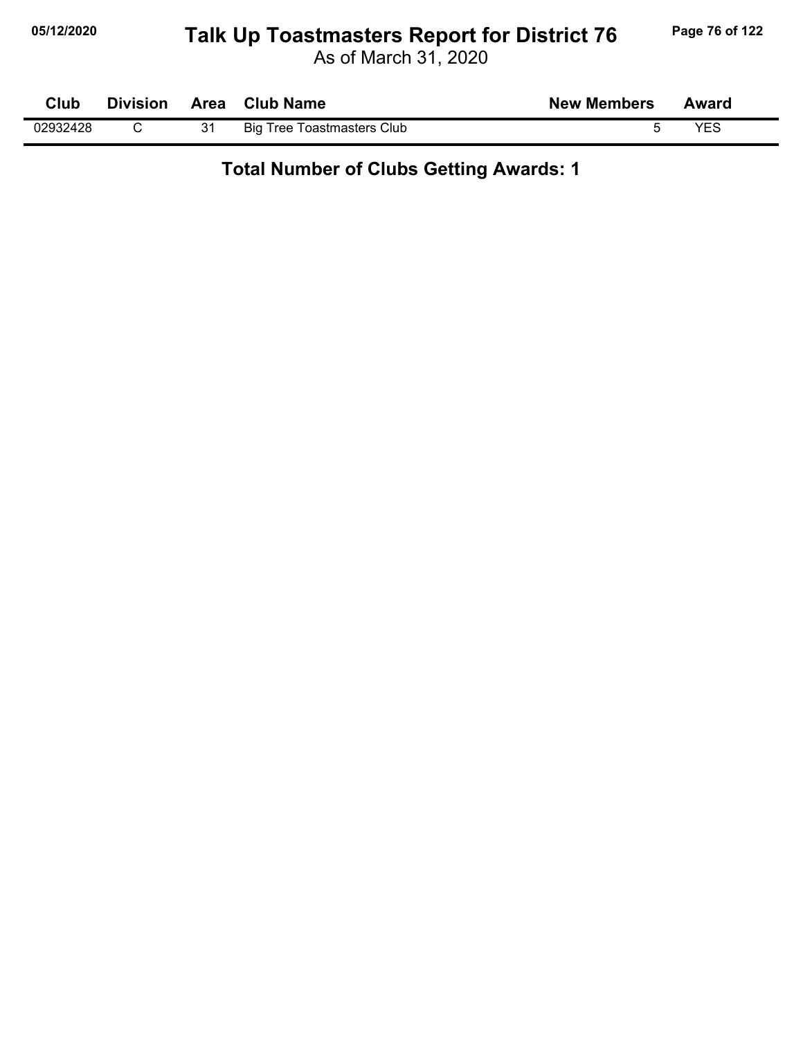# **05/12/2020 Page 76 of 122 Talk Up Toastmasters Report for District 76**

As of March 31, 2020

| Club     | <b>Division</b> | Area | <b>Club Name</b>                  | <b>New Members</b> | Award |
|----------|-----------------|------|-----------------------------------|--------------------|-------|
| 02932428 |                 | 31   | <b>Big Tree Toastmasters Club</b> |                    | VEC   |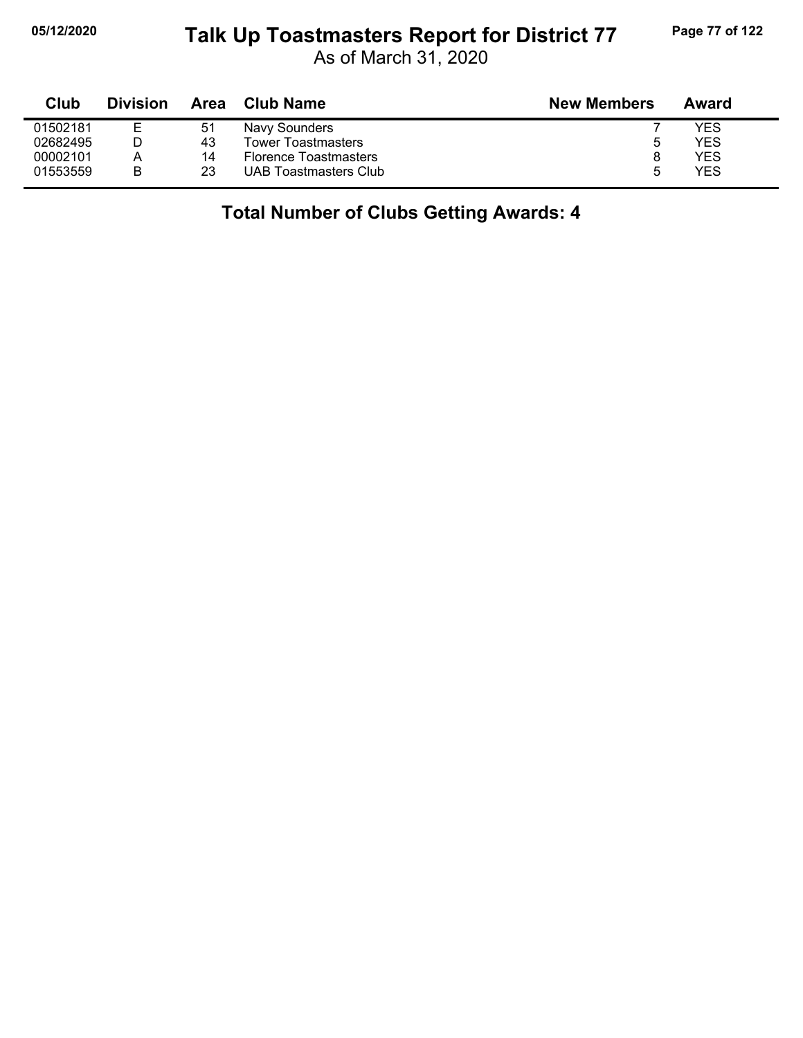#### **05/12/2020 Page 77 of 122 Talk Up Toastmasters Report for District 77**

As of March 31, 2020

| Club     | <b>Division</b> | Area | <b>Club Name</b>             | <b>New Members</b> | Award |
|----------|-----------------|------|------------------------------|--------------------|-------|
| 01502181 | Е               | 51   | Navy Sounders                |                    | YES   |
| 02682495 |                 | 43   | <b>Tower Toastmasters</b>    | 5                  | YES   |
| 00002101 | А               | 14   | <b>Florence Toastmasters</b> |                    | YES   |
| 01553559 | В               | 23   | <b>UAB Toastmasters Club</b> |                    | YES   |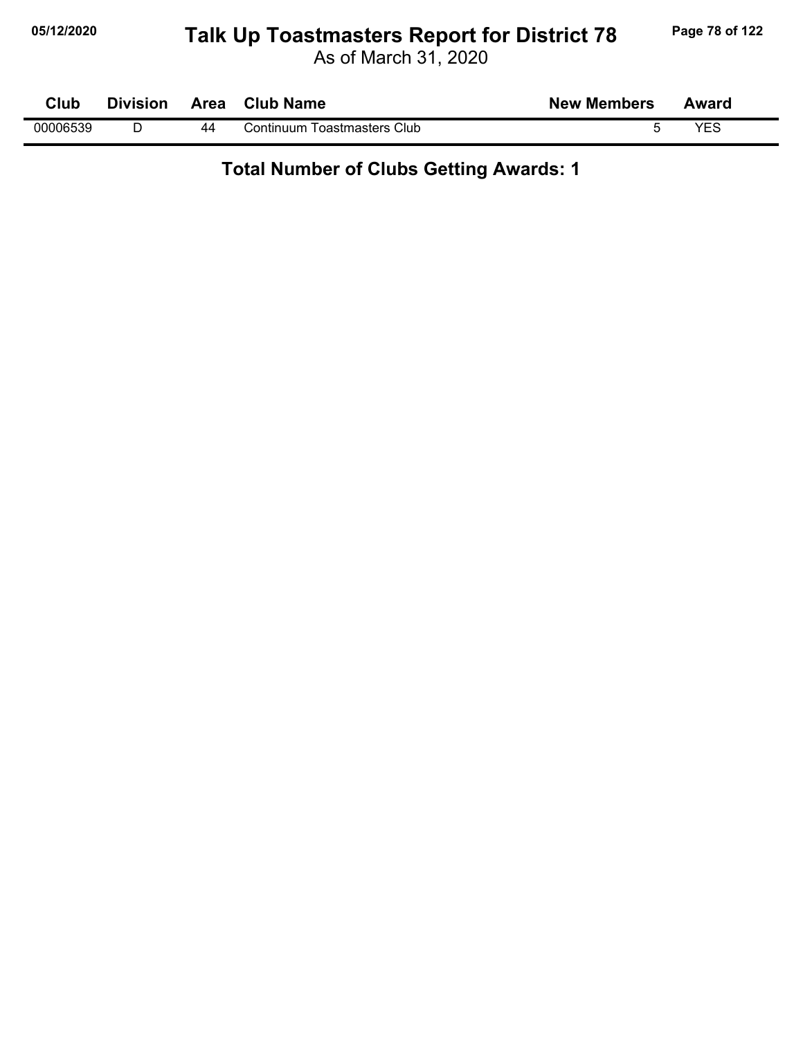# **05/12/2020 Page 78 of 122 Talk Up Toastmasters Report for District 78**

As of March 31, 2020

| Club     | <b>Division</b> | Area | <b>Club Name</b>            | <b>New Members</b> | Award |
|----------|-----------------|------|-----------------------------|--------------------|-------|
| 00006539 |                 | 44   | Continuum Toastmasters Club |                    | VES   |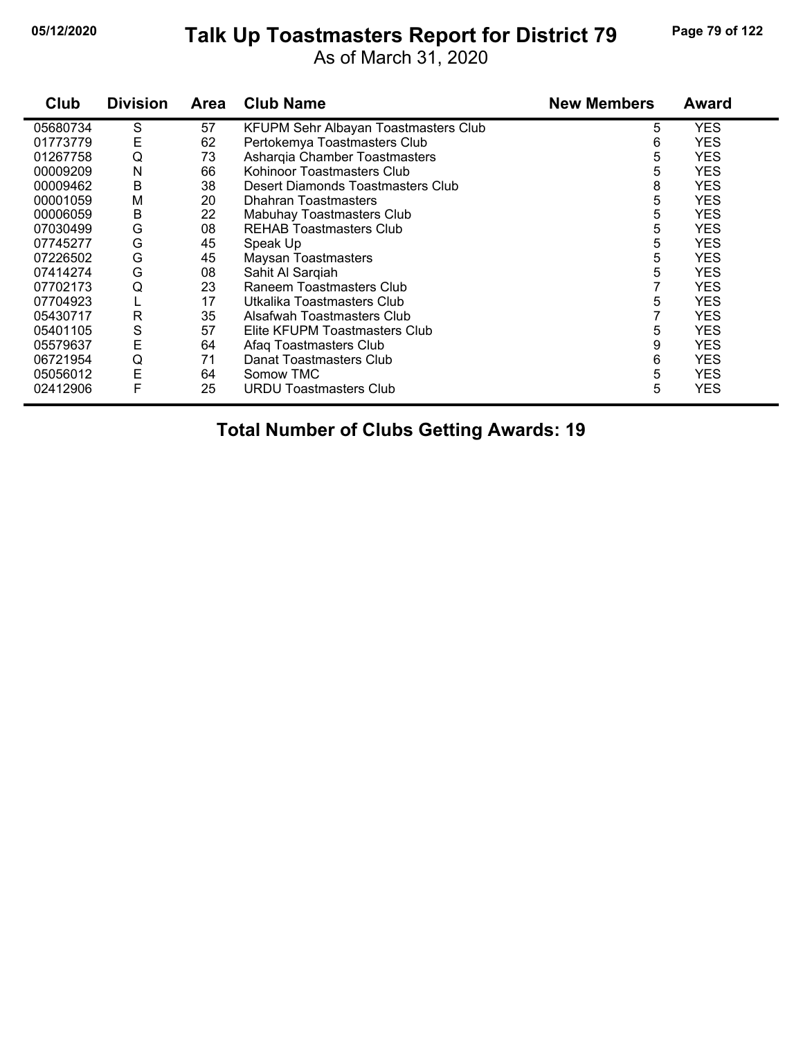#### **05/12/2020 Page 79 of 122 Talk Up Toastmasters Report for District 79**

As of March 31, 2020

| Club     | <b>Division</b> | Area | <b>Club Name</b>                     | <b>New Members</b> | <b>Award</b> |
|----------|-----------------|------|--------------------------------------|--------------------|--------------|
| 05680734 | S               | 57   | KFUPM Sehr Albayan Toastmasters Club | 5                  | <b>YES</b>   |
| 01773779 | Е               | 62   | Pertokemya Toastmasters Club         | 6                  | <b>YES</b>   |
| 01267758 | Q               | 73   | Asharqia Chamber Toastmasters        | 5                  | <b>YES</b>   |
| 00009209 | N               | 66   | Kohinoor Toastmasters Club           | 5                  | <b>YES</b>   |
| 00009462 | В               | 38   | Desert Diamonds Toastmasters Club    | 8                  | <b>YES</b>   |
| 00001059 | M               | 20   | <b>Dhahran Toastmasters</b>          | 5                  | <b>YES</b>   |
| 00006059 | Β               | 22   | Mabuhay Toastmasters Club            | 5                  | <b>YES</b>   |
| 07030499 | G               | 08   | <b>REHAB Toastmasters Club</b>       | 5                  | <b>YES</b>   |
| 07745277 | G               | 45   | Speak Up                             | 5                  | <b>YES</b>   |
| 07226502 | G               | 45   | <b>Maysan Toastmasters</b>           | 5                  | <b>YES</b>   |
| 07414274 | G               | 08   | Sahit Al Sarqiah                     | 5                  | <b>YES</b>   |
| 07702173 | Q               | 23   | Raneem Toastmasters Club             |                    | <b>YES</b>   |
| 07704923 | L               | 17   | Utkalika Toastmasters Club           | 5                  | <b>YES</b>   |
| 05430717 | R               | 35   | Alsafwah Toastmasters Club           |                    | <b>YES</b>   |
| 05401105 | S               | 57   | Elite KFUPM Toastmasters Club        | 5                  | <b>YES</b>   |
| 05579637 | E               | 64   | Afaq Toastmasters Club               | 9                  | <b>YES</b>   |
| 06721954 | Q               | 71   | Danat Toastmasters Club              | 6                  | <b>YES</b>   |
| 05056012 | E               | 64   | Somow TMC                            | 5                  | <b>YES</b>   |
| 02412906 | F               | 25   | <b>URDU Toastmasters Club</b>        | 5                  | <b>YES</b>   |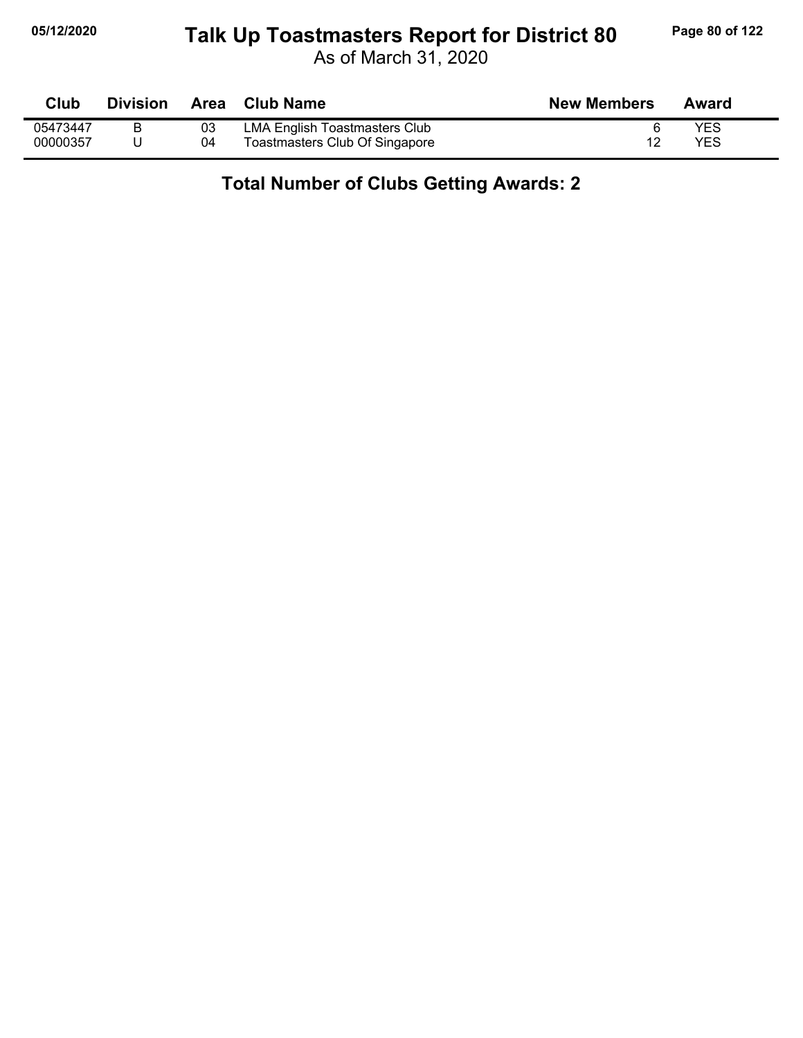# **05/12/2020 Page 80 of 122 Talk Up Toastmasters Report for District 80**

As of March 31, 2020

| Club     | <b>Division</b> |    | Area Club Name                 | <b>New Members</b> | Award      |
|----------|-----------------|----|--------------------------------|--------------------|------------|
| 05473447 |                 | 03 | LMA English Toastmasters Club  |                    | YES        |
| 00000357 |                 | 04 | Toastmasters Club Of Singapore |                    | <b>YES</b> |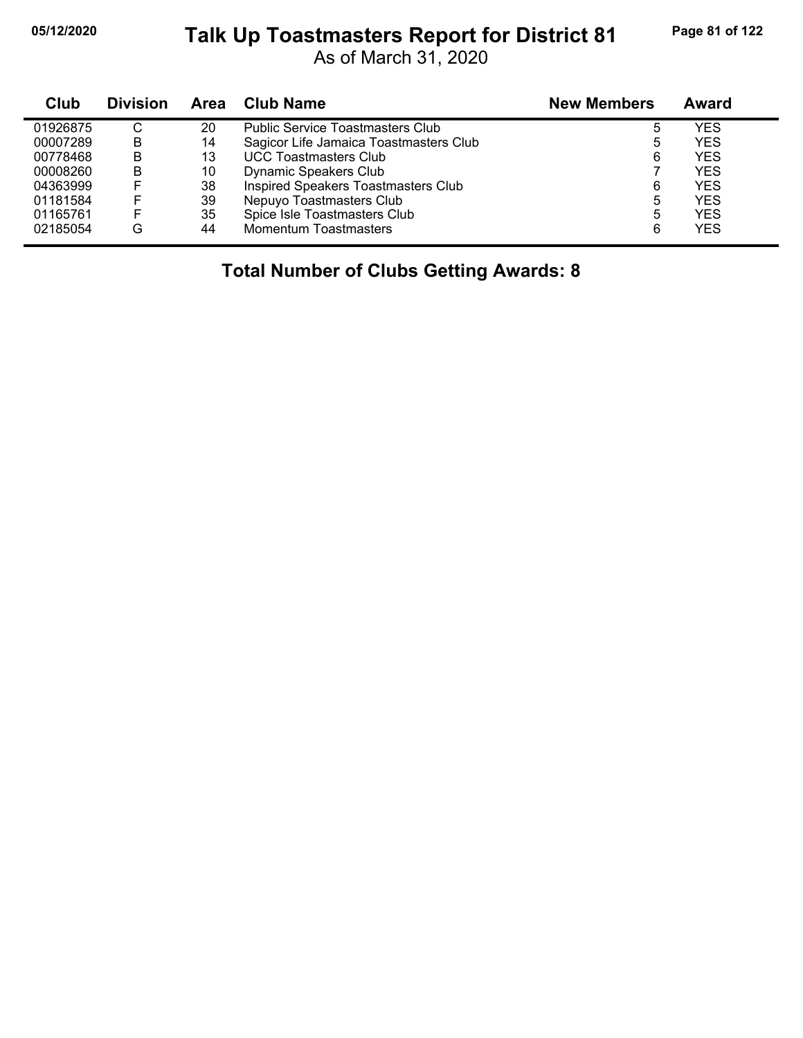#### **05/12/2020 Page 81 of 122 Talk Up Toastmasters Report for District 81**

As of March 31, 2020

| Club     | <b>Division</b> | Area | <b>Club Name</b>                        | <b>New Members</b> | Award      |
|----------|-----------------|------|-----------------------------------------|--------------------|------------|
| 01926875 | С               | 20   | <b>Public Service Toastmasters Club</b> | 5                  | YES        |
| 00007289 | B               | 14   | Sagicor Life Jamaica Toastmasters Club  | 5                  | <b>YES</b> |
| 00778468 | В               | 13   | <b>UCC Toastmasters Club</b>            | 6                  | <b>YES</b> |
| 00008260 | B               | 10   | Dynamic Speakers Club                   |                    | <b>YES</b> |
| 04363999 |                 | 38   | Inspired Speakers Toastmasters Club     | 6                  | <b>YES</b> |
| 01181584 |                 | 39   | Nepuyo Toastmasters Club                | 5                  | <b>YES</b> |
| 01165761 |                 | 35   | Spice Isle Toastmasters Club            | 5                  | <b>YES</b> |
| 02185054 | G               | 44   | <b>Momentum Toastmasters</b>            | 6                  | <b>YES</b> |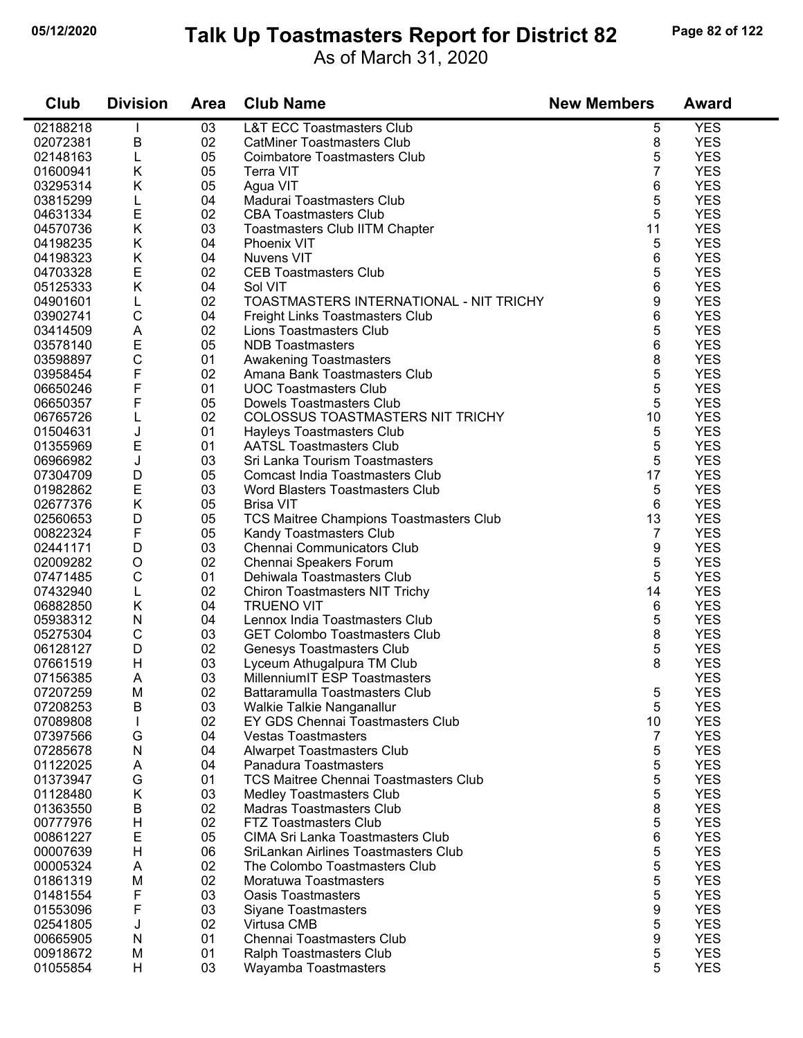#### **05/12/2020 Page 82 of 122 Talk Up Toastmasters Report for District 82**

As of March 31, 2020

| Club     | <b>Division</b> | <b>Area</b> | <b>Club Name</b>                             | <b>New Members</b> | <b>Award</b> |
|----------|-----------------|-------------|----------------------------------------------|--------------------|--------------|
| 02188218 |                 | 03          | <b>L&amp;T ECC Toastmasters Club</b>         | 5                  | <b>YES</b>   |
| 02072381 | В               | 02          | <b>CatMiner Toastmasters Club</b>            | 8                  | <b>YES</b>   |
| 02148163 | L               | 05          | <b>Coimbatore Toastmasters Club</b>          | 5                  | <b>YES</b>   |
| 01600941 | Κ               | 05          | <b>Terra VIT</b>                             | 7                  | <b>YES</b>   |
| 03295314 | Κ               | 05          | Agua VIT                                     | 6                  | <b>YES</b>   |
| 03815299 | L               | 04          | Madurai Toastmasters Club                    | 5                  | <b>YES</b>   |
| 04631334 | E               | 02          | <b>CBA Toastmasters Club</b>                 | 5                  | <b>YES</b>   |
| 04570736 | Κ               | 03          | <b>Toastmasters Club IITM Chapter</b>        | 11                 | <b>YES</b>   |
| 04198235 | Κ               | 04          | Phoenix VIT                                  | 5                  | <b>YES</b>   |
| 04198323 | Κ               | 04          | <b>Nuvens VIT</b>                            | 6                  | <b>YES</b>   |
| 04703328 | Е               | 02          | <b>CEB Toastmasters Club</b>                 | 5                  | <b>YES</b>   |
| 05125333 | Κ               | 04          | Sol VIT                                      | 6                  | <b>YES</b>   |
| 04901601 | L               | 02          | TOASTMASTERS INTERNATIONAL - NIT TRICHY      | 9                  | <b>YES</b>   |
| 03902741 | C               | 04          | Freight Links Toastmasters Club              | 6                  | <b>YES</b>   |
| 03414509 | Α               | 02          | Lions Toastmasters Club                      | 5                  | <b>YES</b>   |
| 03578140 | E               | 05          | <b>NDB</b> Toastmasters                      | 6                  | <b>YES</b>   |
| 03598897 | $\mathsf C$     | 01          | Awakening Toastmasters                       | 8                  | <b>YES</b>   |
| 03958454 | F               | 02          | Amana Bank Toastmasters Club                 | 5                  | <b>YES</b>   |
| 06650246 | F               | 01          | <b>UOC Toastmasters Club</b>                 | 5                  | <b>YES</b>   |
| 06650357 | F               | 05          | Dowels Toastmasters Club                     | 5                  | <b>YES</b>   |
| 06765726 | L               | 02          | COLOSSUS TOASTMASTERS NIT TRICHY             | 10                 | <b>YES</b>   |
| 01504631 | J               | 01          | Hayleys Toastmasters Club                    | 5                  | <b>YES</b>   |
| 01355969 | E               | 01          | <b>AATSL Toastmasters Club</b>               | 5                  | <b>YES</b>   |
| 06966982 | J               | 03          | Sri Lanka Tourism Toastmasters               | 5                  | <b>YES</b>   |
| 07304709 | D               | 05          | <b>Comcast India Toastmasters Club</b>       | 17                 | <b>YES</b>   |
| 01982862 | E               | 03          | Word Blasters Toastmasters Club              | 5                  | <b>YES</b>   |
| 02677376 | Κ               | 05          | <b>Brisa VIT</b>                             | 6                  | <b>YES</b>   |
| 02560653 | D               | 05          | TCS Maitree Champions Toastmasters Club      | 13                 | <b>YES</b>   |
| 00822324 | F               | 05          | Kandy Toastmasters Club                      | $\overline{7}$     | <b>YES</b>   |
| 02441171 | D               | 03          | Chennai Communicators Club                   | 9                  | <b>YES</b>   |
| 02009282 | $\circ$         | 02          | Chennai Speakers Forum                       | 5                  | <b>YES</b>   |
| 07471485 | C               | 01          | Dehiwala Toastmasters Club                   | 5                  | <b>YES</b>   |
| 07432940 | L               | 02          | Chiron Toastmasters NIT Trichy               | 14                 | <b>YES</b>   |
| 06882850 | Κ               | 04          | <b>TRUENO VIT</b>                            | 6                  | <b>YES</b>   |
| 05938312 | N               | 04          | Lennox India Toastmasters Club               | 5                  | <b>YES</b>   |
| 05275304 | $\mathsf C$     | 03          | <b>GET Colombo Toastmasters Club</b>         | 8                  | <b>YES</b>   |
| 06128127 | D               | 02          | Genesys Toastmasters Club                    | 5                  | <b>YES</b>   |
| 07661519 | H               | 03          | Lyceum Athugalpura TM Club                   | 8                  | <b>YES</b>   |
| 07156385 | Α               | 03          | MillenniumIT ESP Toastmasters                |                    | <b>YES</b>   |
| 07207259 | M               | 02          | Battaramulla Toastmasters Club               | 5                  | <b>YES</b>   |
| 07208253 | В               | 03          | Walkie Talkie Nanganallur                    | 5                  | <b>YES</b>   |
| 07089808 | $\mathbf{I}$    | 02          | EY GDS Chennai Toastmasters Club             | 10                 | <b>YES</b>   |
| 07397566 | G               | 04          | <b>Vestas Toastmasters</b>                   | 7                  | <b>YES</b>   |
| 07285678 | N               | 04          | <b>Alwarpet Toastmasters Club</b>            | 5                  | <b>YES</b>   |
| 01122025 | A               | 04          | Panadura Toastmasters                        | 5                  | <b>YES</b>   |
| 01373947 | G               | 01          | <b>TCS Maitree Chennai Toastmasters Club</b> | 5                  | <b>YES</b>   |
| 01128480 | Κ               | 03          | Medley Toastmasters Club                     | 5                  | <b>YES</b>   |
| 01363550 | В               | 02          | <b>Madras Toastmasters Club</b>              | 8                  | <b>YES</b>   |
| 00777976 | Н               | 02          | <b>FTZ Toastmasters Club</b>                 | 5                  | <b>YES</b>   |
| 00861227 | Е               | 05          | CIMA Sri Lanka Toastmasters Club             | 6                  | <b>YES</b>   |
| 00007639 | н               | 06          | SriLankan Airlines Toastmasters Club         | 5                  | <b>YES</b>   |
| 00005324 | Α               | 02          | The Colombo Toastmasters Club                | 5                  | <b>YES</b>   |
| 01861319 | M               | 02          | Moratuwa Toastmasters                        | 5                  | <b>YES</b>   |
| 01481554 | F               | 03          | <b>Oasis Toastmasters</b>                    | 5                  | <b>YES</b>   |
| 01553096 | F               | 03          | <b>Siyane Toastmasters</b>                   | 9                  | <b>YES</b>   |
| 02541805 | J               | 02          | Virtusa CMB                                  | 5                  | <b>YES</b>   |
| 00665905 | N               | 01          | Chennai Toastmasters Club                    | 9                  | <b>YES</b>   |
| 00918672 | M               | 01          | Ralph Toastmasters Club                      | 5                  | <b>YES</b>   |
| 01055854 | H               | 03          | Wayamba Toastmasters                         | 5                  | <b>YES</b>   |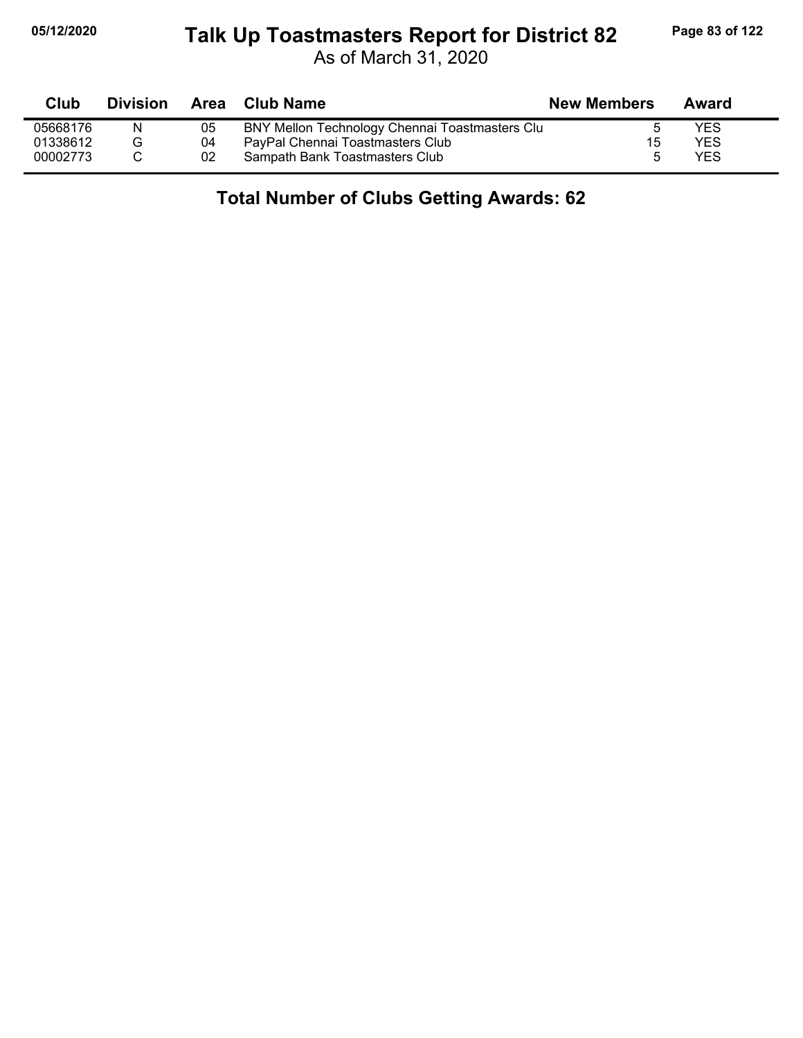# **05/12/2020 Page 83 of 122 Talk Up Toastmasters Report for District 82**

As of March 31, 2020

| Club     | <b>Division</b> | Area | Club Name                                      | <b>New Members</b> | Award |
|----------|-----------------|------|------------------------------------------------|--------------------|-------|
| 05668176 | N               | 05   | BNY Mellon Technology Chennai Toastmasters Clu |                    | YES   |
| 01338612 |                 | 04   | PayPal Chennai Toastmasters Club               | 15                 | YES   |
| 00002773 |                 | 02   | Sampath Bank Toastmasters Club                 | 5                  | YES   |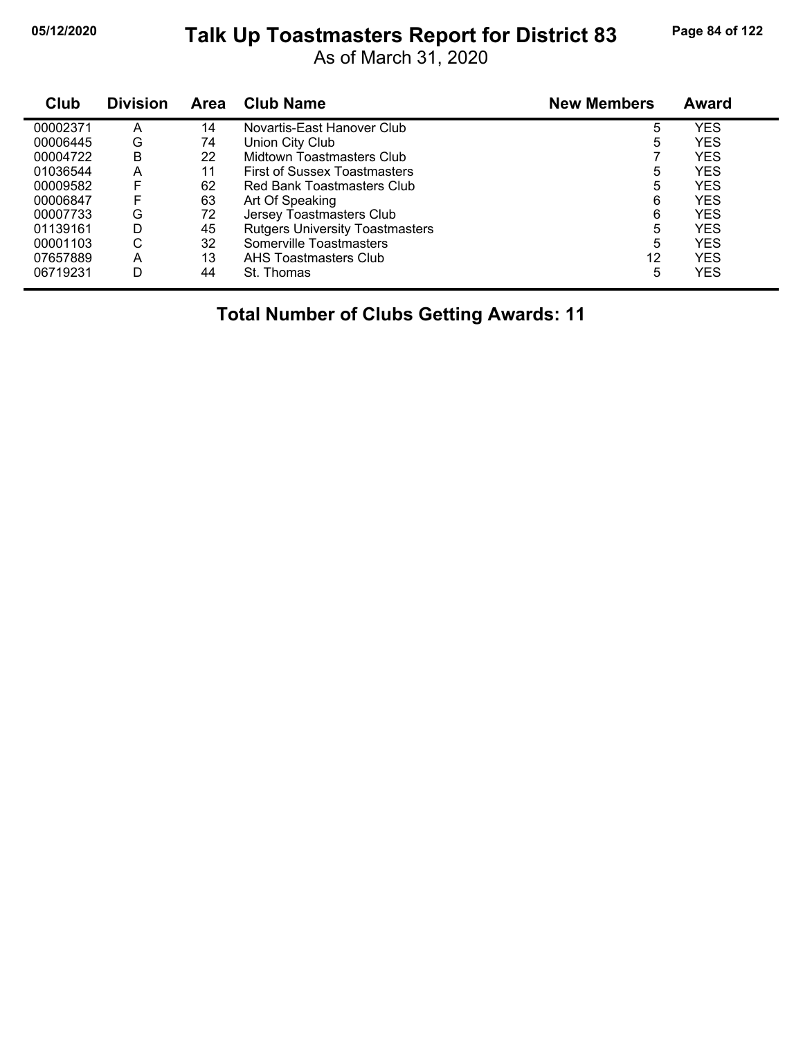# **05/12/2020 Page 84 of 122 Talk Up Toastmasters Report for District 83**

As of March 31, 2020

| Club     | <b>Division</b> | <b>Area</b> | <b>Club Name</b>                       | <b>New Members</b> | <b>Award</b> |
|----------|-----------------|-------------|----------------------------------------|--------------------|--------------|
| 00002371 | A               | 14          | Novartis-East Hanover Club             | 5                  | YES          |
| 00006445 | G               | 74          | Union City Club                        | 5                  | <b>YES</b>   |
| 00004722 | B               | 22          | Midtown Toastmasters Club              |                    | <b>YES</b>   |
| 01036544 | Α               | 11          | <b>First of Sussex Toastmasters</b>    | 5                  | <b>YES</b>   |
| 00009582 | F               | 62          | Red Bank Toastmasters Club             | 5                  | <b>YES</b>   |
| 00006847 | F               | 63          | Art Of Speaking                        | 6                  | <b>YES</b>   |
| 00007733 | G               | 72          | Jersey Toastmasters Club               | 6                  | YES          |
| 01139161 | D               | 45          | <b>Rutgers University Toastmasters</b> | 5                  | <b>YES</b>   |
| 00001103 | С               | 32          | Somerville Toastmasters                | 5                  | YES          |
| 07657889 | A               | 13          | AHS Toastmasters Club                  | 12                 | <b>YES</b>   |
| 06719231 | D               | 44          | St. Thomas                             | 5                  | <b>YES</b>   |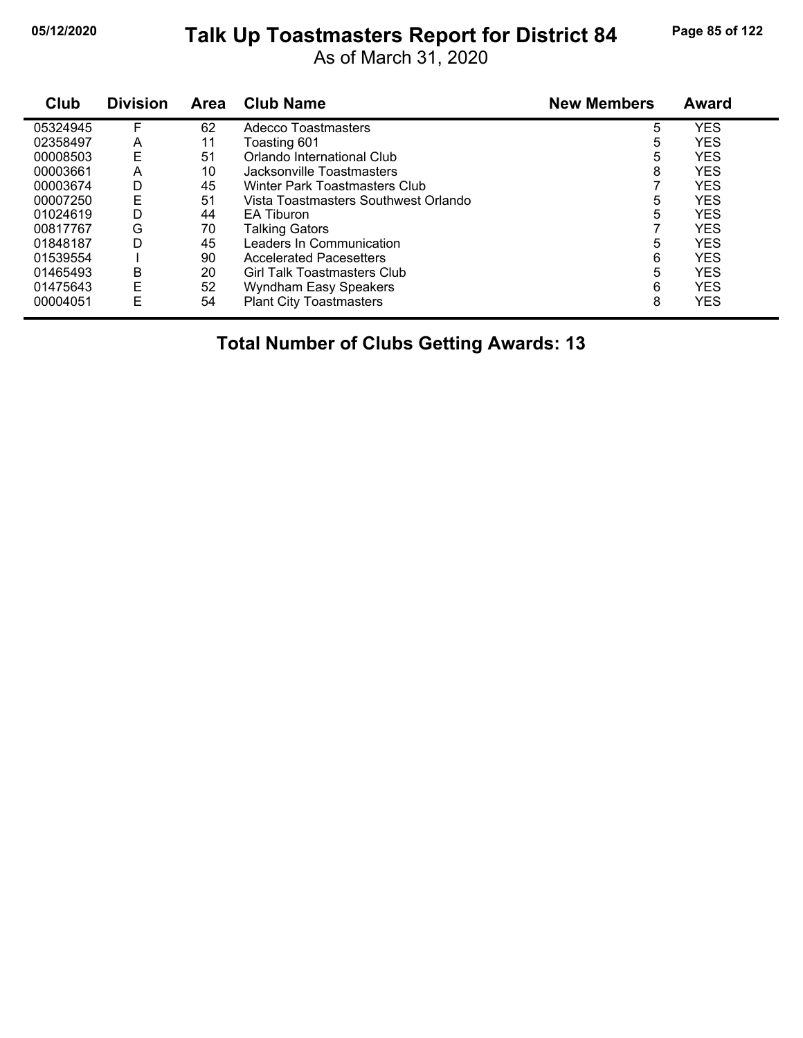# **05/12/2020 Page 85 of 122 Talk Up Toastmasters Report for District 84**

As of March 31, 2020

| Club     | <b>Division</b> | <b>Area</b> | <b>Club Name</b>                     | <b>New Members</b> | <b>Award</b> |
|----------|-----------------|-------------|--------------------------------------|--------------------|--------------|
| 05324945 | F               | 62          | Adecco Toastmasters                  | 5                  | <b>YES</b>   |
| 02358497 | A               | 11          | Toasting 601                         | 5                  | <b>YES</b>   |
| 00008503 | E               | 51          | Orlando International Club           | 5                  | <b>YES</b>   |
| 00003661 | Α               | 10          | Jacksonville Toastmasters            | 8                  | <b>YES</b>   |
| 00003674 | D               | 45          | Winter Park Toastmasters Club        |                    | <b>YES</b>   |
| 00007250 | E               | 51          | Vista Toastmasters Southwest Orlando | 5                  | <b>YES</b>   |
| 01024619 | D               | 44          | EA Tiburon                           | 5                  | <b>YES</b>   |
| 00817767 | G               | 70          | <b>Talking Gators</b>                |                    | <b>YES</b>   |
| 01848187 | D               | 45          | Leaders In Communication             | 5                  | <b>YES</b>   |
| 01539554 |                 | 90          | <b>Accelerated Pacesetters</b>       | 6                  | <b>YES</b>   |
| 01465493 | B               | 20          | Girl Talk Toastmasters Club          | 5                  | <b>YES</b>   |
| 01475643 | E               | 52          | <b>Wyndham Easy Speakers</b>         | 6                  | <b>YES</b>   |
| 00004051 | E               | 54          | <b>Plant City Toastmasters</b>       | 8                  | <b>YES</b>   |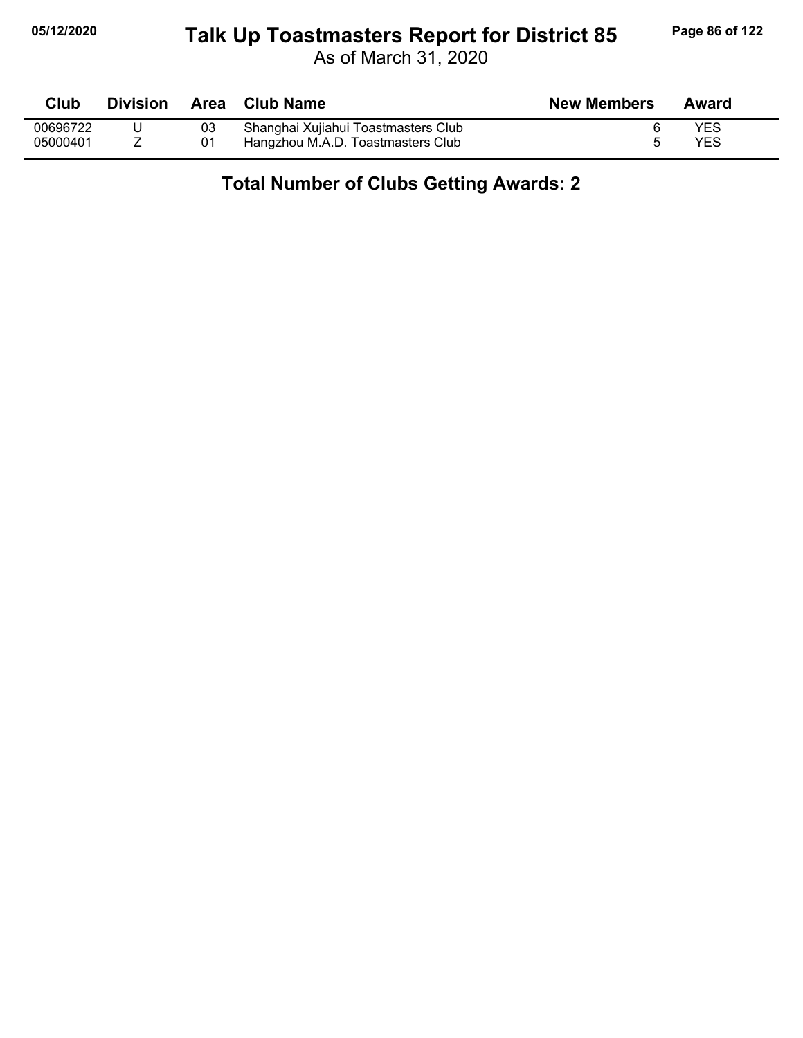# **05/12/2020 Page 86 of 122 Talk Up Toastmasters Report for District 85**

As of March 31, 2020

| Club     | <b>Division</b> | Area | <b>Club Name</b>                    | <b>New Members</b> | Award |
|----------|-----------------|------|-------------------------------------|--------------------|-------|
| 00696722 |                 | 03   | Shanghai Xujiahui Toastmasters Club |                    | YES   |
| 05000401 |                 |      | Hangzhou M.A.D. Toastmasters Club   |                    | YES   |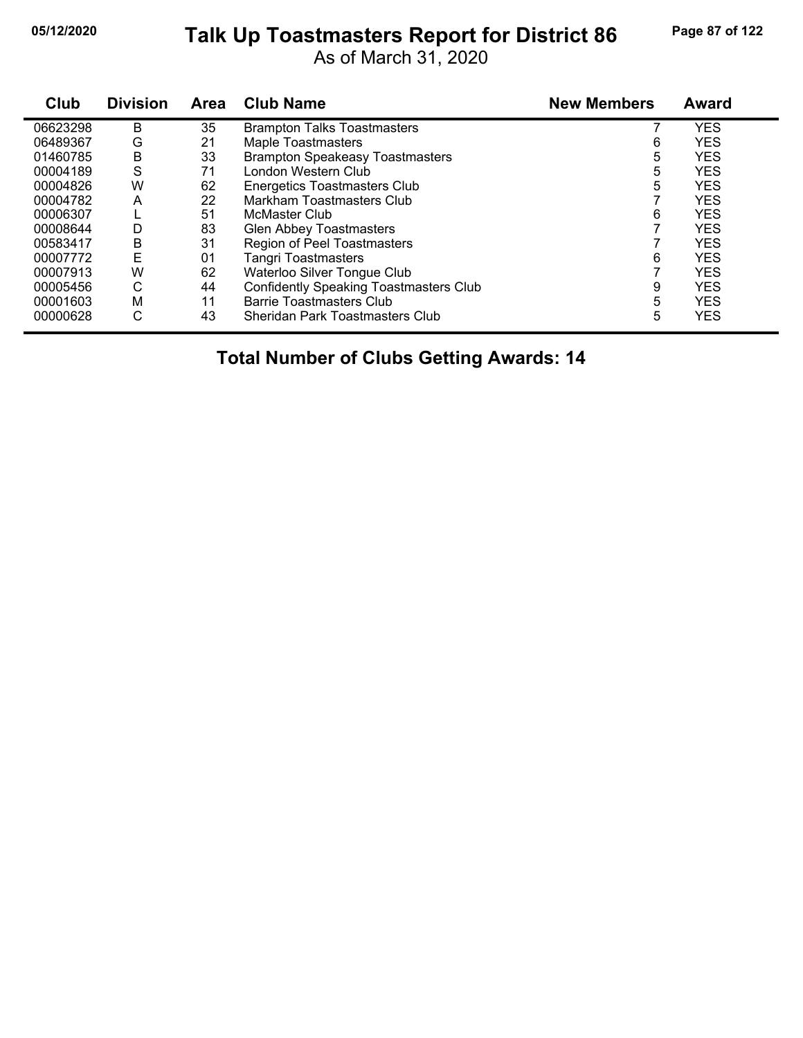# **05/12/2020 Page 87 of 122 Talk Up Toastmasters Report for District 86**

As of March 31, 2020

| Club     | <b>Division</b> | <b>Area</b> | <b>Club Name</b>                              | <b>New Members</b> | Award      |
|----------|-----------------|-------------|-----------------------------------------------|--------------------|------------|
| 06623298 | B               | 35          | <b>Brampton Talks Toastmasters</b>            |                    | <b>YES</b> |
| 06489367 | G               | 21          | <b>Maple Toastmasters</b>                     | 6                  | <b>YES</b> |
| 01460785 | Β               | 33          | <b>Brampton Speakeasy Toastmasters</b>        | 5                  | <b>YES</b> |
| 00004189 | S               | 71          | London Western Club                           | 5                  | <b>YES</b> |
| 00004826 | W               | 62          | <b>Energetics Toastmasters Club</b>           | 5                  | <b>YES</b> |
| 00004782 | Α               | 22          | <b>Markham Toastmasters Club</b>              |                    | <b>YES</b> |
| 00006307 |                 | 51          | McMaster Club                                 | 6                  | <b>YES</b> |
| 00008644 | D               | 83          | <b>Glen Abbey Toastmasters</b>                |                    | <b>YES</b> |
| 00583417 | B               | 31          | Region of Peel Toastmasters                   |                    | <b>YES</b> |
| 00007772 | E               | 01          | <b>Tangri Toastmasters</b>                    | 6                  | <b>YES</b> |
| 00007913 | W               | 62          | Waterloo Silver Tongue Club                   |                    | <b>YES</b> |
| 00005456 | С               | 44          | <b>Confidently Speaking Toastmasters Club</b> | 9                  | <b>YES</b> |
| 00001603 | M               | 11          | <b>Barrie Toastmasters Club</b>               | 5                  | <b>YES</b> |
| 00000628 | С               | 43          | Sheridan Park Toastmasters Club               | 5                  | <b>YES</b> |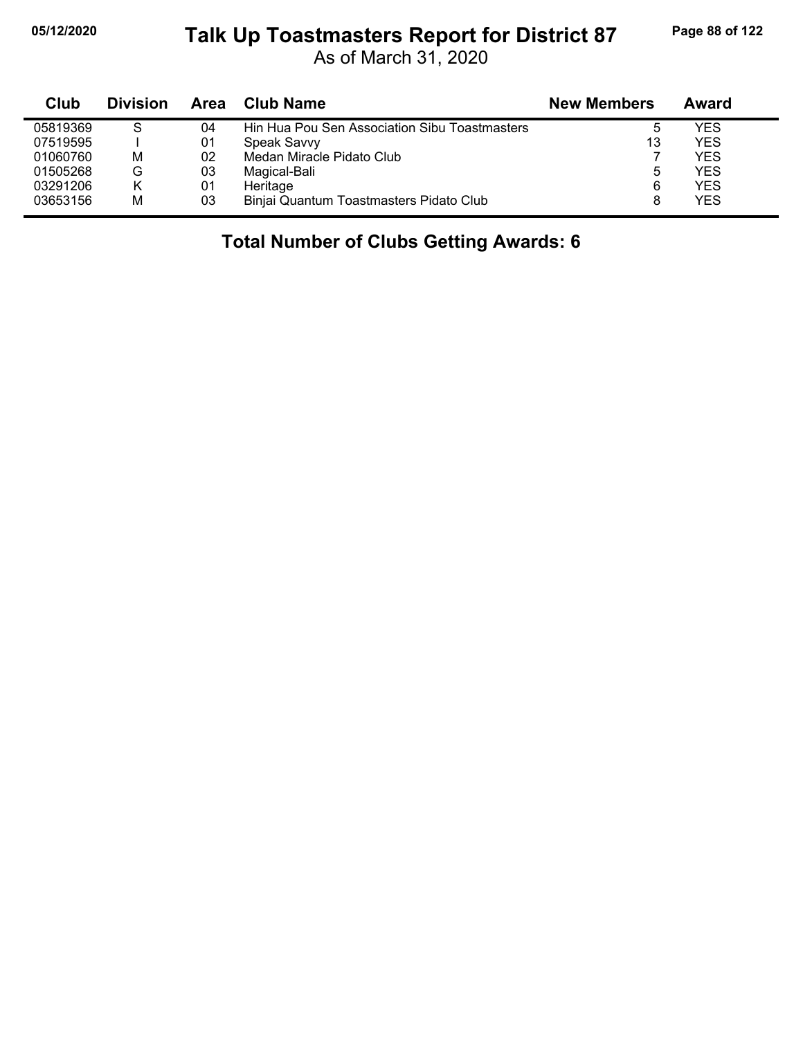#### **05/12/2020 Page 88 of 122 Talk Up Toastmasters Report for District 87**

As of March 31, 2020

| Club     | <b>Division</b> | Area | <b>Club Name</b>                              | <b>New Members</b> | Award      |
|----------|-----------------|------|-----------------------------------------------|--------------------|------------|
| 05819369 | S               | 04   | Hin Hua Pou Sen Association Sibu Toastmasters |                    | <b>YES</b> |
| 07519595 |                 | 01   | Speak Savvy                                   | 13                 | <b>YES</b> |
| 01060760 | М               | 02   | Medan Miracle Pidato Club                     |                    | <b>YES</b> |
| 01505268 | G               | 03   | Magical-Bali                                  |                    | <b>YES</b> |
| 03291206 | Κ               | 01   | Heritage                                      | 6                  | <b>YES</b> |
| 03653156 | M               | 03   | Binjai Quantum Toastmasters Pidato Club       |                    | <b>YES</b> |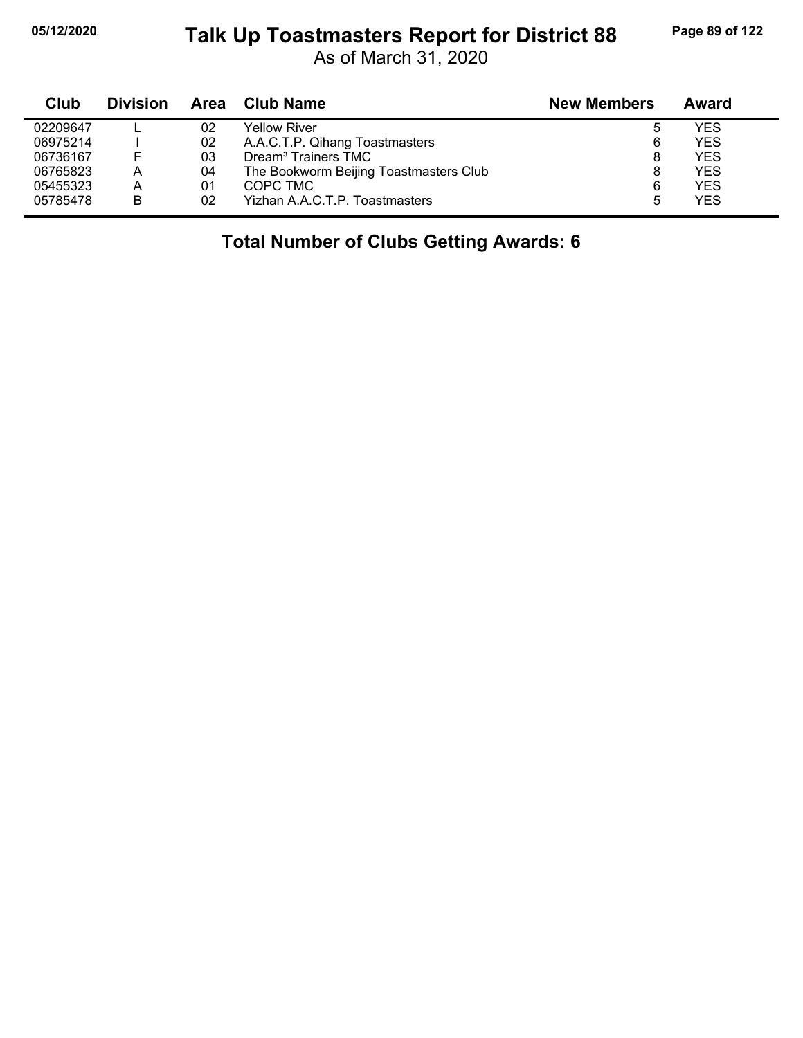#### **05/12/2020 Page 89 of 122 Talk Up Toastmasters Report for District 88**

As of March 31, 2020

| <b>Club</b> | <b>Division</b> | Area | Club Name                              | <b>New Members</b> | Award      |
|-------------|-----------------|------|----------------------------------------|--------------------|------------|
| 02209647    |                 | 02   | Yellow River                           |                    | YES        |
| 06975214    |                 | 02   | A.A.C.T.P. Qihang Toastmasters         | 6                  | <b>YES</b> |
| 06736167    |                 | 03   | Dream <sup>3</sup> Trainers TMC        | 8                  | <b>YES</b> |
| 06765823    | А               | 04   | The Bookworm Beijing Toastmasters Club |                    | <b>YES</b> |
| 05455323    | A               | 01   | COPC TMC                               | 6                  | <b>YES</b> |
| 05785478    | B               | 02   | Yizhan A.A.C.T.P. Toastmasters         | 5                  | <b>YES</b> |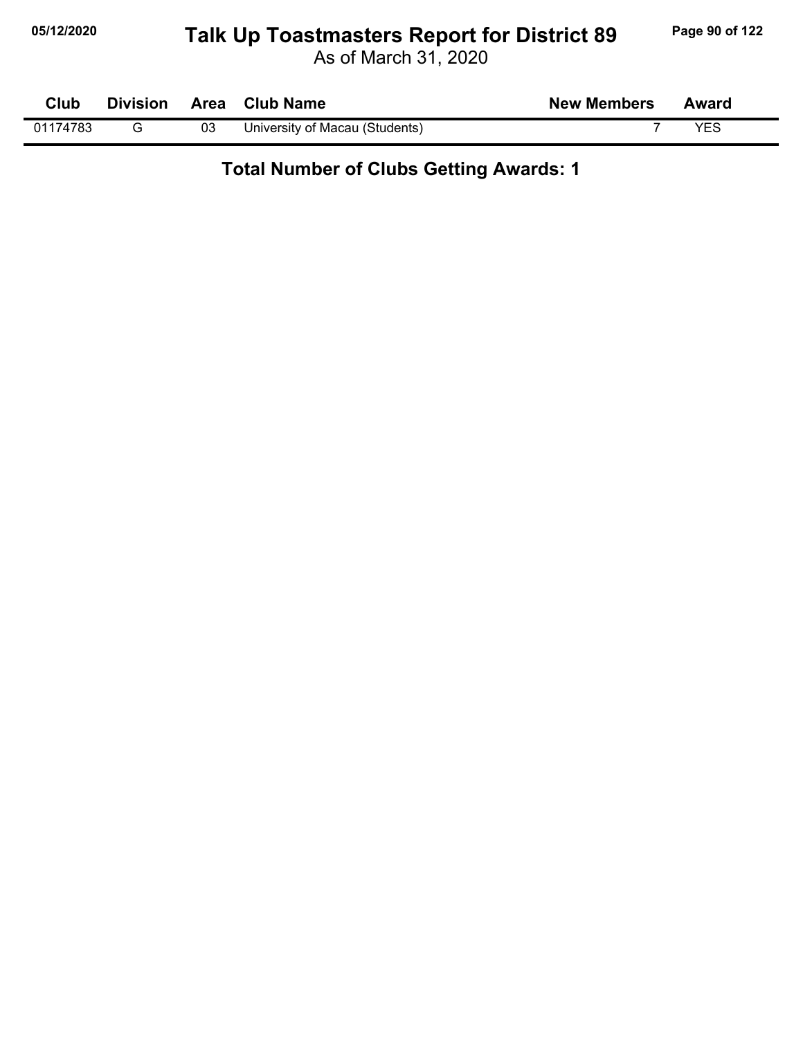# **05/12/2020 Page 90 of 122 Talk Up Toastmasters Report for District 89**

As of March 31, 2020

| Club     | <b>Division</b> | Area | <b>Club Name</b>               | <b>New Members</b> | Award |
|----------|-----------------|------|--------------------------------|--------------------|-------|
| 01174783 |                 | 03   | University of Macau (Students) |                    | YES   |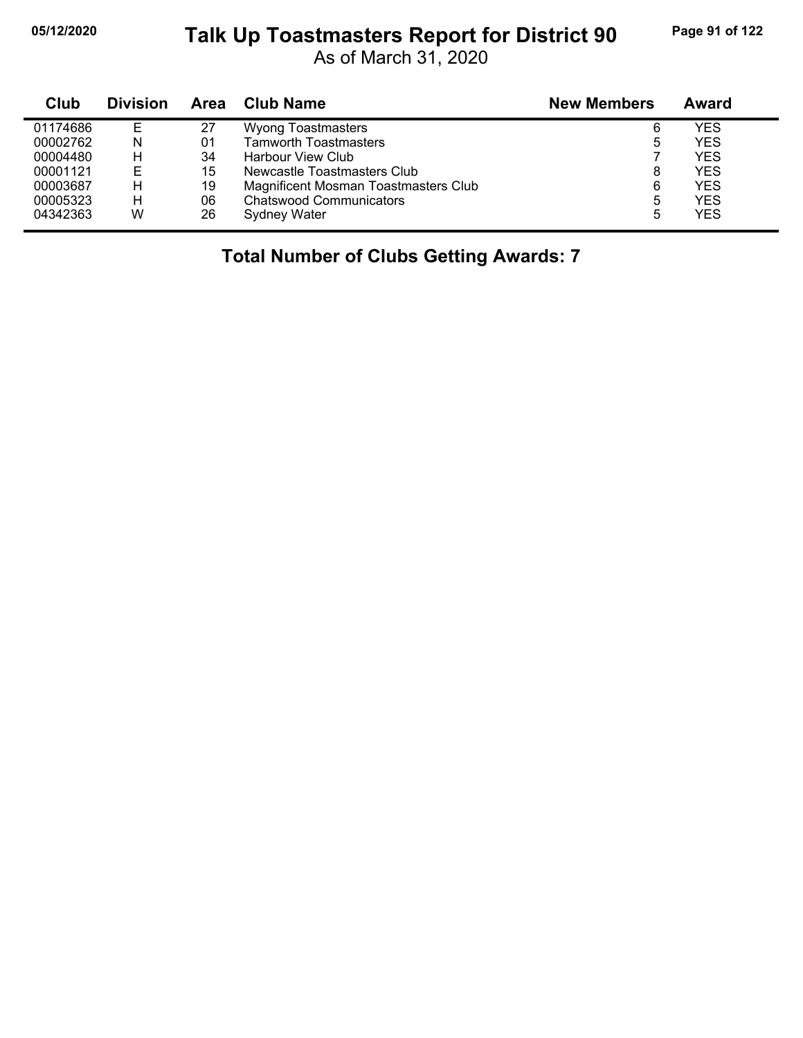# **05/12/2020 Page 91 of 122 Talk Up Toastmasters Report for District 90**

As of March 31, 2020

| Club     | <b>Division</b> | Area | <b>Club Name</b>                     | <b>New Members</b> | Award |
|----------|-----------------|------|--------------------------------------|--------------------|-------|
| 01174686 | Е               | 27   | <b>Wyong Toastmasters</b>            | 6                  | YES   |
| 00002762 | N               | 01   | <b>Tamworth Toastmasters</b>         | 5                  | YES   |
| 00004480 | н               | 34   | Harbour View Club                    |                    | YES   |
| 00001121 | E               | 15   | Newcastle Toastmasters Club          | 8                  | YES.  |
| 00003687 | н               | 19   | Magnificent Mosman Toastmasters Club | 6                  | YES   |
| 00005323 | н               | 06   | <b>Chatswood Communicators</b>       | 5                  | YES   |
| 04342363 | W               | 26   | Sydney Water                         | 5                  | YES   |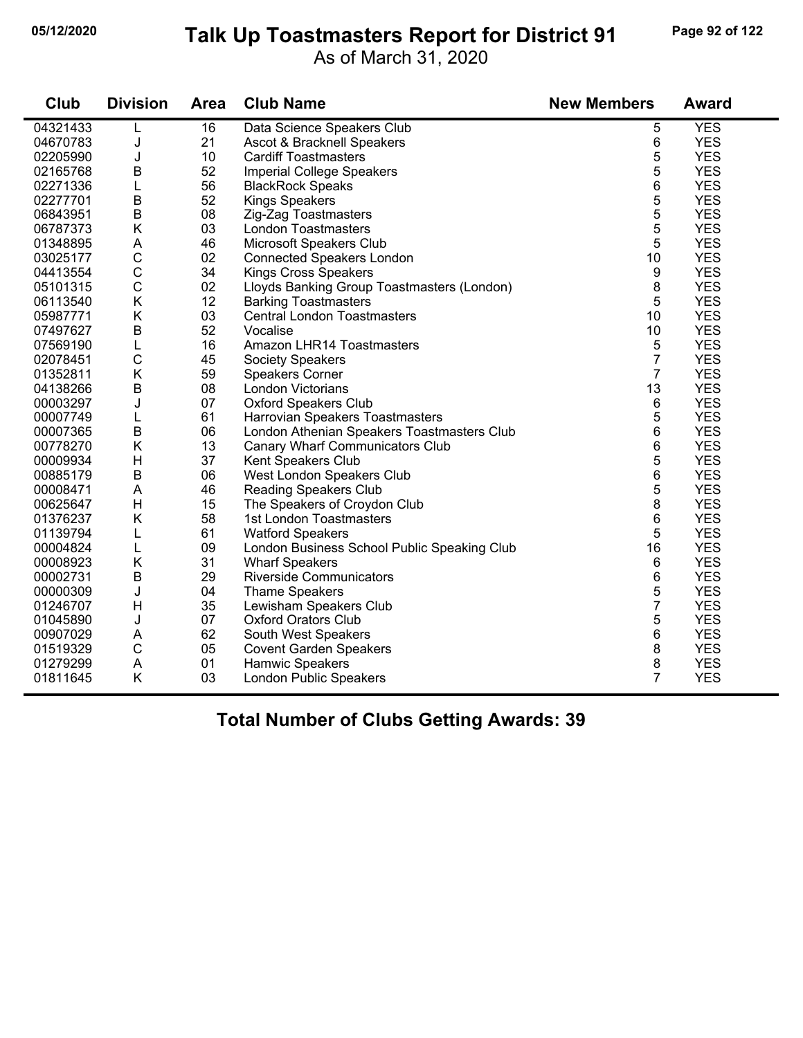# **05/12/2020 Page 92 of 122 Talk Up Toastmasters Report for District 91**

As of March 31, 2020

| Club     | <b>Division</b> | <b>Area</b> | <b>Club Name</b>                            | <b>New Members</b> | <b>Award</b> |
|----------|-----------------|-------------|---------------------------------------------|--------------------|--------------|
| 04321433 | L               | 16          | Data Science Speakers Club                  | 5                  | <b>YES</b>   |
| 04670783 | J               | 21          | Ascot & Bracknell Speakers                  | 6                  | <b>YES</b>   |
| 02205990 | J               | 10          | <b>Cardiff Toastmasters</b>                 | 5                  | <b>YES</b>   |
| 02165768 | $\sf B$         | 52          | <b>Imperial College Speakers</b>            | 5                  | <b>YES</b>   |
| 02271336 | L               | 56          | <b>BlackRock Speaks</b>                     | 6                  | <b>YES</b>   |
| 02277701 | B               | 52          | <b>Kings Speakers</b>                       | 5                  | <b>YES</b>   |
| 06843951 | $\sf B$         | 08          | Zig-Zag Toastmasters                        | 5                  | <b>YES</b>   |
| 06787373 | K               | 03          | <b>London Toastmasters</b>                  | 5                  | <b>YES</b>   |
| 01348895 | A               | 46          | Microsoft Speakers Club                     | 5                  | <b>YES</b>   |
| 03025177 | $\mathsf C$     | 02          | <b>Connected Speakers London</b>            | 10                 | <b>YES</b>   |
| 04413554 | $\mathsf C$     | 34          | <b>Kings Cross Speakers</b>                 | 9                  | <b>YES</b>   |
| 05101315 | $\mathsf C$     | 02          | Lloyds Banking Group Toastmasters (London)  | 8                  | <b>YES</b>   |
| 06113540 | K               | 12          | <b>Barking Toastmasters</b>                 | 5                  | <b>YES</b>   |
| 05987771 | Κ               | 03          | <b>Central London Toastmasters</b>          | 10                 | <b>YES</b>   |
| 07497627 | $\sf B$         | 52          | Vocalise                                    | 10                 | <b>YES</b>   |
| 07569190 | L               | 16          | Amazon LHR14 Toastmasters                   | 5                  | <b>YES</b>   |
| 02078451 | $\mathsf C$     | 45          | <b>Society Speakers</b>                     | $\overline{7}$     | <b>YES</b>   |
| 01352811 | K               | 59          | <b>Speakers Corner</b>                      | 7                  | <b>YES</b>   |
| 04138266 | $\mathsf B$     | 08          | London Victorians                           | 13                 | <b>YES</b>   |
| 00003297 | J               | 07          | <b>Oxford Speakers Club</b>                 | 6                  | <b>YES</b>   |
| 00007749 | L               | 61          | Harrovian Speakers Toastmasters             | 5                  | <b>YES</b>   |
| 00007365 | B               | 06          | London Athenian Speakers Toastmasters Club  | 6                  | <b>YES</b>   |
| 00778270 | K               | 13          | Canary Wharf Communicators Club             | 6                  | <b>YES</b>   |
| 00009934 | H               | 37          | Kent Speakers Club                          | 5                  | <b>YES</b>   |
| 00885179 | $\sf B$         | 06          | West London Speakers Club                   | 6                  | <b>YES</b>   |
| 00008471 | $\mathsf A$     | 46          | <b>Reading Speakers Club</b>                | 5                  | <b>YES</b>   |
| 00625647 | Н               | 15          | The Speakers of Croydon Club                | 8                  | <b>YES</b>   |
| 01376237 | K               | 58          | 1st London Toastmasters                     | 6                  | <b>YES</b>   |
| 01139794 | L               | 61          | <b>Watford Speakers</b>                     | 5                  | <b>YES</b>   |
| 00004824 | L               | 09          | London Business School Public Speaking Club | 16                 | <b>YES</b>   |
| 00008923 | K               | 31          | <b>Wharf Speakers</b>                       | 6                  | <b>YES</b>   |
| 00002731 | $\sf B$         | 29          | <b>Riverside Communicators</b>              | 6                  | <b>YES</b>   |
| 00000309 | J               | 04          | <b>Thame Speakers</b>                       | 5                  | <b>YES</b>   |
| 01246707 | H               | 35          | Lewisham Speakers Club                      | $\overline{7}$     | <b>YES</b>   |
| 01045890 | J               | 07          | <b>Oxford Orators Club</b>                  | 5                  | <b>YES</b>   |
| 00907029 | A               | 62          | South West Speakers                         | 6                  | <b>YES</b>   |
| 01519329 | $\mathsf{C}$    | 05          | <b>Covent Garden Speakers</b>               | 8                  | <b>YES</b>   |
| 01279299 | A               | 01          | Hamwic Speakers                             | 8                  | <b>YES</b>   |
| 01811645 | K               | 03          | London Public Speakers                      | 7                  | <b>YES</b>   |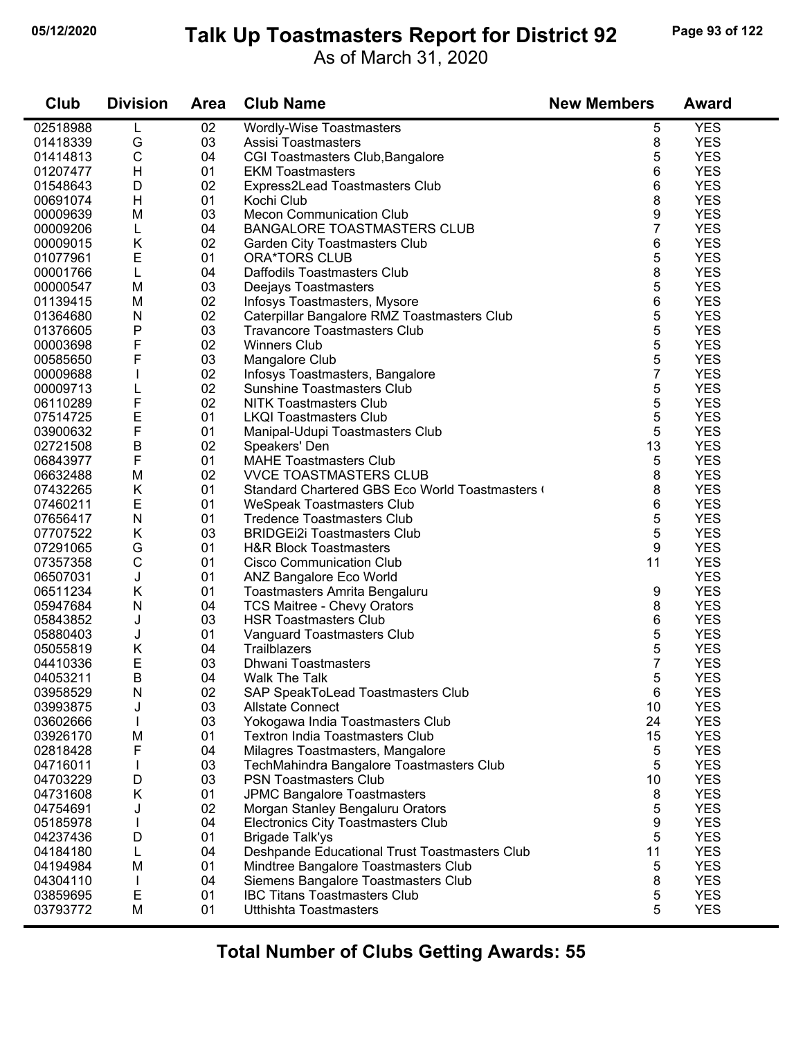# **05/12/2020 Page 93 of 122 Talk Up Toastmasters Report for District 92**

As of March 31, 2020

| Club     | <b>Division</b> | <b>Area</b> | <b>Club Name</b>                              | <b>New Members</b> | <b>Award</b> |
|----------|-----------------|-------------|-----------------------------------------------|--------------------|--------------|
| 02518988 | L               | 02          | <b>Wordly-Wise Toastmasters</b>               | 5                  | <b>YES</b>   |
| 01418339 | G               | 03          | Assisi Toastmasters                           | 8                  | <b>YES</b>   |
| 01414813 | $\mathsf C$     | 04          | CGI Toastmasters Club, Bangalore              | 5                  | <b>YES</b>   |
| 01207477 | H               | 01          | <b>EKM Toastmasters</b>                       | 6                  | <b>YES</b>   |
| 01548643 | D               | 02          | Express2Lead Toastmasters Club                | 6                  | <b>YES</b>   |
| 00691074 | H               | 01          | Kochi Club                                    | 8                  | <b>YES</b>   |
| 00009639 | M               | 03          | <b>Mecon Communication Club</b>               | 9                  | <b>YES</b>   |
| 00009206 | L               | 04          | <b>BANGALORE TOASTMASTERS CLUB</b>            | 7                  | <b>YES</b>   |
| 00009015 | K               | 02          | Garden City Toastmasters Club                 | 6                  | <b>YES</b>   |
| 01077961 | Ε               | 01          | ORA*TORS CLUB                                 | 5                  | <b>YES</b>   |
| 00001766 | $\mathsf L$     | 04          | Daffodils Toastmasters Club                   | 8                  | <b>YES</b>   |
| 00000547 | M               | 03          | Deejays Toastmasters                          | 5                  | <b>YES</b>   |
| 01139415 | M               | 02          | Infosys Toastmasters, Mysore                  | 6                  | <b>YES</b>   |
| 01364680 | N               | 02          | Caterpillar Bangalore RMZ Toastmasters Club   | 5                  | <b>YES</b>   |
| 01376605 | P               | 03          | <b>Travancore Toastmasters Club</b>           | 5                  | <b>YES</b>   |
| 00003698 | F               | 02          | <b>Winners Club</b>                           | 5                  | <b>YES</b>   |
| 00585650 | F               | 03          | Mangalore Club                                | 5                  | <b>YES</b>   |
| 00009688 |                 | 02          | Infosys Toastmasters, Bangalore               | $\overline{7}$     | <b>YES</b>   |
| 00009713 |                 | 02          | <b>Sunshine Toastmasters Club</b>             | 5                  | <b>YES</b>   |
| 06110289 | F               | 02          | <b>NITK Toastmasters Club</b>                 | 5                  | <b>YES</b>   |
| 07514725 | E               | 01          | <b>LKQI Toastmasters Club</b>                 | 5                  | <b>YES</b>   |
| 03900632 | F               | 01          | Manipal-Udupi Toastmasters Club               | 5                  | <b>YES</b>   |
| 02721508 | B               | 02          | Speakers' Den                                 | 13                 | <b>YES</b>   |
| 06843977 | F               | 01          | <b>MAHE Toastmasters Club</b>                 | 5                  | <b>YES</b>   |
| 06632488 | M               | 02          | <b>VVCE TOASTMASTERS CLUB</b>                 | 8                  | <b>YES</b>   |
| 07432265 | Κ               | 01          | Standard Chartered GBS Eco World Toastmasters | 8                  | <b>YES</b>   |
| 07460211 | E               | 01          | <b>WeSpeak Toastmasters Club</b>              | 6                  | <b>YES</b>   |
| 07656417 | ${\sf N}$       | 01          | <b>Tredence Toastmasters Club</b>             | 5                  | <b>YES</b>   |
| 07707522 | Κ               | 03          | <b>BRIDGEI2i Toastmasters Club</b>            | 5                  | <b>YES</b>   |
| 07291065 | G               | 01          | <b>H&amp;R Block Toastmasters</b>             | 9                  | <b>YES</b>   |
| 07357358 | $\mathsf C$     | 01          | Cisco Communication Club                      | 11                 | <b>YES</b>   |
| 06507031 | J               | 01          | ANZ Bangalore Eco World                       |                    | <b>YES</b>   |
| 06511234 | Κ               | 01          | Toastmasters Amrita Bengaluru                 | 9                  | <b>YES</b>   |
| 05947684 | N               | 04          | <b>TCS Maitree - Chevy Orators</b>            | 8                  | <b>YES</b>   |
| 05843852 | J               | 03          | <b>HSR Toastmasters Club</b>                  | 6                  | <b>YES</b>   |
| 05880403 | J               | 01          | Vanguard Toastmasters Club                    | 5                  | <b>YES</b>   |
| 05055819 | Κ               | 04          | Trailblazers                                  | 5                  | <b>YES</b>   |
| 04410336 | Ε               | 03          | <b>Dhwani Toastmasters</b>                    | $\overline{7}$     | <b>YES</b>   |
| 04053211 | B               | 04          | Walk The Talk                                 | 5                  | <b>YES</b>   |
| 03958529 | N               | 02          | SAP SpeakToLead Toastmasters Club             | 6                  | <b>YES</b>   |
| 03993875 | J               | 03          | <b>Allstate Connect</b>                       | 10                 | <b>YES</b>   |
| 03602666 |                 | 03          | Yokogawa India Toastmasters Club              | 24                 | <b>YES</b>   |
| 03926170 | M               | 01          | <b>Textron India Toastmasters Club</b>        | 15                 | <b>YES</b>   |
| 02818428 | F               | 04          | Milagres Toastmasters, Mangalore              | 5                  | <b>YES</b>   |
| 04716011 |                 | 03          | TechMahindra Bangalore Toastmasters Club      | 5                  | <b>YES</b>   |
| 04703229 | D               | 03          | <b>PSN Toastmasters Club</b>                  | 10                 | <b>YES</b>   |
| 04731608 | K               | 01          | <b>JPMC Bangalore Toastmasters</b>            | 8                  | <b>YES</b>   |
| 04754691 | J               | 02          | Morgan Stanley Bengaluru Orators              | 5                  | <b>YES</b>   |
| 05185978 |                 | 04          | <b>Electronics City Toastmasters Club</b>     | 9                  | <b>YES</b>   |
| 04237436 | D               | 01          | <b>Brigade Talk'ys</b>                        | 5                  | <b>YES</b>   |
| 04184180 | L               | 04          | Deshpande Educational Trust Toastmasters Club | 11                 | <b>YES</b>   |
| 04194984 | M               | 01          | Mindtree Bangalore Toastmasters Club          | 5                  | <b>YES</b>   |
| 04304110 |                 | 04          | Siemens Bangalore Toastmasters Club           | 8                  | <b>YES</b>   |
| 03859695 | E               | 01          | <b>IBC Titans Toastmasters Club</b>           | 5                  | <b>YES</b>   |
| 03793772 | M               | 01          | <b>Utthishta Toastmasters</b>                 | 5                  | <b>YES</b>   |
|          |                 |             |                                               |                    |              |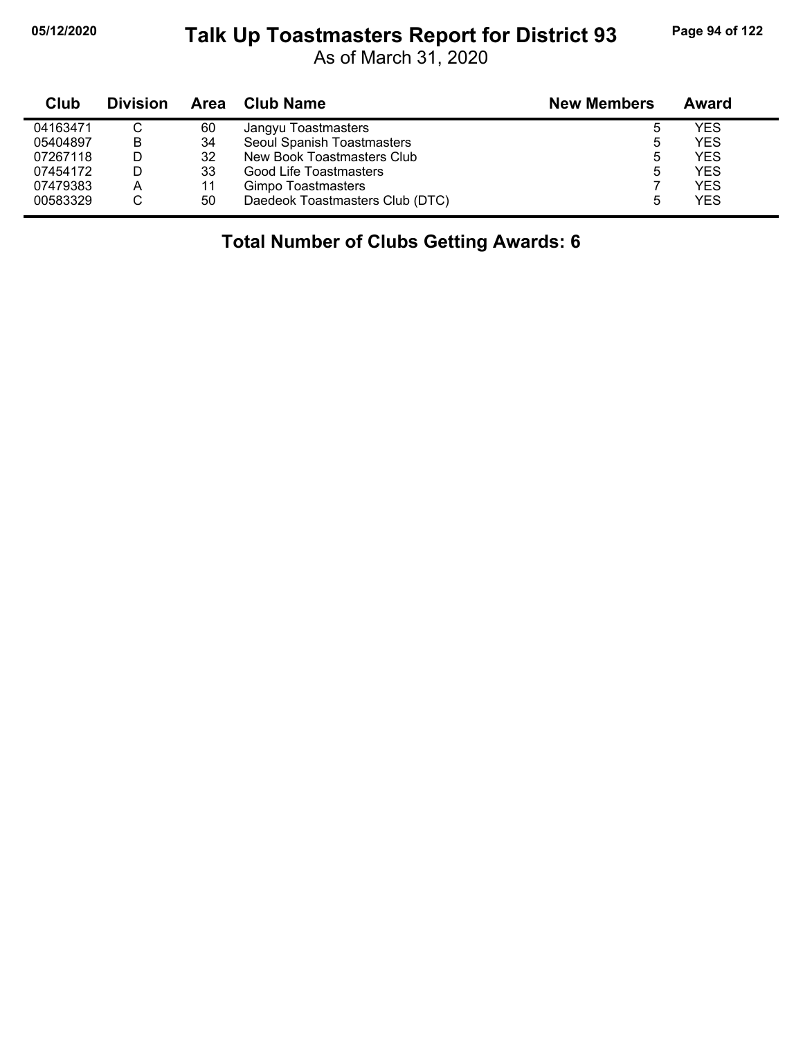j,

#### **05/12/2020 Page 94 of 122 Talk Up Toastmasters Report for District 93**

As of March 31, 2020

| Club     | <b>Division</b> | Area | <b>Club Name</b>                | <b>New Members</b> | Award |
|----------|-----------------|------|---------------------------------|--------------------|-------|
| 04163471 |                 | 60   | Jangyu Toastmasters             | b                  | YES   |
| 05404897 | B               | 34   | Seoul Spanish Toastmasters      | 5                  | YES   |
| 07267118 | D               | 32   | New Book Toastmasters Club      | b                  | YES   |
| 07454172 | D               | 33   | Good Life Toastmasters          | 5                  | YES   |
| 07479383 | A               | 11   | Gimpo Toastmasters              |                    | YES   |
| 00583329 |                 | 50   | Daedeok Toastmasters Club (DTC) | 5                  | YES   |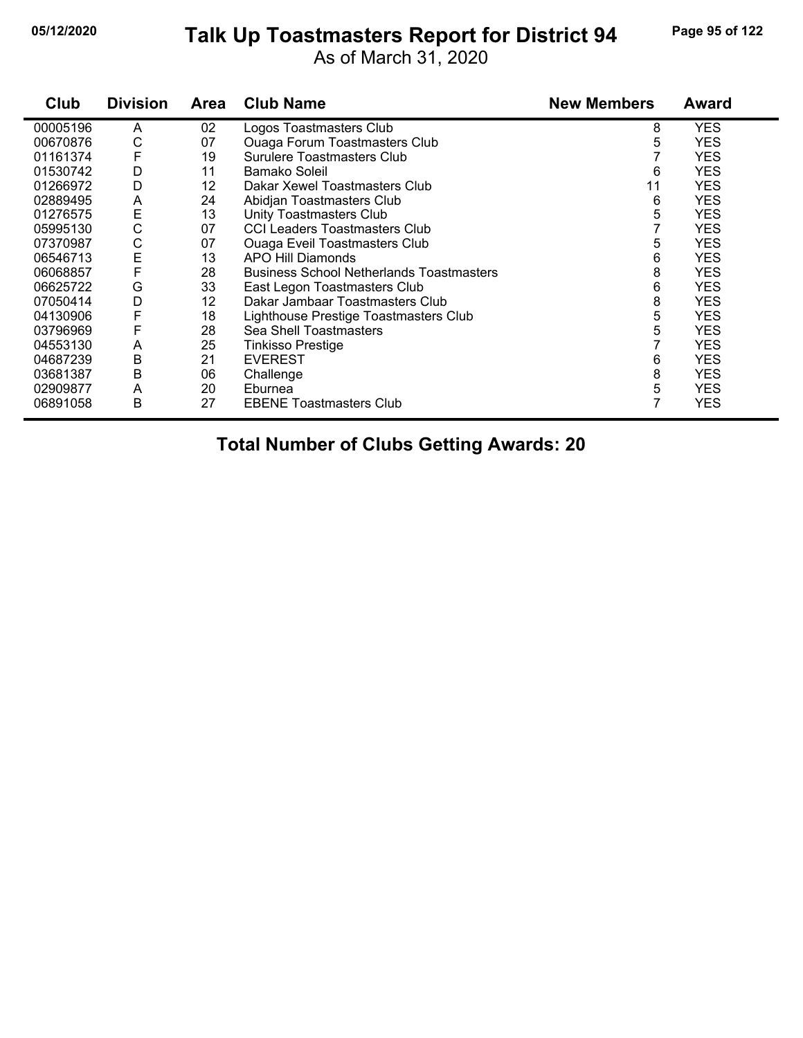# **05/12/2020 Page 95 of 122 Talk Up Toastmasters Report for District 94**

As of March 31, 2020

| Club     | <b>Division</b> | Area | <b>Club Name</b>                                | <b>New Members</b> | <b>Award</b> |
|----------|-----------------|------|-------------------------------------------------|--------------------|--------------|
| 00005196 | A               | 02   | Logos Toastmasters Club                         | 8                  | <b>YES</b>   |
| 00670876 | С               | 07   | <b>Ouaga Forum Toastmasters Club</b>            | 5                  | <b>YES</b>   |
| 01161374 | F               | 19   | <b>Surulere Toastmasters Club</b>               |                    | <b>YES</b>   |
| 01530742 | D               | 11   | Bamako Soleil                                   | 6                  | <b>YES</b>   |
| 01266972 | D               | 12   | Dakar Xewel Toastmasters Club                   | 11                 | <b>YES</b>   |
| 02889495 | A               | 24   | Abidjan Toastmasters Club                       | 6                  | <b>YES</b>   |
| 01276575 | E               | 13   | <b>Unity Toastmasters Club</b>                  | 5                  | <b>YES</b>   |
| 05995130 | C               | 07   | <b>CCI Leaders Toastmasters Club</b>            |                    | <b>YES</b>   |
| 07370987 | С               | 07   | <b>Ouaga Eveil Toastmasters Club</b>            | 5                  | <b>YES</b>   |
| 06546713 | E               | 13   | APO Hill Diamonds                               | 6                  | <b>YES</b>   |
| 06068857 | F               | 28   | <b>Business School Netherlands Toastmasters</b> | 8                  | <b>YES</b>   |
| 06625722 | G               | 33   | East Legon Toastmasters Club                    | 6                  | <b>YES</b>   |
| 07050414 | D               | 12   | Dakar Jambaar Toastmasters Club                 | 8                  | <b>YES</b>   |
| 04130906 | F               | 18   | Lighthouse Prestige Toastmasters Club           | 5                  | <b>YES</b>   |
| 03796969 | F               | 28   | Sea Shell Toastmasters                          | 5                  | <b>YES</b>   |
| 04553130 | A               | 25   | Tinkisso Prestige                               |                    | <b>YES</b>   |
| 04687239 | Β               | 21   | <b>EVEREST</b>                                  | 6                  | <b>YES</b>   |
| 03681387 | B               | 06   | Challenge                                       | 8                  | <b>YES</b>   |
| 02909877 | A               | 20   | Eburnea                                         | 5                  | <b>YES</b>   |
| 06891058 | Β               | 27   | <b>EBENE Toastmasters Club</b>                  | 7                  | <b>YES</b>   |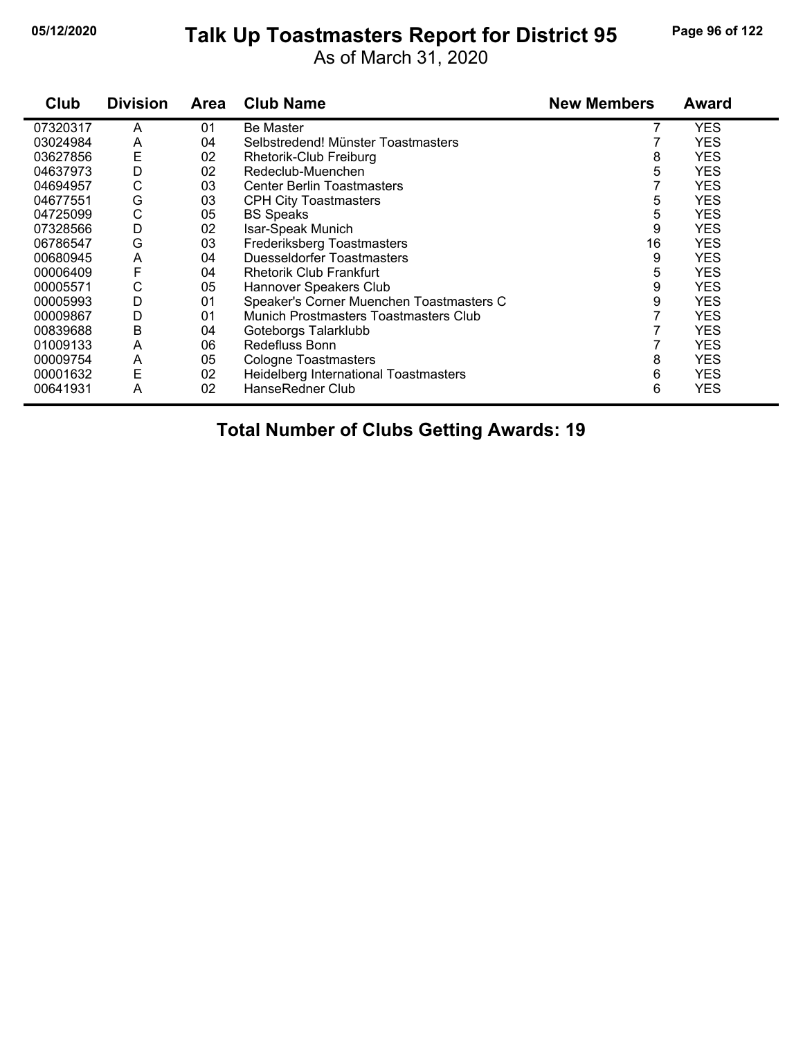#### **05/12/2020 Page 96 of 122 Talk Up Toastmasters Report for District 95**

As of March 31, 2020

| Club     | <b>Division</b> | Area | <b>Club Name</b>                         | <b>New Members</b> | <b>Award</b> |
|----------|-----------------|------|------------------------------------------|--------------------|--------------|
| 07320317 | A               | 01   | <b>Be Master</b>                         |                    | <b>YES</b>   |
| 03024984 | A               | 04   | Selbstredend! Münster Toastmasters       |                    | <b>YES</b>   |
| 03627856 | E               | 02   | Rhetorik-Club Freiburg                   | 8                  | <b>YES</b>   |
| 04637973 | D               | 02   | Redeclub-Muenchen                        | 5                  | <b>YES</b>   |
| 04694957 | С               | 03   | <b>Center Berlin Toastmasters</b>        |                    | <b>YES</b>   |
| 04677551 | G               | 03   | <b>CPH City Toastmasters</b>             | 5                  | <b>YES</b>   |
| 04725099 | C               | 05   | <b>BS Speaks</b>                         | 5                  | <b>YES</b>   |
| 07328566 | D               | 02   | Isar-Speak Munich                        | 9                  | <b>YES</b>   |
| 06786547 | G               | 03   | Frederiksberg Toastmasters               | 16                 | <b>YES</b>   |
| 00680945 | A               | 04   | Duesseldorfer Toastmasters               | 9                  | <b>YES</b>   |
| 00006409 | F               | 04   | <b>Rhetorik Club Frankfurt</b>           | 5                  | <b>YES</b>   |
| 00005571 | С               | 05   | Hannover Speakers Club                   | 9                  | <b>YES</b>   |
| 00005993 | D               | 01   | Speaker's Corner Muenchen Toastmasters C | 9                  | <b>YES</b>   |
| 00009867 | D               | 01   | Munich Prostmasters Toastmasters Club    |                    | <b>YES</b>   |
| 00839688 | Β               | 04   | Goteborgs Talarklubb                     |                    | <b>YES</b>   |
| 01009133 | A               | 06   | Redefluss Bonn                           |                    | <b>YES</b>   |
| 00009754 | A               | 05   | <b>Cologne Toastmasters</b>              | 8                  | <b>YES</b>   |
| 00001632 | E               | 02   | Heidelberg International Toastmasters    | 6                  | <b>YES</b>   |
| 00641931 | A               | 02   | HanseRedner Club                         | 6                  | <b>YES</b>   |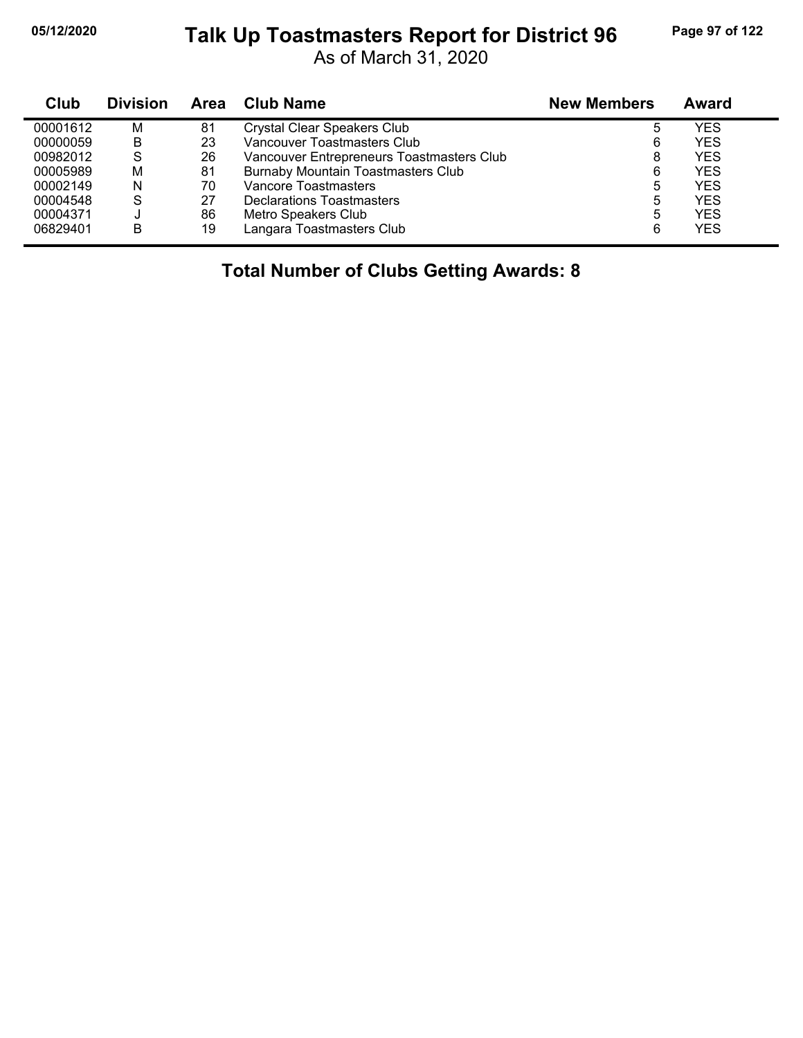#### **05/12/2020 Page 97 of 122 Talk Up Toastmasters Report for District 96**

As of March 31, 2020

| Club     | <b>Division</b> | Area | <b>Club Name</b>                          | <b>New Members</b> | Award      |
|----------|-----------------|------|-------------------------------------------|--------------------|------------|
| 00001612 | м               | 81   | <b>Crystal Clear Speakers Club</b>        | 5                  | YES        |
| 00000059 | B               | 23   | Vancouver Toastmasters Club               | 6                  | <b>YES</b> |
| 00982012 | -S              | 26   | Vancouver Entrepreneurs Toastmasters Club | 8                  | <b>YES</b> |
| 00005989 | М               | 81   | <b>Burnaby Mountain Toastmasters Club</b> | 6                  | <b>YES</b> |
| 00002149 | N               | 70   | Vancore Toastmasters                      | 5                  | <b>YES</b> |
| 00004548 | S               | 27   | Declarations Toastmasters                 | 5                  | <b>YES</b> |
| 00004371 |                 | 86   | Metro Speakers Club                       | 5                  | <b>YFS</b> |
| 06829401 | В               | 19   | Langara Toastmasters Club                 | 6                  | <b>YES</b> |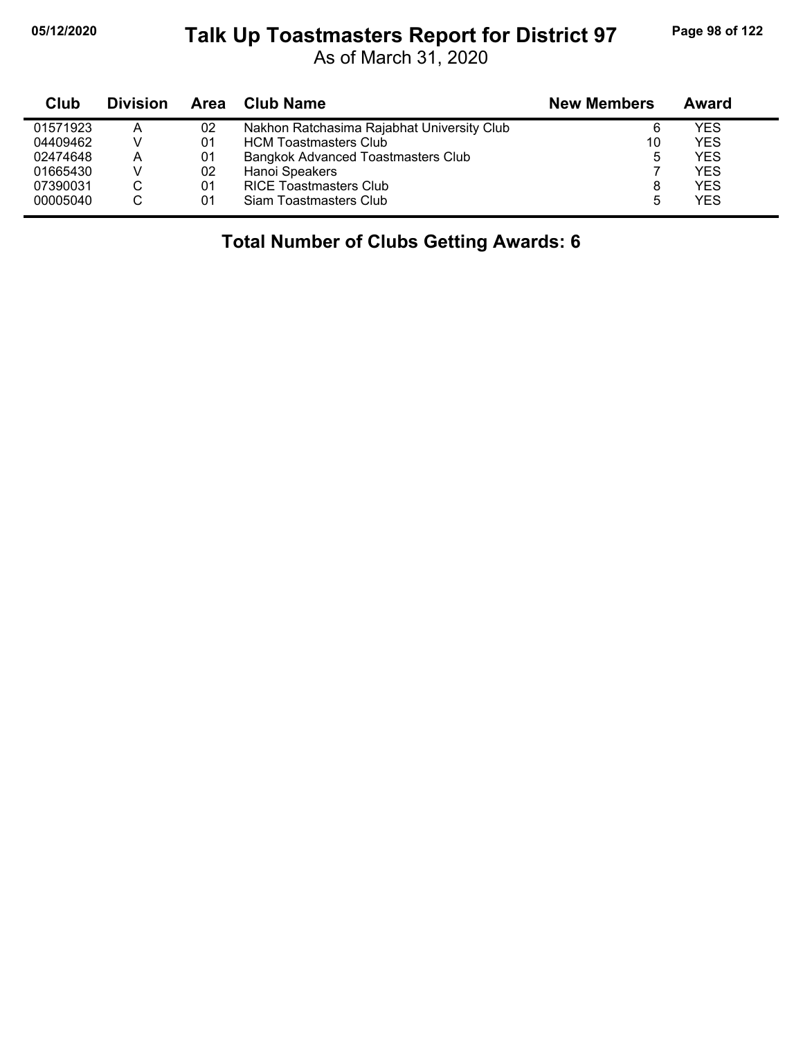j,

#### **05/12/2020 Page 98 of 122 Talk Up Toastmasters Report for District 97**

As of March 31, 2020

| Club     | <b>Division</b> | Area | <b>Club Name</b>                           | <b>New Members</b> | Award |
|----------|-----------------|------|--------------------------------------------|--------------------|-------|
| 01571923 | А               | 02   | Nakhon Ratchasima Rajabhat University Club | 6                  | YES   |
| 04409462 |                 | 01   | <b>HCM Toastmasters Club</b>               | 10                 | YES   |
| 02474648 | А               | 01   | Bangkok Advanced Toastmasters Club         | 5                  | YES   |
| 01665430 |                 | 02   | Hanoi Speakers                             |                    | YES   |
| 07390031 |                 | 01   | <b>RICE Toastmasters Club</b>              | 8                  | YES   |
| 00005040 |                 | 01   | Siam Toastmasters Club                     | 5                  | YES   |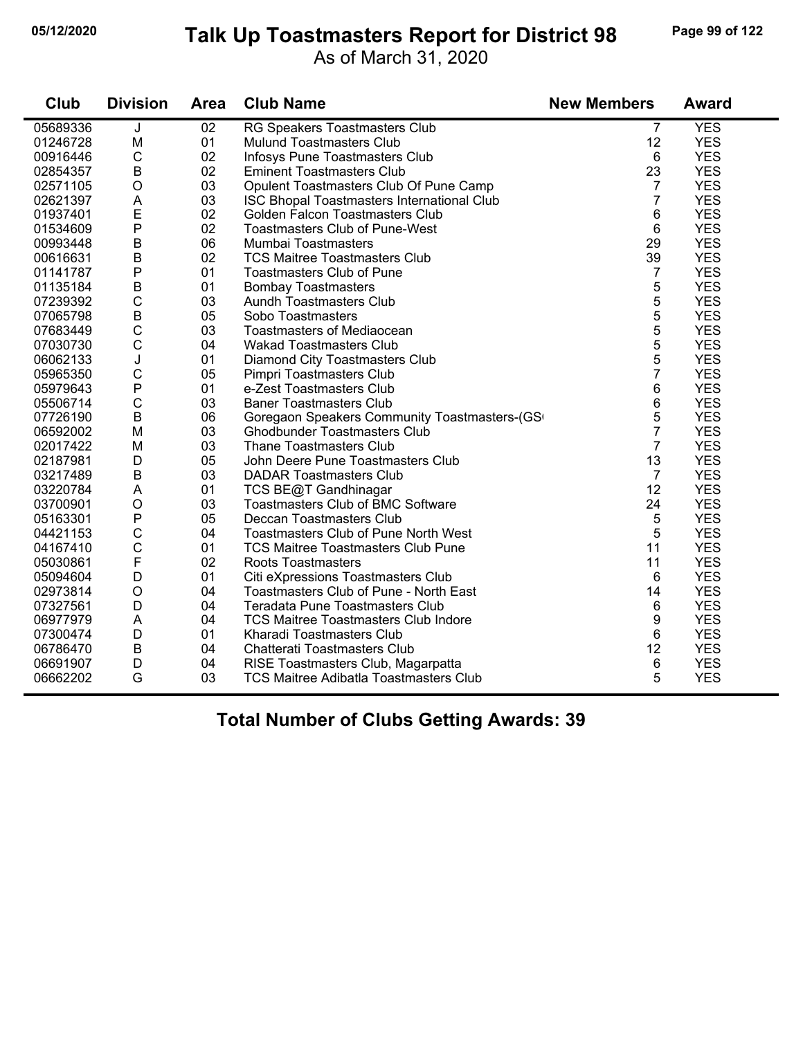# **05/12/2020 Page 99 of 122 Talk Up Toastmasters Report for District 98**

As of March 31, 2020

| Club     | <b>Division</b> | <b>Area</b> | <b>Club Name</b>                             | <b>New Members</b> | <b>Award</b> |
|----------|-----------------|-------------|----------------------------------------------|--------------------|--------------|
| 05689336 | J               | 02          | RG Speakers Toastmasters Club                | 7                  | <b>YES</b>   |
| 01246728 | M               | 01          | <b>Mulund Toastmasters Club</b>              | 12                 | <b>YES</b>   |
| 00916446 | $\mathsf C$     | 02          | Infosys Pune Toastmasters Club               | 6                  | <b>YES</b>   |
| 02854357 | $\sf B$         | 02          | <b>Eminent Toastmasters Club</b>             | 23                 | <b>YES</b>   |
| 02571105 | $\circ$         | 03          | Opulent Toastmasters Club Of Pune Camp       | 7                  | <b>YES</b>   |
| 02621397 | A               | 03          | ISC Bhopal Toastmasters International Club   | $\overline{7}$     | <b>YES</b>   |
| 01937401 | E               | 02          | Golden Falcon Toastmasters Club              | 6                  | <b>YES</b>   |
| 01534609 | $\mathsf{P}$    | 02          | <b>Toastmasters Club of Pune-West</b>        | 6                  | <b>YES</b>   |
| 00993448 | $\sf B$         | 06          | Mumbai Toastmasters                          | 29                 | <b>YES</b>   |
| 00616631 | $\mathsf B$     | 02          | <b>TCS Maitree Toastmasters Club</b>         | 39                 | <b>YES</b>   |
| 01141787 | $\mathsf{P}$    | 01          | <b>Toastmasters Club of Pune</b>             | 7                  | <b>YES</b>   |
| 01135184 | B               | 01          | <b>Bombay Toastmasters</b>                   | 5                  | <b>YES</b>   |
| 07239392 | $\mathsf{C}$    | 03          | <b>Aundh Toastmasters Club</b>               | 5                  | <b>YES</b>   |
| 07065798 | $\overline{B}$  | 05          | Sobo Toastmasters                            | 5                  | <b>YES</b>   |
| 07683449 | $\mathsf C$     | 03          | Toastmasters of Mediaocean                   | 5                  | <b>YES</b>   |
| 07030730 | $\mathsf C$     | 04          | <b>Wakad Toastmasters Club</b>               | 5                  | <b>YES</b>   |
| 06062133 | J               | 01          | Diamond City Toastmasters Club               | 5                  | <b>YES</b>   |
| 05965350 | $\mathsf C$     | 05          | Pimpri Toastmasters Club                     | $\overline{7}$     | <b>YES</b>   |
| 05979643 | ${\sf P}$       | 01          | e-Zest Toastmasters Club                     | 6                  | <b>YES</b>   |
| 05506714 | $\mathsf C$     | 03          | <b>Baner Toastmasters Club</b>               | 6                  | <b>YES</b>   |
| 07726190 | $\mathsf B$     | 06          | Goregaon Speakers Community Toastmasters-(GS | 5                  | <b>YES</b>   |
| 06592002 | M               | 03          | <b>Ghodbunder Toastmasters Club</b>          | $\overline{7}$     | <b>YES</b>   |
| 02017422 | M               | 03          | <b>Thane Toastmasters Club</b>               | 7                  | <b>YES</b>   |
| 02187981 | D               | 05          | John Deere Pune Toastmasters Club            | 13                 | <b>YES</b>   |
| 03217489 | $\sf B$         | 03          | <b>DADAR Toastmasters Club</b>               | $\overline{7}$     | <b>YES</b>   |
| 03220784 | A               | 01          | TCS BE@T Gandhinagar                         | 12                 | <b>YES</b>   |
| 03700901 | $\circ$         | 03          | <b>Toastmasters Club of BMC Software</b>     | 24                 | <b>YES</b>   |
| 05163301 | $\mathsf{P}$    | 05          | Deccan Toastmasters Club                     | 5                  | <b>YES</b>   |
| 04421153 | $\mathsf C$     | 04          | Toastmasters Club of Pune North West         | 5                  | <b>YES</b>   |
| 04167410 | $\mathsf C$     | 01          | <b>TCS Maitree Toastmasters Club Pune</b>    | 11                 | <b>YES</b>   |
| 05030861 | F               | 02          | <b>Roots Toastmasters</b>                    | 11                 | <b>YES</b>   |
| 05094604 | D               | 01          | Citi eXpressions Toastmasters Club           | 6                  | <b>YES</b>   |
| 02973814 | $\circ$         | 04          | Toastmasters Club of Pune - North East       | 14                 | <b>YES</b>   |
| 07327561 | D               | 04          | <b>Teradata Pune Toastmasters Club</b>       | 6                  | <b>YES</b>   |
| 06977979 | A               | 04          | <b>TCS Maitree Toastmasters Club Indore</b>  | 9                  | <b>YES</b>   |
| 07300474 | D               | 01          | Kharadi Toastmasters Club                    | 6                  | <b>YES</b>   |
| 06786470 | $\sf B$         | 04          | Chatterati Toastmasters Club                 | 12                 | <b>YES</b>   |
| 06691907 | D               | 04          | RISE Toastmasters Club, Magarpatta           | 6                  | <b>YES</b>   |
| 06662202 | G               | 03          | TCS Maitree Adibatla Toastmasters Club       | 5                  | <b>YES</b>   |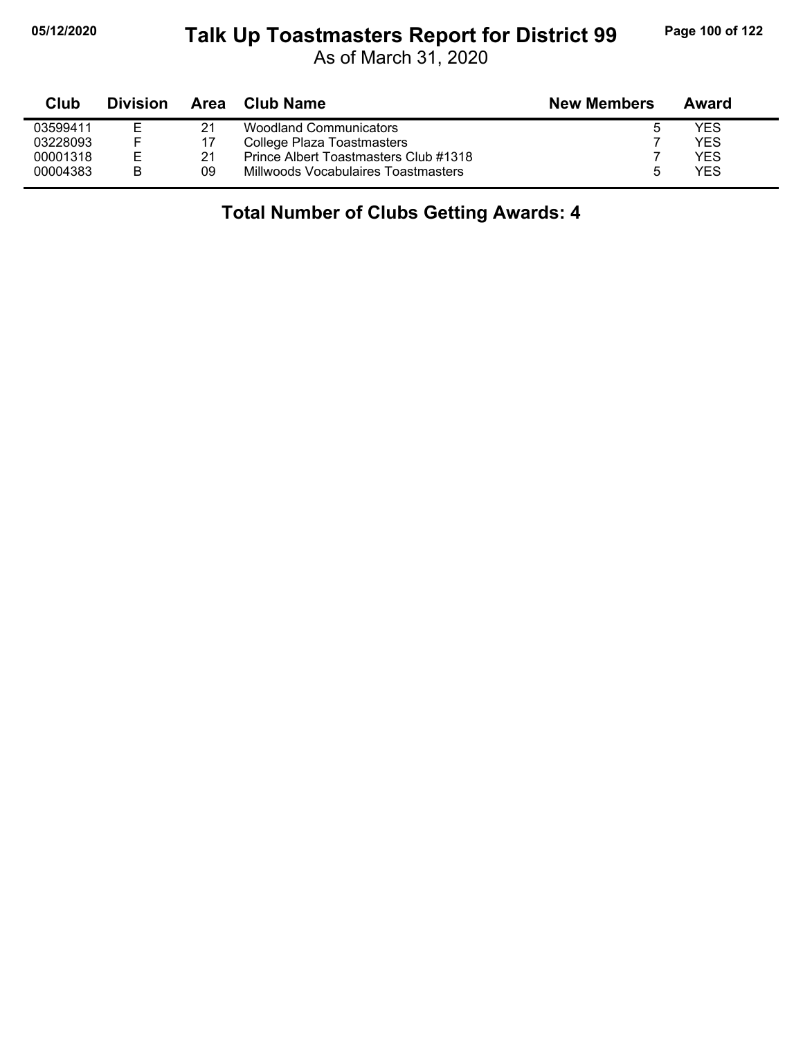#### **05/12/2020 Page 100 of 122 Talk Up Toastmasters Report for District 99**

As of March 31, 2020

| <b>Club</b> | <b>Division</b> | Area | Club Name                             | <b>New Members</b> | Award |  |
|-------------|-----------------|------|---------------------------------------|--------------------|-------|--|
| 03599411    | Е               | 21   | <b>Woodland Communicators</b>         | 5                  | YES   |  |
| 03228093    |                 | 17   | College Plaza Toastmasters            |                    | YES   |  |
| 00001318    | Е               | 21   | Prince Albert Toastmasters Club #1318 |                    | YES   |  |
| 00004383    | B               | 09   | Millwoods Vocabulaires Toastmasters   | .h                 | YES   |  |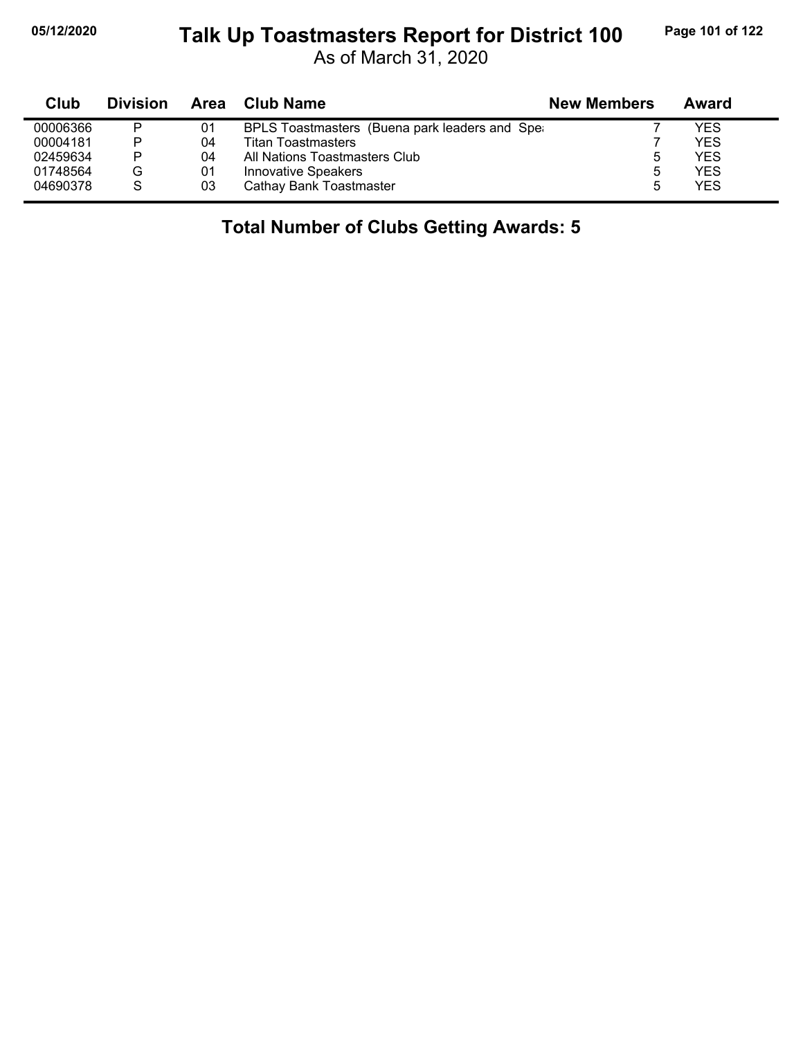#### **05/12/2020 Page 101 of 122 Talk Up Toastmasters Report for District 100**

As of March 31, 2020

| Club     | <b>Division</b> | Area | Club Name                                      | <b>New Members</b> | Award      |
|----------|-----------------|------|------------------------------------------------|--------------------|------------|
| 00006366 | P               | 01   | BPLS Toastmasters (Buena park leaders and Sper |                    | YES        |
| 00004181 | P               | 04   | <b>Titan Toastmasters</b>                      |                    | YES        |
| 02459634 | P               | 04   | All Nations Toastmasters Club                  | ა                  | YES        |
| 01748564 | G               | 01   | <b>Innovative Speakers</b>                     | 5                  | YES        |
| 04690378 | S               | 03   | Cathay Bank Toastmaster                        | 5                  | <b>YES</b> |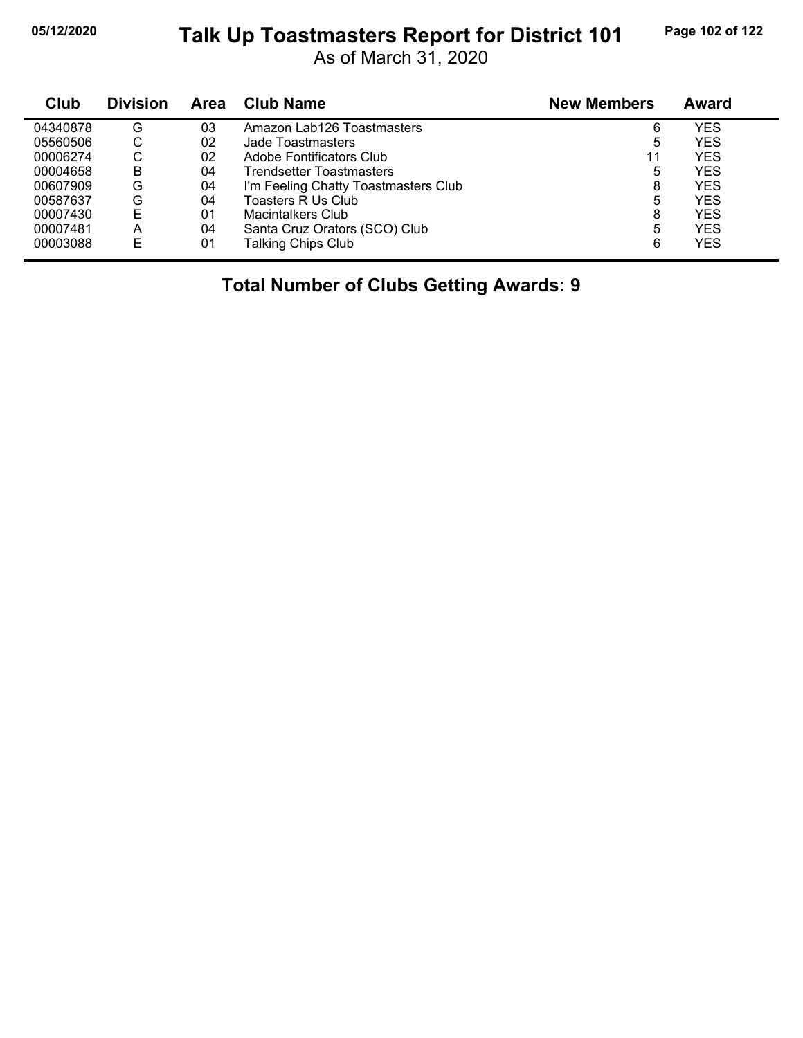#### **05/12/2020 Page 102 of 122 Talk Up Toastmasters Report for District 101**

As of March 31, 2020

| Club     | <b>Division</b> | Area | <b>Club Name</b>                     | <b>New Members</b> | Award      |  |
|----------|-----------------|------|--------------------------------------|--------------------|------------|--|
| 04340878 | G               | 03   | Amazon Lab126 Toastmasters           | 6                  | YES        |  |
| 05560506 | С               | 02   | Jade Toastmasters                    | 5                  | YES        |  |
| 00006274 | С               | 02   | Adobe Fontificators Club             | 11                 | YES        |  |
| 00004658 | B               | 04   | Trendsetter Toastmasters             | 5                  | YES        |  |
| 00607909 | G               | 04   | I'm Feeling Chatty Toastmasters Club | 8                  | YES        |  |
| 00587637 | G               | 04   | Toasters R Us Club                   | 5                  | YES        |  |
| 00007430 | E               | 01   | <b>Macintalkers Club</b>             | 8                  | YES        |  |
| 00007481 | Α               | 04   | Santa Cruz Orators (SCO) Club        | 5                  | <b>YES</b> |  |
| 00003088 | E               | 01   | <b>Talking Chips Club</b>            | 6                  | <b>YES</b> |  |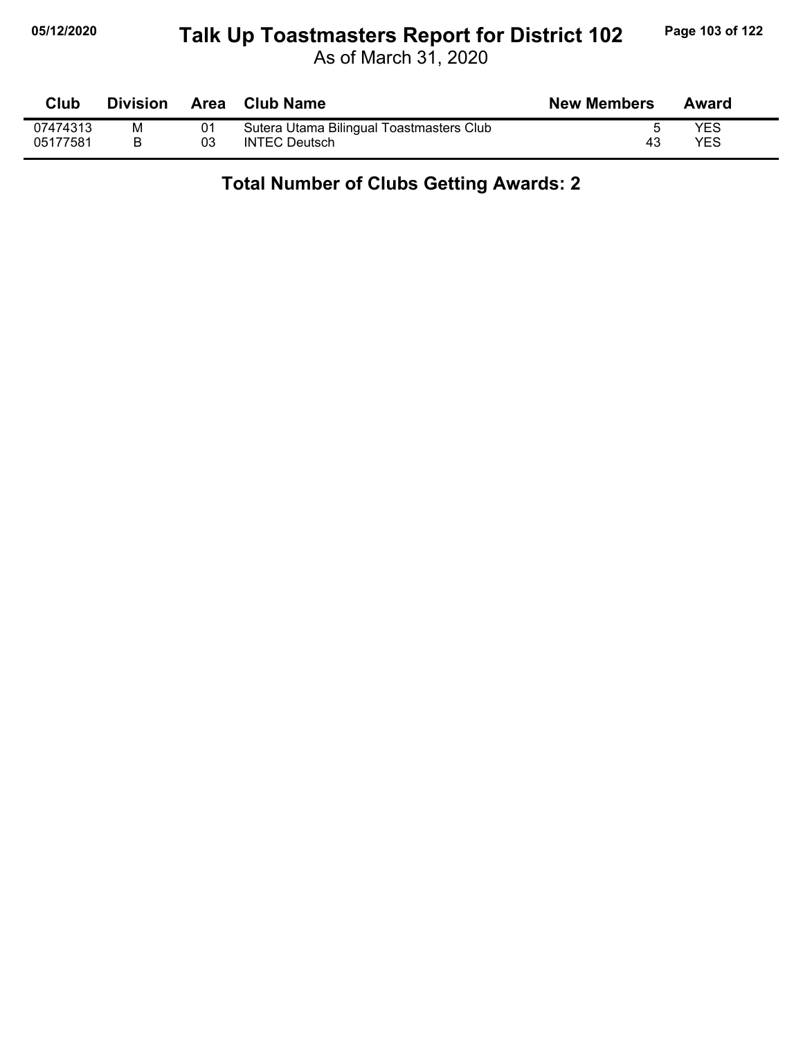#### **05/12/2020 Page 103 of 122 Talk Up Toastmasters Report for District 102**

As of March 31, 2020

| Club     | <b>Division</b> |    | Area Club Name                           | <b>New Members</b> | Award      |
|----------|-----------------|----|------------------------------------------|--------------------|------------|
| 07474313 | M               | 01 | Sutera Utama Bilingual Toastmasters Club |                    | <b>YES</b> |
| 05177581 |                 | 03 | <b>INTEC Deutsch</b>                     | 43                 | YES        |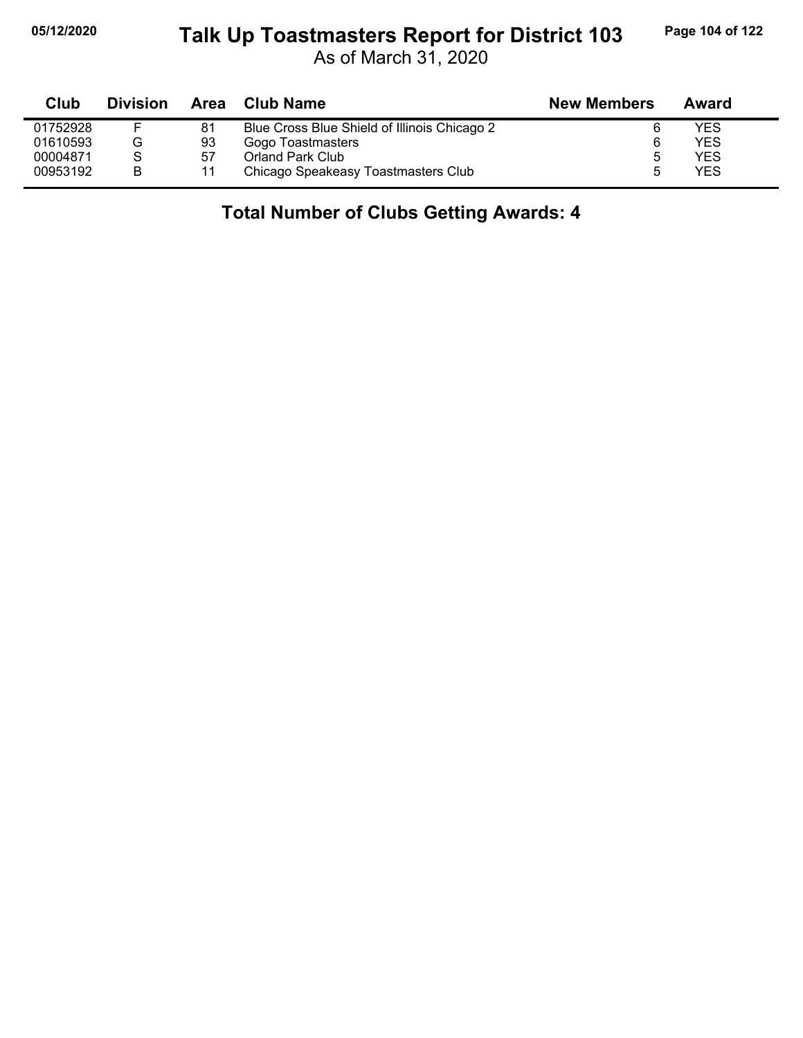#### **05/12/2020 Page 104 of 122 Talk Up Toastmasters Report for District 103**

As of March 31, 2020

| <b>Club</b> | <b>Division</b> |     | Area Club Name                               | <b>New Members</b> | Award |  |
|-------------|-----------------|-----|----------------------------------------------|--------------------|-------|--|
| 01752928    |                 | 81  | Blue Cross Blue Shield of Illinois Chicago 2 |                    | YES   |  |
| 01610593    | G               | 93  | Gogo Toastmasters                            | 6                  | YES   |  |
| 00004871    |                 | -57 | <b>Orland Park Club</b>                      | b                  | YES   |  |
| 00953192    | в               |     | Chicago Speakeasy Toastmasters Club          |                    | YES   |  |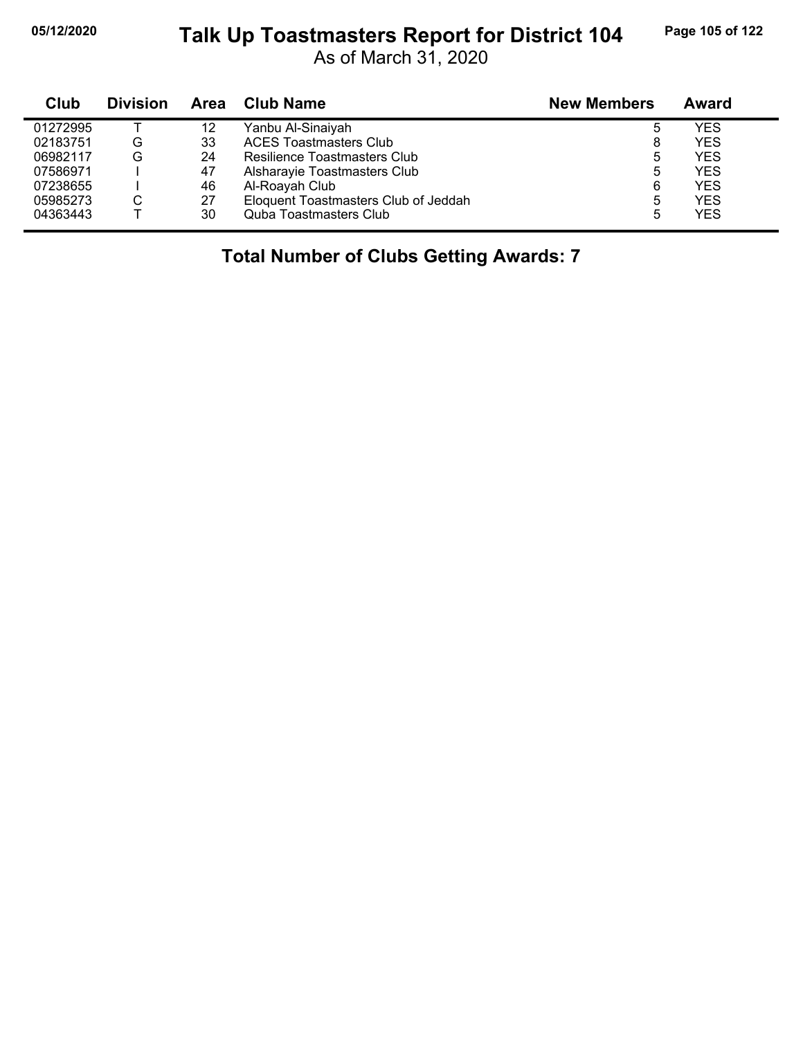#### **05/12/2020 Page 105 of 122 Talk Up Toastmasters Report for District 104**

As of March 31, 2020

| Club     | <b>Division</b> | Area | <b>Club Name</b>                     | <b>New Members</b> | Award      |
|----------|-----------------|------|--------------------------------------|--------------------|------------|
| 01272995 |                 | 12   | Yanbu Al-Sinaiyah                    | ხ                  | YES        |
| 02183751 | G               | 33   | <b>ACES Toastmasters Club</b>        | 8                  | <b>YES</b> |
| 06982117 | G               | 24   | Resilience Toastmasters Club         | 5                  | <b>YES</b> |
| 07586971 |                 | 47   | Alsharayie Toastmasters Club         | 5                  | <b>YES</b> |
| 07238655 |                 | 46   | Al-Roayah Club                       | 6                  | <b>YES</b> |
| 05985273 | С               | 27   | Eloquent Toastmasters Club of Jeddah | 5                  | <b>YES</b> |
| 04363443 |                 | 30   | <b>Quba Toastmasters Club</b>        | 5                  | <b>YES</b> |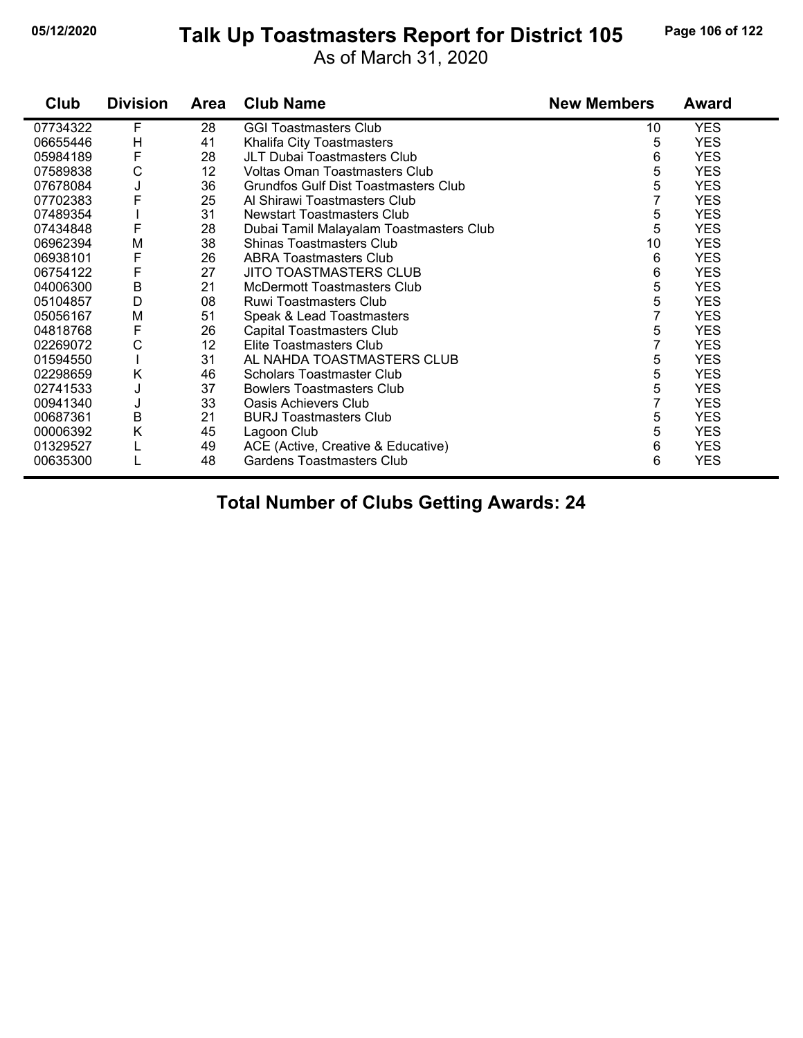#### **05/12/2020 Page 106 of 122 Talk Up Toastmasters Report for District 105**

As of March 31, 2020

| Club     | <b>Division</b> | <b>Area</b> | <b>Club Name</b>                            | <b>New Members</b> | <b>Award</b> |
|----------|-----------------|-------------|---------------------------------------------|--------------------|--------------|
| 07734322 | F               | 28          | <b>GGI Toastmasters Club</b>                | 10                 | <b>YES</b>   |
| 06655446 | H               | 41          | Khalifa City Toastmasters                   | 5                  | <b>YES</b>   |
| 05984189 | F               | 28          | JLT Dubai Toastmasters Club                 | 6                  | <b>YES</b>   |
| 07589838 | C               | 12          | Voltas Oman Toastmasters Club               | 5                  | <b>YES</b>   |
| 07678084 | J               | 36          | <b>Grundfos Gulf Dist Toastmasters Club</b> | 5                  | <b>YES</b>   |
| 07702383 | F               | 25          | Al Shirawi Toastmasters Club                | 7                  | <b>YES</b>   |
| 07489354 |                 | 31          | <b>Newstart Toastmasters Club</b>           | 5                  | <b>YES</b>   |
| 07434848 | F               | 28          | Dubai Tamil Malayalam Toastmasters Club     | 5                  | <b>YES</b>   |
| 06962394 | M               | 38          | <b>Shinas Toastmasters Club</b>             | 10                 | <b>YES</b>   |
| 06938101 | F               | 26          | <b>ABRA Toastmasters Club</b>               | 6                  | <b>YES</b>   |
| 06754122 | F               | 27          | JITO TOASTMASTERS CLUB                      | 6                  | YES.         |
| 04006300 | $\sf B$         | 21          | <b>McDermott Toastmasters Club</b>          | 5                  | <b>YES</b>   |
| 05104857 | D               | 08          | Ruwi Toastmasters Club                      | 5                  | <b>YES</b>   |
| 05056167 | M               | 51          | Speak & Lead Toastmasters                   | 7                  | <b>YES</b>   |
| 04818768 | F               | 26          | Capital Toastmasters Club                   | 5                  | <b>YES</b>   |
| 02269072 | C               | 12          | Elite Toastmasters Club                     | $\overline{7}$     | <b>YES</b>   |
| 01594550 |                 | 31          | AL NAHDA TOASTMASTERS CLUB                  | 5                  | <b>YES</b>   |
| 02298659 | Κ               | 46          | <b>Scholars Toastmaster Club</b>            | 5                  | <b>YES</b>   |
| 02741533 | J               | 37          | <b>Bowlers Toastmasters Club</b>            | 5                  | <b>YES</b>   |
| 00941340 | J               | 33          | Oasis Achievers Club                        | 7                  | <b>YES</b>   |
| 00687361 | $\sf B$         | 21          | <b>BURJ Toastmasters Club</b>               | 5                  | <b>YES</b>   |
| 00006392 | Κ               | 45          | Lagoon Club                                 | 5                  | <b>YES</b>   |
| 01329527 |                 | 49          | ACE (Active, Creative & Educative)          | 6                  | <b>YES</b>   |
| 00635300 |                 | 48          | <b>Gardens Toastmasters Club</b>            | 6                  | <b>YES</b>   |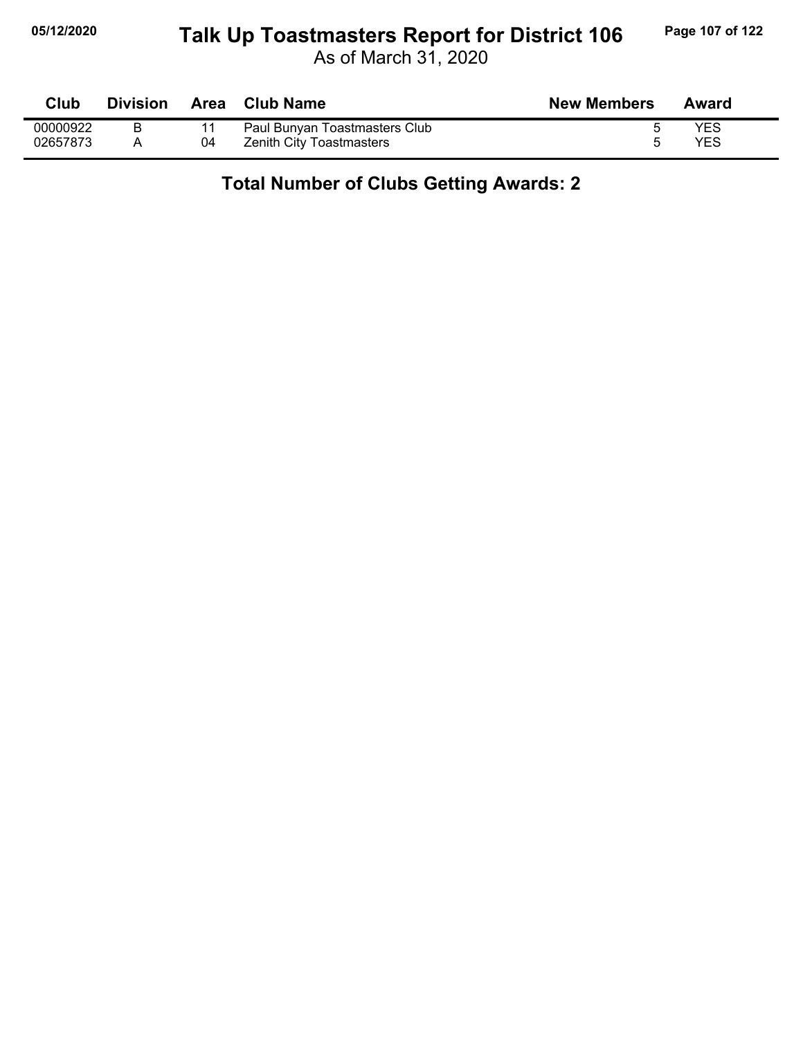#### **05/12/2020 Page 107 of 122 Talk Up Toastmasters Report for District 106**

As of March 31, 2020

| <b>Club</b> | <b>Division</b> | Area | <b>Club Name</b>                | <b>New Members</b> | Award |
|-------------|-----------------|------|---------------------------------|--------------------|-------|
| 00000922    |                 |      | Paul Bunyan Toastmasters Club   |                    | YES   |
| 02657873    |                 | 04   | <b>Zenith City Toastmasters</b> |                    | YES   |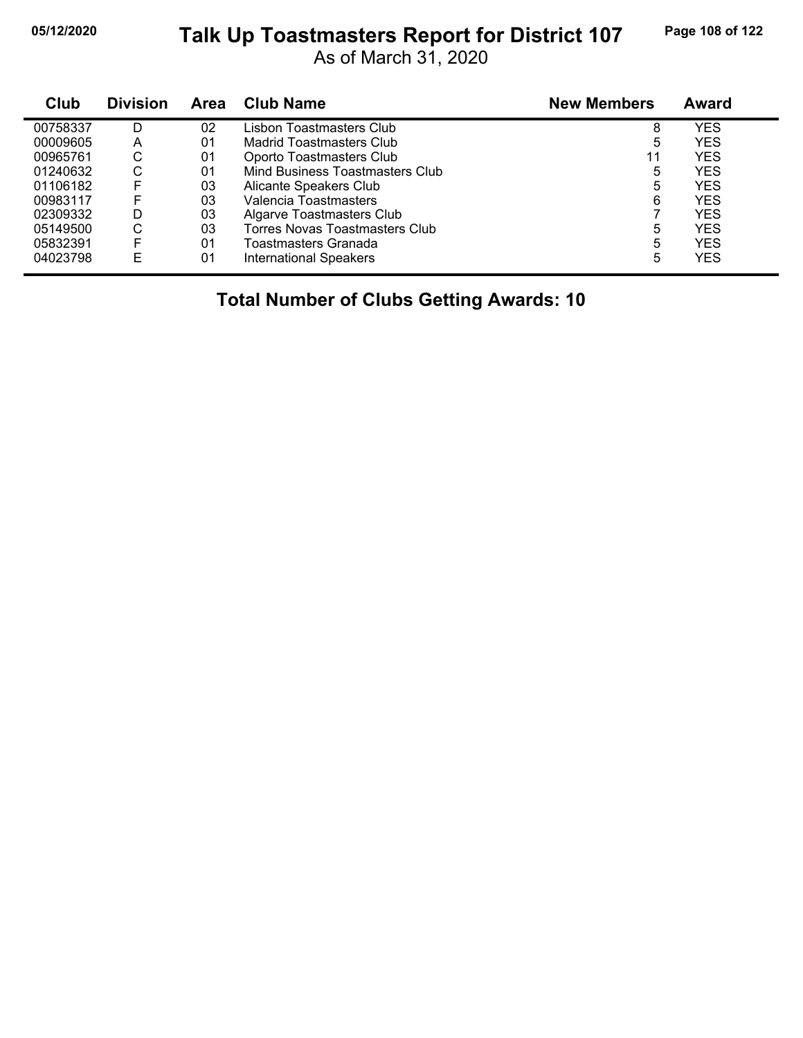#### **05/12/2020 Page 108 of 122 Talk Up Toastmasters Report for District 107**

As of March 31, 2020

| Club     | <b>Division</b> | Area | Club Name                       | <b>New Members</b> | <b>Award</b> |
|----------|-----------------|------|---------------------------------|--------------------|--------------|
| 00758337 | D               | 02   | Lisbon Toastmasters Club        | 8                  | YES          |
| 00009605 | Α               | 01   | Madrid Toastmasters Club        | 5                  | <b>YES</b>   |
| 00965761 | С               | 01   | Oporto Toastmasters Club        | 11                 | <b>YES</b>   |
| 01240632 | С               | 01   | Mind Business Toastmasters Club | 5                  | <b>YES</b>   |
| 01106182 | F               | 03   | Alicante Speakers Club          | 5                  | <b>YES</b>   |
| 00983117 | F               | 03   | Valencia Toastmasters           | 6                  | <b>YES</b>   |
| 02309332 | D               | 03   | Algarve Toastmasters Club       |                    | <b>YES</b>   |
| 05149500 | С               | 03   | Torres Novas Toastmasters Club  | 5                  | <b>YES</b>   |
| 05832391 | F               | 01   | Toastmasters Granada            | 5                  | <b>YES</b>   |
| 04023798 | E               | 01   | <b>International Speakers</b>   | 5                  | YES          |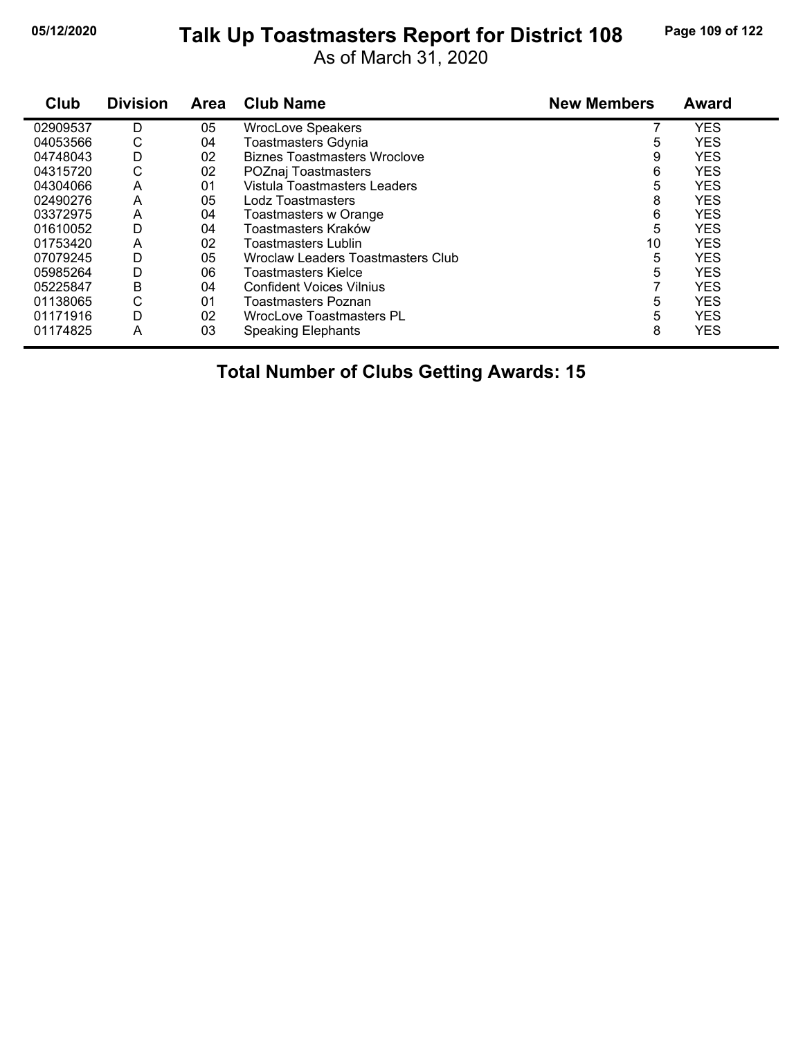#### **05/12/2020 Page 109 of 122 Talk Up Toastmasters Report for District 108**

As of March 31, 2020

| Club     | <b>Division</b> | <b>Area</b> | <b>Club Name</b>                         | <b>New Members</b> | <b>Award</b> |
|----------|-----------------|-------------|------------------------------------------|--------------------|--------------|
| 02909537 | D               | 05          | <b>WrocLove Speakers</b>                 |                    | <b>YES</b>   |
| 04053566 | С               | 04          | <b>Toastmasters Gdynia</b>               | 5                  | <b>YES</b>   |
| 04748043 | D               | 02          | <b>Biznes Toastmasters Wroclove</b>      | 9                  | <b>YES</b>   |
| 04315720 | С               | 02          | POZnaj Toastmasters                      | 6                  | <b>YES</b>   |
| 04304066 | A               | 01          | Vistula Toastmasters Leaders             | 5                  | <b>YES</b>   |
| 02490276 | A               | 05          | Lodz Toastmasters                        | 8                  | <b>YES</b>   |
| 03372975 | A               | 04          | Toastmasters w Orange                    | 6                  | <b>YES</b>   |
| 01610052 | D               | 04          | Toastmasters Kraków                      | 5                  | <b>YES</b>   |
| 01753420 | A               | 02          | Toastmasters Lublin                      | 10                 | <b>YES</b>   |
| 07079245 | D               | 05          | <b>Wroclaw Leaders Toastmasters Club</b> | 5                  | <b>YES</b>   |
| 05985264 | D               | 06          | Toastmasters Kielce                      | 5                  | <b>YES</b>   |
| 05225847 | В               | 04          | <b>Confident Voices Vilnius</b>          |                    | <b>YES</b>   |
| 01138065 | С               | 01          | <b>Toastmasters Poznan</b>               | 5                  | <b>YES</b>   |
| 01171916 | D               | 02          | <b>WrocLove Toastmasters PL</b>          | 5                  | <b>YES</b>   |
| 01174825 | Α               | 03          | <b>Speaking Elephants</b>                | 8                  | <b>YES</b>   |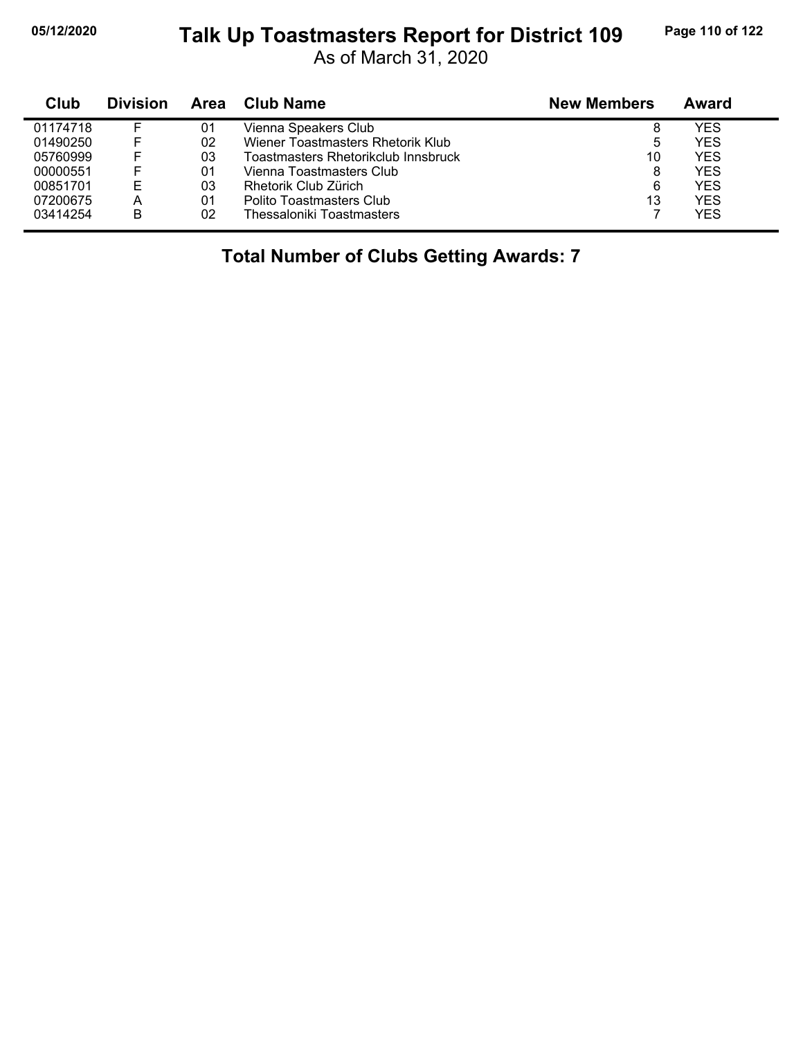### **05/12/2020 Page 110 of 122 Talk Up Toastmasters Report for District 109**

As of March 31, 2020

| Club     | <b>Division</b> | Area | <b>Club Name</b>                    | <b>New Members</b> | Award |
|----------|-----------------|------|-------------------------------------|--------------------|-------|
| 01174718 |                 | 01   | Vienna Speakers Club                | 8                  | YES   |
| 01490250 |                 | 02   | Wiener Toastmasters Rhetorik Klub   | 5                  | YES   |
| 05760999 | F.              | 03   | Toastmasters Rhetorikclub Innsbruck | 10                 | YES   |
| 00000551 | F               | 01   | Vienna Toastmasters Club            | 8                  | YES   |
| 00851701 | E               | 03   | Rhetorik Club Zürich                | 6                  | YES   |
| 07200675 | А               | 01   | Polito Toastmasters Club            | 13                 | YES   |
| 03414254 | B               | 02   | Thessaloniki Toastmasters           |                    | YES   |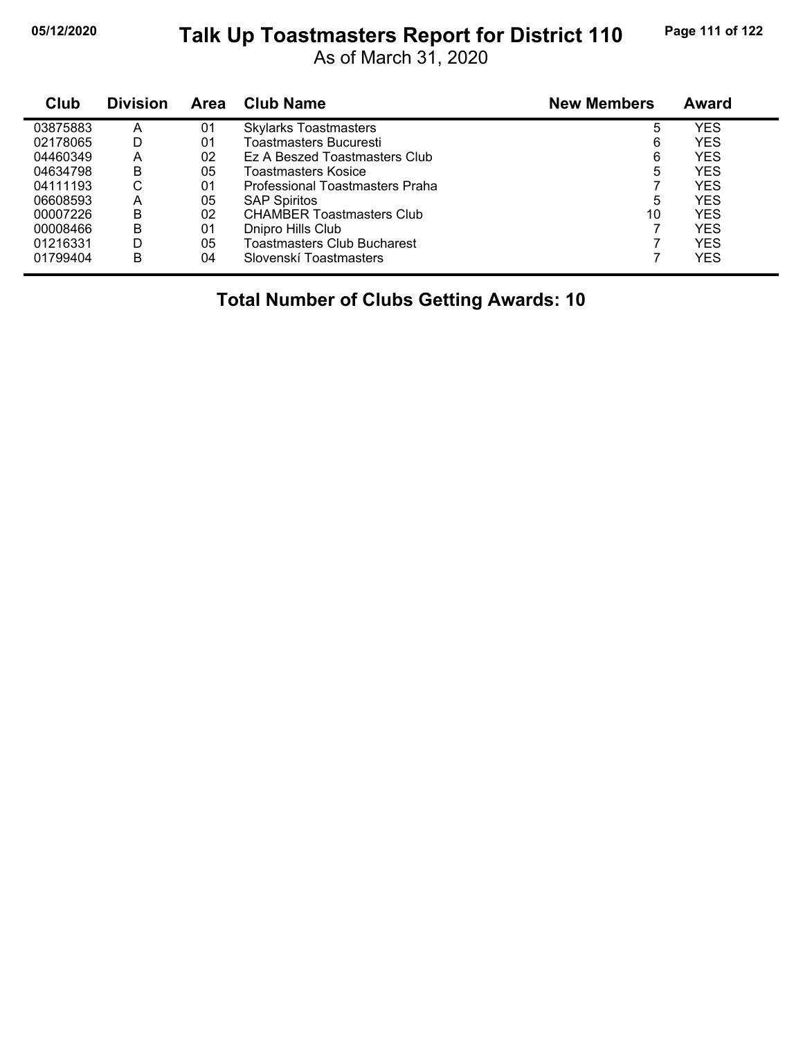#### **05/12/2020 Page 111 of 122 Talk Up Toastmasters Report for District 110**

As of March 31, 2020

| Club     | <b>Division</b> | Area | <b>Club Name</b>                   | <b>New Members</b> | Award |  |
|----------|-----------------|------|------------------------------------|--------------------|-------|--|
| 03875883 | A               | 01   | <b>Skylarks Toastmasters</b>       | 5                  | YES   |  |
| 02178065 | D               | 01   | Toastmasters Bucuresti             | 6                  | YES   |  |
| 04460349 | А               | 02   | Ez A Beszed Toastmasters Club      | 6                  | YES   |  |
| 04634798 | B               | 05   | Toastmasters Kosice                | 5                  | YES   |  |
| 04111193 | С               | 01   | Professional Toastmasters Praha    |                    | YES   |  |
| 06608593 | А               | 05   | <b>SAP Spiritos</b>                | 5                  | YES   |  |
| 00007226 | в               | 02   | <b>CHAMBER Toastmasters Club</b>   | 10                 | YES   |  |
| 00008466 | в               | 01   | Dnipro Hills Club                  |                    | YES   |  |
| 01216331 | D               | 05   | <b>Toastmasters Club Bucharest</b> |                    | YES   |  |
| 01799404 | B               | 04   | Slovenskí Toastmasters             |                    | YES   |  |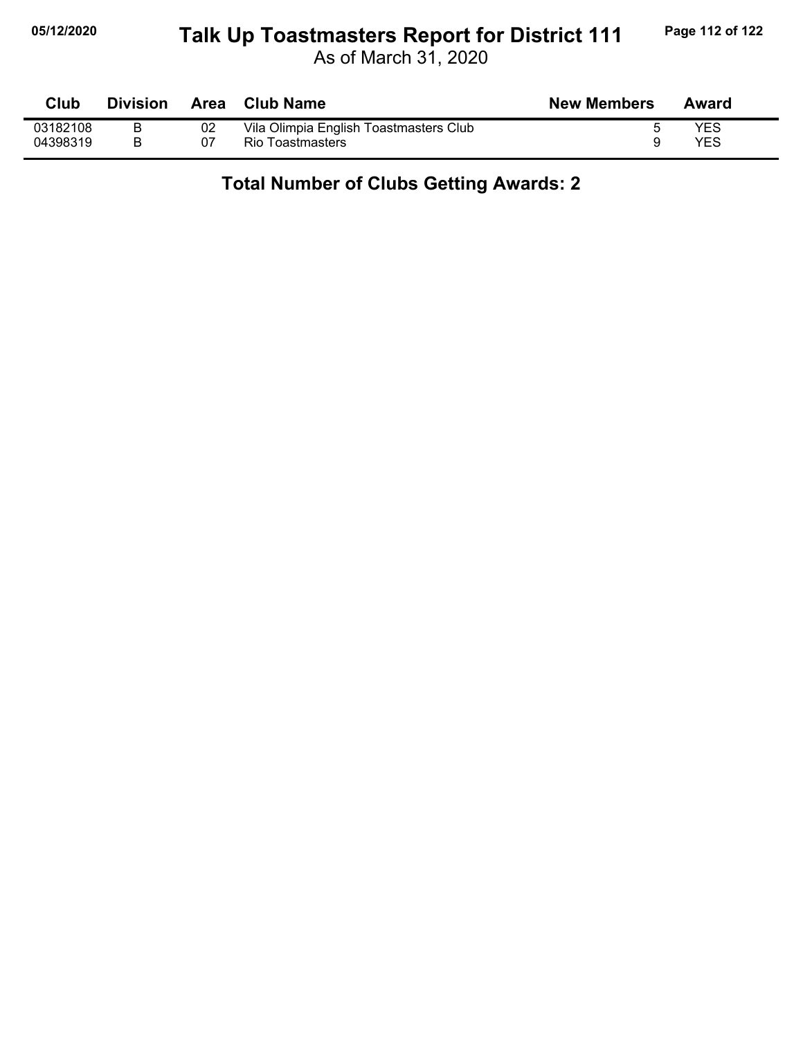## **05/12/2020 Page 112 of 122 Talk Up Toastmasters Report for District 111**

As of March 31, 2020

| <b>Club</b> | <b>Division</b> | Area | <b>Club Name</b>                       | <b>New Members</b> | Award |
|-------------|-----------------|------|----------------------------------------|--------------------|-------|
| 03182108    |                 | 02   | Vila Olimpia English Toastmasters Club |                    | YES   |
| 04398319    |                 | 07   | Rio Toastmasters                       |                    | YES   |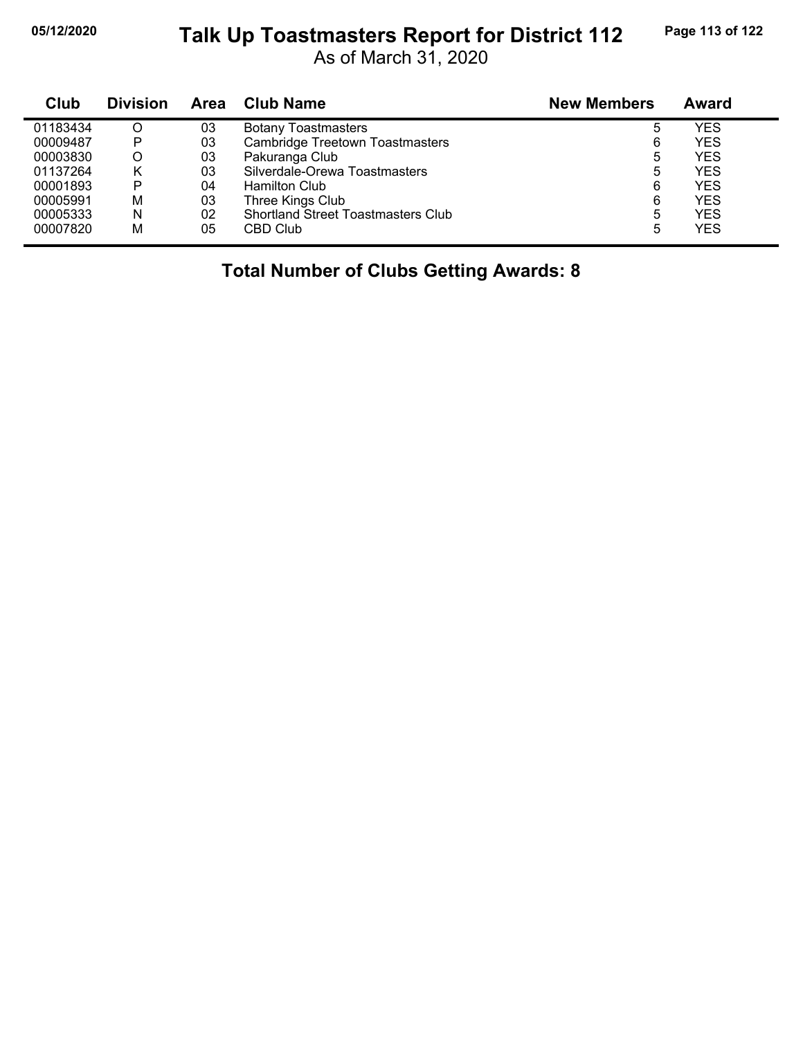### **05/12/2020 Page 113 of 122 Talk Up Toastmasters Report for District 112**

As of March 31, 2020

| Club     | <b>Division</b> | Area | <b>Club Name</b>                          | <b>New Members</b> | <b>Award</b> |
|----------|-----------------|------|-------------------------------------------|--------------------|--------------|
| 01183434 | O               | 03   | <b>Botany Toastmasters</b>                | 5                  | YES          |
| 00009487 | P               | 03   | <b>Cambridge Treetown Toastmasters</b>    | 6                  | YES          |
| 00003830 | O               | 03   | Pakuranga Club                            | 5                  | YES          |
| 01137264 | κ               | 03   | Silverdale-Orewa Toastmasters             | 5                  | YES          |
| 00001893 | P               | 04   | <b>Hamilton Club</b>                      | 6                  | YES          |
| 00005991 | M               | 03   | Three Kings Club                          | 6                  | YES          |
| 00005333 | N               | 02   | <b>Shortland Street Toastmasters Club</b> | 5                  | YES          |
| 00007820 | M               | 05   | CBD Club                                  | 5                  | YES          |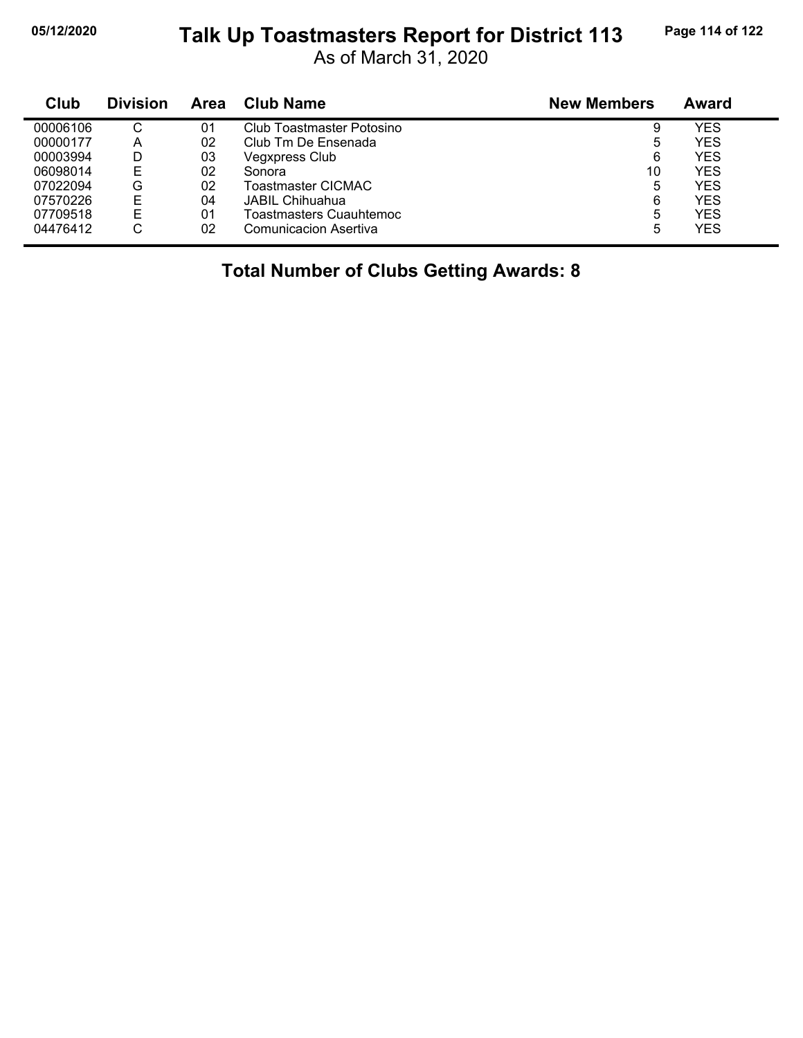### **05/12/2020 Page 114 of 122 Talk Up Toastmasters Report for District 113**

As of March 31, 2020

| Club     | <b>Division</b> | Area | Club Name                    | <b>New Members</b> | Award      |
|----------|-----------------|------|------------------------------|--------------------|------------|
| 00006106 | $\sim$<br>◡     | 01   | Club Toastmaster Potosino    | 9                  | YES        |
| 00000177 | А               | 02   | Club Tm De Ensenada          | 5                  | <b>YES</b> |
| 00003994 |                 | 03   | <b>Vegxpress Club</b>        | 6                  | <b>YES</b> |
| 06098014 | E               | 02   | Sonora                       | 10                 | <b>YES</b> |
| 07022094 | G               | 02   | Toastmaster CICMAC           | 5                  | <b>YES</b> |
| 07570226 | Е               | 04   | JABIL Chihuahua              | 6                  | <b>YES</b> |
| 07709518 | Е               | 01   | Toastmasters Cuauhtemoc      | 5                  | <b>YES</b> |
| 04476412 | С               | 02   | <b>Comunicacion Asertiva</b> | 5                  | <b>YES</b> |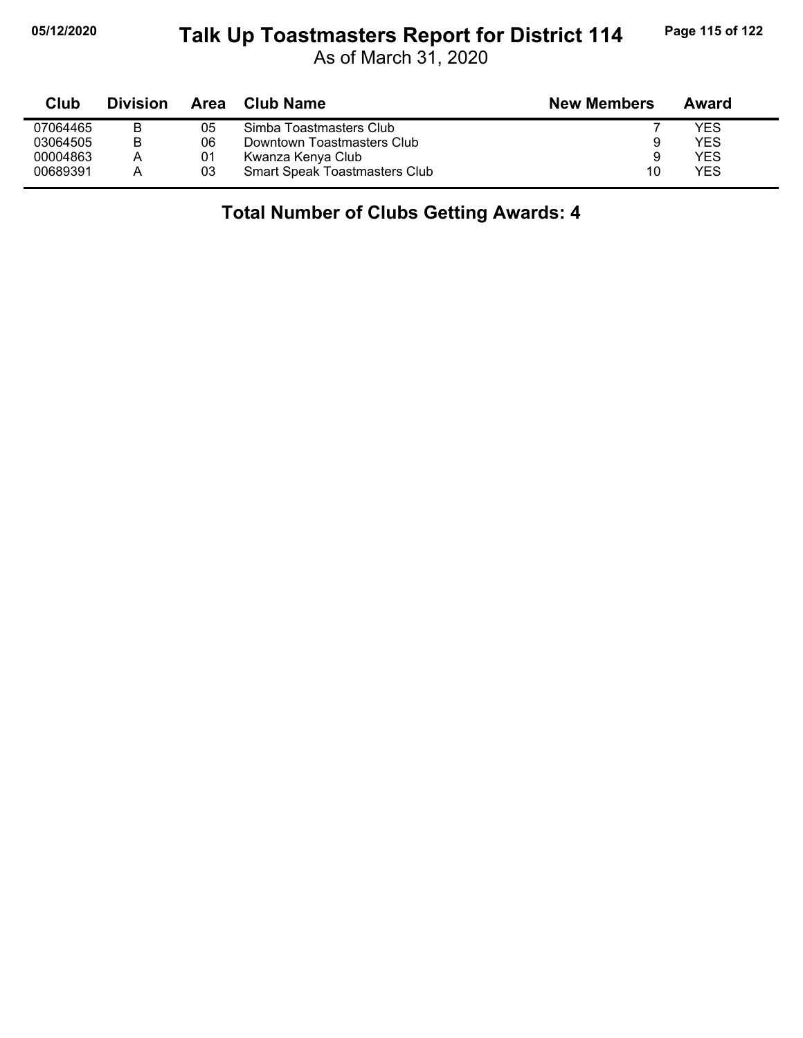### **05/12/2020 Page 115 of 122 Talk Up Toastmasters Report for District 114**

As of March 31, 2020

| Club     | <b>Division</b> | Area | <b>Club Name</b>                     | <b>New Members</b> | Award |  |
|----------|-----------------|------|--------------------------------------|--------------------|-------|--|
| 07064465 | В               | 05   | Simba Toastmasters Club              |                    | YES   |  |
| 03064505 | B               | 06   | Downtown Toastmasters Club           | 9                  | YES   |  |
| 00004863 | A               | 01   | Kwanza Kenya Club                    | 9                  | YES   |  |
| 00689391 | A               | 03   | <b>Smart Speak Toastmasters Club</b> | 10                 | YES   |  |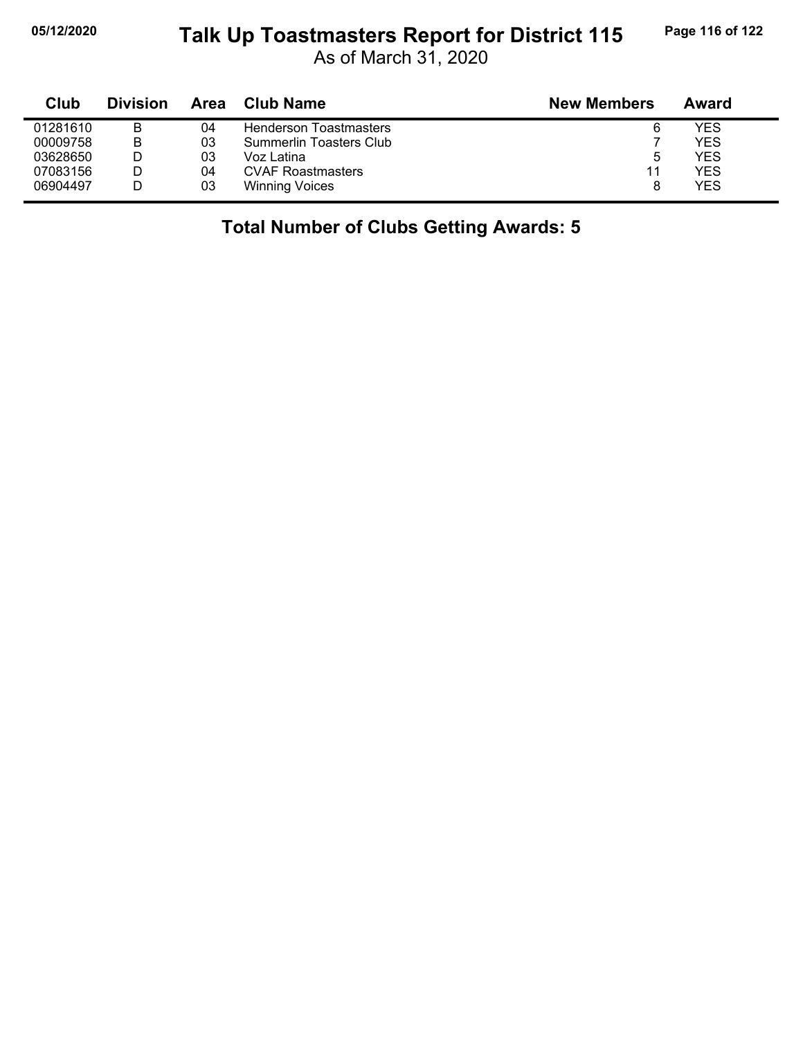## **05/12/2020 Page 116 of 122 Talk Up Toastmasters Report for District 115**

As of March 31, 2020

| Club     | <b>Division</b> | Area | <b>Club Name</b>              | <b>New Members</b> | Award |
|----------|-----------------|------|-------------------------------|--------------------|-------|
| 01281610 | В               | 04   | <b>Henderson Toastmasters</b> | 6                  | YES   |
| 00009758 | B               | 03   | Summerlin Toasters Club       |                    | YES   |
| 03628650 |                 | 03   | Voz Latina                    | 5                  | YES   |
| 07083156 |                 | 04   | <b>CVAF Roastmasters</b>      | 11                 | YES   |
| 06904497 |                 | 03   | <b>Winning Voices</b>         | 8                  | YES   |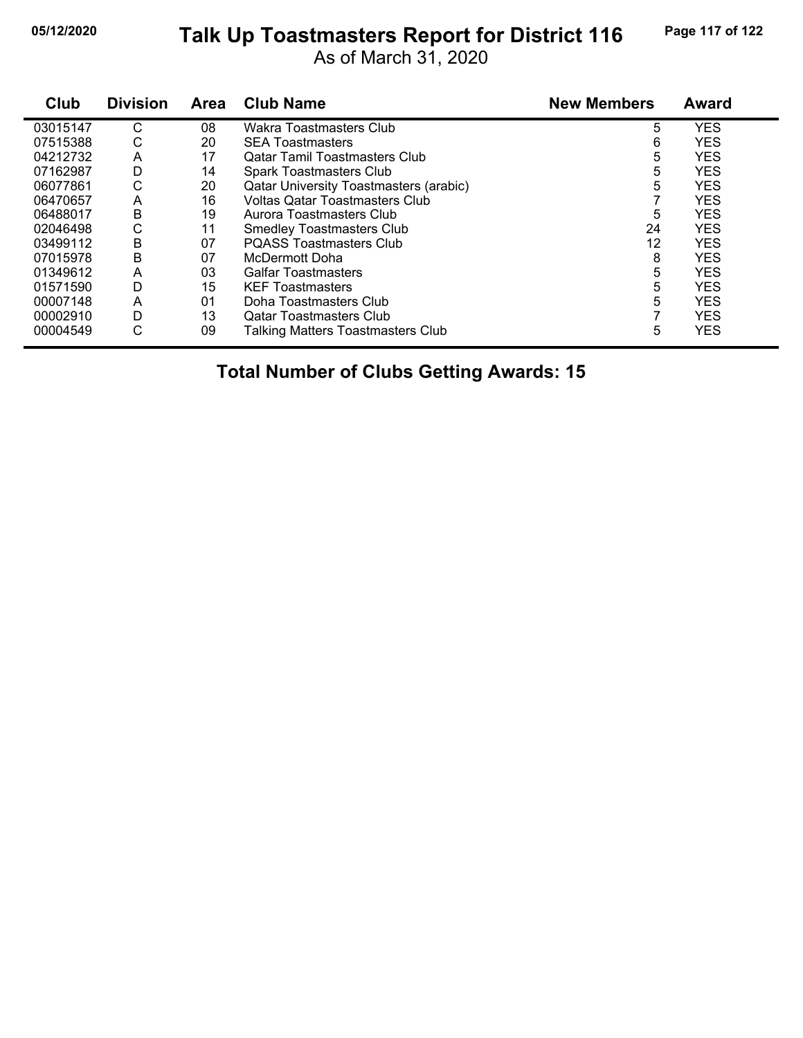#### **05/12/2020 Page 117 of 122 Talk Up Toastmasters Report for District 116**

As of March 31, 2020

| Club     | <b>Division</b> | <b>Area</b> | <b>Club Name</b>                              | <b>New Members</b> | <b>Award</b> |
|----------|-----------------|-------------|-----------------------------------------------|--------------------|--------------|
| 03015147 | С               | 08          | Wakra Toastmasters Club                       | 5                  | <b>YES</b>   |
| 07515388 | С               | 20          | <b>SEA Toastmasters</b>                       | 6                  | <b>YES</b>   |
| 04212732 | Α               | 17          | <b>Qatar Tamil Toastmasters Club</b>          | 5                  | <b>YES</b>   |
| 07162987 | D               | 14          | <b>Spark Toastmasters Club</b>                | 5                  | <b>YES</b>   |
| 06077861 | С               | 20          | <b>Qatar University Toastmasters (arabic)</b> | 5                  | <b>YES</b>   |
| 06470657 | A               | 16          | <b>Voltas Qatar Toastmasters Club</b>         |                    | <b>YES</b>   |
| 06488017 | В               | 19          | Aurora Toastmasters Club                      | 5                  | <b>YES</b>   |
| 02046498 | С               | 11          | <b>Smedley Toastmasters Club</b>              | 24                 | <b>YES</b>   |
| 03499112 | B               | 07          | <b>POASS Toastmasters Club</b>                | 12                 | <b>YES</b>   |
| 07015978 | B               | 07          | McDermott Doha                                | 8                  | <b>YES</b>   |
| 01349612 | A               | 03          | Galfar Toastmasters                           | 5                  | <b>YES</b>   |
| 01571590 | D               | 15          | <b>KEF Toastmasters</b>                       | 5                  | <b>YES</b>   |
| 00007148 | A               | 01          | Doha Toastmasters Club                        | 5                  | <b>YES</b>   |
| 00002910 | D               | 13          | <b>Qatar Toastmasters Club</b>                |                    | <b>YES</b>   |
| 00004549 | С               | 09          | <b>Talking Matters Toastmasters Club</b>      | 5                  | <b>YES</b>   |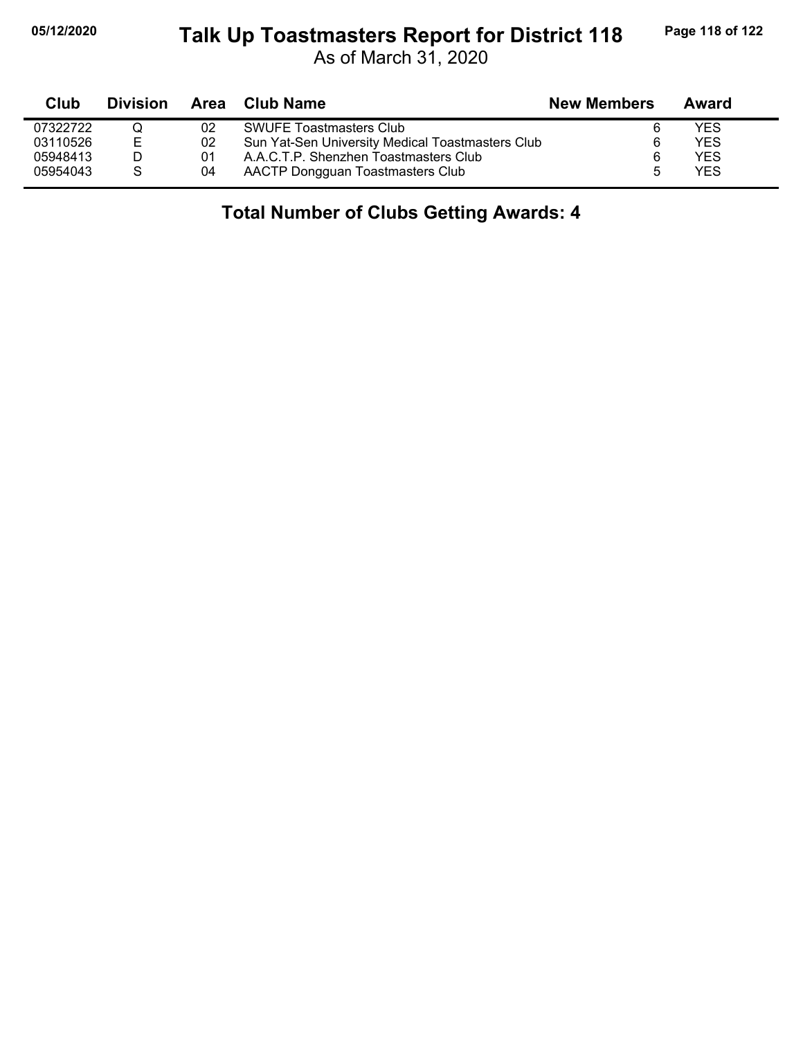### **05/12/2020 Page 118 of 122 Talk Up Toastmasters Report for District 118**

As of March 31, 2020

| Club     | Division     |    | Area Club Name                                   | <b>New Members</b> | Award |  |
|----------|--------------|----|--------------------------------------------------|--------------------|-------|--|
| 07322722 |              | 02 | <b>SWUFE Toastmasters Club</b>                   |                    | YES   |  |
| 03110526 | E            | 02 | Sun Yat-Sen University Medical Toastmasters Club | 6                  | YES   |  |
| 05948413 |              | 01 | A.A.C.T.P. Shenzhen Toastmasters Club            |                    | YES   |  |
| 05954043 | <sub>S</sub> | 04 | AACTP Dongguan Toastmasters Club                 |                    | YES   |  |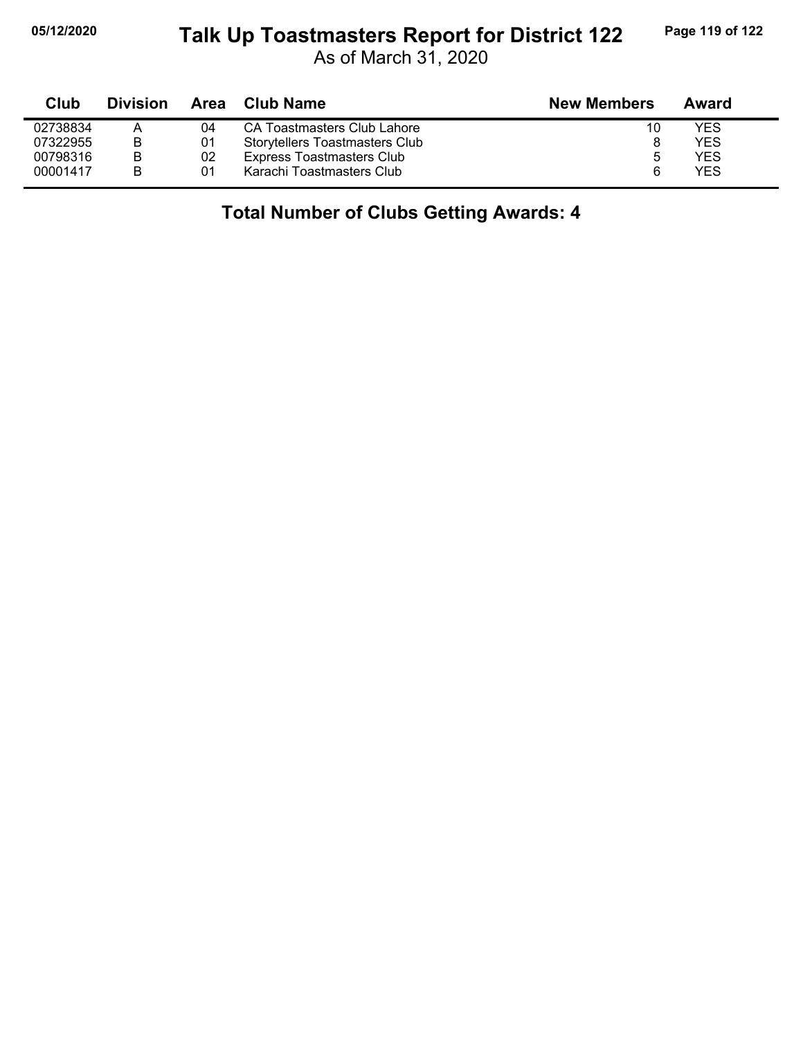### **05/12/2020 Page 119 of 122 Talk Up Toastmasters Report for District 122**

As of March 31, 2020

| Club     | <b>Division</b> | Area | Club Name                             | <b>New Members</b> | Award |
|----------|-----------------|------|---------------------------------------|--------------------|-------|
| 02738834 |                 | 04   | CA Toastmasters Club Lahore           | 10                 | YES   |
| 07322955 | В               | 01   | <b>Storytellers Toastmasters Club</b> |                    | YES   |
| 00798316 | В               | 02   | <b>Express Toastmasters Club</b>      |                    | YES   |
| 00001417 | B               | 01   | Karachi Toastmasters Club             | 6                  | YES   |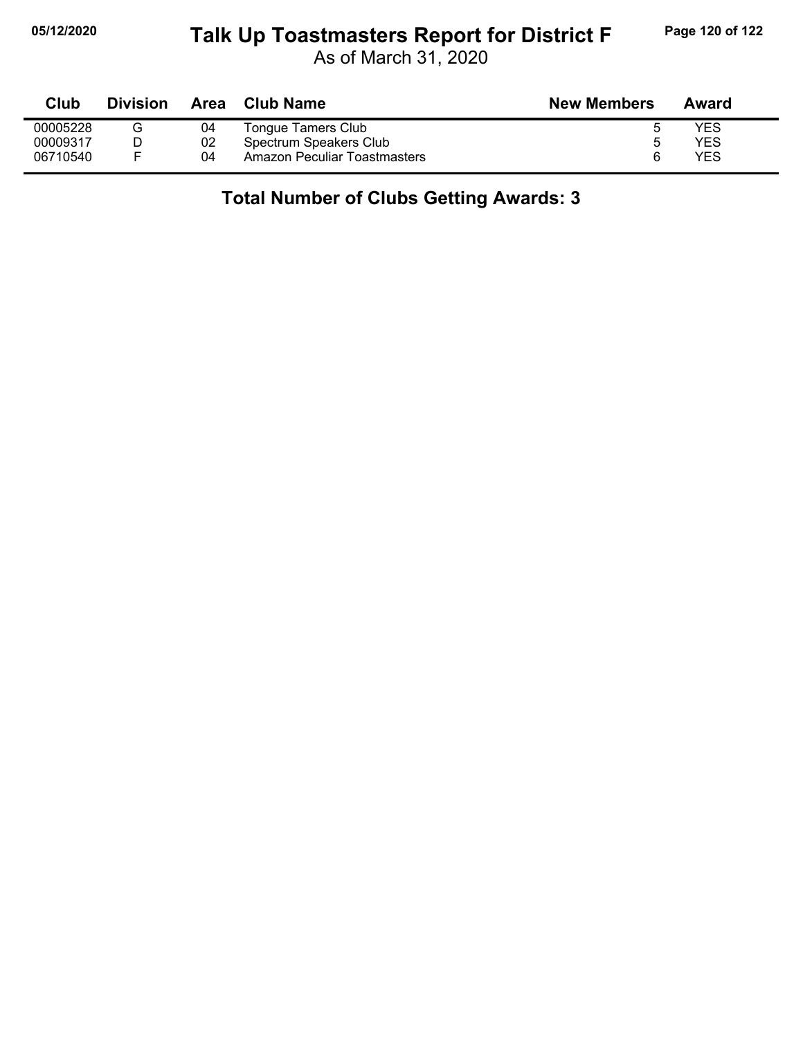### **05/12/2020 Page 120 of 122 Talk Up Toastmasters Report for District F**

As of March 31, 2020

| Club     | <b>Division</b> | Area | Club Name                    | <b>New Members</b> | Award |
|----------|-----------------|------|------------------------------|--------------------|-------|
| 00005228 |                 | 04   | Tongue Tamers Club           |                    | YES   |
| 00009317 |                 | 02   | Spectrum Speakers Club       |                    | YES   |
| 06710540 |                 | 04   | Amazon Peculiar Toastmasters |                    | YES   |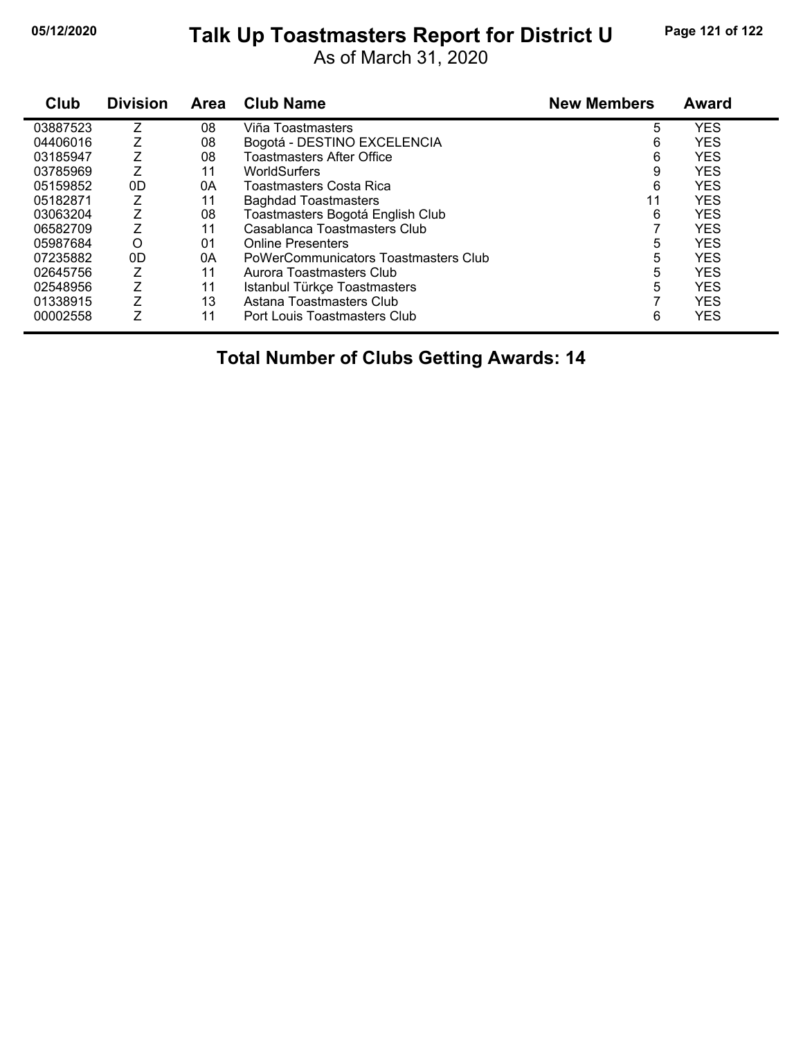### **05/12/2020 Page 121 of 122 Talk Up Toastmasters Report for District U**

As of March 31, 2020

| Club     | <b>Division</b> | <b>Area</b> | <b>Club Name</b>                     | <b>New Members</b> | <b>Award</b> |
|----------|-----------------|-------------|--------------------------------------|--------------------|--------------|
| 03887523 | Ζ               | 08          | Viña Toastmasters                    | 5                  | <b>YES</b>   |
| 04406016 |                 | 08          | Bogotá - DESTINO EXCELENCIA          | 6                  | <b>YES</b>   |
| 03185947 |                 | 08          | <b>Toastmasters After Office</b>     | 6                  | <b>YES</b>   |
| 03785969 |                 | 11          | WorldSurfers                         | 9                  | <b>YES</b>   |
| 05159852 | 0D              | 0Α          | Toastmasters Costa Rica              | 6                  | <b>YES</b>   |
| 05182871 |                 | 11          | <b>Baghdad Toastmasters</b>          | 11                 | <b>YES</b>   |
| 03063204 |                 | 08          | Toastmasters Bogotá English Club     | 6                  | <b>YES</b>   |
| 06582709 | Z               | 11          | Casablanca Toastmasters Club         |                    | <b>YES</b>   |
| 05987684 | O               | 01          | <b>Online Presenters</b>             | 5                  | <b>YES</b>   |
| 07235882 | 0D              | 0A          | PoWerCommunicators Toastmasters Club | 5                  | <b>YES</b>   |
| 02645756 | Z               | 11          | Aurora Toastmasters Club             | 5                  | <b>YES</b>   |
| 02548956 | Z               | 11          | Istanbul Türkçe Toastmasters         | 5                  | <b>YES</b>   |
| 01338915 | Z               | 13          | Astana Toastmasters Club             |                    | <b>YES</b>   |
| 00002558 | Ζ               | 11          | Port Louis Toastmasters Club         | 6                  | <b>YES</b>   |